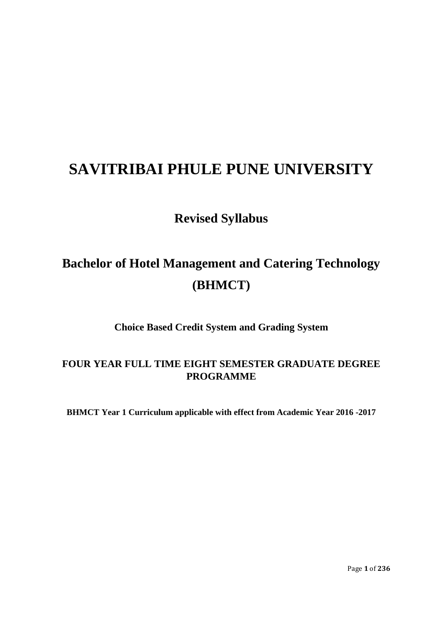# **SAVITRIBAI PHULE PUNE UNIVERSITY**

# **Revised Syllabus**

# **Bachelor of Hotel Management and Catering Technology (BHMCT)**

**Choice Based Credit System and Grading System** 

## **FOUR YEAR FULL TIME EIGHT SEMESTER GRADUATE DEGREE PROGRAMME**

**BHMCT Year 1 Curriculum applicable with effect from Academic Year 2016 -2017**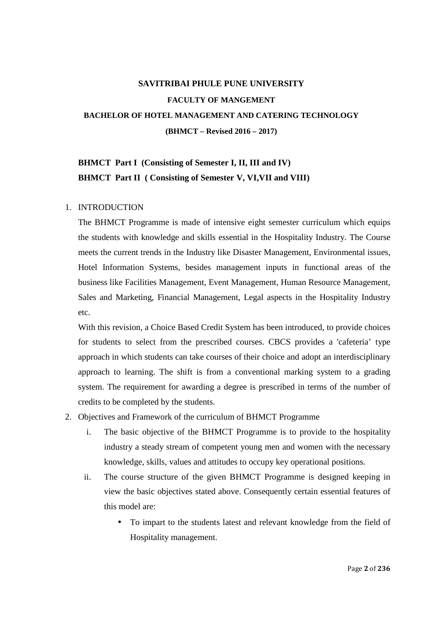# **SAVITRIBAI PHULE PUNE UNIVERSITY FACULTY OF MANGEMENT BACHELOR OF HOTEL MANAGEMENT AND CATERING TECHNOLOGY (BHMCT – Revised 2016 – 2017)**

## **BHMCT Part I (Consisting of Semester I, II, III and IV) BHMCT Part II ( Consisting of Semester V, VI,VII and VIII)**

#### 1. INTRODUCTION

The BHMCT Programme is made of intensive eight semester curriculum which equips the students with knowledge and skills essential in the Hospitality Industry. The Course meets the current trends in the Industry like Disaster Management, Environmental issues, Hotel Information Systems, besides management inputs in functional areas of the business like Facilities Management, Event Management, Human Resource Management, Sales and Marketing, Financial Management, Legal aspects in the Hospitality Industry etc.

With this revision, a Choice Based Credit System has been introduced, to provide choices for students to select from the prescribed courses. CBCS provides a 'cafeteria' type approach in which students can take courses of their choice and adopt an interdisciplinary approach to learning. The shift is from a conventional marking system to a grading system. The requirement for awarding a degree is prescribed in terms of the number of credits to be completed by the students.

- 2. Objectives and Framework of the curriculum of BHMCT Programme
	- i. The basic objective of the BHMCT Programme is to provide to the hospitality industry a steady stream of competent young men and women with the necessary knowledge, skills, values and attitudes to occupy key operational positions.
	- ii. The course structure of the given BHMCT Programme is designed keeping in view the basic objectives stated above. Consequently certain essential features of this model are:
		- To impart to the students latest and relevant knowledge from the field of Hospitality management.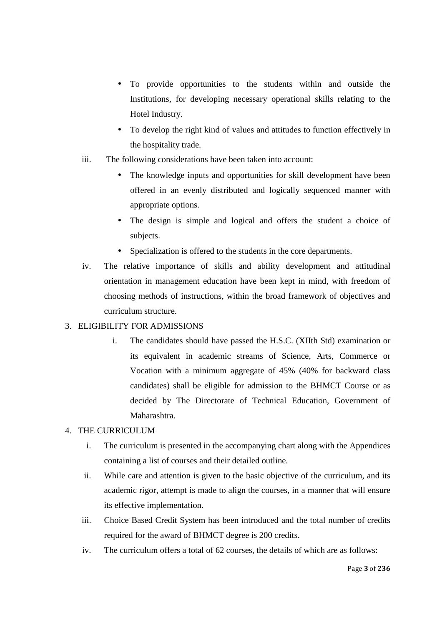- To provide opportunities to the students within and outside the Institutions, for developing necessary operational skills relating to the Hotel Industry.
- To develop the right kind of values and attitudes to function effectively in the hospitality trade.
- iii. The following considerations have been taken into account:
	- The knowledge inputs and opportunities for skill development have been offered in an evenly distributed and logically sequenced manner with appropriate options.
	- The design is simple and logical and offers the student a choice of subjects.
	- Specialization is offered to the students in the core departments.
- iv. The relative importance of skills and ability development and attitudinal orientation in management education have been kept in mind, with freedom of choosing methods of instructions, within the broad framework of objectives and curriculum structure.

#### 3. ELIGIBILITY FOR ADMISSIONS

i. The candidates should have passed the H.S.C. (XIIth Std) examination or its equivalent in academic streams of Science, Arts, Commerce or Vocation with a minimum aggregate of 45% (40% for backward class candidates) shall be eligible for admission to the BHMCT Course or as decided by The Directorate of Technical Education, Government of Maharashtra.

#### 4. THE CURRICULUM

- i. The curriculum is presented in the accompanying chart along with the Appendices containing a list of courses and their detailed outline.
- ii. While care and attention is given to the basic objective of the curriculum, and its academic rigor, attempt is made to align the courses, in a manner that will ensure its effective implementation.
- iii. Choice Based Credit System has been introduced and the total number of credits required for the award of BHMCT degree is 200 credits.
- iv. The curriculum offers a total of 62 courses, the details of which are as follows: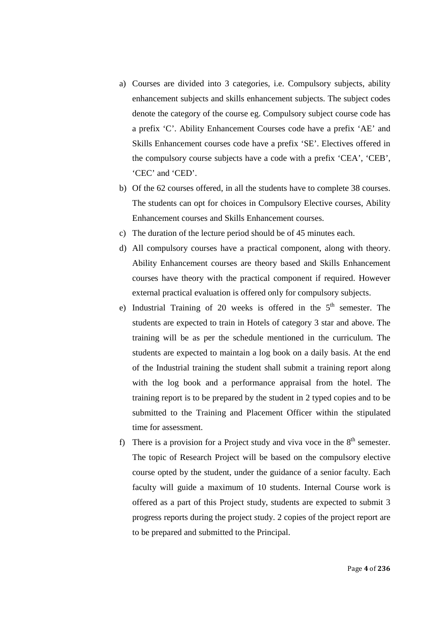- a) Courses are divided into 3 categories, i.e. Compulsory subjects, ability enhancement subjects and skills enhancement subjects. The subject codes denote the category of the course eg. Compulsory subject course code has a prefix 'C'. Ability Enhancement Courses code have a prefix 'AE' and Skills Enhancement courses code have a prefix 'SE'. Electives offered in the compulsory course subjects have a code with a prefix 'CEA', 'CEB', 'CEC' and 'CED'.
- b) Of the 62 courses offered, in all the students have to complete 38 courses. The students can opt for choices in Compulsory Elective courses, Ability Enhancement courses and Skills Enhancement courses.
- c) The duration of the lecture period should be of 45 minutes each.
- d) All compulsory courses have a practical component, along with theory. Ability Enhancement courses are theory based and Skills Enhancement courses have theory with the practical component if required. However external practical evaluation is offered only for compulsory subjects.
- e) Industrial Training of 20 weeks is offered in the  $5<sup>th</sup>$  semester. The students are expected to train in Hotels of category 3 star and above. The training will be as per the schedule mentioned in the curriculum. The students are expected to maintain a log book on a daily basis. At the end of the Industrial training the student shall submit a training report along with the log book and a performance appraisal from the hotel. The training report is to be prepared by the student in 2 typed copies and to be submitted to the Training and Placement Officer within the stipulated time for assessment.
- f) There is a provision for a Project study and viva voce in the  $8<sup>th</sup>$  semester. The topic of Research Project will be based on the compulsory elective course opted by the student, under the guidance of a senior faculty. Each faculty will guide a maximum of 10 students. Internal Course work is offered as a part of this Project study, students are expected to submit 3 progress reports during the project study. 2 copies of the project report are to be prepared and submitted to the Principal.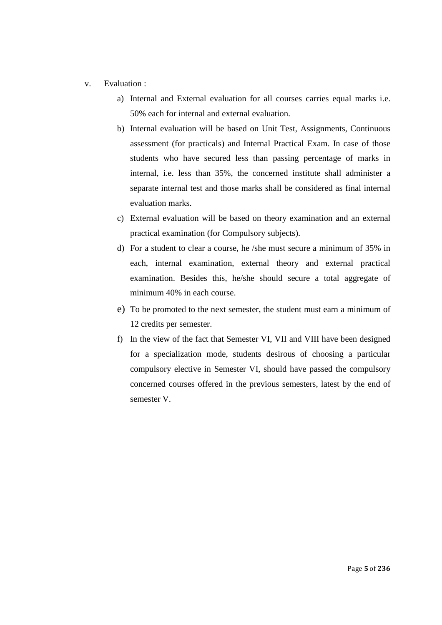#### v. Evaluation :

- a) Internal and External evaluation for all courses carries equal marks i.e. 50% each for internal and external evaluation.
- b) Internal evaluation will be based on Unit Test, Assignments, Continuous assessment (for practicals) and Internal Practical Exam. In case of those students who have secured less than passing percentage of marks in internal, i.e. less than 35%, the concerned institute shall administer a separate internal test and those marks shall be considered as final internal evaluation marks.
- c) External evaluation will be based on theory examination and an external practical examination (for Compulsory subjects).
- d) For a student to clear a course, he /she must secure a minimum of 35% in each, internal examination, external theory and external practical examination. Besides this, he/she should secure a total aggregate of minimum 40% in each course.
- e) To be promoted to the next semester, the student must earn a minimum of 12 credits per semester.
- f) In the view of the fact that Semester VI, VII and VIII have been designed for a specialization mode, students desirous of choosing a particular compulsory elective in Semester VI, should have passed the compulsory concerned courses offered in the previous semesters, latest by the end of semester V.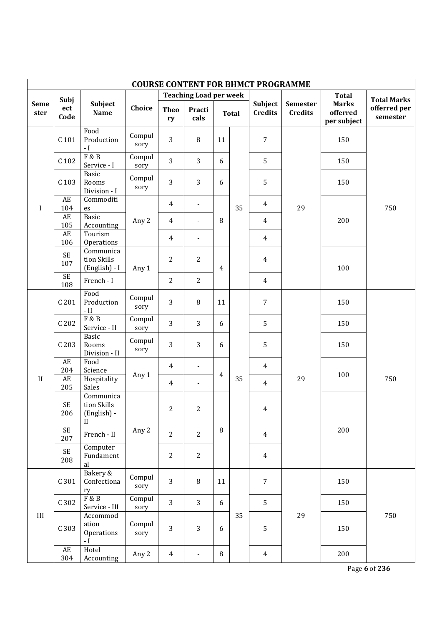| <b>COURSE CONTENT FOR BHMCT PROGRAMME</b> |                                   |                                               |                |                   |                               |    |              |                           |                            |                                         |                          |
|-------------------------------------------|-----------------------------------|-----------------------------------------------|----------------|-------------------|-------------------------------|----|--------------|---------------------------|----------------------------|-----------------------------------------|--------------------------|
|                                           | Subj                              |                                               |                |                   | <b>Teaching Load per week</b> |    |              |                           |                            | <b>Total</b>                            | <b>Total Marks</b>       |
| <b>Seme</b><br>ster                       | ect<br>Code                       | Subject<br>Name                               | Choice         | <b>Theo</b><br>ry | Practi<br>cals                |    | <b>Total</b> | Subject<br><b>Credits</b> | Semester<br><b>Credits</b> | <b>Marks</b><br>offerred<br>per subject | offerred per<br>semester |
|                                           | $C$ 101                           | Food<br>Production<br>$-I$                    | Compul<br>sory | 3                 | 8                             | 11 |              | $\overline{7}$            |                            | 150                                     |                          |
|                                           | C <sub>102</sub>                  | F & B<br>Service - I                          | Compul<br>sory | 3                 | 3                             | 6  |              | 5                         |                            | 150                                     |                          |
|                                           | C <sub>103</sub>                  | <b>Basic</b><br>Rooms<br>Division - I         | Compul<br>sory | 3                 | 3                             | 6  |              | 5                         |                            | 150                                     |                          |
| $\mathbf I$                               | AE<br>104                         | Commoditi<br>es                               |                | $\overline{4}$    | $\overline{\phantom{a}}$      |    | 35           | $\overline{4}$            | 29                         | 200                                     | 750                      |
|                                           | AE<br>105                         | <b>Basic</b><br>Accounting                    | Any 2          | $\overline{4}$    | $\blacksquare$                | 8  |              | $\overline{4}$            |                            |                                         |                          |
|                                           | <b>AE</b><br>106                  | Tourism<br>Operations                         |                | $\overline{4}$    | $\blacksquare$                |    |              | $\overline{4}$            |                            |                                         |                          |
|                                           | <b>SE</b><br>107                  | Communica<br>tion Skills<br>(English) - I     | Any 1          | $\overline{2}$    | $\overline{2}$                | 4  |              | $\overline{4}$            |                            | 100                                     |                          |
|                                           | <b>SE</b><br>108                  | French - I                                    |                | 2                 | $\overline{2}$                |    |              | $\overline{4}$            |                            |                                         |                          |
|                                           | C <sub>201</sub>                  | Food<br>Production<br>- $II$                  | Compul<br>sory | 3                 | 8                             | 11 |              | $\overline{7}$            |                            | 150                                     |                          |
|                                           | C 202                             | F & B<br>Service - II                         | Compul<br>sory | 3                 | 3                             | 6  |              | 5                         |                            | 150                                     | 750                      |
|                                           | C 203                             | Basic<br>Rooms<br>Division - II               | Compul<br>sory | 3                 | 3                             | 6  |              | 5                         |                            | 150                                     |                          |
|                                           | AE<br>204                         | Food<br>Science                               | Any 1          | $\overline{4}$    | $\blacksquare$                | 4  |              | $\overline{4}$            |                            | 100                                     |                          |
| II                                        | $\mathbf{A}\mathbf{E}$<br>205     | Hospitality<br>Sales                          |                | $\overline{4}$    | $\blacksquare$                |    | 35           | $\overline{4}$            | 29                         |                                         |                          |
|                                           | SE<br>206                         | Communica<br>tion Skills<br>(English) -<br>II |                | 2                 | 2                             |    |              | 4                         |                            |                                         |                          |
|                                           | $\overline{\text{SE}}$<br>207     | French - II                                   | Any 2          | 2                 | $\overline{2}$                | 8  |              | $\overline{4}$            |                            | 200                                     |                          |
|                                           | $\ensuremath{\mathsf{SE}}$<br>208 | Computer<br>Fundament<br>al                   |                | $\overline{2}$    | $\overline{2}$                |    |              | $\overline{4}$            |                            |                                         |                          |
|                                           | C301                              | Bakery &<br>Confectiona<br>ry                 | Compul<br>sory | 3                 | 8                             | 11 |              | $\overline{7}$            |                            | 150                                     |                          |
|                                           | C 302                             | F & B<br>Service - III                        | Compul<br>sory | 3<br>3            |                               | 6  |              | 5                         |                            | 150                                     |                          |
| $\rm III$                                 | C 303                             | Accommod<br>ation<br>Operations<br>$-I$       | Compul<br>sory | 3                 | 3                             | 6  | 35           | 5                         | 29                         | 150                                     | 750                      |
|                                           | AE<br>304                         | Hotel<br>Accounting                           | Any 2          | $\overline{4}$    | $\blacksquare$                | 8  |              | $\overline{4}$            |                            | 200                                     |                          |

Page **6** of **236**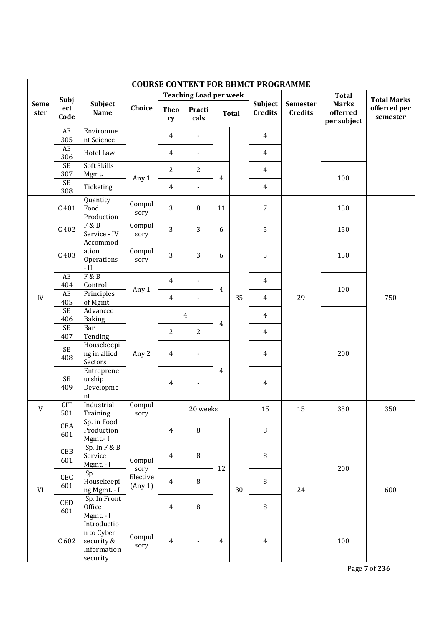| <b>COURSE CONTENT FOR BHMCT PROGRAMME</b> |                               |                                                                    |                             |                   |                               |                |              |                           |                            |                                         |                          |
|-------------------------------------------|-------------------------------|--------------------------------------------------------------------|-----------------------------|-------------------|-------------------------------|----------------|--------------|---------------------------|----------------------------|-----------------------------------------|--------------------------|
|                                           | Subj                          |                                                                    |                             |                   | <b>Teaching Load per week</b> |                |              |                           |                            | <b>Total</b>                            | <b>Total Marks</b>       |
| <b>Seme</b><br>ster                       | ect<br>Code                   | Subject<br>Name                                                    | Choice                      | <b>Theo</b><br>ry | Practi<br>cals                |                | <b>Total</b> | Subject<br><b>Credits</b> | Semester<br><b>Credits</b> | <b>Marks</b><br>offerred<br>per subject | offerred per<br>semester |
|                                           | AE<br>305                     | Environme<br>nt Science                                            |                             | $\overline{4}$    | $\blacksquare$                |                |              | $\overline{4}$            |                            |                                         |                          |
|                                           | AE<br>306                     | Hotel Law                                                          |                             | $\overline{4}$    | $\blacksquare$                |                |              | $\overline{4}$            |                            |                                         |                          |
|                                           | $\overline{\text{SE}}$<br>307 | Soft Skills<br>Mgmt.                                               | Any 1                       | $\overline{2}$    | $\overline{2}$                | $\overline{4}$ |              | $\overline{4}$            |                            | 100                                     |                          |
|                                           | $\overline{\text{SE}}$<br>308 | Ticketing                                                          |                             | $\overline{4}$    | $\blacksquare$                |                |              | $\overline{4}$            |                            |                                         |                          |
|                                           | C <sub>401</sub>              | Quantity<br>Food<br>Production                                     | Compul<br>sory              | $\overline{3}$    | 8                             | 11             |              | $\overline{7}$            |                            | 150                                     |                          |
|                                           | C 402                         | F & B<br>Service - IV                                              | Compul<br>sory              | 3                 | 3                             | 6              |              | 5                         |                            | 150                                     |                          |
|                                           | C <sub>403</sub>              | Accommod<br>ation<br>Operations<br>- II                            | Compul<br>sory              | 3                 | 3                             | 6              |              | 5                         |                            | 150                                     |                          |
|                                           | AE<br>404                     | F & B<br>Control                                                   |                             | $\overline{4}$    |                               |                |              | $\overline{4}$            |                            |                                         |                          |
| IV                                        | AE<br>405                     | Principles<br>of Mgmt.                                             | Any 1                       | $\overline{4}$    |                               | $\overline{4}$ | 35           | $\overline{4}$            | 29                         | 100                                     | 750                      |
|                                           | $\overline{\text{SE}}$<br>406 | Advanced<br><b>Baking</b>                                          |                             |                   | $\overline{4}$                |                |              | $\overline{4}$            |                            |                                         |                          |
|                                           | <b>SE</b><br>407              | Bar<br>Tending                                                     | Any 2                       | $\overline{2}$    | $\overline{c}$                | $\overline{4}$ |              | $\overline{4}$            |                            |                                         |                          |
|                                           | <b>SE</b><br>408              | Housekeepi<br>ng in allied<br>Sectors                              |                             | $\overline{4}$    |                               |                |              | $\overline{4}$            |                            | 200                                     |                          |
|                                           | <b>SE</b><br>409              | Entreprene<br>urship<br>Developme<br>nt                            |                             | $\overline{4}$    |                               | $\overline{4}$ |              | $\overline{4}$            |                            |                                         |                          |
| V                                         | <b>CIT</b><br>501             | Industrial<br>Training                                             | Compul<br>sory              |                   | 20 weeks                      |                |              | 15                        | 15                         | 350                                     | 350                      |
|                                           | CEA<br>601                    | Sp. in Food<br>Production<br>Mgmt.-I                               |                             | $\overline{4}$    | $\, 8$                        |                |              | $\, 8$                    |                            |                                         |                          |
|                                           | CEB<br>601                    | Sp. In $F & B$<br>Service<br>Mgmt. - I                             | Compul                      | $\overline{4}$    | $\, 8$                        | 12             |              | $\, 8$                    |                            | 200                                     |                          |
| VI                                        | CEC<br>601                    | Sp.<br>Housekeepi<br>ng Mgmt. - I                                  | sory<br>Elective<br>(Any 1) | $\overline{4}$    | $\, 8$                        |                | 30           | $\, 8$                    | 24                         |                                         | 600                      |
|                                           | <b>CED</b><br>601             | Sp. In Front<br>Office<br>Mgmt. - I                                |                             | $\overline{4}$    | $\, 8$                        |                |              | $\, 8$                    |                            |                                         |                          |
|                                           | C602                          | Introductio<br>n to Cyber<br>security &<br>Information<br>security | Compul<br>sory              | $\overline{4}$    |                               | $\overline{4}$ |              | $\overline{4}$            |                            | 100                                     |                          |

Page **7** of **236**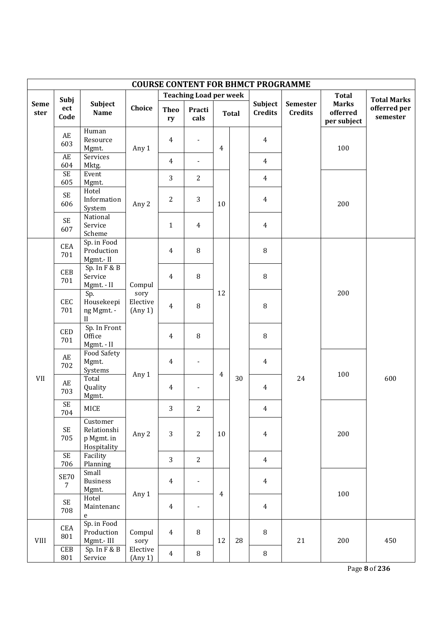| <b>COURSE CONTENT FOR BHMCT PROGRAMME</b> |                                                         |                                                      |                             |                                  |                               |                |              |                                  |                            |                                         |                          |
|-------------------------------------------|---------------------------------------------------------|------------------------------------------------------|-----------------------------|----------------------------------|-------------------------------|----------------|--------------|----------------------------------|----------------------------|-----------------------------------------|--------------------------|
|                                           | Subj                                                    |                                                      |                             |                                  | <b>Teaching Load per week</b> |                |              |                                  |                            | <b>Total</b>                            | <b>Total Marks</b>       |
| <b>Seme</b><br>ster                       | ect<br>Code                                             | Subject<br>Name                                      | Choice                      | <b>Theo</b><br>ry                | Practi<br>cals                |                | <b>Total</b> | Subject<br><b>Credits</b>        | Semester<br><b>Credits</b> | <b>Marks</b><br>offerred<br>per subject | offerred per<br>semester |
|                                           | $\mathbf{A}\mathbf{E}$<br>603<br>$\mathbf{A}\mathbf{E}$ | Human<br>Resource<br>Mgmt.<br>Services               | Any 1                       | $\overline{4}$<br>$\overline{4}$ |                               | $\overline{4}$ |              | $\overline{4}$                   |                            | 100                                     |                          |
|                                           | 604                                                     | Mktg.                                                |                             |                                  | $\blacksquare$                |                |              | $\overline{4}$                   |                            |                                         |                          |
|                                           | <b>SE</b><br>605<br><b>SE</b><br>606                    | Event<br>Mgmt.<br>Hotel<br>Information<br>System     | Any 2                       | 3<br>2                           | $\overline{2}$<br>3           | 10             |              | $\overline{4}$<br>$\overline{4}$ |                            | 200                                     |                          |
|                                           | SE<br>607                                               | National<br>Service<br>Scheme                        |                             | $\mathbf{1}$                     | $\overline{4}$                |                |              | $\overline{4}$                   |                            |                                         |                          |
|                                           | CEA<br>701                                              | Sp. in Food<br>Production<br>Mgmt.-II                |                             | $\overline{4}$                   | 8                             |                |              | 8                                |                            |                                         |                          |
|                                           | CEB<br>701                                              | Sp. In F & B<br>Service<br>Mgmt. - II                | Compul                      | $\overline{4}$                   | 8                             | 12             |              | 8                                |                            | 200                                     |                          |
|                                           | CEC<br>701                                              | Sp.<br>Housekeepi<br>ng Mgmt. -<br>II                | sory<br>Elective<br>(Any 1) | $\overline{4}$                   | 8                             |                |              | $\, 8$                           |                            |                                         |                          |
|                                           | CED<br>701                                              | Sp. In Front<br>Office<br>Mgmt. - II                 |                             | $\overline{4}$                   | 8                             |                |              | $\, 8$                           |                            |                                         |                          |
|                                           | $\mathbf{A}\mathbf{E}$<br>702                           | <b>Food Safety</b><br>Mgmt.<br>Systems               | Any 1                       | $\overline{4}$                   | $\blacksquare$                | $\overline{4}$ |              | $\overline{4}$                   |                            | 100                                     |                          |
| VII                                       | $\mathbf{A}\mathbf{E}$<br>703                           | Total<br>Quality<br>Mgmt.                            |                             | $\overline{4}$                   | $\overline{\phantom{a}}$      |                | 30           | $\overline{4}$                   | 24                         |                                         | 600                      |
|                                           | SE<br>704                                               | MICE                                                 |                             | 3                                | 2                             |                |              | $\overline{4}$                   |                            |                                         |                          |
|                                           | <b>SE</b><br>705                                        | Customer<br>Relationshi<br>p Mgmt. in<br>Hospitality | Any 2                       | 3                                | $\overline{2}$                | 10             |              | $\overline{4}$                   |                            | 200                                     |                          |
|                                           | $\ensuremath{\mathsf{SE}}$<br>706                       | Facility<br>Planning                                 |                             | 3                                | $\overline{2}$                |                |              | $\overline{4}$                   |                            |                                         |                          |
|                                           | <b>SE70</b><br>$\overline{7}$                           | Small<br><b>Business</b><br>Mgmt.                    | Any 1                       | $\overline{4}$                   | $\blacksquare$                | $\overline{4}$ |              | $\overline{4}$                   |                            | 100                                     |                          |
|                                           | SE<br>708                                               | Hotel<br>Maintenanc<br>e                             |                             | $\overline{4}$                   | $\overline{\phantom{a}}$      |                |              | $\overline{4}$                   |                            |                                         |                          |
| <b>VIII</b>                               | CEA<br>801                                              | Sp. in Food<br>Production<br>Mgmt.- III              | Compul<br>sory              | $\overline{4}$                   | $\, 8$                        | 12             | 28           | 8                                | 21                         | 200                                     | 450                      |
|                                           | CEB<br>801                                              | Sp. In F & B<br>Service                              | Elective<br>(Any 1)         | $\overline{4}$                   | $\, 8$                        |                |              | $\, 8$                           |                            |                                         |                          |

Page **8** of **236**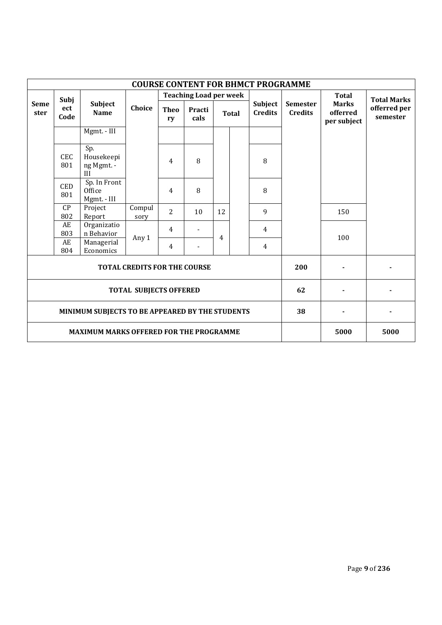| <b>COURSE CONTENT FOR BHMCT PROGRAMME</b> |                   |                                                 |                                     |                   |                               |    |              |                           |                                   |                                         |                          |
|-------------------------------------------|-------------------|-------------------------------------------------|-------------------------------------|-------------------|-------------------------------|----|--------------|---------------------------|-----------------------------------|-----------------------------------------|--------------------------|
|                                           | Subj              |                                                 |                                     |                   | <b>Teaching Load per week</b> |    |              |                           |                                   | <b>Total</b>                            | <b>Total Marks</b>       |
| <b>Seme</b><br>ster                       | ect<br>Code       | Subject<br><b>Name</b>                          | Choice                              | <b>Theo</b><br>ry | Practi<br>cals                |    | <b>Total</b> | Subject<br><b>Credits</b> | <b>Semester</b><br><b>Credits</b> | <b>Marks</b><br>offerred<br>per subject | offerred per<br>semester |
|                                           |                   | Mgmt. - III                                     |                                     |                   |                               |    |              |                           |                                   |                                         |                          |
|                                           | <b>CEC</b><br>801 | Sp.<br>Housekeepi<br>ng Mgmt. -<br>III          |                                     | 4                 | 8                             |    |              | 8                         |                                   |                                         |                          |
|                                           | <b>CED</b><br>801 | Sp. In Front<br>Office<br>Mgmt. - III           |                                     | 4                 | 8                             |    |              | 8                         |                                   |                                         |                          |
|                                           | CP<br>802         | Project<br>Report                               | Compul<br>sory                      | $\overline{2}$    | 10                            | 12 |              | 9                         |                                   | 150                                     |                          |
|                                           | AE<br>803         | Organizatio<br>n Behavior                       |                                     | $\overline{4}$    |                               | 4  |              | 4                         |                                   |                                         |                          |
|                                           | AE<br>804         | Managerial<br>Economics                         | Any 1                               | 4                 |                               |    |              | $\overline{4}$            |                                   | 100                                     |                          |
|                                           |                   |                                                 | <b>TOTAL CREDITS FOR THE COURSE</b> |                   |                               |    |              |                           | 200                               |                                         |                          |
|                                           |                   |                                                 | <b>TOTAL SUBJECTS OFFERED</b>       |                   |                               |    |              |                           | 62                                |                                         |                          |
|                                           |                   | MINIMUM SUBJECTS TO BE APPEARED BY THE STUDENTS |                                     |                   |                               |    |              |                           | 38                                |                                         |                          |
|                                           |                   | <b>MAXIMUM MARKS OFFERED FOR THE PROGRAMME</b>  |                                     |                   |                               |    |              |                           |                                   | 5000                                    | 5000                     |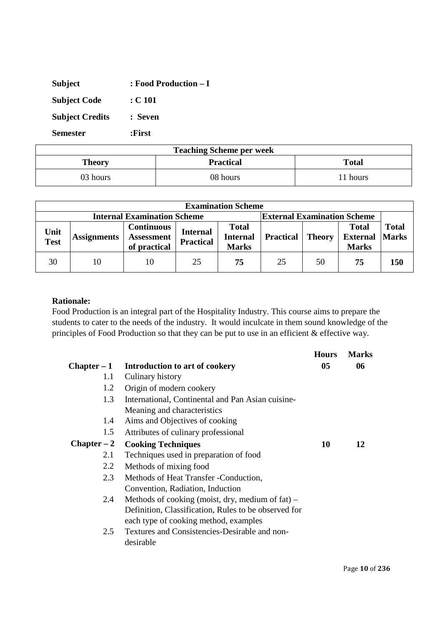| <b>Subject</b>         | : Food Production – I |
|------------------------|-----------------------|
| <b>Subject Code</b>    | $:$ C 101             |
| <b>Subject Credits</b> | : Seven               |
| <b>Semester</b>        | :First                |

| <b>Teaching Scheme per week</b> |                  |              |  |  |  |  |  |
|---------------------------------|------------------|--------------|--|--|--|--|--|
| Theory                          | <b>Practical</b> | <b>Total</b> |  |  |  |  |  |
| 03 hours                        | 08 hours         | 1 hours      |  |  |  |  |  |

| <b>Examination Scheme</b>                                                |                    |                                                        |                                     |                                                 |                  |               |                                                 |                              |  |
|--------------------------------------------------------------------------|--------------------|--------------------------------------------------------|-------------------------------------|-------------------------------------------------|------------------|---------------|-------------------------------------------------|------------------------------|--|
| <b>Internal Examination Scheme</b><br><b>External Examination Scheme</b> |                    |                                                        |                                     |                                                 |                  |               |                                                 |                              |  |
| Unit<br><b>Test</b>                                                      | <b>Assignments</b> | <b>Continuous</b><br><b>Assessment</b><br>of practical | <b>Internal</b><br><b>Practical</b> | <b>Total</b><br><b>Internal</b><br><b>Marks</b> | <b>Practical</b> | <b>Theory</b> | <b>Total</b><br><b>External</b><br><b>Marks</b> | <b>Total</b><br><b>Marks</b> |  |
| 30                                                                       | 10                 | 10                                                     | 25                                  | 75                                              | 25               | 50            | 75                                              | 150                          |  |

Food Production is an integral part of the Hospitality Industry. This course aims to prepare the students to cater to the needs of the industry. It would inculcate in them sound knowledge of the principles of Food Production so that they can be put to use in an efficient & effective way.

|               |                                                      | <b>Hours</b> | <b>Marks</b> |
|---------------|------------------------------------------------------|--------------|--------------|
| $Chapter - 1$ | Introduction to art of cookery                       | 05           | 06           |
| $1.1\,$       | Culinary history                                     |              |              |
| 1.2           | Origin of modern cookery                             |              |              |
| 1.3           | International, Continental and Pan Asian cuisine-    |              |              |
|               | Meaning and characteristics                          |              |              |
| 1.4           | Aims and Objectives of cooking                       |              |              |
| 1.5           | Attributes of culinary professional                  |              |              |
| $Chapter - 2$ | <b>Cooking Techniques</b>                            | 10           | 12           |
| 2.1           | Techniques used in preparation of food               |              |              |
| 2.2           | Methods of mixing food                               |              |              |
| 2.3           | Methods of Heat Transfer - Conduction,               |              |              |
|               | Convention, Radiation, Induction                     |              |              |
| 2.4           | Methods of cooking (moist, dry, medium of $fat$ ) –  |              |              |
|               | Definition, Classification, Rules to be observed for |              |              |
|               | each type of cooking method, examples                |              |              |
| 2.5           | Textures and Consistencies-Desirable and non-        |              |              |
|               | desirable                                            |              |              |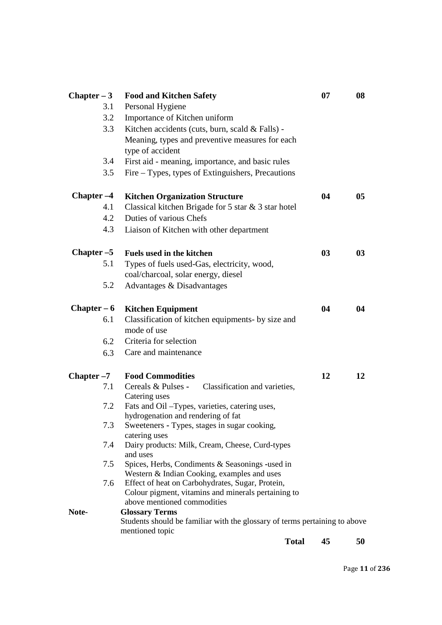| $Chapter - 3$ | <b>Food and Kitchen Safety</b>                                                                 | 07 | 08 |
|---------------|------------------------------------------------------------------------------------------------|----|----|
| 3.1           | Personal Hygiene                                                                               |    |    |
| 3.2           | Importance of Kitchen uniform                                                                  |    |    |
| 3.3           | Kitchen accidents (cuts, burn, scald & Falls) -                                                |    |    |
|               | Meaning, types and preventive measures for each                                                |    |    |
|               | type of accident                                                                               |    |    |
| 3.4           | First aid - meaning, importance, and basic rules                                               |    |    |
| 3.5           | Fire – Types, types of Extinguishers, Precautions                                              |    |    |
| $Chapter -4$  | <b>Kitchen Organization Structure</b>                                                          | 04 | 05 |
| 4.1           | Classical kitchen Brigade for 5 star & 3 star hotel                                            |    |    |
| 4.2           | Duties of various Chefs                                                                        |    |    |
| 4.3           | Liaison of Kitchen with other department                                                       |    |    |
| Chapter $-5$  | <b>Fuels used in the kitchen</b>                                                               | 03 | 03 |
| 5.1           | Types of fuels used-Gas, electricity, wood,                                                    |    |    |
|               | coal/charcoal, solar energy, diesel                                                            |    |    |
| 5.2           | Advantages & Disadvantages                                                                     |    |    |
| $Chapter - 6$ | <b>Kitchen Equipment</b>                                                                       | 04 | 04 |
| 6.1           | Classification of kitchen equipments- by size and                                              |    |    |
|               | mode of use                                                                                    |    |    |
| 6.2           | Criteria for selection                                                                         |    |    |
| 6.3           | Care and maintenance                                                                           |    |    |
| Chapter –7    | <b>Food Commodities</b>                                                                        | 12 | 12 |
| 7.1           | Cereals & Pulses -<br>Classification and varieties,<br>Catering uses                           |    |    |
| 7.2           | Fats and Oil -Types, varieties, catering uses,                                                 |    |    |
|               | hydrogenation and rendering of fat                                                             |    |    |
| 7.3           | Sweeteners - Types, stages in sugar cooking,                                                   |    |    |
|               | catering uses                                                                                  |    |    |
| 7.4           | Dairy products: Milk, Cream, Cheese, Curd-types                                                |    |    |
|               | and uses                                                                                       |    |    |
| 7.5           | Spices, Herbs, Condiments & Seasonings -used in<br>Western & Indian Cooking, examples and uses |    |    |
| 7.6           | Effect of heat on Carbohydrates, Sugar, Protein,                                               |    |    |
|               | Colour pigment, vitamins and minerals pertaining to                                            |    |    |
|               | above mentioned commodities                                                                    |    |    |
| Note-         | <b>Glossary Terms</b>                                                                          |    |    |
|               | Students should be familiar with the glossary of terms pertaining to above                     |    |    |
|               | mentioned topic<br><b>Total</b>                                                                | 45 | 50 |
|               |                                                                                                |    |    |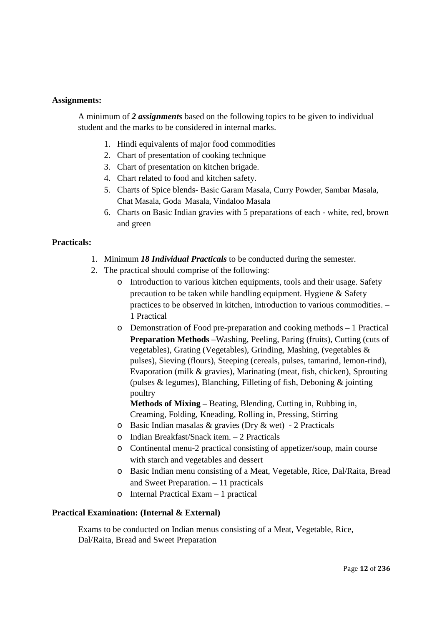#### **Assignments:**

A minimum of *2 assignments* based on the following topics to be given to individual student and the marks to be considered in internal marks.

- 1. Hindi equivalents of major food commodities
- 2. Chart of presentation of cooking technique
- 3. Chart of presentation on kitchen brigade.
- 4. Chart related to food and kitchen safety.
- 5. Charts of Spice blends- Basic Garam Masala, Curry Powder, Sambar Masala, Chat Masala, Goda Masala, Vindaloo Masala
- 6. Charts on Basic Indian gravies with 5 preparations of each white, red, brown and green

#### **Practicals:**

- 1. Minimum *18 Individual Practicals* to be conducted during the semester.
- 2. The practical should comprise of the following:
	- o Introduction to various kitchen equipments, tools and their usage. Safety precaution to be taken while handling equipment. Hygiene & Safety practices to be observed in kitchen, introduction to various commodities. – 1 Practical
	- o Demonstration of Food pre-preparation and cooking methods 1 Practical **Preparation Methods** –Washing, Peeling, Paring (fruits), Cutting (cuts of vegetables), Grating (Vegetables), Grinding, Mashing, (vegetables & pulses), Sieving (flours), Steeping (cereals, pulses, tamarind, lemon-rind), Evaporation (milk & gravies), Marinating (meat, fish, chicken), Sprouting (pulses & legumes), Blanching, Filleting of fish, Deboning & jointing poultry

**Methods of Mixing** – Beating, Blending, Cutting in, Rubbing in, Creaming, Folding, Kneading, Rolling in, Pressing, Stirring

- o Basic Indian masalas & gravies (Dry & wet) 2 Practicals
- o Indian Breakfast/Snack item. 2 Practicals
- o Continental menu-2 practical consisting of appetizer/soup, main course with starch and vegetables and dessert
- o Basic Indian menu consisting of a Meat, Vegetable, Rice, Dal/Raita, Bread and Sweet Preparation. – 11 practicals
- o Internal Practical Exam 1 practical

#### **Practical Examination: (Internal & External)**

Exams to be conducted on Indian menus consisting of a Meat, Vegetable, Rice, Dal/Raita, Bread and Sweet Preparation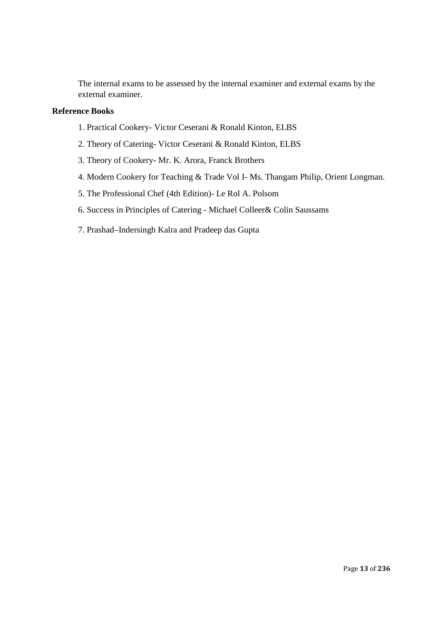The internal exams to be assessed by the internal examiner and external exams by the external examiner.

#### **Reference Books**

- 1. Practical Cookery- Victor Ceserani & Ronald Kinton, ELBS
- 2. Theory of Catering- Victor Ceserani & Ronald Kinton, ELBS
- 3. Theory of Cookery- Mr. K. Arora, Franck Brothers
- 4. Modern Cookery for Teaching & Trade Vol I- Ms. Thangam Philip, Orient Longman.
- 5. The Professional Chef (4th Edition)- Le Rol A. Polsom
- 6. Success in Principles of Catering Michael Colleer& Colin Saussams
- 7. Prashad–Indersingh Kalra and Pradeep das Gupta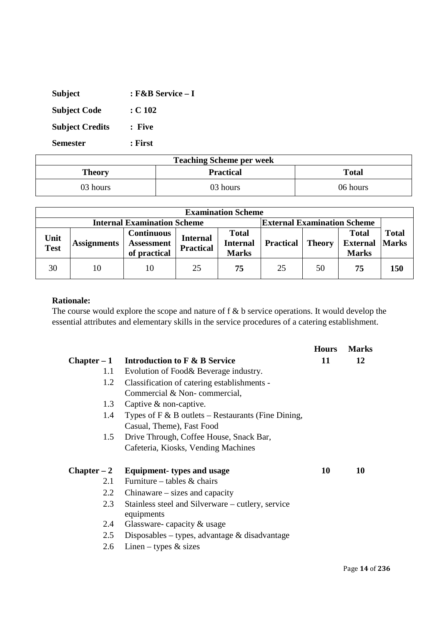| <b>Subject</b>         | : F&B Service – I |
|------------------------|-------------------|
| <b>Subject Code</b>    | : C102            |
| <b>Subject Credits</b> | : Five            |
| <b>Semester</b>        | : First           |

| <b>Teaching Scheme per week</b> |                  |              |  |  |  |  |  |
|---------------------------------|------------------|--------------|--|--|--|--|--|
| <b>Theory</b>                   | <b>Practical</b> | <b>Total</b> |  |  |  |  |  |
| 03 hours                        | 03 hours         | 06 hours     |  |  |  |  |  |

| <b>Examination Scheme</b> |                    |                                                        |                                     |                                                 |                  |               |                                                 |                              |  |
|---------------------------|--------------------|--------------------------------------------------------|-------------------------------------|-------------------------------------------------|------------------|---------------|-------------------------------------------------|------------------------------|--|
|                           |                    | <b>Internal Examination Scheme</b>                     | <b>External Examination Scheme</b>  |                                                 |                  |               |                                                 |                              |  |
| Unit<br><b>Test</b>       | <b>Assignments</b> | <b>Continuous</b><br><b>Assessment</b><br>of practical | <b>Internal</b><br><b>Practical</b> | <b>Total</b><br><b>Internal</b><br><b>Marks</b> | <b>Practical</b> | <b>Theory</b> | <b>Total</b><br><b>External</b><br><b>Marks</b> | <b>Total</b><br><b>Marks</b> |  |
| 30                        | 10                 | 10                                                     | 25                                  | 75                                              | 25               | 50            | 75                                              | 150                          |  |

The course would explore the scope and nature of f & b service operations. It would develop the essential attributes and elementary skills in the service procedures of a catering establishment.

|               |                                                      | <b>Hours</b> | <b>Marks</b> |
|---------------|------------------------------------------------------|--------------|--------------|
| $Chapter - 1$ | Introduction to F & B Service                        | 11           | 12           |
| $1.1\,$       | Evolution of Food & Beverage industry.               |              |              |
| 1.2           | Classification of catering establishments -          |              |              |
|               | Commercial & Non-commercial,                         |              |              |
| 1.3           | Captive & non-captive.                               |              |              |
| 1.4           | Types of $F & B$ outlets – Restaurants (Fine Dining, |              |              |
|               | Casual, Theme), Fast Food                            |              |              |
| 1.5           | Drive Through, Coffee House, Snack Bar,              |              |              |
|               | Cafeteria, Kiosks, Vending Machines                  |              |              |
| $Chapter - 2$ | <b>Equipment-</b> types and usage                    | 10           | 10           |
| 2.1           | Furniture – tables $\&$ chairs                       |              |              |
| 2.2           | $Chinaware - sizes$ and capacity                     |              |              |
| 2.3           | Stainless steel and Silverware – cutlery, service    |              |              |
|               | equipments                                           |              |              |
| 2.4           | Glassware-capacity & usage                           |              |              |
| 2.5           | Disposables – types, advantage $\&$ disadvantage     |              |              |
| 2.6           | Linen – types $\&$ sizes                             |              |              |
|               |                                                      |              |              |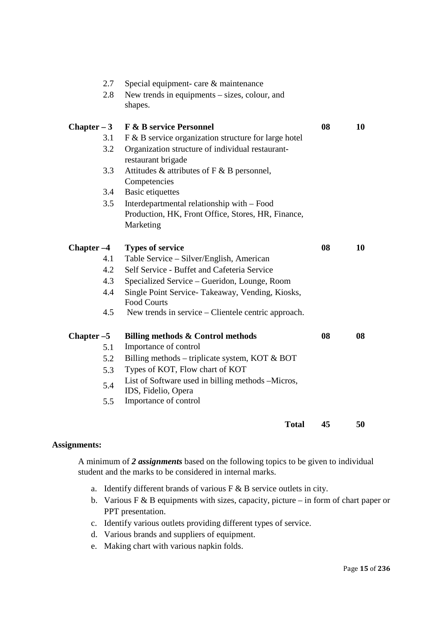| 2.7           | Special equipment- care & maintenance                                    |    |    |
|---------------|--------------------------------------------------------------------------|----|----|
| 2.8           | New trends in equipments – sizes, colour, and<br>shapes.                 |    |    |
| $Chapter - 3$ | <b>F &amp; B service Personnel</b>                                       | 08 | 10 |
| 3.1           | F & B service organization structure for large hotel                     |    |    |
| 3.2           | Organization structure of individual restaurant-                         |    |    |
|               | restaurant brigade                                                       |    |    |
| 3.3           | Attitudes & attributes of $F \& B$ personnel,                            |    |    |
|               | Competencies                                                             |    |    |
| 3.4           | <b>Basic etiquettes</b>                                                  |    |    |
| 3.5           | Interdepartmental relationship with – Food                               |    |    |
|               | Production, HK, Front Office, Stores, HR, Finance,                       |    |    |
|               | Marketing                                                                |    |    |
| $Chapter -4$  | <b>Types of service</b>                                                  | 08 | 10 |
| 4.1           | Table Service – Silver/English, American                                 |    |    |
| 4.2           | Self Service - Buffet and Cafeteria Service                              |    |    |
| 4.3           | Specialized Service - Gueridon, Lounge, Room                             |    |    |
| 4.4           | Single Point Service- Takeaway, Vending, Kiosks,<br><b>Food Courts</b>   |    |    |
| 4.5           | New trends in service – Clientele centric approach.                      |    |    |
| Chapter $-5$  | Billing methods & Control methods                                        | 08 | 08 |
| 5.1           | Importance of control                                                    |    |    |
| 5.2           | Billing methods – triplicate system, KOT $&$ BOT                         |    |    |
| 5.3           | Types of KOT, Flow chart of KOT                                          |    |    |
| 5.4           | List of Software used in billing methods -Micros,<br>IDS, Fidelio, Opera |    |    |
| 5.5           | Importance of control                                                    |    |    |
|               | <b>Total</b>                                                             | 45 | 50 |

#### **Assignments:**

A minimum of *2 assignments* based on the following topics to be given to individual student and the marks to be considered in internal marks.

- a. Identify different brands of various  $F & B$  service outlets in city.
- b. Various F & B equipments with sizes, capacity, picture in form of chart paper or PPT presentation.
- c. Identify various outlets providing different types of service.
- d. Various brands and suppliers of equipment.
- e. Making chart with various napkin folds.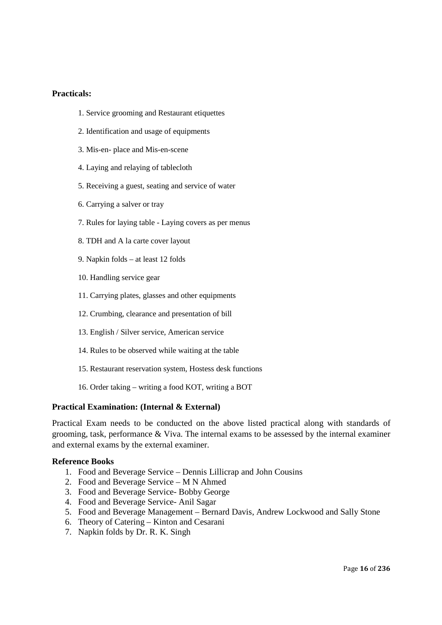#### **Practicals:**

- 1. Service grooming and Restaurant etiquettes
- 2. Identification and usage of equipments
- 3. Mis-en- place and Mis-en-scene
- 4. Laying and relaying of tablecloth
- 5. Receiving a guest, seating and service of water
- 6. Carrying a salver or tray
- 7. Rules for laying table Laying covers as per menus
- 8. TDH and A la carte cover layout
- 9. Napkin folds at least 12 folds
- 10. Handling service gear
- 11. Carrying plates, glasses and other equipments
- 12. Crumbing, clearance and presentation of bill
- 13. English / Silver service, American service
- 14. Rules to be observed while waiting at the table
- 15. Restaurant reservation system, Hostess desk functions
- 16. Order taking writing a food KOT, writing a BOT

#### **Practical Examination: (Internal & External)**

Practical Exam needs to be conducted on the above listed practical along with standards of grooming, task, performance & Viva. The internal exams to be assessed by the internal examiner and external exams by the external examiner.

#### **Reference Books**

- 1. Food and Beverage Service Dennis Lillicrap and John Cousins
- 2. Food and Beverage Service M N Ahmed
- 3. Food and Beverage Service- Bobby George
- 4. Food and Beverage Service- Anil Sagar
- 5. Food and Beverage Management Bernard Davis, Andrew Lockwood and Sally Stone
- 6. Theory of Catering Kinton and Cesarani
- 7. Napkin folds by Dr. R. K. Singh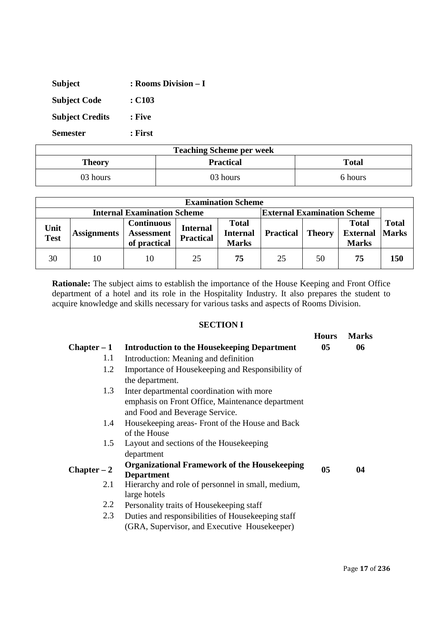| <b>Subject</b>         | : Rooms Division – I |  |  |
|------------------------|----------------------|--|--|
| <b>Subject Code</b>    | : C103               |  |  |
| <b>Subject Credits</b> | : Five               |  |  |
| <b>Semester</b>        | : First              |  |  |

| <b>Teaching Scheme per week</b>            |          |         |  |  |
|--------------------------------------------|----------|---------|--|--|
| <b>Practical</b><br><b>Total</b><br>Theory |          |         |  |  |
| 03 hours                                   | 03 hours | 6 hours |  |  |

| <b>Examination Scheme</b>                                                |                    |                                                        |                                     |                                                 |                  |               |                                                 |                              |
|--------------------------------------------------------------------------|--------------------|--------------------------------------------------------|-------------------------------------|-------------------------------------------------|------------------|---------------|-------------------------------------------------|------------------------------|
| <b>Internal Examination Scheme</b><br><b>External Examination Scheme</b> |                    |                                                        |                                     |                                                 |                  |               |                                                 |                              |
| Unit<br><b>Test</b>                                                      | <b>Assignments</b> | <b>Continuous</b><br><b>Assessment</b><br>of practical | <b>Internal</b><br><b>Practical</b> | <b>Total</b><br><b>Internal</b><br><b>Marks</b> | <b>Practical</b> | <b>Theory</b> | <b>Total</b><br><b>External</b><br><b>Marks</b> | <b>Total</b><br><b>Marks</b> |
| 30                                                                       | 10                 | 10                                                     | 25                                  | 75                                              | 25               | 50            | 75                                              | 150                          |

**Rationale:** The subject aims to establish the importance of the House Keeping and Front Office department of a hotel and its role in the Hospitality Industry. It also prepares the student to acquire knowledge and skills necessary for various tasks and aspects of Rooms Division.

#### **SECTION I**

|               |                                                     | <b>Hours</b> | <b>Marks</b> |
|---------------|-----------------------------------------------------|--------------|--------------|
| $Chapter - 1$ | <b>Introduction to the Housekeeping Department</b>  | 05           | 06           |
| 1.1           | Introduction: Meaning and definition                |              |              |
| 1.2           | Importance of Housekeeping and Responsibility of    |              |              |
|               | the department.                                     |              |              |
| 1.3           | Inter departmental coordination with more           |              |              |
|               | emphasis on Front Office, Maintenance department    |              |              |
|               | and Food and Beverage Service.                      |              |              |
| 1.4           | Housekeeping areas Front of the House and Back      |              |              |
|               | of the House                                        |              |              |
| 1.5           | Layout and sections of the Housekeeping             |              |              |
|               | department                                          |              |              |
| $Chapter - 2$ | <b>Organizational Framework of the Housekeeping</b> | 05           | 04           |
|               | <b>Department</b>                                   |              |              |
| 2.1           | Hierarchy and role of personnel in small, medium,   |              |              |
|               | large hotels                                        |              |              |
| 2.2           | Personality traits of Housekeeping staff            |              |              |
| 2.3           | Duties and responsibilities of Housekeeping staff   |              |              |
|               | (GRA, Supervisor, and Executive Housekeeper)        |              |              |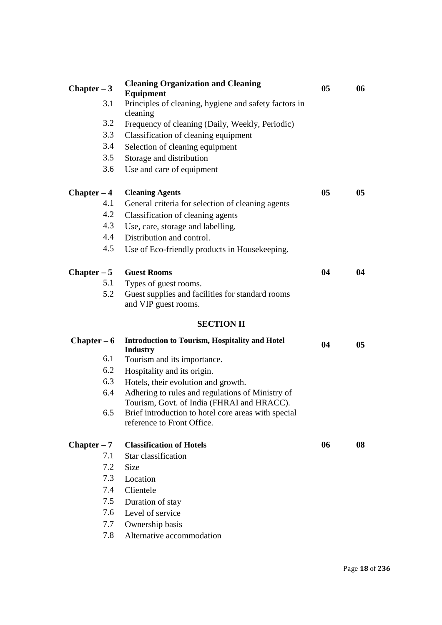| Chapter $-3$  | <b>Cleaning Organization and Cleaning</b><br>Equipment                   | 05 | 06     |
|---------------|--------------------------------------------------------------------------|----|--------|
| 3.1           | Principles of cleaning, hygiene and safety factors in                    |    |        |
|               | cleaning                                                                 |    |        |
| 3.2           | Frequency of cleaning (Daily, Weekly, Periodic)                          |    |        |
| 3.3           | Classification of cleaning equipment                                     |    |        |
| 3.4           | Selection of cleaning equipment                                          |    |        |
| 3.5           | Storage and distribution                                                 |    |        |
| 3.6           | Use and care of equipment                                                |    |        |
| $Chapter - 4$ | <b>Cleaning Agents</b>                                                   | 05 | $05\,$ |
| 4.1           | General criteria for selection of cleaning agents                        |    |        |
| 4.2           | Classification of cleaning agents                                        |    |        |
| 4.3           | Use, care, storage and labelling.                                        |    |        |
| 4.4           | Distribution and control.                                                |    |        |
| 4.5           | Use of Eco-friendly products in Housekeeping.                            |    |        |
| $Chapter - 5$ | <b>Guest Rooms</b>                                                       | 04 | 04     |
| 5.1           | Types of guest rooms.                                                    |    |        |
| 5.2           | Guest supplies and facilities for standard rooms                         |    |        |
|               | and VIP guest rooms.                                                     |    |        |
|               | <b>SECTION II</b>                                                        |    |        |
| $Chapter - 6$ | <b>Introduction to Tourism, Hospitality and Hotel</b><br><b>Industry</b> | 04 | $05\,$ |
| 6.1           | Tourism and its importance.                                              |    |        |
| 6.2           | Hospitality and its origin.                                              |    |        |
| 6.3           | Hotels, their evolution and growth.                                      |    |        |
| 6.4           | Adhering to rules and regulations of Ministry of                         |    |        |
|               | Tourism, Govt. of India (FHRAI and HRACC).                               |    |        |
| 6.5           | Brief introduction to hotel core areas with special                      |    |        |
|               | reference to Front Office.                                               |    |        |
| $Chapter - 7$ | <b>Classification of Hotels</b>                                          | 06 | 08     |
| 7.1           | Star classification                                                      |    |        |
| 7.2           | <b>Size</b>                                                              |    |        |
| 7.3           | Location                                                                 |    |        |
| 7.4           | Clientele                                                                |    |        |
| 7.5           | Duration of stay                                                         |    |        |
| 7.6           | Level of service                                                         |    |        |
| 7.7           | Ownership basis                                                          |    |        |
| 7.8           | Alternative accommodation                                                |    |        |
|               |                                                                          |    |        |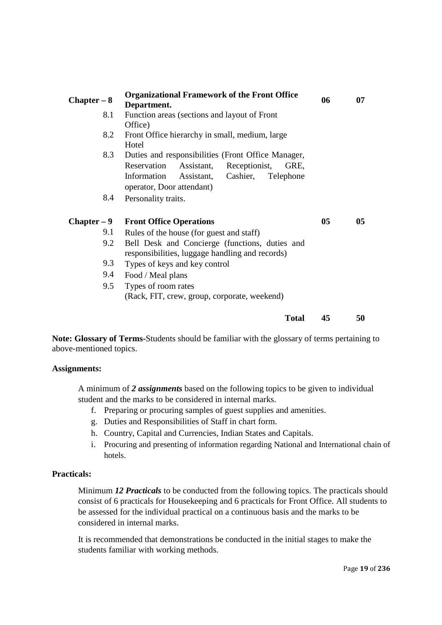| $Chapter - 8$ | <b>Organizational Framework of the Front Office</b><br>Department. | 06 | 07 |
|---------------|--------------------------------------------------------------------|----|----|
| 8.1           | Function areas (sections and layout of Front                       |    |    |
|               | Office)                                                            |    |    |
| 8.2           | Front Office hierarchy in small, medium, large                     |    |    |
|               | Hotel                                                              |    |    |
| 8.3           | Duties and responsibilities (Front Office Manager,                 |    |    |
|               | Reservation<br>Receptionist,<br>Assistant,<br>GRE,                 |    |    |
|               | Information<br>Assistant, Cashier,<br>Telephone                    |    |    |
|               | operator, Door attendant)                                          |    |    |
| 8.4           | Personality traits.                                                |    |    |
|               |                                                                    |    |    |
| $Chapter - 9$ | <b>Front Office Operations</b>                                     | 05 | 05 |
| 9.1           | Rules of the house (for guest and staff)                           |    |    |
| 9.2           | Bell Desk and Concierge (functions, duties and                     |    |    |
|               | responsibilities, luggage handling and records)                    |    |    |
| 9.3           | Types of keys and key control                                      |    |    |
| 9.4           | Food / Meal plans                                                  |    |    |
| 9.5           | Types of room rates                                                |    |    |
|               | (Rack, FIT, crew, group, corporate, weekend)                       |    |    |
|               |                                                                    |    |    |
|               |                                                                    |    |    |

**Note: Glossary of Terms-**Students should be familiar with the glossary of terms pertaining to above-mentioned topics.

#### **Assignments:**

A minimum of *2 assignments* based on the following topics to be given to individual student and the marks to be considered in internal marks.

- f. Preparing or procuring samples of guest supplies and amenities.
- g. Duties and Responsibilities of Staff in chart form.
- h. Country, Capital and Currencies, Indian States and Capitals.
- i. Procuring and presenting of information regarding National and International chain of hotels.

#### **Practicals:**

Minimum *12 Practicals* to be conducted from the following topics. The practicals should consist of 6 practicals for Housekeeping and 6 practicals for Front Office. All students to be assessed for the individual practical on a continuous basis and the marks to be considered in internal marks.

It is recommended that demonstrations be conducted in the initial stages to make the students familiar with working methods.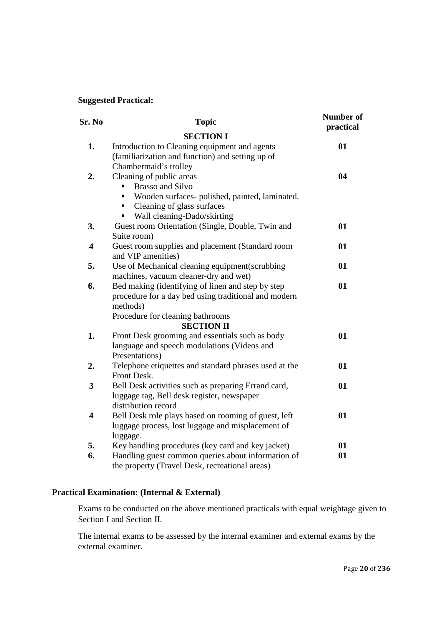#### **Suggested Practical:**

| Sr. No                  | <b>Topic</b>                                                                                   | Number of<br>practical |
|-------------------------|------------------------------------------------------------------------------------------------|------------------------|
|                         | <b>SECTION I</b>                                                                               |                        |
| 1.                      | Introduction to Cleaning equipment and agents                                                  | 01                     |
|                         | (familiarization and function) and setting up of                                               |                        |
|                         | Chambermaid's trolley                                                                          |                        |
| 2.                      | Cleaning of public areas                                                                       | 04                     |
|                         | <b>Brasso and Silvo</b>                                                                        |                        |
|                         | Wooden surfaces-polished, painted, laminated.<br>٠                                             |                        |
|                         | Cleaning of glass surfaces<br>п                                                                |                        |
|                         | Wall cleaning-Dado/skirting<br>٠                                                               |                        |
| 3.                      | Guest room Orientation (Single, Double, Twin and                                               | 01                     |
|                         | Suite room)                                                                                    |                        |
| $\overline{\mathbf{4}}$ | Guest room supplies and placement (Standard room                                               | 01                     |
|                         | and VIP amenities)                                                                             |                        |
| 5.                      | Use of Mechanical cleaning equipment(scrubbing                                                 | 01                     |
|                         | machines, vacuum cleaner-dry and wet)                                                          |                        |
| 6.                      | Bed making (identifying of linen and step by step                                              | 01                     |
|                         | procedure for a day bed using traditional and modern                                           |                        |
|                         | methods)                                                                                       |                        |
|                         | Procedure for cleaning bathrooms<br><b>SECTION II</b>                                          |                        |
| 1.                      |                                                                                                | 01                     |
|                         | Front Desk grooming and essentials such as body<br>language and speech modulations (Videos and |                        |
|                         | Presentations)                                                                                 |                        |
| 2.                      | Telephone etiquettes and standard phrases used at the                                          | 01                     |
|                         | Front Desk.                                                                                    |                        |
| $\overline{\mathbf{3}}$ | Bell Desk activities such as preparing Errand card,                                            | 01                     |
|                         | luggage tag, Bell desk register, newspaper                                                     |                        |
|                         | distribution record                                                                            |                        |
| 4                       | Bell Desk role plays based on rooming of guest, left                                           | 01                     |
|                         | luggage process, lost luggage and misplacement of                                              |                        |
|                         | luggage.                                                                                       |                        |
| 5.                      | Key handling procedures (key card and key jacket)                                              | 01                     |
| 6.                      | Handling guest common queries about information of                                             | 01                     |
|                         | the property (Travel Desk, recreational areas)                                                 |                        |

#### **Practical Examination: (Internal & External)**

Exams to be conducted on the above mentioned practicals with equal weightage given to Section I and Section II.

The internal exams to be assessed by the internal examiner and external exams by the external examiner.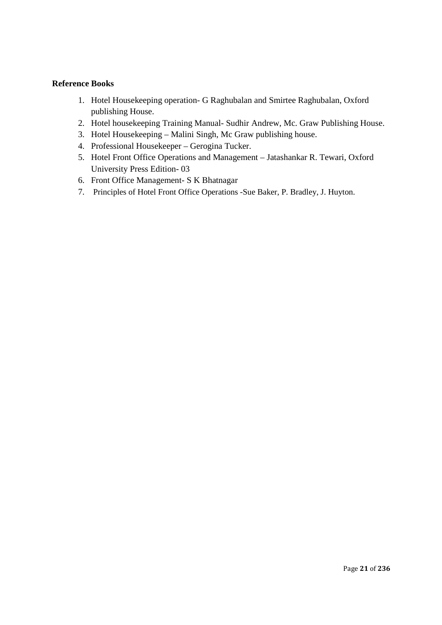#### **Reference Books**

- 1. Hotel Housekeeping operation- G Raghubalan and Smirtee Raghubalan, Oxford publishing House.
- 2. Hotel housekeeping Training Manual- Sudhir Andrew, Mc. Graw Publishing House.
- 3. Hotel Housekeeping Malini Singh, Mc Graw publishing house.
- 4. Professional Housekeeper Gerogina Tucker.
- 5. Hotel Front Office Operations and Management Jatashankar R. Tewari, Oxford University Press Edition- 03
- 6. Front Office Management- S K Bhatnagar
- 7. Principles of Hotel Front Office Operations -Sue Baker, P. Bradley, J. Huyton.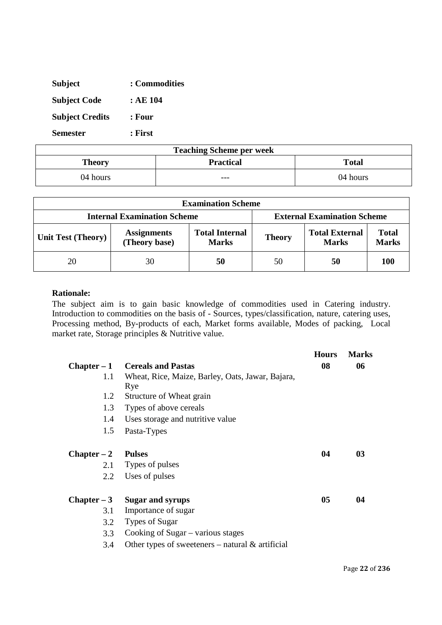| <b>Subject</b>         | : Commodities |  |  |
|------------------------|---------------|--|--|
| <b>Subject Code</b>    | :AE104        |  |  |
| <b>Subject Credits</b> | : Four        |  |  |
| <b>Semester</b>        | : First       |  |  |

| <b>Teaching Scheme per week</b>            |         |          |  |  |
|--------------------------------------------|---------|----------|--|--|
| <b>Practical</b><br><b>Total</b><br>Theory |         |          |  |  |
| 04 hours                                   | $- - -$ | 04 hours |  |  |

| <b>Examination Scheme</b>                                                |                                       |               |                                       |                              |            |  |
|--------------------------------------------------------------------------|---------------------------------------|---------------|---------------------------------------|------------------------------|------------|--|
| <b>Internal Examination Scheme</b><br><b>External Examination Scheme</b> |                                       |               |                                       |                              |            |  |
| Unit Test (Theory)                                                       | <b>Total Internal</b><br><b>Marks</b> | <b>Theory</b> | <b>Total External</b><br><b>Marks</b> | <b>Total</b><br><b>Marks</b> |            |  |
| 20                                                                       | 30                                    | 50            | 50                                    | 50                           | <b>100</b> |  |

The subject aim is to gain basic knowledge of commodities used in Catering industry. Introduction to commodities on the basis of - Sources, types/classification, nature, catering uses, Processing method, By-products of each, Market forms available, Modes of packing, Local market rate, Storage principles & Nutritive value.

|               |                                                     | <b>Hours</b> | <b>Marks</b> |
|---------------|-----------------------------------------------------|--------------|--------------|
| $Chapter - 1$ | <b>Cereals and Pastas</b>                           | 08           | 06           |
| 1.1           | Wheat, Rice, Maize, Barley, Oats, Jawar, Bajara,    |              |              |
|               | Rye                                                 |              |              |
| 1.2           | Structure of Wheat grain                            |              |              |
| 1.3           | Types of above cereals                              |              |              |
| 1.4           | Uses storage and nutritive value                    |              |              |
| 1.5           | Pasta-Types                                         |              |              |
| $Chapter - 2$ | <b>Pulses</b>                                       | 04           | 03           |
| 2.1           | Types of pulses                                     |              |              |
| 2.2           | Uses of pulses                                      |              |              |
| $Chapter - 3$ | <b>Sugar and syrups</b>                             | 05           | 04           |
| 3.1           | Importance of sugar                                 |              |              |
| 3.2           | Types of Sugar                                      |              |              |
| 3.3           | Cooking of Sugar – various stages                   |              |              |
| 3.4           | Other types of sweeteners – natural $\&$ artificial |              |              |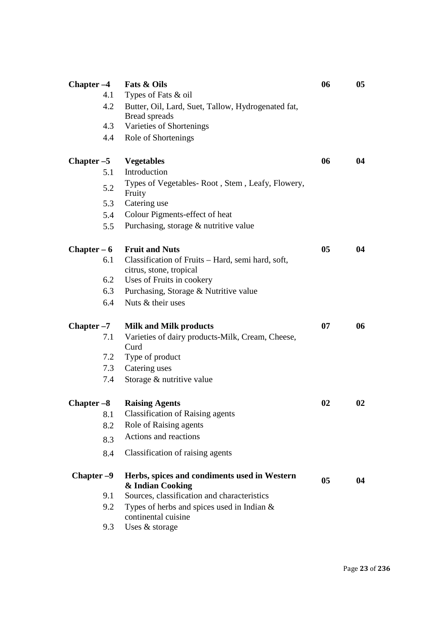| Chapter –4  | Fats & Oils                                                                  | 06 | 05 |
|-------------|------------------------------------------------------------------------------|----|----|
| 4.1         | Types of Fats & oil                                                          |    |    |
| 4.2         | Butter, Oil, Lard, Suet, Tallow, Hydrogenated fat,                           |    |    |
|             | Bread spreads                                                                |    |    |
| 4.3         | Varieties of Shortenings                                                     |    |    |
| 4.4         | Role of Shortenings                                                          |    |    |
| Chapter –5  | <b>Vegetables</b>                                                            | 06 | 04 |
| 5.1         | Introduction                                                                 |    |    |
| 5.2         | Types of Vegetables-Root, Stem, Leafy, Flowery,<br>Fruity                    |    |    |
| 5.3         | Catering use                                                                 |    |    |
| 5.4         | Colour Pigments-effect of heat                                               |    |    |
| 5.5         | Purchasing, storage & nutritive value                                        |    |    |
| Chapter – 6 | <b>Fruit and Nuts</b>                                                        | 05 | 04 |
| 6.1         | Classification of Fruits - Hard, semi hard, soft,<br>citrus, stone, tropical |    |    |
| 6.2         | Uses of Fruits in cookery                                                    |    |    |
| 6.3         | Purchasing, Storage & Nutritive value                                        |    |    |
| 6.4         | Nuts & their uses                                                            |    |    |
| Chapter -7  | <b>Milk and Milk products</b>                                                | 07 | 06 |
| 7.1         | Varieties of dairy products-Milk, Cream, Cheese,<br>Curd                     |    |    |
| 7.2         | Type of product                                                              |    |    |
| 7.3         | Catering uses                                                                |    |    |
| 7.4         | Storage & nutritive value                                                    |    |    |
| Chapter –8  | <b>Raising Agents</b>                                                        | 02 | 02 |
|             | 8.1 Classification of Raising agents                                         |    |    |
| 8.2         | Role of Raising agents                                                       |    |    |
| 8.3         | Actions and reactions                                                        |    |    |
| 8.4         | Classification of raising agents                                             |    |    |
| Chapter -9  | Herbs, spices and condiments used in Western<br>& Indian Cooking             | 05 | 04 |
| 9.1         | Sources, classification and characteristics                                  |    |    |
| 9.2         | Types of herbs and spices used in Indian $\&$<br>continental cuisine         |    |    |
| 9.3         | Uses & storage                                                               |    |    |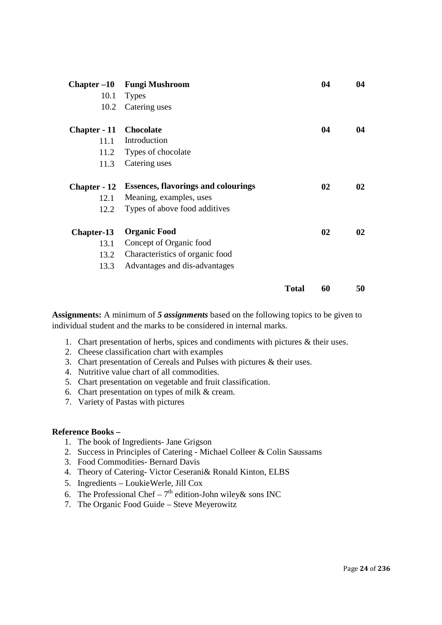| $Chapter -10$                 | <b>Fungi Mushroom</b>                      |              | 04 | 04 |
|-------------------------------|--------------------------------------------|--------------|----|----|
| 10.1                          | <b>Types</b>                               |              |    |    |
| 10.2                          | Catering uses                              |              |    |    |
|                               |                                            |              |    |    |
| <b>Chapter - 11 Chocolate</b> |                                            |              | 04 | 04 |
| 11.1                          | Introduction                               |              |    |    |
| 11.2                          | Types of chocolate                         |              |    |    |
| 11.3                          | Catering uses                              |              |    |    |
|                               |                                            |              |    |    |
| <b>Chapter</b> - 12           | <b>Essences, flavorings and colourings</b> |              | 02 | 02 |
| 12.1                          | Meaning, examples, uses                    |              |    |    |
| 12.2                          | Types of above food additives              |              |    |    |
|                               |                                            |              |    |    |
| <b>Chapter-13</b>             | <b>Organic Food</b>                        |              | 02 | 02 |
| 13.1                          | Concept of Organic food                    |              |    |    |
| 13.2                          | Characteristics of organic food            |              |    |    |
| 13.3                          | Advantages and dis-advantages              |              |    |    |
|                               |                                            |              |    |    |
|                               |                                            | <b>Total</b> | 60 | 50 |

**Assignments:** A minimum of *5 assignments* based on the following topics to be given to individual student and the marks to be considered in internal marks.

- 1. Chart presentation of herbs, spices and condiments with pictures & their uses.
- 2. Cheese classification chart with examples
- 3. Chart presentation of Cereals and Pulses with pictures & their uses.
- 4. Nutritive value chart of all commodities.
- 5. Chart presentation on vegetable and fruit classification.
- 6. Chart presentation on types of milk & cream.
- 7. Variety of Pastas with pictures

#### **Reference Books –**

- 1. The book of Ingredients- Jane Grigson
- 2. Success in Principles of Catering Michael Colleer & Colin Saussams
- 3. Food Commodities- Bernard Davis
- 4. Theory of Catering- Victor Ceserani& Ronald Kinton, ELBS
- 5. Ingredients LoukieWerle, Jill Cox
- 6. The Professional Chef  $7<sup>th</sup>$  edition-John wiley & sons INC
- 7. The Organic Food Guide Steve Meyerowitz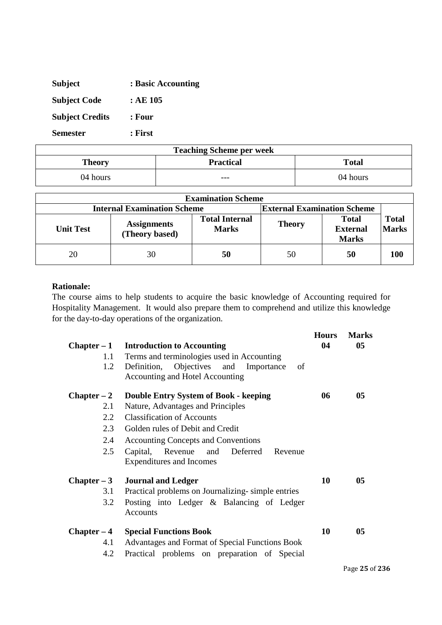| <b>Subject</b>         | : Basic Accounting |
|------------------------|--------------------|
| <b>Subject Code</b>    | : AE 105           |
| <b>Subject Credits</b> | : Four             |
| <b>Semester</b>        | : First            |

| <b>Teaching Scheme per week</b>            |     |          |  |
|--------------------------------------------|-----|----------|--|
| <b>Total</b><br><b>Practical</b><br>Theory |     |          |  |
| 04 hours                                   | --- | 04 hours |  |

| <b>Examination Scheme</b> |                                                                          |                                       |               |                                                 |                              |
|---------------------------|--------------------------------------------------------------------------|---------------------------------------|---------------|-------------------------------------------------|------------------------------|
|                           | <b>Internal Examination Scheme</b><br><b>External Examination Scheme</b> |                                       |               |                                                 |                              |
| <b>Unit Test</b>          | <b>Assignments</b><br>(Theory based)                                     | <b>Total Internal</b><br><b>Marks</b> | <b>Theory</b> | <b>Total</b><br><b>External</b><br><b>Marks</b> | <b>Total</b><br><b>Marks</b> |
| 20                        | 30                                                                       | 50                                    | 50            | 50                                              | 100                          |

The course aims to help students to acquire the basic knowledge of Accounting required for Hospitality Management. It would also prepare them to comprehend and utilize this knowledge for the day-to-day operations of the organization.

| Chapter – 1<br>1.1<br>1.2 | <b>Introduction to Accounting</b><br>Terms and terminologies used in Accounting<br>Objectives and Importance<br>Definition,<br>of<br>Accounting and Hotel Accounting | <b>Hours</b><br>04 | <b>Marks</b><br>05 |
|---------------------------|----------------------------------------------------------------------------------------------------------------------------------------------------------------------|--------------------|--------------------|
| $Chapter - 2$             | <b>Double Entry System of Book - keeping</b>                                                                                                                         | 06                 | 05                 |
| 2.1                       | Nature, Advantages and Principles                                                                                                                                    |                    |                    |
| 2.2                       | <b>Classification of Accounts</b>                                                                                                                                    |                    |                    |
| 2.3                       | Golden rules of Debit and Credit                                                                                                                                     |                    |                    |
| 2.4                       | <b>Accounting Concepts and Conventions</b>                                                                                                                           |                    |                    |
| 2.5                       | Capital, Revenue and Deferred<br>Revenue<br><b>Expenditures and Incomes</b>                                                                                          |                    |                    |
| $Chapter - 3$             | <b>Journal and Ledger</b>                                                                                                                                            | 10                 | 05                 |
| 3.1                       | Practical problems on Journalizing-simple entries                                                                                                                    |                    |                    |
| 3.2                       | Posting into Ledger & Balancing of Ledger<br>Accounts                                                                                                                |                    |                    |
| $Chapter - 4$             | <b>Special Functions Book</b>                                                                                                                                        | 10                 | 05                 |
| 4.1                       | Advantages and Format of Special Functions Book                                                                                                                      |                    |                    |
| 4.2                       | Practical problems on preparation of Special                                                                                                                         |                    |                    |
|                           |                                                                                                                                                                      |                    | $D = -2F$          |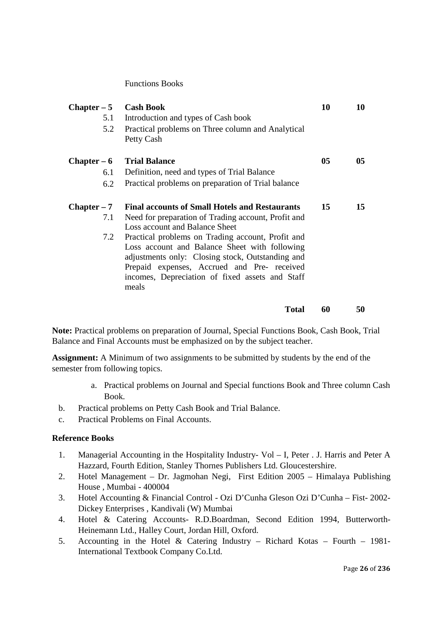Functions Books

| $Chapter - 5$<br>5.1 | <b>Cash Book</b><br>Introduction and types of Cash book                                           | 10 | 10     |
|----------------------|---------------------------------------------------------------------------------------------------|----|--------|
| 5.2                  | Practical problems on Three column and Analytical<br>Petty Cash                                   |    |        |
| $Chapter - 6$        | <b>Trial Balance</b>                                                                              | 05 | $05\,$ |
| 6.1                  | Definition, need and types of Trial Balance                                                       |    |        |
| 6.2                  | Practical problems on preparation of Trial balance                                                |    |        |
| $Chapter - 7$        | <b>Final accounts of Small Hotels and Restaurants</b>                                             | 15 | 15     |
| 7.1                  | Need for preparation of Trading account, Profit and<br>Loss account and Balance Sheet             |    |        |
| 7.2                  | Practical problems on Trading account, Profit and                                                 |    |        |
|                      | Loss account and Balance Sheet with following<br>adjustments only: Closing stock, Outstanding and |    |        |
|                      | Prepaid expenses, Accrued and Pre- received                                                       |    |        |
|                      | incomes, Depreciation of fixed assets and Staff                                                   |    |        |
|                      | meals                                                                                             |    |        |
|                      | <b>Total</b>                                                                                      | 60 | 50     |

**Note:** Practical problems on preparation of Journal, Special Functions Book, Cash Book, Trial Balance and Final Accounts must be emphasized on by the subject teacher.

**Assignment:** A Minimum of two assignments to be submitted by students by the end of the semester from following topics.

- a. Practical problems on Journal and Special functions Book and Three column Cash Book.
- b. Practical problems on Petty Cash Book and Trial Balance.
- c. Practical Problems on Final Accounts.

#### **Reference Books**

- 1. Managerial Accounting in the Hospitality Industry- Vol I, Peter . J. Harris and Peter A Hazzard, Fourth Edition, Stanley Thornes Publishers Ltd. Gloucestershire.
- 2. Hotel Management Dr. Jagmohan Negi, First Edition 2005 Himalaya Publishing House , Mumbai - 400004
- 3. Hotel Accounting & Financial Control Ozi D'Cunha Gleson Ozi D'Cunha Fist- 2002- Dickey Enterprises , Kandivali (W) Mumbai
- 4. Hotel & Catering Accounts- R.D.Boardman, Second Edition 1994, Butterworth-Heinemann Ltd., Halley Court, Jordan Hill, Oxford.
- 5. Accounting in the Hotel & Catering Industry Richard Kotas Fourth 1981- International Textbook Company Co.Ltd.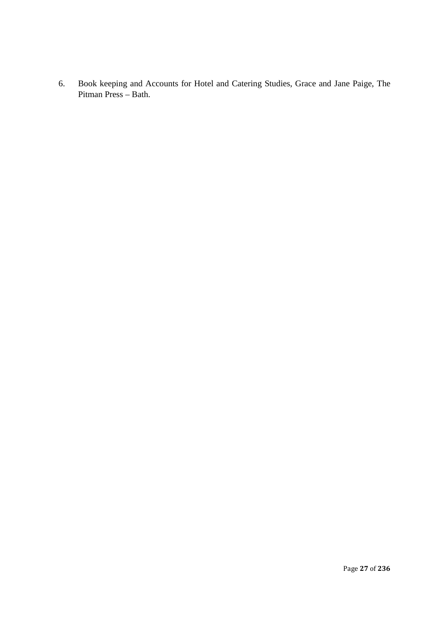6. Book keeping and Accounts for Hotel and Catering Studies, Grace and Jane Paige, The Pitman Press – Bath.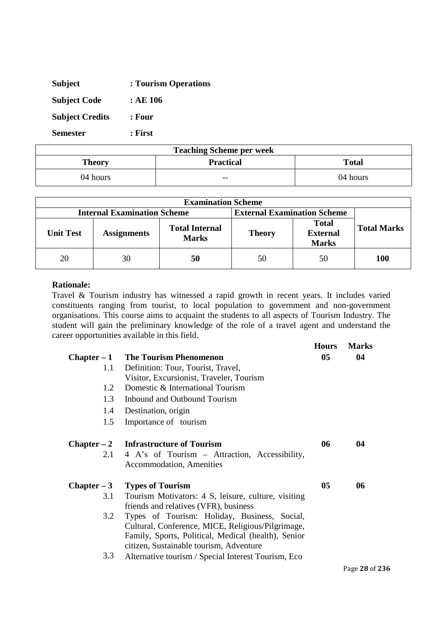| <b>Subject</b>         | : Tourism Operations |
|------------------------|----------------------|
| <b>Subject Code</b>    | :AE106               |
| <b>Subject Credits</b> | : Four               |
| <b>Semester</b>        | : First              |

| <b>Teaching Scheme per week</b>                   |               |          |  |
|---------------------------------------------------|---------------|----------|--|
| <b>Practical</b><br><b>Total</b><br><b>Theory</b> |               |          |  |
| 04 hours                                          | $\sim$ $\sim$ | 04 hours |  |

| <b>Examination Scheme</b>                                                |                    |                                       |               |                                                 |                    |
|--------------------------------------------------------------------------|--------------------|---------------------------------------|---------------|-------------------------------------------------|--------------------|
| <b>Internal Examination Scheme</b><br><b>External Examination Scheme</b> |                    |                                       |               |                                                 |                    |
| <b>Unit Test</b>                                                         | <b>Assignments</b> | <b>Total Internal</b><br><b>Marks</b> | <b>Theory</b> | <b>Total</b><br><b>External</b><br><b>Marks</b> | <b>Total Marks</b> |
| 20                                                                       | 30                 | 50                                    | 50            | 50                                              | <b>100</b>         |

Travel & Tourism industry has witnessed a rapid growth in recent years. It includes varied constituents ranging from tourist, to local population to government and non-government organisations. This course aims to acquaint the students to all aspects of Tourism Industry. The student will gain the preliminary knowledge of the role of a travel agent and understand the career opportunities available in this field.

|               |                                                                           | <b>Hours</b>   | <b>Marks</b> |
|---------------|---------------------------------------------------------------------------|----------------|--------------|
| $Chapter - 1$ | <b>The Tourism Phenomenon</b>                                             | 0 <sub>5</sub> | 04           |
| 1.1           | Definition: Tour, Tourist, Travel,                                        |                |              |
|               | Visitor, Excursionist, Traveler, Tourism                                  |                |              |
| 1.2           | Domestic & International Tourism                                          |                |              |
| 1.3           | Inbound and Outbound Tourism                                              |                |              |
| 1.4           | Destination, origin                                                       |                |              |
| 1.5           | Importance of tourism                                                     |                |              |
|               | Chapter $-2$ Infrastructure of Tourism                                    | 06             | 04           |
| 2.1           | 4 A's of Tourism - Attraction, Accessibility,<br>Accommodation, Amenities |                |              |
| $Chapter - 3$ | <b>Types of Tourism</b>                                                   | 0 <sub>5</sub> | 06           |
| 3.1           | Tourism Motivators: 4 S, leisure, culture, visiting                       |                |              |
|               | friends and relatives (VFR), business                                     |                |              |
| 3.2           | Types of Tourism: Holiday, Business, Social,                              |                |              |
|               | Cultural, Conference, MICE, Religious/Pilgrimage,                         |                |              |
|               | Family, Sports, Political, Medical (health), Senior                       |                |              |
|               | citizen, Sustainable tourism, Adventure                                   |                |              |
| 3.3           | Alternative tourism / Special Interest Tourism, Eco                       |                |              |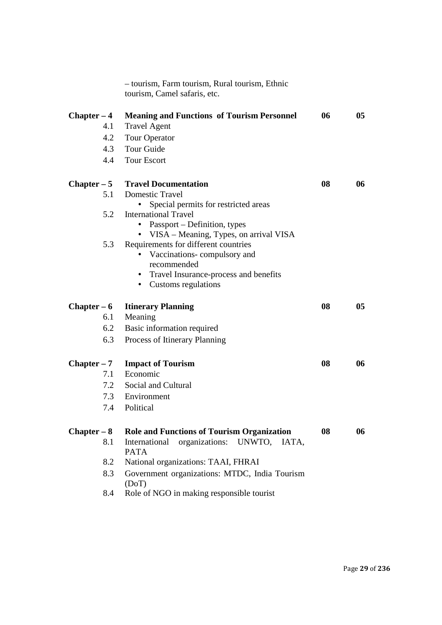|                      | - tourism, Farm tourism, Rural tourism, Ethnic<br>tourism, Camel safaris, etc. |    |                 |
|----------------------|--------------------------------------------------------------------------------|----|-----------------|
| $Chapter - 4$        | <b>Meaning and Functions of Tourism Personnel</b>                              | 06 | 05 <sub>o</sub> |
| 4.1                  | <b>Travel Agent</b>                                                            |    |                 |
| 4.2                  | <b>Tour Operator</b>                                                           |    |                 |
| 4.3                  | Tour Guide                                                                     |    |                 |
| 4.4                  | <b>Tour Escort</b>                                                             |    |                 |
| $Chapter - 5$        | <b>Travel Documentation</b>                                                    | 08 | 06              |
| 5.1                  | Domestic Travel<br>Special permits for restricted areas                        |    |                 |
| 5.2                  | <b>International Travel</b>                                                    |    |                 |
|                      | Passport – Definition, types                                                   |    |                 |
|                      | • VISA – Meaning, Types, on arrival VISA                                       |    |                 |
| 5.3                  | Requirements for different countries                                           |    |                 |
|                      | Vaccinations-compulsory and<br>$\bullet$<br>recommended                        |    |                 |
|                      | Travel Insurance-process and benefits<br>٠                                     |    |                 |
|                      | Customs regulations<br>$\bullet$                                               |    |                 |
|                      |                                                                                |    |                 |
|                      |                                                                                |    |                 |
| $Chapter - 6$<br>6.1 | <b>Itinerary Planning</b>                                                      | 08 | 05              |
|                      | Meaning                                                                        |    |                 |
| 6.2<br>6.3           | Basic information required                                                     |    |                 |
|                      | Process of Itinerary Planning                                                  |    |                 |
| $Chapter - 7$        | <b>Impact of Tourism</b>                                                       | 08 | 06              |
| 7.1                  | Economic                                                                       |    |                 |
| 7.2                  | Social and Cultural                                                            |    |                 |
| 7.3                  | Environment                                                                    |    |                 |
| 7.4                  | Political                                                                      |    |                 |
| $Chapter - 8$        | <b>Role and Functions of Tourism Organization</b>                              | 08 | 06              |
| 8.1                  | organizations:<br>International<br>UNWTO, IATA,<br><b>PATA</b>                 |    |                 |
| 8.2                  | National organizations: TAAI, FHRAI                                            |    |                 |
| 8.3                  | Government organizations: MTDC, India Tourism<br>(DoT)                         |    |                 |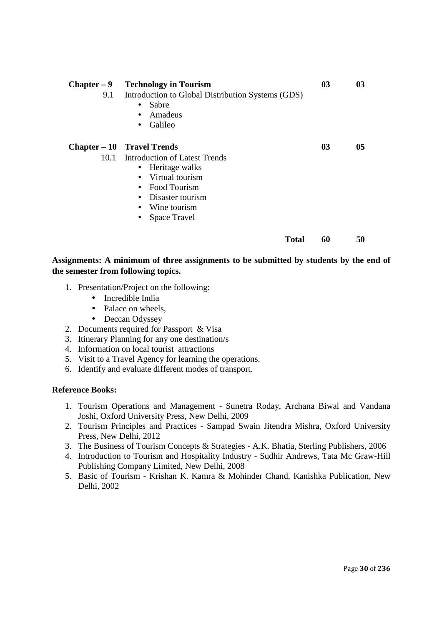| $Chapter - 9$ | <b>Technology in Tourism</b>                      | 03 | 03 |
|---------------|---------------------------------------------------|----|----|
| 9.1           | Introduction to Global Distribution Systems (GDS) |    |    |
|               | Sabre<br>$\bullet$                                |    |    |
|               | Amadeus<br>$\bullet$                              |    |    |
|               | Galileo<br>$\bullet$                              |    |    |
|               |                                                   |    |    |
|               | <b>Chapter – 10 Travel Trends</b>                 | 03 | 05 |
| 10.1          | <b>Introduction of Latest Trends</b>              |    |    |
|               | Heritage walks<br>$\bullet$                       |    |    |
|               | Virtual tourism                                   |    |    |
|               | Food Tourism                                      |    |    |
|               | Disaster tourism                                  |    |    |
|               | Wine tourism                                      |    |    |
|               | Space Travel                                      |    |    |
|               |                                                   |    |    |
|               | <b>Total</b>                                      | 60 | 50 |
|               |                                                   |    |    |

#### **Assignments: A minimum of three assignments to be submitted by students by the end of the semester from following topics.**

- 1. Presentation/Project on the following:
	- Incredible India
	- Palace on wheels,
	- Deccan Odyssey
- 2. Documents required for Passport & Visa
- 3. Itinerary Planning for any one destination/s
- 4. Information on local tourist attractions
- 5. Visit to a Travel Agency for learning the operations.
- 6. Identify and evaluate different modes of transport.

#### **Reference Books:**

- 1. Tourism Operations and Management Sunetra Roday, Archana Biwal and Vandana Joshi, Oxford University Press, New Delhi, 2009
- 2. Tourism Principles and Practices Sampad Swain Jitendra Mishra, Oxford University Press, New Delhi, 2012
- 3. The Business of Tourism Concepts & Strategies A.K. Bhatia, Sterling Publishers, 2006
- 4. Introduction to Tourism and Hospitality Industry Sudhir Andrews, Tata Mc Graw-Hill Publishing Company Limited, New Delhi, 2008
- 5. Basic of Tourism Krishan K. Kamra & Mohinder Chand, Kanishka Publication, New Delhi, 2002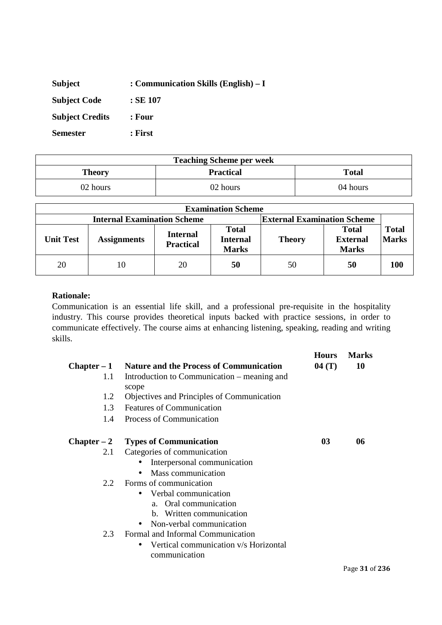| <b>Subject</b>         | : Communication Skills (English) $-I$ |
|------------------------|---------------------------------------|
| <b>Subject Code</b>    | $:$ SE 107                            |
| <b>Subject Credits</b> | : Four                                |
| <b>Semester</b>        | : First                               |

| <b>Teaching Scheme per week</b> |              |          |  |
|---------------------------------|--------------|----------|--|
| Theory                          | <b>Total</b> |          |  |
| 02 hours                        | 02 hours     | 04 hours |  |

| <b>Examination Scheme</b>          |                    |                                     |                                                 |               |                                                 |                              |
|------------------------------------|--------------------|-------------------------------------|-------------------------------------------------|---------------|-------------------------------------------------|------------------------------|
| <b>Internal Examination Scheme</b> |                    |                                     | <b>External Examination Scheme</b>              |               |                                                 |                              |
| <b>Unit Test</b>                   | <b>Assignments</b> | <b>Internal</b><br><b>Practical</b> | <b>Total</b><br><b>Internal</b><br><b>Marks</b> | <b>Theory</b> | <b>Total</b><br><b>External</b><br><b>Marks</b> | <b>Total</b><br><b>Marks</b> |
| 20                                 | 10                 | 20                                  | 50                                              | 50            | 50                                              | 100                          |

Communication is an essential life skill, and a professional pre-requisite in the hospitality industry. This course provides theoretical inputs backed with practice sessions, in order to communicate effectively. The course aims at enhancing listening, speaking, reading and writing skills.

| $Chapter - 1$ | <b>Nature and the Process of Communication</b>                      | <b>Hours</b><br>04(T) | Marks<br>10 |
|---------------|---------------------------------------------------------------------|-----------------------|-------------|
| 1.1           | Introduction to Communication – meaning and<br>scope                |                       |             |
| 1.2           | Objectives and Principles of Communication                          |                       |             |
| 1.3           | <b>Features of Communication</b>                                    |                       |             |
| 1.4           | Process of Communication                                            |                       |             |
| $Chapter - 2$ | <b>Types of Communication</b>                                       | 03                    | 06          |
| 2.1           | Categories of communication                                         |                       |             |
|               | Interpersonal communication                                         |                       |             |
|               | Mass communication                                                  |                       |             |
| $2.2^{\circ}$ | Forms of communication                                              |                       |             |
|               | Verbal communication<br>$\bullet$                                   |                       |             |
|               | a. Oral communication                                               |                       |             |
|               | b. Written communication                                            |                       |             |
|               | Non-verbal communication                                            |                       |             |
| 2.3           | Formal and Informal Communication                                   |                       |             |
|               | Vertical communication v/s Horizontal<br>$\bullet$<br>communication |                       |             |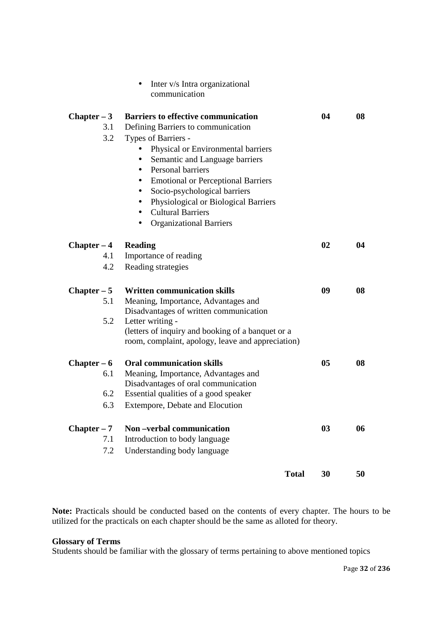|                             | Inter v/s Intra organizational<br>communication                                                                                                                                                                                                                                                                                                                                                                                     |                |    |
|-----------------------------|-------------------------------------------------------------------------------------------------------------------------------------------------------------------------------------------------------------------------------------------------------------------------------------------------------------------------------------------------------------------------------------------------------------------------------------|----------------|----|
| $Chapter - 3$<br>3.1<br>3.2 | <b>Barriers to effective communication</b><br>Defining Barriers to communication<br>Types of Barriers -<br>Physical or Environmental barriers<br>Semantic and Language barriers<br>$\bullet$<br>Personal barriers<br><b>Emotional or Perceptional Barriers</b><br>٠<br>Socio-psychological barriers<br>Physiological or Biological Barriers<br>$\bullet$<br><b>Cultural Barriers</b><br>$\bullet$<br><b>Organizational Barriers</b> | 04             | 08 |
| $Chapter - 4$               | <b>Reading</b>                                                                                                                                                                                                                                                                                                                                                                                                                      | 02             | 04 |
| 4.1                         | Importance of reading                                                                                                                                                                                                                                                                                                                                                                                                               |                |    |
| 4.2                         | Reading strategies                                                                                                                                                                                                                                                                                                                                                                                                                  |                |    |
| $Chapter - 5$               | <b>Written communication skills</b>                                                                                                                                                                                                                                                                                                                                                                                                 | 09             | 08 |
| 5.1                         | Meaning, Importance, Advantages and<br>Disadvantages of written communication                                                                                                                                                                                                                                                                                                                                                       |                |    |
| 5.2                         | Letter writing -                                                                                                                                                                                                                                                                                                                                                                                                                    |                |    |
|                             | (letters of inquiry and booking of a banquet or a                                                                                                                                                                                                                                                                                                                                                                                   |                |    |
|                             | room, complaint, apology, leave and appreciation)                                                                                                                                                                                                                                                                                                                                                                                   |                |    |
| $Chapter - 6$               | <b>Oral communication skills</b>                                                                                                                                                                                                                                                                                                                                                                                                    | 0 <sub>5</sub> | 08 |
| 6.1                         | Meaning, Importance, Advantages and<br>Disadvantages of oral communication                                                                                                                                                                                                                                                                                                                                                          |                |    |
| 6.2                         | Essential qualities of a good speaker                                                                                                                                                                                                                                                                                                                                                                                               |                |    |
| 6.3                         | Extempore, Debate and Elocution                                                                                                                                                                                                                                                                                                                                                                                                     |                |    |
|                             |                                                                                                                                                                                                                                                                                                                                                                                                                                     |                |    |
| $Chapter - 7$               | Non-verbal communication                                                                                                                                                                                                                                                                                                                                                                                                            | 03             | 06 |
| 7.1                         | Introduction to body language                                                                                                                                                                                                                                                                                                                                                                                                       |                |    |
| 7.2                         | Understanding body language                                                                                                                                                                                                                                                                                                                                                                                                         |                |    |
|                             | <b>Total</b>                                                                                                                                                                                                                                                                                                                                                                                                                        | 30             | 50 |

Note: Practicals should be conducted based on the contents of every chapter. The hours to be utilized for the practicals on each chapter should be the same as alloted for theory.

### **Glossary of Terms**

Students should be familiar with the glossary of terms pertaining to above mentioned topics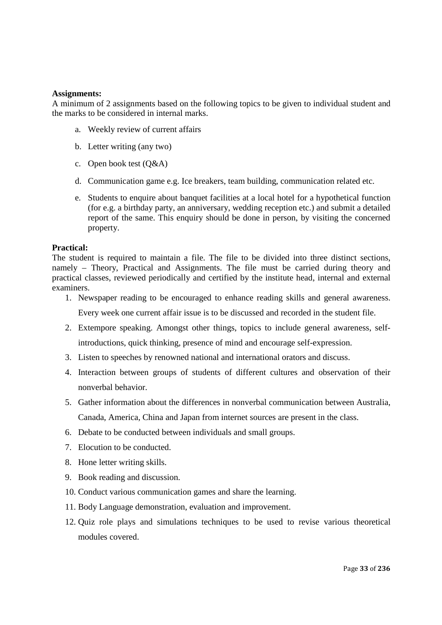#### **Assignments:**

A minimum of 2 assignments based on the following topics to be given to individual student and the marks to be considered in internal marks.

- a. Weekly review of current affairs
- b. Letter writing (any two)
- c. Open book test (Q&A)
- d. Communication game e.g. Ice breakers, team building, communication related etc.
- e. Students to enquire about banquet facilities at a local hotel for a hypothetical function (for e.g. a birthday party, an anniversary, wedding reception etc.) and submit a detailed report of the same. This enquiry should be done in person, by visiting the concerned property.

#### **Practical:**

The student is required to maintain a file. The file to be divided into three distinct sections, namely – Theory, Practical and Assignments. The file must be carried during theory and practical classes, reviewed periodically and certified by the institute head, internal and external examiners.

- 1. Newspaper reading to be encouraged to enhance reading skills and general awareness. Every week one current affair issue is to be discussed and recorded in the student file.
- 2. Extempore speaking. Amongst other things, topics to include general awareness, selfintroductions, quick thinking, presence of mind and encourage self-expression.
- 3. Listen to speeches by renowned national and international orators and discuss.
- 4. Interaction between groups of students of different cultures and observation of their nonverbal behavior.
- 5. Gather information about the differences in nonverbal communication between Australia, Canada, America, China and Japan from internet sources are present in the class.
- 6. Debate to be conducted between individuals and small groups.
- 7. Elocution to be conducted.
- 8. Hone letter writing skills.
- 9. Book reading and discussion.
- 10. Conduct various communication games and share the learning.
- 11. Body Language demonstration, evaluation and improvement.
- 12. Quiz role plays and simulations techniques to be used to revise various theoretical modules covered.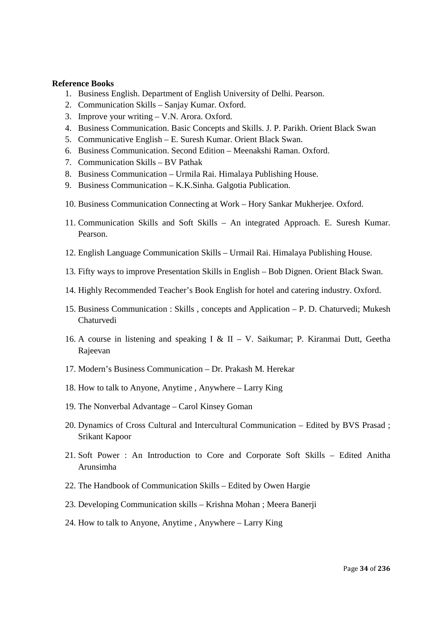#### **Reference Books**

- 1. Business English. Department of English University of Delhi. Pearson.
- 2. Communication Skills Sanjay Kumar. Oxford.
- 3. Improve your writing V.N. Arora. Oxford.
- 4. Business Communication. Basic Concepts and Skills. J. P. Parikh. Orient Black Swan
- 5. Communicative English E. Suresh Kumar. Orient Black Swan.
- 6. Business Communication. Second Edition Meenakshi Raman. Oxford.
- 7. Communication Skills BV Pathak
- 8. Business Communication Urmila Rai. Himalaya Publishing House.
- 9. Business Communication K.K.Sinha. Galgotia Publication.
- 10. Business Communication Connecting at Work Hory Sankar Mukherjee. Oxford.
- 11. Communication Skills and Soft Skills An integrated Approach. E. Suresh Kumar. Pearson.
- 12. English Language Communication Skills Urmail Rai. Himalaya Publishing House.
- 13. Fifty ways to improve Presentation Skills in English Bob Dignen. Orient Black Swan.
- 14. Highly Recommended Teacher's Book English for hotel and catering industry. Oxford.
- 15. Business Communication : Skills , concepts and Application P. D. Chaturvedi; Mukesh Chaturvedi
- 16. A course in listening and speaking I & II V. Saikumar; P. Kiranmai Dutt, Geetha Rajeevan
- 17. Modern's Business Communication Dr. Prakash M. Herekar
- 18. How to talk to Anyone, Anytime , Anywhere Larry King
- 19. The Nonverbal Advantage Carol Kinsey Goman
- 20. Dynamics of Cross Cultural and Intercultural Communication Edited by BVS Prasad ; Srikant Kapoor
- 21. Soft Power : An Introduction to Core and Corporate Soft Skills Edited Anitha Arunsimha
- 22. The Handbook of Communication Skills Edited by Owen Hargie
- 23. Developing Communication skills Krishna Mohan ; Meera Banerji
- 24. How to talk to Anyone, Anytime , Anywhere Larry King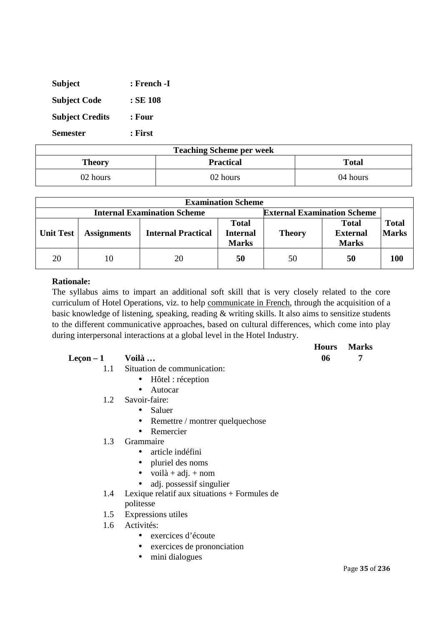| <b>Subject</b>         | : French -I |
|------------------------|-------------|
| <b>Subject Code</b>    | $:$ SE 108  |
| <b>Subject Credits</b> | : Four      |
| <b>Semester</b>        | : First     |

| <b>Teaching Scheme per week</b>                   |          |          |  |  |
|---------------------------------------------------|----------|----------|--|--|
| <b>Practical</b><br><b>Total</b><br><b>Theory</b> |          |          |  |  |
| 02 hours                                          | 02 hours | 04 hours |  |  |

| <b>Examination Scheme</b>                                                |                    |                           |                                                 |               |                                                 |                              |
|--------------------------------------------------------------------------|--------------------|---------------------------|-------------------------------------------------|---------------|-------------------------------------------------|------------------------------|
| <b>External Examination Scheme</b><br><b>Internal Examination Scheme</b> |                    |                           |                                                 |               |                                                 |                              |
| <b>Unit Test</b>                                                         | <b>Assignments</b> | <b>Internal Practical</b> | <b>Total</b><br><b>Internal</b><br><b>Marks</b> | <b>Theory</b> | <b>Total</b><br><b>External</b><br><b>Marks</b> | <b>Total</b><br><b>Marks</b> |
| 20                                                                       | 10                 | 20                        | 50                                              | 50            | 50                                              | 100                          |

The syllabus aims to impart an additional soft skill that is very closely related to the core curriculum of Hotel Operations, viz. to help communicate in French, through the acquisition of a basic knowledge of listening, speaking, reading & writing skills. It also aims to sensitize students to the different communicative approaches, based on cultural differences, which come into play during interpersonal interactions at a global level in the Hotel Industry.

#### **Leçon – 1 Voilà … 06 7**

- 1.1 Situation de communication:
	- Hôtel : réception
	- Autocar
- 1.2 Savoir-faire:
	- Saluer
	- Remettre / montrer quelquechose
	- Remercier

### 1.3 Grammaire

- article indéfini
- pluriel des noms
- voilà + adj. + nom
- adj. possessif singulier
- 1.4 Lexique relatif aux situations + Formules de politesse
- 1.5 Expressions utiles
- 1.6 Activités:
	- exercices d'écoute
	- exercices de prononciation
	- mini dialogues

|                  |                                                                                                                 |    | <b>Hours</b> Marks |
|------------------|-----------------------------------------------------------------------------------------------------------------|----|--------------------|
| Leçon $-1$ Voilà | the contract of the contract of the contract of the contract of the contract of the contract of the contract of | 06 |                    |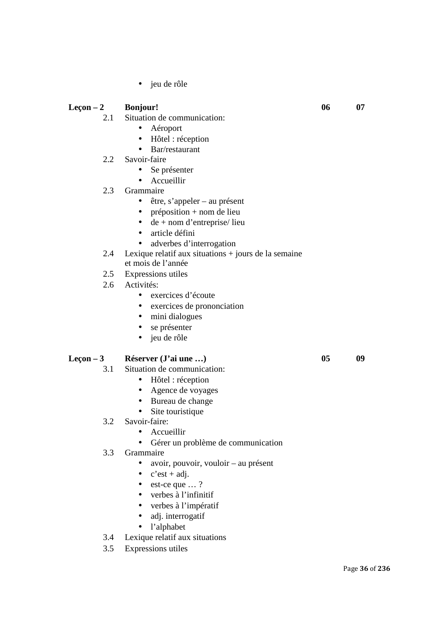• jeu de rôle

#### **Leçon – 2 Bonjour!** 06 07

- 2.1 Situation de communication:
	- Aéroport
	- Hôtel : réception
	- Bar/restaurant
- 2.2 Savoir-faire
	- Se présenter
	- Accueillir
- 2.3 Grammaire
	- être, s'appeler au présent
	- $\bullet$  préposition + nom de lieu
	- $\bullet$  de + nom d'entreprise/ lieu
	- article défini
	- adverbes d'interrogation
- 2.4 Lexique relatif aux situations + jours de la semaine et mois de l'année
- 2.5 Expressions utiles
- 2.6 Activités:
	- exercices d'écoute
	- exercices de prononciation
	- mini dialogues
	- se présenter
	- jeu de rôle

#### **Leçon – 3 Réserver (J'ai une …) 05 09**

#### 3.1 Situation de communication:

- Hôtel : réception
- Agence de voyages
- Bureau de change
- Site touristique

#### 3.2 Savoir-faire:

- Accueillir
- Gérer un problème de communication
- 3.3 Grammaire
	- avoir, pouvoir, vouloir au présent
	- $c'est + adj.$
	- est-ce que  $\ldots$  ?
	- verbes à l'infinitif
	- verbes à l'impératif
	- adj. interrogatif
	- l'alphabet
- 3.4 Lexique relatif aux situations
- 3.5 Expressions utiles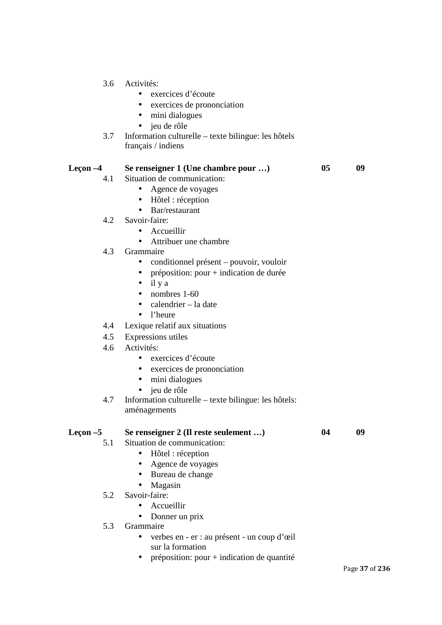- 3.6 Activités:
	- exercices d'écoute
	- exercices de prononciation
	- mini dialogues
	- jeu de rôle
- 3.7 Information culturelle texte bilingue: les hôtels français / indiens

| Leçon $-4$        | Se renseigner 1 (Une chambre pour )                                  | 05 | 09 |
|-------------------|----------------------------------------------------------------------|----|----|
| 4.1               | Situation de communication:                                          |    |    |
|                   | Agence de voyages<br>$\bullet$                                       |    |    |
|                   | Hôtel : réception<br>$\bullet$                                       |    |    |
|                   | Bar/restaurant<br>$\bullet$                                          |    |    |
| 4.2               | Savoir-faire:                                                        |    |    |
|                   | Accueillir                                                           |    |    |
|                   | Attribuer une chambre                                                |    |    |
| 4.3               | Grammaire                                                            |    |    |
|                   | conditionnel présent - pouvoir, vouloir<br>$\bullet$                 |    |    |
|                   | préposition: $pour + indication de durée$<br>$\bullet$               |    |    |
|                   | il y a<br>$\bullet$                                                  |    |    |
|                   | nombres 1-60<br>$\bullet$                                            |    |    |
|                   | calendrier - la date<br>$\bullet$                                    |    |    |
|                   | l'heure<br>$\bullet$                                                 |    |    |
| 4.4               | Lexique relatif aux situations                                       |    |    |
|                   | 4.5 Expressions utiles                                               |    |    |
| 4.6               | Activités:                                                           |    |    |
|                   | exercices d'écoute<br>$\bullet$                                      |    |    |
|                   | exercices de prononciation<br>$\bullet$                              |    |    |
|                   | mini dialogues<br>$\bullet$                                          |    |    |
|                   | jeu de rôle<br>$\bullet$                                             |    |    |
| 4.7               | Information culturelle – texte bilingue: les hôtels:                 |    |    |
|                   | aménagements                                                         |    |    |
|                   |                                                                      | 04 | 09 |
| Leçon $-5$<br>5.1 | Se renseigner 2 (Il reste seulement )<br>Situation de communication: |    |    |
|                   |                                                                      |    |    |
|                   | Hôtel : réception<br>$\bullet$                                       |    |    |
|                   | Agence de voyages<br>٠                                               |    |    |
|                   | Bureau de change<br>$\bullet$                                        |    |    |
| 5.2               | Magasin<br>Savoir-faire:                                             |    |    |
|                   |                                                                      |    |    |
|                   | Accueillir<br>$\bullet$                                              |    |    |

- Donner un prix
- 5.3 Grammaire
	- verbes en er : au présent un coup d'œil sur la formation
	- préposition: pour + indication de quantité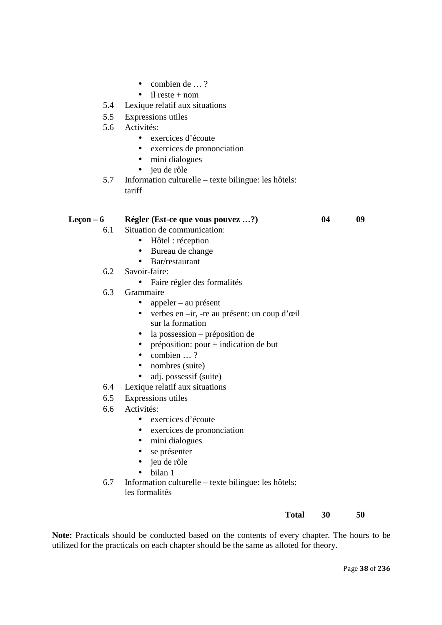- combien de ...?
- $\bullet$  il reste + nom
- 5.4 Lexique relatif aux situations
- 5.5 Expressions utiles
- 5.6 Activités:
	- exercices d'écoute
	- exercices de prononciation
	- mini dialogues
	- jeu de rôle
- 5.7 Information culturelle texte bilingue: les hôtels: tariff

### **Leçon – 6 Régler (Est-ce que vous pouvez …?) 04 09**

- 6.1 Situation de communication:
	- Hôtel : réception
	- Bureau de change
	- Bar/restaurant
- 6.2 Savoir-faire:
	- Faire régler des formalités
- 6.3 Grammaire
	- appeler au présent
	- verbes en –ir, -re au présent: un coup d'œil sur la formation
	- la possession préposition de
	- préposition:  $pour + indication de but$
	- combien ...?
	- nombres (suite)
	- adj. possessif (suite)
- 6.4 Lexique relatif aux situations
- 6.5 Expressions utiles
- 6.6 Activités:
	- exercices d'écoute
	- exercices de prononciation
	- mini dialogues
	- se présenter
	- jeu de rôle
	- bilan 1
- 6.7 Information culturelle texte bilingue: les hôtels: les formalités

#### **Total 30 50**

Note: Practicals should be conducted based on the contents of every chapter. The hours to be utilized for the practicals on each chapter should be the same as alloted for theory.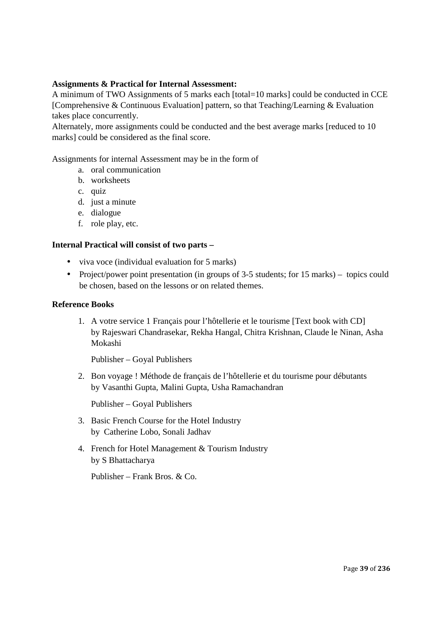# **Assignments & Practical for Internal Assessment:**

A minimum of TWO Assignments of 5 marks each [total=10 marks] could be conducted in CCE [Comprehensive & Continuous Evaluation] pattern, so that Teaching/Learning & Evaluation takes place concurrently.

Alternately, more assignments could be conducted and the best average marks [reduced to 10 marks] could be considered as the final score.

Assignments for internal Assessment may be in the form of

- a. oral communication
- b. worksheets
- c. quiz
- d. just a minute
- e. dialogue
- f. role play, etc.

#### **Internal Practical will consist of two parts –**

- viva voce (individual evaluation for 5 marks)
- Project/power point presentation (in groups of 3-5 students; for 15 marks) topics could be chosen, based on the lessons or on related themes.

#### **Reference Books**

1. A votre service 1 Français pour l'hôtellerie et le tourisme [Text book with CD] by Rajeswari Chandrasekar, Rekha Hangal, Chitra Krishnan, Claude le Ninan, Asha Mokashi

Publisher – Goyal Publishers

2. Bon voyage ! Méthode de français de l'hôtellerie et du tourisme pour débutants by Vasanthi Gupta, Malini Gupta, Usha Ramachandran

Publisher – Goyal Publishers

- 3. Basic French Course for the Hotel Industry by Catherine Lobo, Sonali Jadhav
- 4. French for Hotel Management & Tourism Industry by S Bhattacharya

Publisher – Frank Bros. & Co.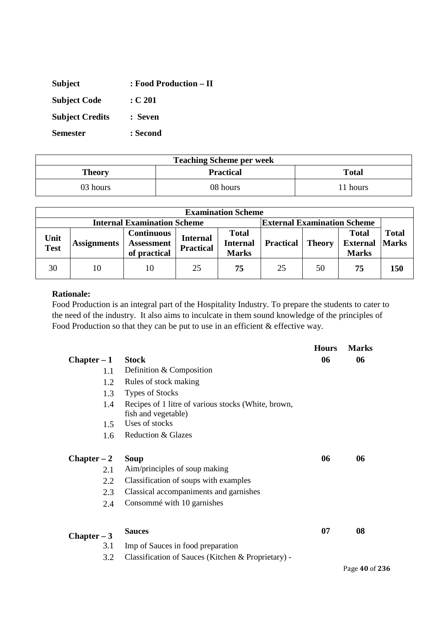| <b>Subject</b>         | : Food Production – II |
|------------------------|------------------------|
| <b>Subject Code</b>    | : C 201                |
| <b>Subject Credits</b> | : Seven                |
| <b>Semester</b>        | : Second               |

| <b>Teaching Scheme per week</b> |                  |                      |  |
|---------------------------------|------------------|----------------------|--|
| Theory                          | <b>Practical</b> | <b>Total</b>         |  |
| 03 hours                        | 08 hours         | <sup>1</sup> 1 hours |  |

|                     |                                                                          |                                                        |                                     | <b>Examination Scheme</b>                       |                  |               |                                                 |                              |
|---------------------|--------------------------------------------------------------------------|--------------------------------------------------------|-------------------------------------|-------------------------------------------------|------------------|---------------|-------------------------------------------------|------------------------------|
|                     | <b>External Examination Scheme</b><br><b>Internal Examination Scheme</b> |                                                        |                                     |                                                 |                  |               |                                                 |                              |
| Unit<br><b>Test</b> | <b>Assignments</b>                                                       | <b>Continuous</b><br><b>Assessment</b><br>of practical | <b>Internal</b><br><b>Practical</b> | <b>Total</b><br><b>Internal</b><br><b>Marks</b> | <b>Practical</b> | <b>Theory</b> | <b>Total</b><br><b>External</b><br><b>Marks</b> | <b>Total</b><br><b>Marks</b> |
| 30                  | 10                                                                       | 10                                                     | 25                                  | 75                                              | 25               | 50            | 75                                              | 150                          |

Food Production is an integral part of the Hospitality Industry. To prepare the students to cater to the need of the industry. It also aims to inculcate in them sound knowledge of the principles of Food Production so that they can be put to use in an efficient & effective way.

|               |                                                                            | <b>Hours</b> | <b>Marks</b>   |  |
|---------------|----------------------------------------------------------------------------|--------------|----------------|--|
| $Chapter - 1$ | <b>Stock</b>                                                               | 06           | 06             |  |
| 1.1           | Definition & Composition                                                   |              |                |  |
| 1.2           | Rules of stock making                                                      |              |                |  |
| 1.3           | Types of Stocks                                                            |              |                |  |
| 1.4           | Recipes of 1 litre of various stocks (White, brown,<br>fish and vegetable) |              |                |  |
| 1.5           | Uses of stocks                                                             |              |                |  |
| 1.6           | Reduction & Glazes                                                         |              |                |  |
|               |                                                                            |              |                |  |
| $Chapter - 2$ | <b>Soup</b>                                                                | 06           | 06             |  |
| 2.1           | Aim/principles of soup making                                              |              |                |  |
| 2.2           | Classification of soups with examples                                      |              |                |  |
| 2.3           | Classical accompaniments and garnishes                                     |              |                |  |
| 2.4           | Consommé with 10 garnishes                                                 |              |                |  |
|               |                                                                            |              |                |  |
| Chapter $-3$  | <b>Sauces</b>                                                              | 07           | 08             |  |
| 3.1           | Imp of Sauces in food preparation                                          |              |                |  |
| 3.2           | Classification of Sauces (Kitchen & Proprietary) -                         |              |                |  |
|               |                                                                            |              | Page 40 of 236 |  |
|               |                                                                            |              |                |  |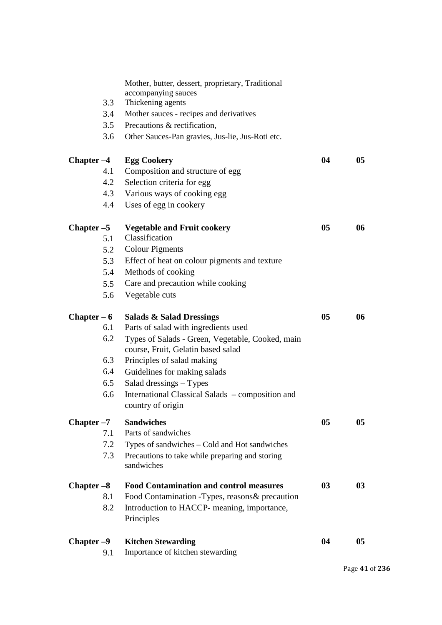| Chapter -9<br>9.1 | <b>Kitchen Stewarding</b><br>Importance of kitchen stewarding    | 04             | 05             |
|-------------------|------------------------------------------------------------------|----------------|----------------|
| 8.2               | Introduction to HACCP- meaning, importance,<br>Principles        |                |                |
| 8.1               | Food Contamination - Types, reasons & precaution                 |                |                |
| Chapter -8        | <b>Food Contamination and control measures</b>                   | 0 <sub>3</sub> | 03             |
|                   | sandwiches                                                       |                |                |
| 7.3               | Precautions to take while preparing and storing                  |                |                |
| 7.2               | Types of sandwiches - Cold and Hot sandwiches                    |                |                |
| 7.1               | Parts of sandwiches                                              |                |                |
| Chapter $-7$      | <b>Sandwiches</b>                                                | 05             | 05             |
|                   | country of origin                                                |                |                |
| 6.6               | International Classical Salads – composition and                 |                |                |
| 6.5               | Salad dressings - Types                                          |                |                |
| 6.4               | Guidelines for making salads                                     |                |                |
| 6.3               | course, Fruit, Gelatin based salad<br>Principles of salad making |                |                |
| 6.2               | Types of Salads - Green, Vegetable, Cooked, main                 |                |                |
| 6.1               | Parts of salad with ingredients used                             |                |                |
| $Chapter - 6$     | <b>Salads &amp; Salad Dressings</b>                              | 0 <sub>5</sub> | 06             |
|                   |                                                                  |                |                |
| 5.6               | Vegetable cuts                                                   |                |                |
| 5.5               | Care and precaution while cooking                                |                |                |
| 5.4               | Methods of cooking                                               |                |                |
| 5.3               | Effect of heat on colour pigments and texture                    |                |                |
| 5.2               | <b>Colour Pigments</b>                                           |                |                |
| 5.1               | Classification                                                   |                |                |
| Chapter -5        | <b>Vegetable and Fruit cookery</b>                               | 05             | 06             |
|                   |                                                                  |                |                |
| 4.4               | Uses of egg in cookery                                           |                |                |
| 4.3               | Various ways of cooking egg                                      |                |                |
| 4.2               | Selection criteria for egg                                       |                |                |
| Chapter –4<br>4.1 | Composition and structure of egg                                 |                |                |
|                   | <b>Egg Cookery</b>                                               | 04             | 0 <sub>5</sub> |
| 3.6               | Other Sauces-Pan gravies, Jus-lie, Jus-Roti etc.                 |                |                |
| 3.5               | Precautions & rectification,                                     |                |                |
| 3.4               | Mother sauces - recipes and derivatives                          |                |                |
| 3.3               | Thickening agents                                                |                |                |
|                   | accompanying sauces                                              |                |                |
|                   | Mother, butter, dessert, proprietary, Traditional                |                |                |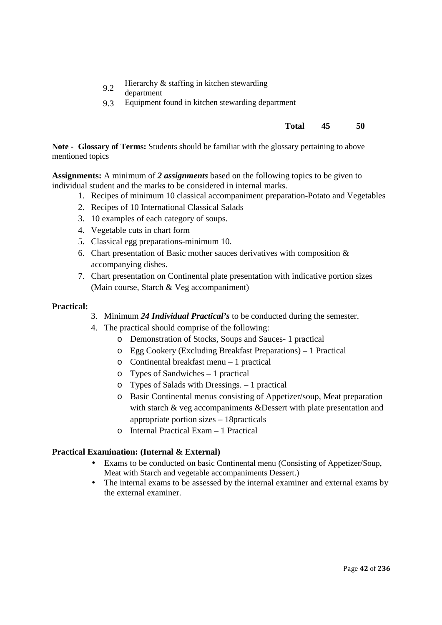$9.2$  Hierarchy & staffing in kitchen stewarding

department

9.3 Equipment found in kitchen stewarding department

# **Total 45 50**

**Note - Glossary of Terms:** Students should be familiar with the glossary pertaining to above mentioned topics

**Assignments:** A minimum of *2 assignments* based on the following topics to be given to individual student and the marks to be considered in internal marks.

- 1. Recipes of minimum 10 classical accompaniment preparation-Potato and Vegetables
- 2. Recipes of 10 International Classical Salads
- 3. 10 examples of each category of soups.
- 4. Vegetable cuts in chart form
- 5. Classical egg preparations-minimum 10.
- 6. Chart presentation of Basic mother sauces derivatives with composition  $\&$ accompanying dishes.
- 7. Chart presentation on Continental plate presentation with indicative portion sizes (Main course, Starch & Veg accompaniment)

### **Practical:**

- 3. Minimum *24 Individual Practical's* to be conducted during the semester.
- 4. The practical should comprise of the following:
	- o Demonstration of Stocks, Soups and Sauces- 1 practical
	- o Egg Cookery (Excluding Breakfast Preparations) 1 Practical
	- o Continental breakfast menu 1 practical
	- o Types of Sandwiches 1 practical
	- o Types of Salads with Dressings. 1 practical
	- o Basic Continental menus consisting of Appetizer/soup, Meat preparation with starch & veg accompaniments &Dessert with plate presentation and appropriate portion sizes – 18practicals
	- o Internal Practical Exam 1 Practical

### **Practical Examination: (Internal & External)**

- Exams to be conducted on basic Continental menu (Consisting of Appetizer/Soup, Meat with Starch and vegetable accompaniments Dessert.)
- The internal exams to be assessed by the internal examiner and external exams by the external examiner.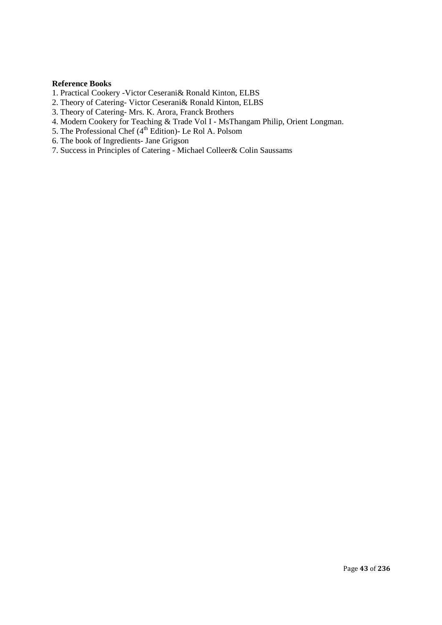#### **Reference Books**

- 1. Practical Cookery -Victor Ceserani& Ronald Kinton, ELBS
- 2. Theory of Catering- Victor Ceserani& Ronald Kinton, ELBS
- 3. Theory of Catering- Mrs. K. Arora, Franck Brothers
- 4. Modern Cookery for Teaching & Trade Vol I MsThangam Philip, Orient Longman.
- 5. The Professional Chef (4<sup>th</sup> Edition)- Le Rol A. Polsom
- 6. The book of Ingredients- Jane Grigson
- 7. Success in Principles of Catering Michael Colleer& Colin Saussams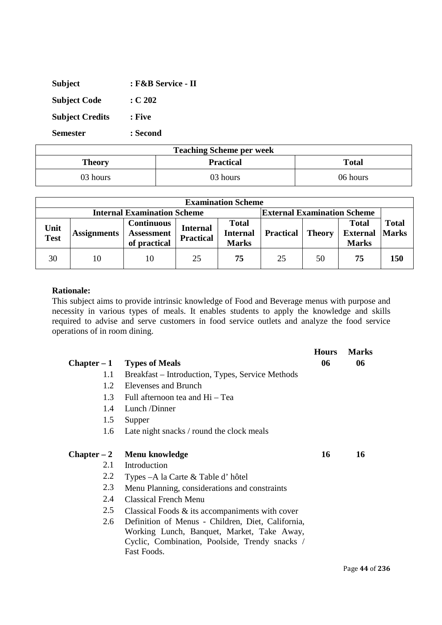| <b>Subject</b>         | : F&B Service - II |
|------------------------|--------------------|
| <b>Subject Code</b>    | : C.202            |
| <b>Subject Credits</b> | : Five             |
| <b>Semester</b>        | : Second           |

| <b>Teaching Scheme per week</b> |                  |              |  |
|---------------------------------|------------------|--------------|--|
| Theory                          | <b>Practical</b> | <b>Total</b> |  |
| 03 hours                        | 03 hours         | 06 hours     |  |

|                     |                                                                          |                                                        |                                     | <b>Examination Scheme</b>                       |                  |               |                                                 |                              |
|---------------------|--------------------------------------------------------------------------|--------------------------------------------------------|-------------------------------------|-------------------------------------------------|------------------|---------------|-------------------------------------------------|------------------------------|
|                     | <b>External Examination Scheme</b><br><b>Internal Examination Scheme</b> |                                                        |                                     |                                                 |                  |               |                                                 |                              |
| Unit<br><b>Test</b> | <b>Assignments</b>                                                       | <b>Continuous</b><br><b>Assessment</b><br>of practical | <b>Internal</b><br><b>Practical</b> | <b>Total</b><br><b>Internal</b><br><b>Marks</b> | <b>Practical</b> | <b>Theory</b> | <b>Total</b><br><b>External</b><br><b>Marks</b> | <b>Total</b><br><b>Marks</b> |
| 30                  | 10                                                                       | 10                                                     | 25                                  | 75                                              | 25               | 50            | 75                                              | 150                          |

This subject aims to provide intrinsic knowledge of Food and Beverage menus with purpose and necessity in various types of meals. It enables students to apply the knowledge and skills required to advise and serve customers in food service outlets and analyze the food service operations of in room dining.

|               |                                                    | <b>Hours</b> | <b>Marks</b> |
|---------------|----------------------------------------------------|--------------|--------------|
|               | $Chapter -1$ Types of Meals                        | 06           | 06           |
| 1.1           | Breakfast – Introduction, Types, Service Methods   |              |              |
| 1.2           | Elevenses and Brunch                               |              |              |
| 1.3           | Full afternoon tea and Hi – Tea                    |              |              |
| 1.4           | Lunch /Dinner                                      |              |              |
| 1.5           | Supper                                             |              |              |
| 1.6           | Late night snacks / round the clock meals          |              |              |
|               |                                                    |              |              |
| $Chapter - 2$ | Menu knowledge                                     | 16           | 16           |
| 2.1           | Introduction                                       |              |              |
| 2.2           | Types – A la Carte & Table d'hôtel                 |              |              |
| 2.3           | Menu Planning, considerations and constraints      |              |              |
| 2.4           | <b>Classical French Menu</b>                       |              |              |
| 2.5           | Classical Foods $\&$ its accompaniments with cover |              |              |
| 2.6           | Definition of Menus - Children, Diet, California,  |              |              |
|               | Working Lunch, Banquet, Market, Take Away,         |              |              |
|               | Cyclic, Combination, Poolside, Trendy snacks /     |              |              |
|               | Fast Foods.                                        |              |              |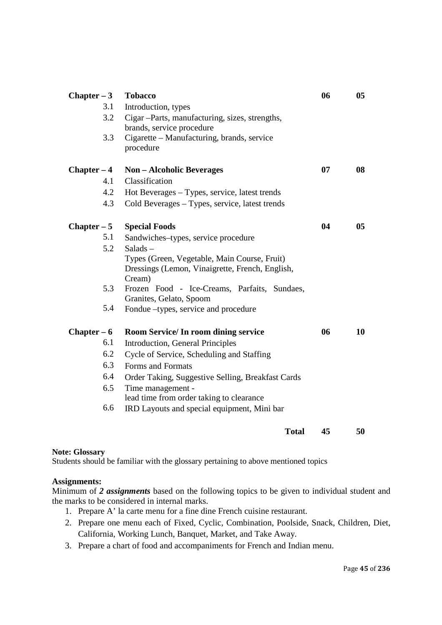| $Chapter - 3$ | <b>Tobacco</b>                                    | 06 | 05             |
|---------------|---------------------------------------------------|----|----------------|
| 3.1           | Introduction, types                               |    |                |
| 3.2           | Cigar -Parts, manufacturing, sizes, strengths,    |    |                |
|               | brands, service procedure                         |    |                |
| 3.3           | Cigarette – Manufacturing, brands, service        |    |                |
|               | procedure                                         |    |                |
| $Chapter - 4$ | <b>Non – Alcoholic Beverages</b>                  | 07 | 08             |
| 4.1           | Classification                                    |    |                |
| 4.2           | Hot Beverages – Types, service, latest trends     |    |                |
| 4.3           | Cold Beverages – Types, service, latest trends    |    |                |
| $Chapter - 5$ | <b>Special Foods</b>                              | 04 | 0 <sub>5</sub> |
| 5.1           | Sandwiches-types, service procedure               |    |                |
| 5.2           | $Salads -$                                        |    |                |
|               | Types (Green, Vegetable, Main Course, Fruit)      |    |                |
|               | Dressings (Lemon, Vinaigrette, French, English,   |    |                |
|               | Cream)                                            |    |                |
| 5.3           | Frozen Food - Ice-Creams, Parfaits, Sundaes,      |    |                |
|               | Granites, Gelato, Spoom                           |    |                |
| 5.4           | Fondue –types, service and procedure              |    |                |
| $Chapter - 6$ | <b>Room Service/In room dining service</b>        | 06 | 10             |
| 6.1           | <b>Introduction, General Principles</b>           |    |                |
| 6.2           | Cycle of Service, Scheduling and Staffing         |    |                |
| 6.3           | Forms and Formats                                 |    |                |
| 6.4           | Order Taking, Suggestive Selling, Breakfast Cards |    |                |
| 6.5           | Time management -                                 |    |                |
|               | lead time from order taking to clearance          |    |                |
| 6.6           | IRD Layouts and special equipment, Mini bar       |    |                |
|               | <b>Total</b>                                      | 45 | 50             |

### **Note: Glossary**

Students should be familiar with the glossary pertaining to above mentioned topics

#### **Assignments:**

Minimum of *2 assignments* based on the following topics to be given to individual student and the marks to be considered in internal marks.

- 1. Prepare A' la carte menu for a fine dine French cuisine restaurant.
- 2. Prepare one menu each of Fixed, Cyclic, Combination, Poolside, Snack, Children, Diet, California, Working Lunch, Banquet, Market, and Take Away.
- 3. Prepare a chart of food and accompaniments for French and Indian menu.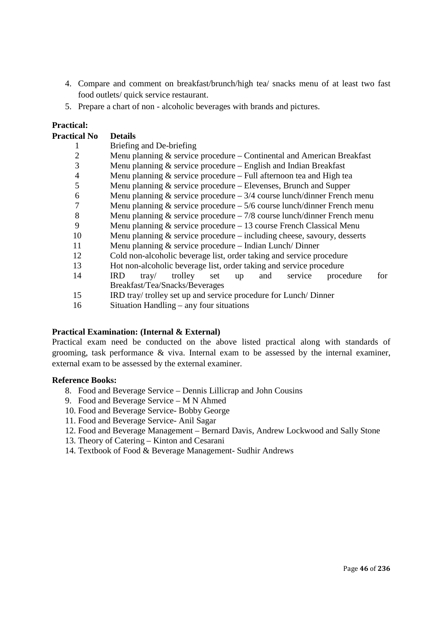- 4. Compare and comment on breakfast/brunch/high tea/ snacks menu of at least two fast food outlets/ quick service restaurant.
- 5. Prepare a chart of non alcoholic beverages with brands and pictures.

# **Practical:**

| <b>Practical No</b> | <b>Details</b>                                                                             |
|---------------------|--------------------------------------------------------------------------------------------|
|                     | Briefing and De-briefing                                                                   |
| $\overline{2}$      | Menu planning $\&$ service procedure – Continental and American Breakfast                  |
| 3                   | Menu planning $\&$ service procedure – English and Indian Breakfast                        |
| 4                   | Menu planning $&$ service procedure – Full afternoon tea and High tea                      |
| 5                   | Menu planning $&$ service procedure – Elevenses, Brunch and Supper                         |
| 6                   | Menu planning $&$ service procedure $-3/4$ course lunch/dinner French menu                 |
| 7                   | Menu planning $&$ service procedure $-5/6$ course lunch/dinner French menu                 |
| 8                   | Menu planning $\&$ service procedure $-7/8$ course lunch/dinner French menu                |
| 9                   | Menu planning $&$ service procedure $-13$ course French Classical Menu                     |
| 10                  | Menu planning $&$ service procedure – including cheese, savoury, desserts                  |
| 11                  | Menu planning $&$ service procedure – Indian Lunch/Dinner                                  |
| 12                  | Cold non-alcoholic beverage list, order taking and service procedure                       |
| 13                  | Hot non-alcoholic beverage list, order taking and service procedure                        |
| 14                  | trolley<br>service<br><b>IRD</b><br>procedure<br>for<br>$\text{tray}/$<br>and<br>set<br>up |
|                     | Breakfast/Tea/Snacks/Beverages                                                             |
| 15                  | IRD tray/trolley set up and service procedure for Lunch/Dinner                             |

16 Situation Handling – any four situations

### **Practical Examination: (Internal & External)**

Practical exam need be conducted on the above listed practical along with standards of grooming, task performance & viva. Internal exam to be assessed by the internal examiner, external exam to be assessed by the external examiner.

### **Reference Books:**

- 8. Food and Beverage Service Dennis Lillicrap and John Cousins
- 9. Food and Beverage Service M N Ahmed
- 10. Food and Beverage Service- Bobby George
- 11. Food and Beverage Service- Anil Sagar
- 12. Food and Beverage Management Bernard Davis, Andrew Lockwood and Sally Stone
- 13. Theory of Catering Kinton and Cesarani
- 14. Textbook of Food & Beverage Management- Sudhir Andrews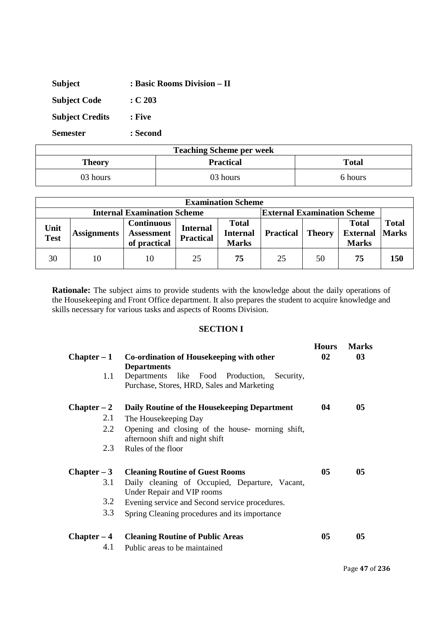| <b>Subject</b>         | : Basic Rooms Division - II |
|------------------------|-----------------------------|
| <b>Subject Code</b>    | : C203                      |
| <b>Subject Credits</b> | : Five                      |
| <b>Semester</b>        | : Second                    |

| <b>Teaching Scheme per week</b>            |          |         |  |
|--------------------------------------------|----------|---------|--|
| <b>Practical</b><br><b>Total</b><br>Theory |          |         |  |
| 03 hours                                   | 03 hours | 6 hours |  |

| <b>Examination Scheme</b>                                                |                    |                                                        |                                     |                                                 |                  |               |                                                 |                              |
|--------------------------------------------------------------------------|--------------------|--------------------------------------------------------|-------------------------------------|-------------------------------------------------|------------------|---------------|-------------------------------------------------|------------------------------|
| <b>External Examination Scheme</b><br><b>Internal Examination Scheme</b> |                    |                                                        |                                     |                                                 |                  |               |                                                 |                              |
| Unit<br><b>Test</b>                                                      | <b>Assignments</b> | <b>Continuous</b><br><b>Assessment</b><br>of practical | <b>Internal</b><br><b>Practical</b> | <b>Total</b><br><b>Internal</b><br><b>Marks</b> | <b>Practical</b> | <b>Theory</b> | <b>Total</b><br><b>External</b><br><b>Marks</b> | <b>Total</b><br><b>Marks</b> |
| 30                                                                       | 10                 | 10                                                     | 25                                  | 75                                              | 25               | 50            | 75                                              | 150                          |

**Rationale:** The subject aims to provide students with the knowledge about the daily operations of the Housekeeping and Front Office department. It also prepares the student to acquire knowledge and skills necessary for various tasks and aspects of Rooms Division.

# **SECTION I**

| $Chapter - 1$<br>1.1 | Co-ordination of Housekeeping with other<br><b>Departments</b><br>Departments like Food Production, Security,<br>Purchase, Stores, HRD, Sales and Marketing | <b>Hours</b><br>02 | <b>Marks</b><br>03 |
|----------------------|-------------------------------------------------------------------------------------------------------------------------------------------------------------|--------------------|--------------------|
| $Chapter - 2$        | Daily Routine of the Housekeeping Department                                                                                                                | 04                 | 05                 |
| 2.1                  | The Housekeeping Day                                                                                                                                        |                    |                    |
| 2.2                  | Opening and closing of the house- morning shift,<br>afternoon shift and night shift                                                                         |                    |                    |
| 2.3                  | Rules of the floor                                                                                                                                          |                    |                    |
| $Chapter - 3$        | <b>Cleaning Routine of Guest Rooms</b>                                                                                                                      | 05                 | 05                 |
| 3.1                  | Daily cleaning of Occupied, Departure, Vacant,<br>Under Repair and VIP rooms                                                                                |                    |                    |
| 3.2                  | Evening service and Second service procedures.                                                                                                              |                    |                    |
| 3.3                  | Spring Cleaning procedures and its importance                                                                                                               |                    |                    |
| $Chapter - 4$        | <b>Cleaning Routine of Public Areas</b>                                                                                                                     | 05                 | 05                 |
| 4.1                  | Public areas to be maintained                                                                                                                               |                    |                    |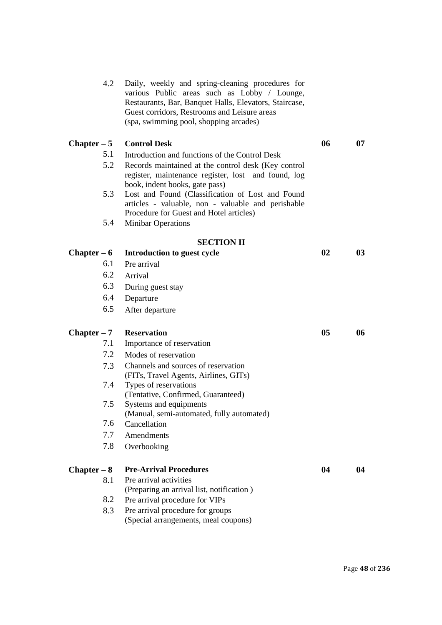| 4.2                  | Daily, weekly and spring-cleaning procedures for<br>various Public areas such as Lobby / Lounge,<br>Restaurants, Bar, Banquet Halls, Elevators, Staircase,<br>Guest corridors, Restrooms and Leisure areas<br>(spa, swimming pool, shopping arcades) |    |    |
|----------------------|------------------------------------------------------------------------------------------------------------------------------------------------------------------------------------------------------------------------------------------------------|----|----|
| $Chapter - 5$        | <b>Control Desk</b>                                                                                                                                                                                                                                  | 06 | 07 |
| 5.1                  | Introduction and functions of the Control Desk                                                                                                                                                                                                       |    |    |
| 5.2                  | Records maintained at the control desk (Key control<br>register, maintenance register, lost and found, log<br>book, indent books, gate pass)                                                                                                         |    |    |
| 5.3                  | Lost and Found (Classification of Lost and Found<br>articles - valuable, non - valuable and perishable<br>Procedure for Guest and Hotel articles)                                                                                                    |    |    |
| 5.4                  | Minibar Operations                                                                                                                                                                                                                                   |    |    |
|                      |                                                                                                                                                                                                                                                      |    |    |
|                      | <b>SECTION II</b><br>Introduction to guest cycle                                                                                                                                                                                                     | 02 | 03 |
| $Chapter - 6$<br>6.1 | Pre arrival                                                                                                                                                                                                                                          |    |    |
| 6.2                  | Arrival                                                                                                                                                                                                                                              |    |    |
| 6.3                  | During guest stay                                                                                                                                                                                                                                    |    |    |
| 6.4                  | Departure                                                                                                                                                                                                                                            |    |    |
| 6.5                  | After departure                                                                                                                                                                                                                                      |    |    |
|                      |                                                                                                                                                                                                                                                      |    |    |
| $Chapter - 7$        | <b>Reservation</b>                                                                                                                                                                                                                                   | 05 | 06 |
| 7.1                  | Importance of reservation                                                                                                                                                                                                                            |    |    |
| 7.2                  | Modes of reservation                                                                                                                                                                                                                                 |    |    |
| 7.3                  | Channels and sources of reservation<br>(FITs, Travel Agents, Airlines, GITs)                                                                                                                                                                         |    |    |
| 7.4                  | Types of reservations                                                                                                                                                                                                                                |    |    |
|                      | (Tentative, Confirmed, Guaranteed)                                                                                                                                                                                                                   |    |    |
| 7.5                  | Systems and equipments<br>(Manual, semi-automated, fully automated)                                                                                                                                                                                  |    |    |
| 7.6                  | Cancellation                                                                                                                                                                                                                                         |    |    |
| 7.7                  | Amendments                                                                                                                                                                                                                                           |    |    |
| 7.8                  | Overbooking                                                                                                                                                                                                                                          |    |    |
|                      |                                                                                                                                                                                                                                                      |    |    |
| $Chapter - 8$        | <b>Pre-Arrival Procedures</b>                                                                                                                                                                                                                        | 04 | 04 |
| 8.1                  | Pre arrival activities<br>(Preparing an arrival list, notification)                                                                                                                                                                                  |    |    |
| 8.2                  | Pre arrival procedure for VIPs                                                                                                                                                                                                                       |    |    |
| 8.3                  | Pre arrival procedure for groups<br>(Special arrangements, meal coupons)                                                                                                                                                                             |    |    |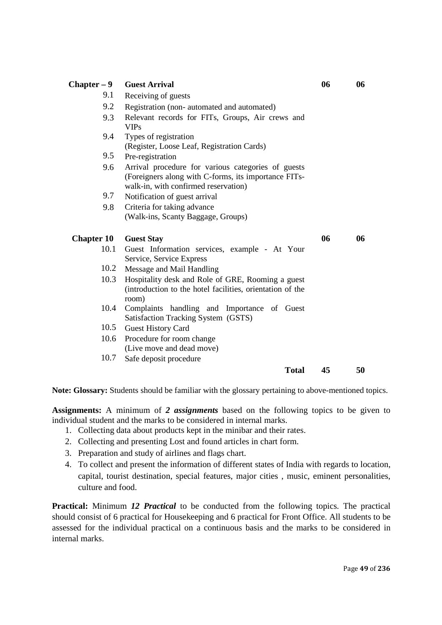| $Chapter - 9$     | <b>Guest Arrival</b>                                                                                                                               | 06 | 06 |
|-------------------|----------------------------------------------------------------------------------------------------------------------------------------------------|----|----|
| 9.1               | Receiving of guests                                                                                                                                |    |    |
| 9.2               | Registration (non- automated and automated)                                                                                                        |    |    |
| 9.3               | Relevant records for FITs, Groups, Air crews and<br><b>VIPs</b>                                                                                    |    |    |
| 9.4               | Types of registration<br>(Register, Loose Leaf, Registration Cards)                                                                                |    |    |
| 9.5               | Pre-registration                                                                                                                                   |    |    |
| 9.6               | Arrival procedure for various categories of guests<br>(Foreigners along with C-forms, its importance FITs-<br>walk-in, with confirmed reservation) |    |    |
| 9.7               | Notification of guest arrival                                                                                                                      |    |    |
| 9.8               | Criteria for taking advance                                                                                                                        |    |    |
|                   | (Walk-ins, Scanty Baggage, Groups)                                                                                                                 |    |    |
| <b>Chapter 10</b> | <b>Guest Stay</b>                                                                                                                                  | 06 | 06 |
| 10.1              | Guest Information services, example - At Your<br>Service, Service Express                                                                          |    |    |
| 10.2              | Message and Mail Handling                                                                                                                          |    |    |
| 10.3              | Hospitality desk and Role of GRE, Rooming a guest<br>(introduction to the hotel facilities, orientation of the<br>room)                            |    |    |
| 10.4              | Complaints handling and Importance of Guest<br>Satisfaction Tracking System (GSTS)                                                                 |    |    |
| 10.5              | <b>Guest History Card</b>                                                                                                                          |    |    |
| 10.6              | Procedure for room change<br>(Live move and dead move)                                                                                             |    |    |
| 10.7              | Safe deposit procedure                                                                                                                             |    |    |
|                   | <b>Total</b>                                                                                                                                       | 45 | 50 |

**Note: Glossary:** Students should be familiar with the glossary pertaining to above-mentioned topics.

**Assignments:** A minimum of *2 assignments* based on the following topics to be given to individual student and the marks to be considered in internal marks.

- 1. Collecting data about products kept in the minibar and their rates.
- 2. Collecting and presenting Lost and found articles in chart form.
- 3. Preparation and study of airlines and flags chart.
- 4. To collect and present the information of different states of India with regards to location, capital, tourist destination, special features, major cities , music, eminent personalities, culture and food.

**Practical:** Minimum *12 Practical* to be conducted from the following topics. The practical should consist of 6 practical for Housekeeping and 6 practical for Front Office. All students to be assessed for the individual practical on a continuous basis and the marks to be considered in internal marks.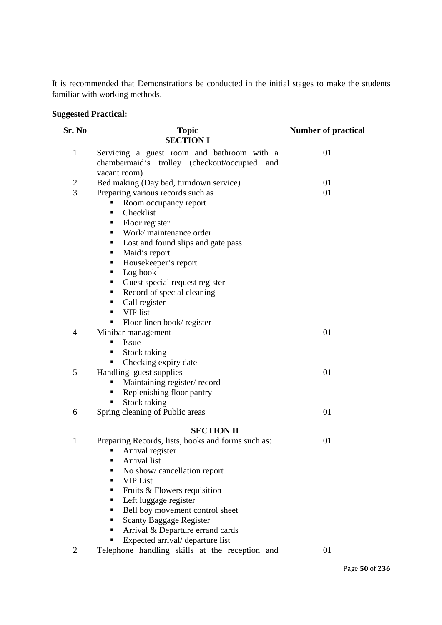It is recommended that Demonstrations be conducted in the initial stages to make the students familiar with working methods.

# **Suggested Practical:**

| Sr. No       | <b>Topic</b><br><b>SECTION I</b>                                                                           | <b>Number of practical</b> |
|--------------|------------------------------------------------------------------------------------------------------------|----------------------------|
| $\mathbf{1}$ | Servicing a guest room and bathroom with a<br>chambermaid's trolley (checkout/occupied and<br>vacant room) | 01                         |
| 2            | Bed making (Day bed, turndown service)                                                                     | 01                         |
| 3            | Preparing various records such as                                                                          | 01                         |
|              | Room occupancy report<br>٠                                                                                 |                            |
|              | Checklist<br>٠                                                                                             |                            |
|              | Floor register<br>Ξ                                                                                        |                            |
|              | Work/ maintenance order<br>п                                                                               |                            |
|              | Lost and found slips and gate pass<br>$\blacksquare$                                                       |                            |
|              | Maid's report<br>٠                                                                                         |                            |
|              | Housekeeper's report<br>п                                                                                  |                            |
|              | Log book                                                                                                   |                            |
|              | Guest special request register                                                                             |                            |
|              | Record of special cleaning                                                                                 |                            |
|              | • Call register                                                                                            |                            |
|              | VIP list                                                                                                   |                            |
|              | Floor linen book/ register<br>٠                                                                            |                            |
| 4            | Minibar management                                                                                         | 01                         |
|              | Issue                                                                                                      |                            |
|              | Stock taking<br>٠                                                                                          |                            |
|              | Checking expiry date<br>$\blacksquare$                                                                     |                            |
| 5            | Handling guest supplies                                                                                    | 01                         |
|              | Maintaining register/record<br>Ξ                                                                           |                            |
|              | Replenishing floor pantry                                                                                  |                            |
|              | Stock taking<br>Е                                                                                          |                            |
| 6            | Spring cleaning of Public areas                                                                            | 01                         |
|              | <b>SECTION II</b>                                                                                          |                            |
| $\mathbf{1}$ | Preparing Records, lists, books and forms such as:                                                         | 01                         |
|              | Arrival register<br>Ξ                                                                                      |                            |
|              | Arrival list<br>п<br>п                                                                                     |                            |
|              | No show/cancellation report<br><b>VIP List</b><br>п                                                        |                            |
|              | Fruits & Flowers requisition<br>٠                                                                          |                            |
|              | Left luggage register<br>п                                                                                 |                            |
|              | Bell boy movement control sheet<br>٠                                                                       |                            |
|              | <b>Scanty Baggage Register</b><br>п                                                                        |                            |
|              | Arrival & Departure errand cards<br>п                                                                      |                            |
|              | Expected arrival/ departure list                                                                           |                            |
| 2            | Telephone handling skills at the reception and                                                             | 01                         |
|              |                                                                                                            |                            |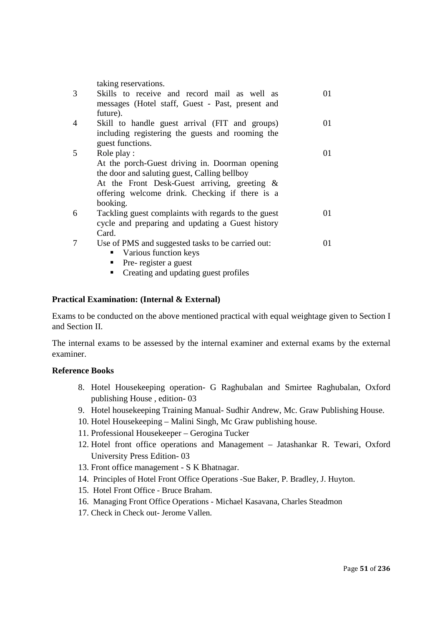taking reservations.

| 3 | Skills to receive and record mail as well as<br>messages (Hotel staff, Guest - Past, present and   | 01 |
|---|----------------------------------------------------------------------------------------------------|----|
|   | future).                                                                                           |    |
| 4 | Skill to handle guest arrival (FIT and groups)<br>including registering the guests and rooming the | 01 |
|   | guest functions.                                                                                   |    |
| 5 | Role play:                                                                                         | 01 |
|   | At the porch-Guest driving in. Doorman opening                                                     |    |
|   | the door and saluting guest, Calling bellboy                                                       |    |
|   | At the Front Desk-Guest arriving, greeting &                                                       |    |
|   | offering welcome drink. Checking if there is a                                                     |    |
|   | booking.                                                                                           |    |
| 6 | Tackling guest complaints with regards to the guest                                                | 01 |
|   | cycle and preparing and updating a Guest history                                                   |    |
|   | Card.                                                                                              |    |
|   | Use of PMS and suggested tasks to be carried out:                                                  | 01 |
|   | Various function keys<br>п                                                                         |    |
|   | Pre-register a guest<br>٠                                                                          |    |

• Creating and updating guest profiles

#### **Practical Examination: (Internal & External)**

Exams to be conducted on the above mentioned practical with equal weightage given to Section I and Section II.

The internal exams to be assessed by the internal examiner and external exams by the external examiner.

#### **Reference Books**

- 8. Hotel Housekeeping operation- G Raghubalan and Smirtee Raghubalan, Oxford publishing House , edition- 03
- 9. Hotel housekeeping Training Manual- Sudhir Andrew, Mc. Graw Publishing House.
- 10. Hotel Housekeeping Malini Singh, Mc Graw publishing house.
- 11. Professional Housekeeper Gerogina Tucker
- 12. Hotel front office operations and Management Jatashankar R. Tewari, Oxford University Press Edition- 03
- 13. Front office management S K Bhatnagar.
- 14. Principles of Hotel Front Office Operations -Sue Baker, P. Bradley, J. Huyton.
- 15. Hotel Front Office Bruce Braham.
- 16. Managing Front Office Operations Michael Kasavana, Charles Steadmon
- 17. Check in Check out- Jerome Vallen.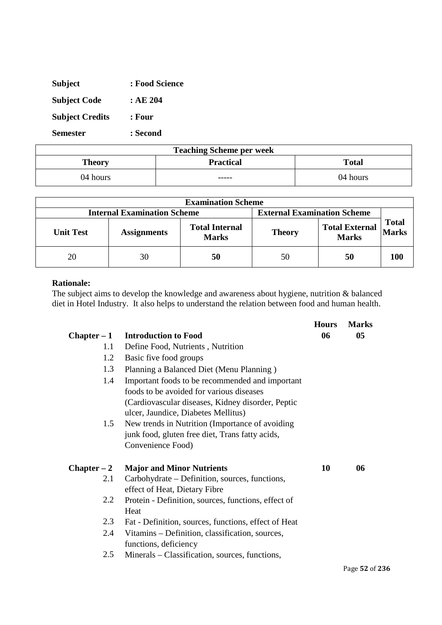| <b>Subject</b>         | : Food Science |
|------------------------|----------------|
| <b>Subject Code</b>    | : AE 204       |
| <b>Subject Credits</b> | : Four         |
| <b>Semester</b>        | : Second       |

| <b>Teaching Scheme per week</b> |                  |              |  |
|---------------------------------|------------------|--------------|--|
| <b>Theory</b>                   | <b>Practical</b> | <b>Total</b> |  |
| 04 hours                        | -----            | 04 hours     |  |

| <b>Examination Scheme</b> |                                    |                                       |                                    |                                       |                              |
|---------------------------|------------------------------------|---------------------------------------|------------------------------------|---------------------------------------|------------------------------|
|                           | <b>Internal Examination Scheme</b> |                                       | <b>External Examination Scheme</b> |                                       |                              |
| <b>Unit Test</b>          | <b>Assignments</b>                 | <b>Total Internal</b><br><b>Marks</b> | <b>Theory</b>                      | <b>Total External</b><br><b>Marks</b> | <b>Total</b><br><b>Marks</b> |
| 20                        | 30                                 | 50                                    | 50                                 | 50                                    | 100                          |

The subject aims to develop the knowledge and awareness about hygiene, nutrition & balanced diet in Hotel Industry. It also helps to understand the relation between food and human health.

|               |                                                      | <b>Hours</b> | <b>Marks</b> |
|---------------|------------------------------------------------------|--------------|--------------|
| $Chapter - 1$ | <b>Introduction to Food</b>                          | 06           | 05           |
| 1.1           | Define Food, Nutrients, Nutrition                    |              |              |
| 1.2           | Basic five food groups                               |              |              |
| 1.3           | Planning a Balanced Diet (Menu Planning)             |              |              |
| 1.4           | Important foods to be recommended and important      |              |              |
|               | foods to be avoided for various diseases             |              |              |
|               | (Cardiovascular diseases, Kidney disorder, Peptic    |              |              |
|               | ulcer, Jaundice, Diabetes Mellitus)                  |              |              |
| 1.5           | New trends in Nutrition (Importance of avoiding      |              |              |
|               | junk food, gluten free diet, Trans fatty acids,      |              |              |
|               | Convenience Food)                                    |              |              |
| $Chapter - 2$ | <b>Major and Minor Nutrients</b>                     | 10           | 06           |
| 2.1           | Carbohydrate – Definition, sources, functions,       |              |              |
|               | effect of Heat, Dietary Fibre                        |              |              |
| 2.2           | Protein - Definition, sources, functions, effect of  |              |              |
|               | Heat                                                 |              |              |
| 2.3           | Fat - Definition, sources, functions, effect of Heat |              |              |
| 2.4           | Vitamins – Definition, classification, sources,      |              |              |
|               | functions, deficiency                                |              |              |
| 2.5           | Minerals – Classification, sources, functions,       |              |              |
|               |                                                      |              |              |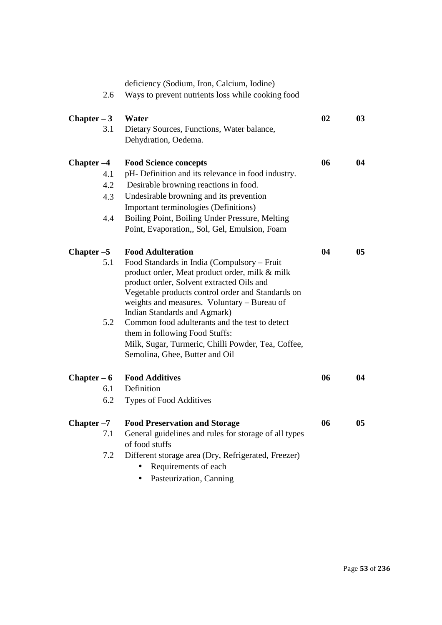| 2.6           | deficiency (Sodium, Iron, Calcium, Iodine)<br>Ways to prevent nutrients loss while cooking food |    |                |
|---------------|-------------------------------------------------------------------------------------------------|----|----------------|
| Chapter $-3$  | Water                                                                                           | 02 | 03             |
| 3.1           | Dietary Sources, Functions, Water balance,<br>Dehydration, Oedema.                              |    |                |
|               |                                                                                                 |    |                |
| $Chapter -4$  | <b>Food Science concepts</b>                                                                    | 06 | 04             |
| 4.1           | pH- Definition and its relevance in food industry.                                              |    |                |
| 4.2           | Desirable browning reactions in food.                                                           |    |                |
| 4.3           | Undesirable browning and its prevention                                                         |    |                |
|               | Important terminologies (Definitions)                                                           |    |                |
| 4.4           | Boiling Point, Boiling Under Pressure, Melting                                                  |    |                |
|               | Point, Evaporation,, Sol, Gel, Emulsion, Foam                                                   |    |                |
| Chapter $-5$  | <b>Food Adulteration</b>                                                                        | 04 | 0 <sub>5</sub> |
| 5.1           | Food Standards in India (Compulsory - Fruit                                                     |    |                |
|               | product order, Meat product order, milk & milk                                                  |    |                |
|               | product order, Solvent extracted Oils and                                                       |    |                |
|               | Vegetable products control order and Standards on                                               |    |                |
|               | weights and measures. Voluntary - Bureau of<br>Indian Standards and Agmark)                     |    |                |
| 5.2           | Common food adulterants and the test to detect                                                  |    |                |
|               | them in following Food Stuffs:                                                                  |    |                |
|               | Milk, Sugar, Turmeric, Chilli Powder, Tea, Coffee,                                              |    |                |
|               | Semolina, Ghee, Butter and Oil                                                                  |    |                |
| $Chapter - 6$ | <b>Food Additives</b>                                                                           | 06 | 04             |
| 6.1           | Definition                                                                                      |    |                |
| 6.2           | <b>Types of Food Additives</b>                                                                  |    |                |
|               |                                                                                                 |    |                |
| Chapter $-7$  | <b>Food Preservation and Storage</b>                                                            | 06 | 05             |
| 7.1           | General guidelines and rules for storage of all types<br>of food stuffs                         |    |                |
| 7.2           | Different storage area (Dry, Refrigerated, Freezer)                                             |    |                |
|               | Requirements of each                                                                            |    |                |
|               | Pasteurization, Canning                                                                         |    |                |
|               |                                                                                                 |    |                |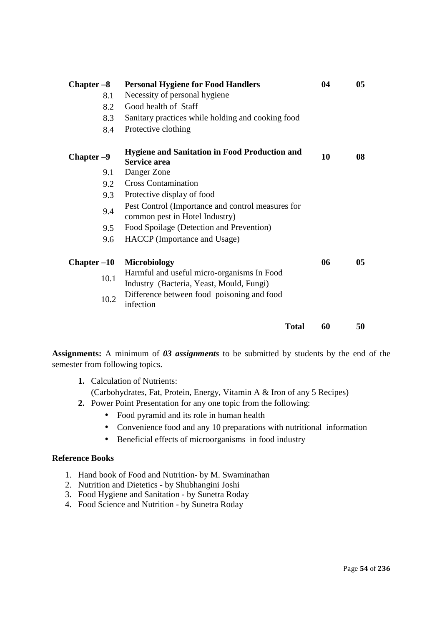| Chapter -8 | <b>Personal Hygiene for Food Handlers</b>                                              | 04 | 05             |
|------------|----------------------------------------------------------------------------------------|----|----------------|
| 8.1        | Necessity of personal hygiene                                                          |    |                |
| 8.2        | Good health of Staff                                                                   |    |                |
| 8.3        | Sanitary practices while holding and cooking food                                      |    |                |
| 8.4        | Protective clothing                                                                    |    |                |
| Chapter-9  | <b>Hygiene and Sanitation in Food Production and</b><br><b>Service area</b>            | 10 | 08             |
| 9.1        | Danger Zone                                                                            |    |                |
| 9.2        | <b>Cross Contamination</b>                                                             |    |                |
| 9.3        | Protective display of food                                                             |    |                |
| 9.4        | Pest Control (Importance and control measures for<br>common pest in Hotel Industry)    |    |                |
| 9.5        | Food Spoilage (Detection and Prevention)                                               |    |                |
| 9.6        | HACCP (Importance and Usage)                                                           |    |                |
| Chapter-10 | <b>Microbiology</b>                                                                    | 06 | 0 <sub>5</sub> |
| 10.1       | Harmful and useful micro-organisms In Food<br>Industry (Bacteria, Yeast, Mould, Fungi) |    |                |
| 10.2       | Difference between food poisoning and food<br>infection                                |    |                |
|            | <b>Total</b>                                                                           | 60 | 50             |

**Assignments:** A minimum of *03 assignments* to be submitted by students by the end of the semester from following topics.

- **1.** Calculation of Nutrients: (Carbohydrates, Fat, Protein, Energy, Vitamin A & Iron of any 5 Recipes)
- **2.** Power Point Presentation for any one topic from the following:
	- Food pyramid and its role in human health
	- Convenience food and any 10 preparations with nutritional information
	- Beneficial effects of microorganisms in food industry

### **Reference Books**

- 1. Hand book of Food and Nutrition- by M. Swaminathan
- 2. Nutrition and Dietetics by Shubhangini Joshi
- 3. Food Hygiene and Sanitation by Sunetra Roday
- 4. Food Science and Nutrition by Sunetra Roday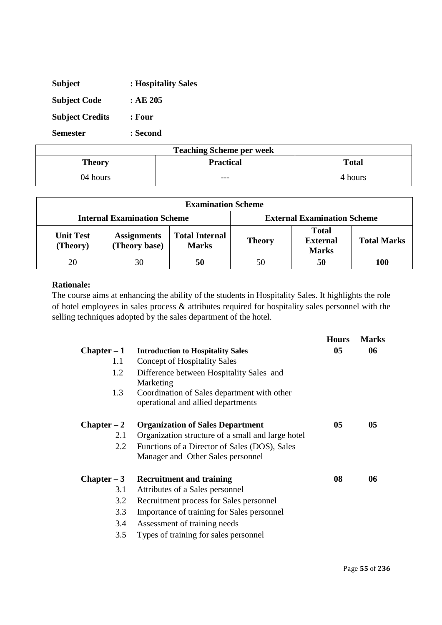| <b>Subject</b>         | : Hospitality Sales |
|------------------------|---------------------|
| <b>Subject Code</b>    | :AE205              |
| <b>Subject Credits</b> | : Four              |
| <b>Semester</b>        | : Second            |

| <b>Teaching Scheme per week</b> |                  |              |  |
|---------------------------------|------------------|--------------|--|
| <b>Theory</b>                   | <b>Practical</b> | <b>Total</b> |  |
| 04 hours                        | $- - -$          | 4 hours      |  |

| <b>Examination Scheme</b>          |                                     |                                       |               |                                                 |                    |
|------------------------------------|-------------------------------------|---------------------------------------|---------------|-------------------------------------------------|--------------------|
| <b>Internal Examination Scheme</b> |                                     |                                       |               | <b>External Examination Scheme</b>              |                    |
| <b>Unit Test</b><br>(Theory)       | <b>Assignments</b><br>(Theory base) | <b>Total Internal</b><br><b>Marks</b> | <b>Theory</b> | <b>Total</b><br><b>External</b><br><b>Marks</b> | <b>Total Marks</b> |
| 20                                 | 30                                  | 50                                    | 50            | 50                                              | <b>100</b>         |

The course aims at enhancing the ability of the students in Hospitality Sales. It highlights the role of hotel employees in sales process & attributes required for hospitality sales personnel with the selling techniques adopted by the sales department of the hotel.

| $Chapter - 1$ | <b>Introduction to Hospitality Sales</b>                                          | <b>Hours</b><br>05 | <b>Marks</b><br>06 |
|---------------|-----------------------------------------------------------------------------------|--------------------|--------------------|
| 1.1           | Concept of Hospitality Sales                                                      |                    |                    |
| 1.2           | Difference between Hospitality Sales and<br>Marketing                             |                    |                    |
| 1.3           | Coordination of Sales department with other<br>operational and allied departments |                    |                    |
| $Chapter - 2$ | <b>Organization of Sales Department</b>                                           | 0 <sub>5</sub>     | 05                 |
| 2.1           | Organization structure of a small and large hotel                                 |                    |                    |
| 2.2           | Functions of a Director of Sales (DOS), Sales                                     |                    |                    |
|               | Manager and Other Sales personnel                                                 |                    |                    |
| $Chapter - 3$ | <b>Recruitment and training</b>                                                   | 08                 | 06                 |
| 3.1           | Attributes of a Sales personnel                                                   |                    |                    |
| 3.2           | Recruitment process for Sales personnel                                           |                    |                    |
| 3.3           | Importance of training for Sales personnel                                        |                    |                    |
| 3.4           | Assessment of training needs                                                      |                    |                    |
| 3.5           | Types of training for sales personnel                                             |                    |                    |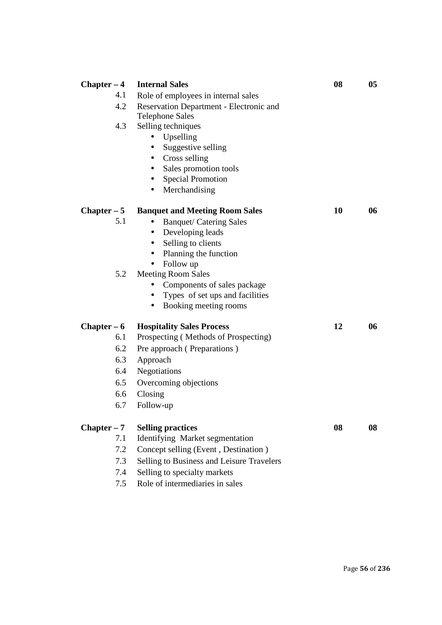| $Chapter - 4$ | <b>Internal Sales</b>                        | 08 | 05 |
|---------------|----------------------------------------------|----|----|
| 4.1           | Role of employees in internal sales          |    |    |
| 4.2           | Reservation Department - Electronic and      |    |    |
|               | <b>Telephone Sales</b>                       |    |    |
| 4.3           | Selling techniques                           |    |    |
|               | Upselling                                    |    |    |
|               | Suggestive selling                           |    |    |
|               | Cross selling                                |    |    |
|               | Sales promotion tools<br>$\bullet$           |    |    |
|               | <b>Special Promotion</b><br>$\bullet$        |    |    |
|               | Merchandising                                |    |    |
| $Chapter - 5$ | <b>Banquet and Meeting Room Sales</b>        | 10 | 06 |
| 5.1           | <b>Banquet/Catering Sales</b><br>$\bullet$   |    |    |
|               | Developing leads<br>$\bullet$                |    |    |
|               | Selling to clients<br>٠                      |    |    |
|               | Planning the function                        |    |    |
|               | Follow up<br>$\bullet$                       |    |    |
| 5.2           | <b>Meeting Room Sales</b>                    |    |    |
|               | Components of sales package                  |    |    |
|               | Types of set ups and facilities<br>$\bullet$ |    |    |
|               | Booking meeting rooms<br>$\bullet$           |    |    |
| $Chapter - 6$ | <b>Hospitality Sales Process</b>             | 12 | 06 |
| 6.1           | Prospecting (Methods of Prospecting)         |    |    |
| 6.2           | Pre approach (Preparations)                  |    |    |
| 6.3           | Approach                                     |    |    |
| 6.4           | Negotiations                                 |    |    |
| 6.5           | Overcoming objections                        |    |    |
| 6.6           | Closing                                      |    |    |
| 6.7           | Follow-up                                    |    |    |
|               |                                              |    |    |
| $Chapter - 7$ | <b>Selling practices</b>                     | 08 | 08 |
| 7.1           | Identifying Market segmentation              |    |    |
| 7.2           | Concept selling (Event, Destination)         |    |    |
| 7.3           | Selling to Business and Leisure Travelers    |    |    |
| 7.4           | Selling to specialty markets                 |    |    |
| 7.5           | Role of intermediaries in sales              |    |    |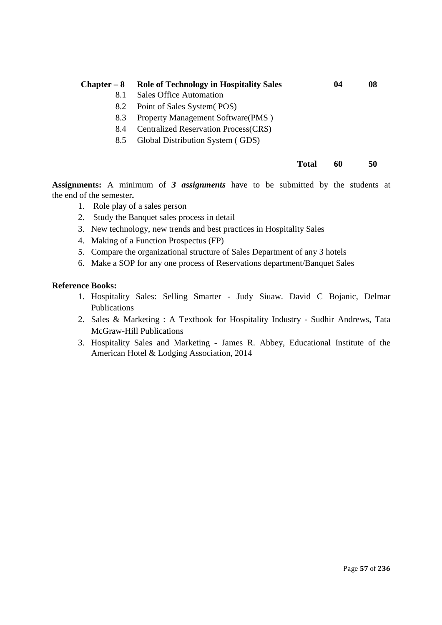# **Chapter – 8 Role of Technology in Hospitality Sales 04 08**

- 8.1 Sales Office Automation
- 8.2 Point of Sales System( POS)
- 8.3 Property Management Software(PMS )
- 8.4 Centralized Reservation Process(CRS)
- 8.5 Global Distribution System ( GDS)

#### **Total 60 50**

**Assignments:** A minimum of *3 assignments* have to be submitted by the students at the end of the semester**.** 

- 1. Role play of a sales person
- 2. Study the Banquet sales process in detail
- 3. New technology, new trends and best practices in Hospitality Sales
- 4. Making of a Function Prospectus (FP)
- 5. Compare the organizational structure of Sales Department of any 3 hotels
- 6. Make a SOP for any one process of Reservations department/Banquet Sales

### **Reference Books:**

- 1. Hospitality Sales: Selling Smarter Judy Siuaw. David C Bojanic, Delmar Publications
- 2. Sales & Marketing : A Textbook for Hospitality Industry Sudhir Andrews, Tata McGraw-Hill Publications
- 3. Hospitality Sales and Marketing James R. Abbey, Educational Institute of the American Hotel & Lodging Association, 2014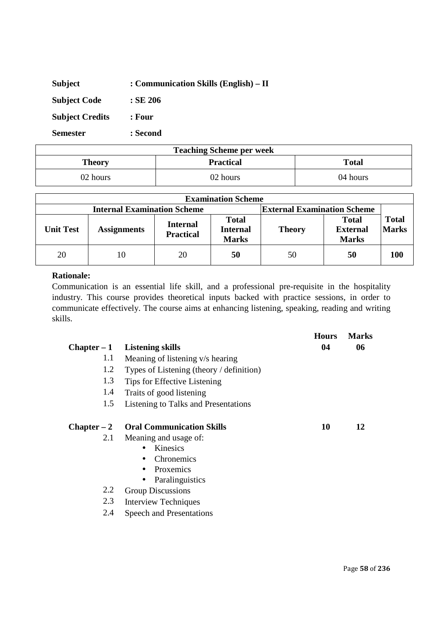| <b>Subject</b>         | : Communication Skills (English) – II |
|------------------------|---------------------------------------|
| <b>Subject Code</b>    | $:$ SE 206                            |
| <b>Subject Credits</b> | $:$ Four                              |
| <b>Semester</b>        | : Second                              |

| <b>Teaching Scheme per week</b> |                  |              |  |
|---------------------------------|------------------|--------------|--|
| Theory                          | <b>Practical</b> | <b>Total</b> |  |
| 02 hours                        | 02 hours         | 04 hours     |  |

| <b>Examination Scheme</b>                                                |                          |                                     |                                                 |               |                                                 |                              |
|--------------------------------------------------------------------------|--------------------------|-------------------------------------|-------------------------------------------------|---------------|-------------------------------------------------|------------------------------|
| <b>External Examination Scheme</b><br><b>Internal Examination Scheme</b> |                          |                                     |                                                 |               |                                                 |                              |
| <b>Unit Test</b>                                                         | <b>Assignments</b>       | <b>Internal</b><br><b>Practical</b> | <b>Total</b><br><b>Internal</b><br><b>Marks</b> | <b>Theory</b> | <b>Total</b><br><b>External</b><br><b>Marks</b> | <b>Total</b><br><b>Marks</b> |
| 20                                                                       | $\mathbf{I}(\mathbf{I})$ | 20                                  | 50                                              | 50            | 50                                              | 100                          |

Communication is an essential life skill, and a professional pre-requisite in the hospitality industry. This course provides theoretical inputs backed with practice sessions, in order to communicate effectively. The course aims at enhancing listening, speaking, reading and writing skills.

|               |                                          | <b>Hours</b> | <b>Marks</b> |
|---------------|------------------------------------------|--------------|--------------|
| $Chapter - 1$ | <b>Listening skills</b>                  | 04           | 06           |
| $1.1\,$       | Meaning of listening v/s hearing         |              |              |
| 1.2           | Types of Listening (theory / definition) |              |              |
| 1.3           | Tips for Effective Listening             |              |              |
| 1.4           | Traits of good listening                 |              |              |
| 1.5           | Listening to Talks and Presentations     |              |              |
|               |                                          |              |              |
| $Chapter - 2$ | <b>Oral Communication Skills</b>         | 10           | 12           |
| 2.1           | Meaning and usage of:                    |              |              |
|               | <b>Kinesics</b>                          |              |              |
|               | <b>Chronemics</b>                        |              |              |
|               | Proxemics                                |              |              |
|               | Paralinguistics                          |              |              |
| 2.2           | <b>Group Discussions</b>                 |              |              |
| 2.3           | <b>Interview Techniques</b>              |              |              |
| 2.4           | <b>Speech and Presentations</b>          |              |              |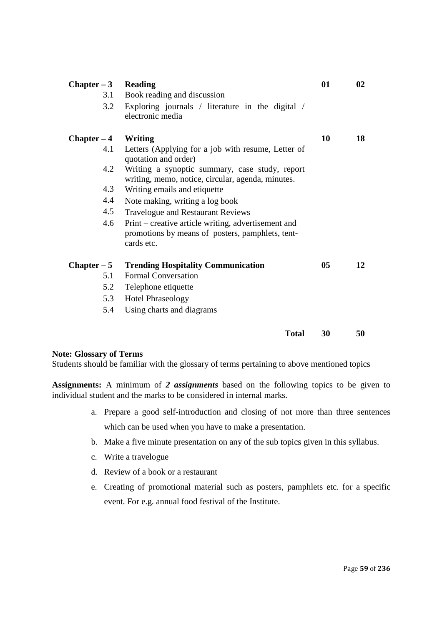| $Chapter - 3$ | <b>Reading</b>                                                                                      | 01 | 02 |
|---------------|-----------------------------------------------------------------------------------------------------|----|----|
| 3.1           | Book reading and discussion                                                                         |    |    |
| 3.2           | Exploring journals / literature in the digital /                                                    |    |    |
|               | electronic media                                                                                    |    |    |
| $Chapter - 4$ | Writing                                                                                             | 10 | 18 |
| 4.1           | Letters (Applying for a job with resume, Letter of                                                  |    |    |
|               | quotation and order)                                                                                |    |    |
| 4.2           | Writing a synoptic summary, case study, report<br>writing, memo, notice, circular, agenda, minutes. |    |    |
| 4.3           | Writing emails and etiquette                                                                        |    |    |
| 4.4           | Note making, writing a log book                                                                     |    |    |
| 4.5           | <b>Travelogue and Restaurant Reviews</b>                                                            |    |    |
| 4.6           | Print – creative article writing, advertisement and                                                 |    |    |
|               | promotions by means of posters, pamphlets, tent-                                                    |    |    |
|               | cards etc.                                                                                          |    |    |
| $Chapter - 5$ | <b>Trending Hospitality Communication</b>                                                           | 05 | 12 |
| 5.1           | <b>Formal Conversation</b>                                                                          |    |    |
| 5.2           | Telephone etiquette                                                                                 |    |    |
| 5.3           | <b>Hotel Phraseology</b>                                                                            |    |    |
| 5.4           | Using charts and diagrams                                                                           |    |    |
|               |                                                                                                     |    |    |
|               | <b>Total</b>                                                                                        | 30 | 50 |

### **Note: Glossary of Terms**

Students should be familiar with the glossary of terms pertaining to above mentioned topics

**Assignments:** A minimum of *2 assignments* based on the following topics to be given to individual student and the marks to be considered in internal marks.

- a. Prepare a good self-introduction and closing of not more than three sentences which can be used when you have to make a presentation.
- b. Make a five minute presentation on any of the sub topics given in this syllabus.
- c. Write a travelogue
- d. Review of a book or a restaurant
- e. Creating of promotional material such as posters, pamphlets etc. for a specific event. For e.g. annual food festival of the Institute.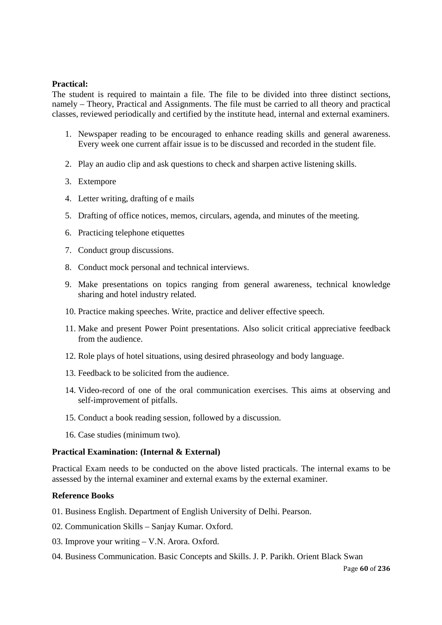#### **Practical:**

The student is required to maintain a file. The file to be divided into three distinct sections, namely – Theory, Practical and Assignments. The file must be carried to all theory and practical classes, reviewed periodically and certified by the institute head, internal and external examiners.

- 1. Newspaper reading to be encouraged to enhance reading skills and general awareness. Every week one current affair issue is to be discussed and recorded in the student file.
- 2. Play an audio clip and ask questions to check and sharpen active listening skills.
- 3. Extempore
- 4. Letter writing, drafting of e mails
- 5. Drafting of office notices, memos, circulars, agenda, and minutes of the meeting.
- 6. Practicing telephone etiquettes
- 7. Conduct group discussions.
- 8. Conduct mock personal and technical interviews.
- 9. Make presentations on topics ranging from general awareness, technical knowledge sharing and hotel industry related.
- 10. Practice making speeches. Write, practice and deliver effective speech.
- 11. Make and present Power Point presentations. Also solicit critical appreciative feedback from the audience.
- 12. Role plays of hotel situations, using desired phraseology and body language.
- 13. Feedback to be solicited from the audience.
- 14. Video-record of one of the oral communication exercises. This aims at observing and self-improvement of pitfalls.
- 15. Conduct a book reading session, followed by a discussion.
- 16. Case studies (minimum two).

#### **Practical Examination: (Internal & External)**

Practical Exam needs to be conducted on the above listed practicals. The internal exams to be assessed by the internal examiner and external exams by the external examiner.

#### **Reference Books**

01. Business English. Department of English University of Delhi. Pearson.

- 02. Communication Skills Sanjay Kumar. Oxford.
- 03. Improve your writing V.N. Arora. Oxford.
- 04. Business Communication. Basic Concepts and Skills. J. P. Parikh. Orient Black Swan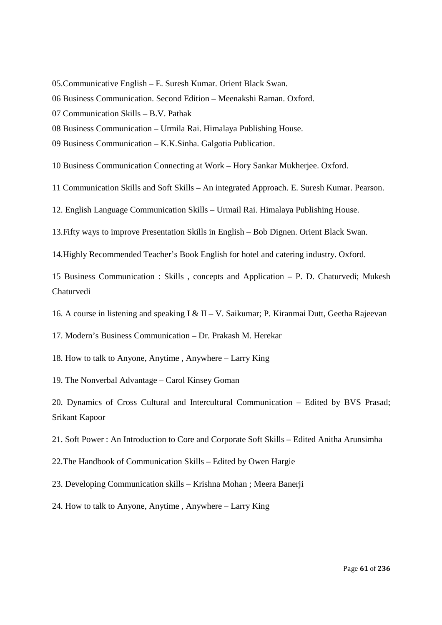- 05.Communicative English E. Suresh Kumar. Orient Black Swan.
- 06 Business Communication. Second Edition Meenakshi Raman. Oxford.
- 07 Communication Skills B.V. Pathak
- 08 Business Communication Urmila Rai. Himalaya Publishing House.
- 09 Business Communication K.K.Sinha. Galgotia Publication.
- 10 Business Communication Connecting at Work Hory Sankar Mukherjee. Oxford.
- 11 Communication Skills and Soft Skills An integrated Approach. E. Suresh Kumar. Pearson.
- 12. English Language Communication Skills Urmail Rai. Himalaya Publishing House.
- 13.Fifty ways to improve Presentation Skills in English Bob Dignen. Orient Black Swan.
- 14.Highly Recommended Teacher's Book English for hotel and catering industry. Oxford.
- 15 Business Communication : Skills , concepts and Application P. D. Chaturvedi; Mukesh Chaturvedi
- 16. A course in listening and speaking I & II V. Saikumar; P. Kiranmai Dutt, Geetha Rajeevan
- 17. Modern's Business Communication Dr. Prakash M. Herekar
- 18. How to talk to Anyone, Anytime , Anywhere Larry King
- 19. The Nonverbal Advantage Carol Kinsey Goman
- 20. Dynamics of Cross Cultural and Intercultural Communication Edited by BVS Prasad; Srikant Kapoor
- 21. Soft Power : An Introduction to Core and Corporate Soft Skills Edited Anitha Arunsimha
- 22.The Handbook of Communication Skills Edited by Owen Hargie
- 23. Developing Communication skills Krishna Mohan ; Meera Banerji
- 24. How to talk to Anyone, Anytime , Anywhere Larry King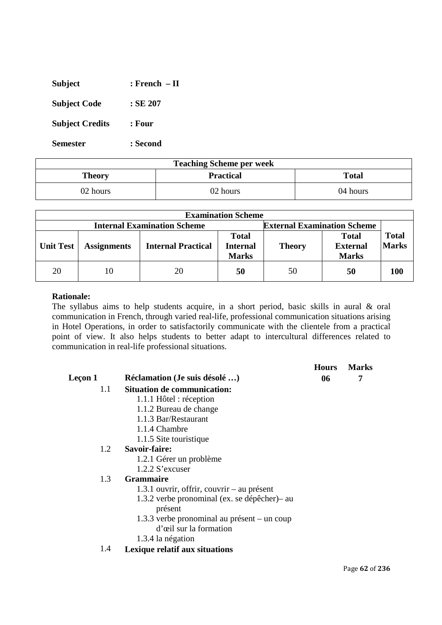| <b>Subject</b>         | : French  – II |
|------------------------|----------------|
| <b>Subject Code</b>    | $:$ SE 207     |
| <b>Subject Credits</b> | : Four         |
| <b>Semester</b>        | : Second       |

| <b>Teaching Scheme per week</b> |                  |              |
|---------------------------------|------------------|--------------|
| Theory                          | <b>Practical</b> | <b>Total</b> |
| 02 hours                        | 02 hours         | 04 hours     |

|                  | <b>Examination Scheme</b>          |                           |                                                 |                                    |                                                 |                              |
|------------------|------------------------------------|---------------------------|-------------------------------------------------|------------------------------------|-------------------------------------------------|------------------------------|
|                  | <b>Internal Examination Scheme</b> |                           |                                                 | <b>External Examination Scheme</b> |                                                 |                              |
| <b>Unit Test</b> | <b>Assignments</b>                 | <b>Internal Practical</b> | <b>Total</b><br><b>Internal</b><br><b>Marks</b> | <b>Theory</b>                      | <b>Total</b><br><b>External</b><br><b>Marks</b> | <b>Total</b><br><b>Marks</b> |
| 20               | 10                                 | 20                        | 50                                              | 50                                 | 50                                              | 100                          |

The syllabus aims to help students acquire, in a short period, basic skills in aural & oral communication in French, through varied real-life, professional communication situations arising in Hotel Operations, in order to satisfactorily communicate with the clientele from a practical point of view. It also helps students to better adapt to intercultural differences related to communication in real-life professional situations.

|         |                                              | <b>Hours</b> | <b>Marks</b> |
|---------|----------------------------------------------|--------------|--------------|
| Leçon 1 | Réclamation (Je suis désolé )                | 06           | 7            |
| 1.1     | <b>Situation de communication:</b>           |              |              |
|         | 1.1.1 Hôtel : réception                      |              |              |
|         | 1.1.2 Bureau de change                       |              |              |
|         | 1.1.3 Bar/Restaurant                         |              |              |
|         | 1.1.4 Chambre                                |              |              |
|         | 1.1.5 Site touristique                       |              |              |
| 1.2     | Savoir-faire:                                |              |              |
|         | 1.2.1 Gérer un problème                      |              |              |
|         | $1.2.2$ S'excuser                            |              |              |
| 1.3     | <b>Grammaire</b>                             |              |              |
|         | 1.3.1 ouvrir, offrir, couvrir – au présent   |              |              |
|         | 1.3.2 verbe pronominal (ex. se dépêcher)— au |              |              |
|         | présent                                      |              |              |
|         | 1.3.3 verbe pronominal au présent – un coup  |              |              |
|         | d'œil sur la formation                       |              |              |
|         | 1.3.4 la négation                            |              |              |
| 1.4     | Lexique relatif aux situations               |              |              |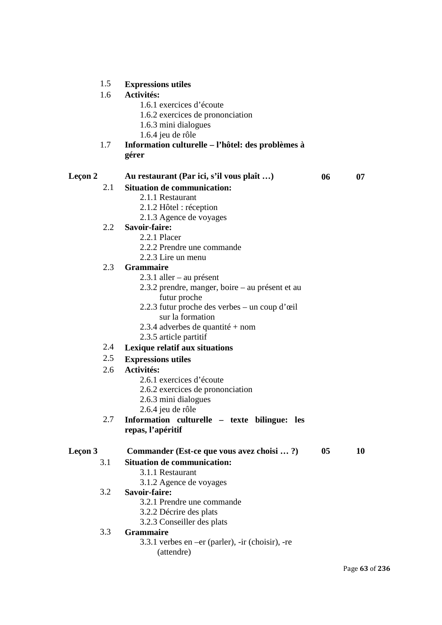#### 1.5 **Expressions utiles**

#### 1.6 **Activités:**

- 1.6.1 exercices d'écoute
- 1.6.2 exercices de prononciation
- 1.6.3 mini dialogues
- 1.6.4 jeu de rôle

# 1.7 **Information culturelle – l'hôtel: des problèmes à gérer**

# Leçon 2 Au restaurant (Par ici, s'il vous plaît ...) 06 07

#### 2.1 **Situation de communication:**

- 2.1.1 Restaurant
- 2.1.2 Hôtel : réception
- 2.1.3 Agence de voyages

#### 2.2 **Savoir-faire:**

- 2.2.1 Placer
- 2.2.2 Prendre une commande
- 2.2.3 Lire un menu

# 2.3 **Grammaire**

- 2.3.1 aller au présent
- 2.3.2 prendre, manger, boire au présent et au futur proche
- 2.2.3 futur proche des verbes un coup d'œil sur la formation
- 2.3.4 adverbes de quantité + nom
- 2.3.5 article partitif

# 2.4 **Lexique relatif aux situations**

# 2.5 **Expressions utiles**

- 2.6 **Activités:** 
	- 2.6.1 exercices d'écoute
	- 2.6.2 exercices de prononciation
	- 2.6.3 mini dialogues
	- 2.6.4 jeu de rôle
- 2.7 **Information culturelle texte bilingue: les repas, l'apéritif**

# Leçon 3 Commander (Est-ce que vous avez choisi ... ?) 05 10

# 3.1 **Situation de communication:**

- 3.1.1 Restaurant
- 3.1.2 Agence de voyages
- 3.2 **Savoir-faire:** 
	- 3.2.1 Prendre une commande
	- 3.2.2 Décrire des plats
	- 3.2.3 Conseiller des plats
- 3.3 **Grammaire** 
	- 3.3.1 verbes en –er (parler), -ir (choisir), -re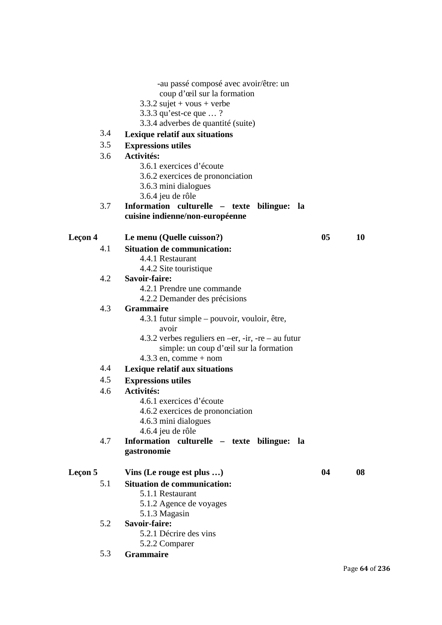|                | -au passé composé avec avoir/être: un<br>coup d'œil sur la formation<br>$3.3.2$ sujet + vous + verbe<br>3.3.3 qu'est-ce que ?<br>3.3.4 adverbes de quantité (suite) |    |    |
|----------------|---------------------------------------------------------------------------------------------------------------------------------------------------------------------|----|----|
| 3.4            | Lexique relatif aux situations                                                                                                                                      |    |    |
| 3.5            | <b>Expressions utiles</b>                                                                                                                                           |    |    |
| 3.6            | Activités:                                                                                                                                                          |    |    |
|                | 3.6.1 exercices d'écoute                                                                                                                                            |    |    |
|                | 3.6.2 exercices de prononciation                                                                                                                                    |    |    |
|                | 3.6.3 mini dialogues                                                                                                                                                |    |    |
|                | 3.6.4 jeu de rôle                                                                                                                                                   |    |    |
| 3.7            | Information culturelle – texte<br>bilingue:<br>- la                                                                                                                 |    |    |
|                | cuisine indienne/non-européenne                                                                                                                                     |    |    |
| <b>Leçon 4</b> | Le menu (Quelle cuisson?)                                                                                                                                           | 05 | 10 |
| 4.1            | <b>Situation de communication:</b>                                                                                                                                  |    |    |
|                | 4.4.1 Restaurant                                                                                                                                                    |    |    |
|                | 4.4.2 Site touristique                                                                                                                                              |    |    |
| 4.2            | Savoir-faire:                                                                                                                                                       |    |    |
|                | 4.2.1 Prendre une commande                                                                                                                                          |    |    |
|                | 4.2.2 Demander des précisions                                                                                                                                       |    |    |
| 4.3            | <b>Grammaire</b>                                                                                                                                                    |    |    |
|                | 4.3.1 futur simple – pouvoir, vouloir, être,                                                                                                                        |    |    |
|                | avoir                                                                                                                                                               |    |    |
|                | 4.3.2 verbes reguliers en $-er$ , $-ir$ , $-re$ $-au$ futur                                                                                                         |    |    |
|                | simple: un coup d'œil sur la formation                                                                                                                              |    |    |
| 4.4            | $4.3.3$ en, comme + nom                                                                                                                                             |    |    |
|                | Lexique relatif aux situations                                                                                                                                      |    |    |
| 4.5            | <b>Expressions utiles</b>                                                                                                                                           |    |    |
| 4.6            | Activités:                                                                                                                                                          |    |    |
|                | 4.6.1 exercices d'écoute                                                                                                                                            |    |    |
|                | 4.6.2 exercices de prononciation                                                                                                                                    |    |    |
|                | 4.6.3 mini dialogues                                                                                                                                                |    |    |
| 4.7            | 4.6.4 jeu de rôle<br>Information culturelle - texte bilingue: la                                                                                                    |    |    |
|                | gastronomie                                                                                                                                                         |    |    |
| <b>Leçon 5</b> | Vins (Le rouge est plus )                                                                                                                                           | 04 | 08 |
|                |                                                                                                                                                                     |    |    |
| 5.1            | <b>Situation de communication:</b>                                                                                                                                  |    |    |
|                | 5.1.1 Restaurant                                                                                                                                                    |    |    |
|                | 5.1.2 Agence de voyages                                                                                                                                             |    |    |
| 5.2            | 5.1.3 Magasin<br>Savoir-faire:                                                                                                                                      |    |    |
|                | 5.2.1 Décrire des vins                                                                                                                                              |    |    |
|                | 5.2.2 Comparer                                                                                                                                                      |    |    |
|                |                                                                                                                                                                     |    |    |

5.3 **Grammaire**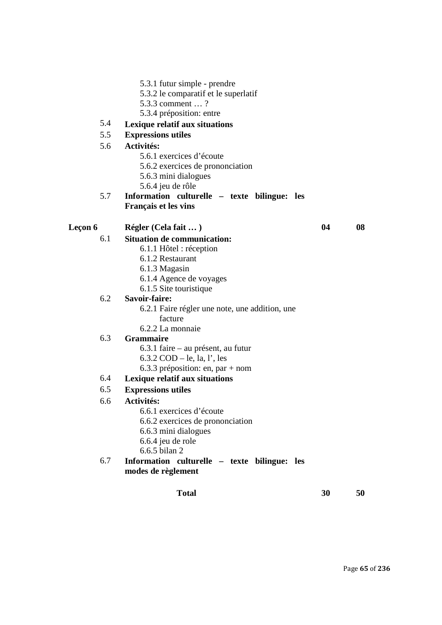- 5.3.1 futur simple prendre
- 5.3.2 le comparatif et le superlatif
- 5.3.3 comment … ?
- 5.3.4 préposition: entre
- 5.4 **Lexique relatif aux situations**
- 5.5 **Expressions utiles**

### 5.6 **Activités:**

- 5.6.1 exercices d'écoute
- 5.6.2 exercices de prononciation
- 5.6.3 mini dialogues
- 5.6.4 jeu de rôle
- 5.7 **Information culturelle texte bilingue: les Français et les vins**

# **Leçon 6 Régler (Cela fait … ) 04 08**

### 6.1 **Situation de communication:**

- 6.1.1 Hôtel : réception
	- 6.1.2 Restaurant
	- 6.1.3 Magasin
	- 6.1.4 Agence de voyages
- 6.1.5 Site touristique

# 6.2 **Savoir-faire:**

- 6.2.1 Faire régler une note, une addition, une facture
	-
- 6.2.2 La monnaie

# 6.3 **Grammaire**

- 6.3.1 faire au présent, au futur
- 6.3.2 COD le, la, l', les
- 6.3.3 préposition: en, par + nom
- 6.4 **Lexique relatif aux situations**

### 6.5 **Expressions utiles**

- 6.6 **Activités:** 
	- 6.6.1 exercices d'écoute 6.6.2 exercices de prononciation 6.6.3 mini dialogues
	- 6.6.4 jeu de role 6.6.5 bilan 2
- 6.7 **Information culturelle texte bilingue: les modes de règlement**

**Total 30 50**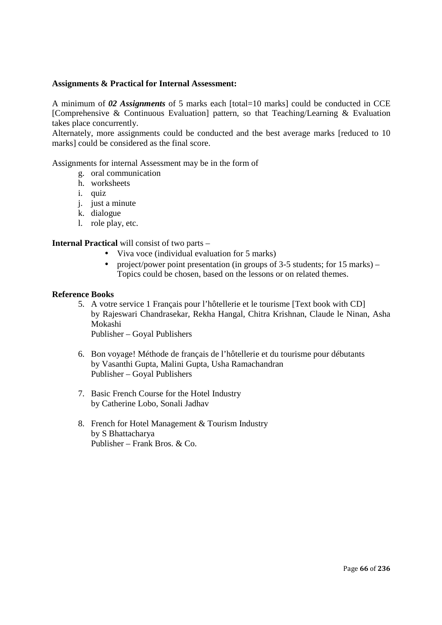#### **Assignments & Practical for Internal Assessment:**

A minimum of *02 Assignments* of 5 marks each [total=10 marks] could be conducted in CCE [Comprehensive & Continuous Evaluation] pattern, so that Teaching/Learning & Evaluation takes place concurrently.

Alternately, more assignments could be conducted and the best average marks [reduced to 10 marks] could be considered as the final score.

Assignments for internal Assessment may be in the form of

- g. oral communication
- h. worksheets
- i. quiz
- j. just a minute
- k. dialogue
- l. role play, etc.

**Internal Practical** will consist of two parts –

- Viva voce (individual evaluation for 5 marks)
- project/power point presentation (in groups of  $3-5$  students; for  $15$  marks) Topics could be chosen, based on the lessons or on related themes.

#### **Reference Books**

- 5. A votre service 1 Français pour l'hôtellerie et le tourisme [Text book with CD] by Rajeswari Chandrasekar, Rekha Hangal, Chitra Krishnan, Claude le Ninan, Asha Mokashi Publisher – Goyal Publishers
- 6. Bon voyage! Méthode de français de l'hôtellerie et du tourisme pour débutants by Vasanthi Gupta, Malini Gupta, Usha Ramachandran Publisher – Goyal Publishers
- 7. Basic French Course for the Hotel Industry by Catherine Lobo, Sonali Jadhav
- 8. French for Hotel Management & Tourism Industry by S Bhattacharya Publisher – Frank Bros. & Co.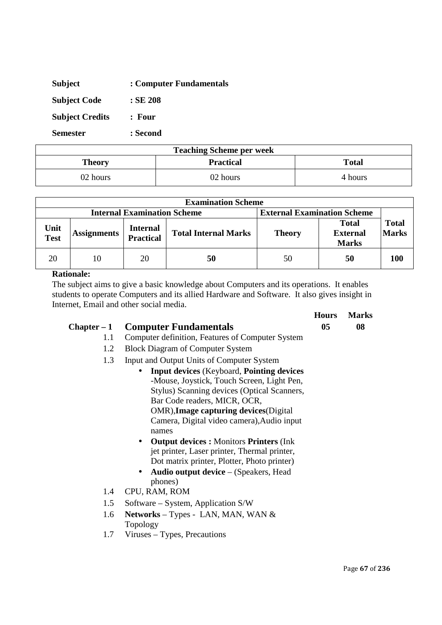| <b>Subject</b>         | : Computer Fundamentals |
|------------------------|-------------------------|
| <b>Subject Code</b>    | : SE 208                |
| <b>Subject Credits</b> | : Four                  |
| <b>Semester</b>        | : Second                |

| <b>Teaching Scheme per week</b> |                  |              |
|---------------------------------|------------------|--------------|
| Theory                          | <b>Practical</b> | <b>Total</b> |
| 02 hours                        | 02 hours         | 4 hours      |

|                                                                          | <b>Examination Scheme</b> |                                     |                             |               |                                                 |                              |
|--------------------------------------------------------------------------|---------------------------|-------------------------------------|-----------------------------|---------------|-------------------------------------------------|------------------------------|
| <b>External Examination Scheme</b><br><b>Internal Examination Scheme</b> |                           |                                     |                             |               |                                                 |                              |
| Unit<br><b>Test</b>                                                      | <b>Assignments</b>        | <b>Internal</b><br><b>Practical</b> | <b>Total Internal Marks</b> | <b>Theory</b> | <b>Total</b><br><b>External</b><br><b>Marks</b> | <b>Total</b><br><b>Marks</b> |
| 20                                                                       | 10                        | 20                                  | 50                          | 50            | 50                                              | 100                          |

The subject aims to give a basic knowledge about Computers and its operations. It enables students to operate Computers and its allied Hardware and Software. It also gives insight in Internet, Email and other social media.

# **Chapter – 1 Computer Fundamentals 05 08**

- 1.1 Computer definition, Features of Computer System
- 1.2 Block Diagram of Computer System
- 1.3 Input and Output Units of Computer System
	- **Input devices** (Keyboard, **Pointing devices** -Mouse, Joystick, Touch Screen, Light Pen, Stylus) Scanning devices (Optical Scanners, Bar Code readers, MICR, OCR, OMR),**Image capturing devices**(Digital Camera, Digital video camera),Audio input names
	- **Output devices :** Monitors **Printers** (Ink jet printer, Laser printer, Thermal printer, Dot matrix printer, Plotter, Photo printer)
	- **Audio output device** (Speakers, Head phones)
- 1.4 CPU, RAM, ROM
- 1.5 Software System, Application S/W
- 1.6 **Networks** Types LAN, MAN, WAN & Topology
- 1.7 Viruses Types, Precautions

**Hours Marks**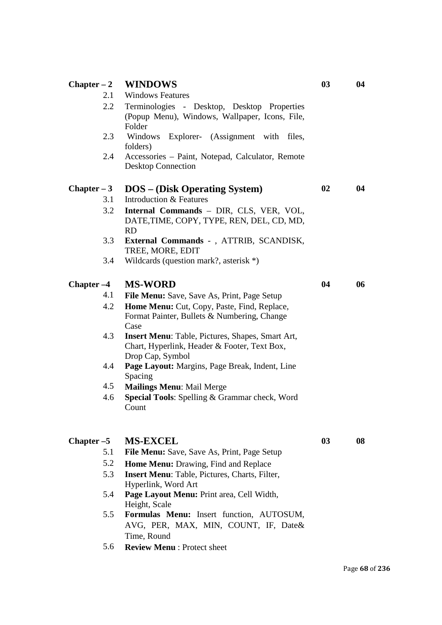| $Chapter - 2$        | <b>WINDOWS</b>                                                                       | 03 | 04 |
|----------------------|--------------------------------------------------------------------------------------|----|----|
| 2.1                  | <b>Windows Features</b>                                                              |    |    |
| 2.2                  | Terminologies - Desktop, Desktop Properties                                          |    |    |
|                      | (Popup Menu), Windows, Wallpaper, Icons, File,                                       |    |    |
|                      | Folder                                                                               |    |    |
| 2.3                  | Windows<br>Explorer- (Assignment with files,                                         |    |    |
| 2.4                  | folders)<br>Accessories - Paint, Notepad, Calculator, Remote                         |    |    |
|                      | <b>Desktop Connection</b>                                                            |    |    |
|                      |                                                                                      |    |    |
| $Chapter - 3$<br>3.1 | <b>DOS</b> – (Disk Operating System)<br>Introduction & Features                      | 02 | 04 |
|                      |                                                                                      |    |    |
| 3.2                  | Internal Commands - DIR, CLS, VER, VOL,<br>DATE, TIME, COPY, TYPE, REN, DEL, CD, MD, |    |    |
|                      | <b>RD</b>                                                                            |    |    |
| 3.3                  | External Commands - , ATTRIB, SCANDISK,                                              |    |    |
|                      | TREE, MORE, EDIT                                                                     |    |    |
| 3.4                  | Wildcards (question mark?, asterisk $*$ )                                            |    |    |
| Chapter $-4$         | <b>MS-WORD</b>                                                                       | 04 | 06 |
| 4.1                  | File Menu: Save, Save As, Print, Page Setup                                          |    |    |
| 4.2                  | Home Menu: Cut, Copy, Paste, Find, Replace,                                          |    |    |
|                      | Format Painter, Bullets & Numbering, Change                                          |    |    |
|                      | Case                                                                                 |    |    |
| 4.3                  | <b>Insert Menu:</b> Table, Pictures, Shapes, Smart Art,                              |    |    |
|                      | Chart, Hyperlink, Header & Footer, Text Box,                                         |    |    |
|                      | Drop Cap, Symbol                                                                     |    |    |
| 4.4                  | Page Layout: Margins, Page Break, Indent, Line                                       |    |    |
| 4.5                  | Spacing<br><b>Mailings Menu: Mail Merge</b>                                          |    |    |
| 4.6                  | Special Tools: Spelling & Grammar check, Word                                        |    |    |
|                      | Count                                                                                |    |    |
|                      |                                                                                      |    |    |
| Chapter $-5$         | <b>MS-EXCEL</b>                                                                      | 03 | 08 |
| 5.1                  | File Menu: Save, Save As, Print, Page Setup                                          |    |    |
| 5.2                  | Home Menu: Drawing, Find and Replace                                                 |    |    |
| 5.3                  | <b>Insert Menu:</b> Table, Pictures, Charts, Filter,                                 |    |    |
|                      | Hyperlink, Word Art                                                                  |    |    |
| 5.4                  | Page Layout Menu: Print area, Cell Width,                                            |    |    |
|                      | Height, Scale                                                                        |    |    |
| 5.5                  | Formulas Menu: Insert function, AUTOSUM,                                             |    |    |
|                      | AVG, PER, MAX, MIN, COUNT, IF, Date&                                                 |    |    |
|                      | Time, Round                                                                          |    |    |
| 5.6                  | <b>Review Menu: Protect sheet</b>                                                    |    |    |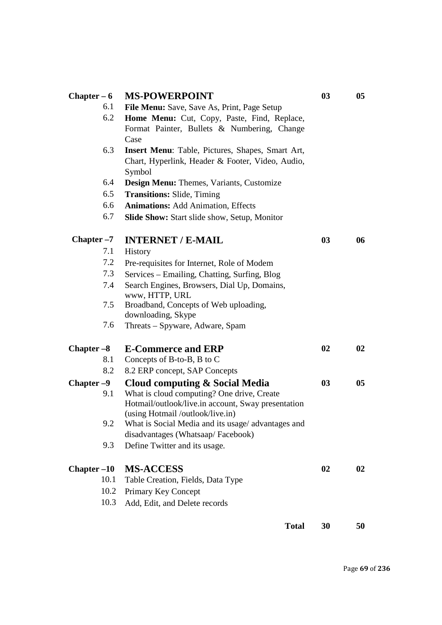| $Chapter - 6$ | <b>MS-POWERPOINT</b>                                       | 03 | 05 |
|---------------|------------------------------------------------------------|----|----|
| 6.1           | File Menu: Save, Save As, Print, Page Setup                |    |    |
| 6.2           | Home Menu: Cut, Copy, Paste, Find, Replace,                |    |    |
|               | Format Painter, Bullets & Numbering, Change                |    |    |
|               | Case                                                       |    |    |
| 6.3           | <b>Insert Menu:</b> Table, Pictures, Shapes, Smart Art,    |    |    |
|               | Chart, Hyperlink, Header & Footer, Video, Audio,<br>Symbol |    |    |
| 6.4           | Design Menu: Themes, Variants, Customize                   |    |    |
| 6.5           | <b>Transitions:</b> Slide, Timing                          |    |    |
| 6.6           | <b>Animations:</b> Add Animation, Effects                  |    |    |
| 6.7           | <b>Slide Show:</b> Start slide show, Setup, Monitor        |    |    |
| Chapter -7    | <b>INTERNET / E-MAIL</b>                                   | 03 | 06 |
| 7.1           | History                                                    |    |    |
| 7.2           | Pre-requisites for Internet, Role of Modem                 |    |    |
| 7.3           | Services – Emailing, Chatting, Surfing, Blog               |    |    |
| 7.4           | Search Engines, Browsers, Dial Up, Domains,                |    |    |
|               | www, HTTP, URL                                             |    |    |
| 7.5           | Broadband, Concepts of Web uploading,                      |    |    |
| 7.6           | downloading, Skype                                         |    |    |
|               | Threats – Spyware, Adware, Spam                            |    |    |
| $Chapter -8$  | <b>E-Commerce and ERP</b>                                  | 02 | 02 |
| 8.1           | Concepts of B-to-B, B to C                                 |    |    |
| 8.2           | 8.2 ERP concept, SAP Concepts                              |    |    |
| $Chapter -9$  | Cloud computing & Social Media                             | 03 | 05 |
| 9.1           | What is cloud computing? One drive, Create                 |    |    |
|               | Hotmail/outlook/live.in account, Sway presentation         |    |    |
|               | (using Hotmail /outlook/live.in)                           |    |    |
| 9.2           | What is Social Media and its usage/advantages and          |    |    |
|               | disadvantages (Whatsaap/Facebook)                          |    |    |
| 9.3           | Define Twitter and its usage.                              |    |    |
| $Chapter -10$ | <b>MS-ACCESS</b>                                           | 02 | 02 |
| 10.1          | Table Creation, Fields, Data Type                          |    |    |
| 10.2          | Primary Key Concept                                        |    |    |
| 10.3          | Add, Edit, and Delete records                              |    |    |
|               | <b>Total</b>                                               | 30 | 50 |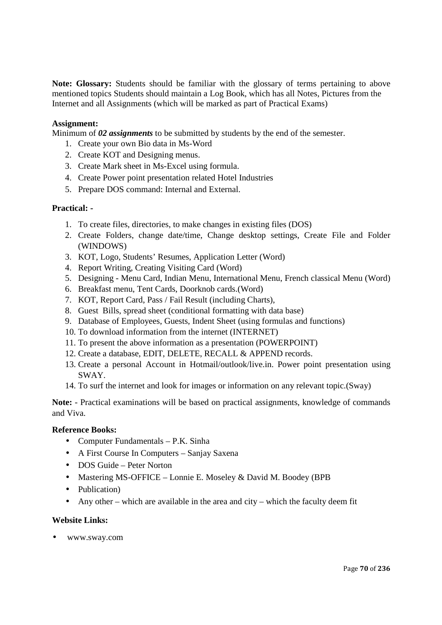**Note: Glossary:** Students should be familiar with the glossary of terms pertaining to above mentioned topics Students should maintain a Log Book, which has all Notes, Pictures from the Internet and all Assignments (which will be marked as part of Practical Exams)

#### **Assignment:**

Minimum of *02 assignments* to be submitted by students by the end of the semester.

- 1. Create your own Bio data in Ms-Word
- 2. Create KOT and Designing menus.
- 3. Create Mark sheet in Ms-Excel using formula.
- 4. Create Power point presentation related Hotel Industries
- 5. Prepare DOS command: Internal and External.

#### **Practical: -**

- 1. To create files, directories, to make changes in existing files (DOS)
- 2. Create Folders, change date/time, Change desktop settings, Create File and Folder (WINDOWS)
- 3. KOT, Logo, Students' Resumes, Application Letter (Word)
- 4. Report Writing, Creating Visiting Card (Word)
- 5. Designing Menu Card, Indian Menu, International Menu, French classical Menu (Word)
- 6. Breakfast menu, Tent Cards, Doorknob cards.(Word)
- 7. KOT, Report Card, Pass / Fail Result (including Charts),
- 8. Guest Bills, spread sheet (conditional formatting with data base)
- 9. Database of Employees, Guests, Indent Sheet (using formulas and functions)
- 10. To download information from the internet (INTERNET)
- 11. To present the above information as a presentation (POWERPOINT)
- 12. Create a database, EDIT, DELETE, RECALL & APPEND records.
- 13. Create a personal Account in Hotmail/outlook/live.in. Power point presentation using SWAY.
- 14. To surf the internet and look for images or information on any relevant topic.(Sway)

**Note:** - Practical examinations will be based on practical assignments, knowledge of commands and Viva.

#### **Reference Books:**

- Computer Fundamentals P.K. Sinha
- A First Course In Computers Sanjay Saxena
- DOS Guide Peter Norton
- Mastering MS-OFFICE Lonnie E. Moseley & David M. Boodey (BPB
- Publication)
- Any other which are available in the area and city which the faculty deem fit

#### **Website Links:**

• www.sway.com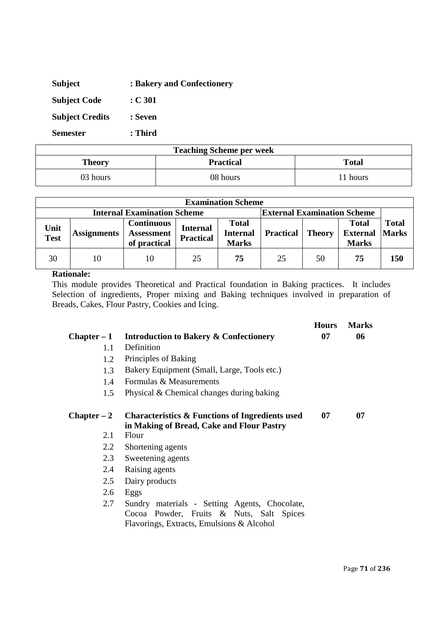| <b>Subject</b>         | : Bakery and Confectionery |
|------------------------|----------------------------|
| <b>Subject Code</b>    | $\div$ C 301               |
| <b>Subject Credits</b> | : Seven                    |
| <b>Semester</b>        | : Third                    |

| <b>Teaching Scheme per week</b> |                  |              |
|---------------------------------|------------------|--------------|
| Theory                          | <b>Practical</b> | <b>Total</b> |
| 03 hours                        | 08 hours         | '1 hours     |

| <b>Examination Scheme</b> |                                    |                                                        |                                     |                                                 |                  |               |                                                 |                              |  |  |  |
|---------------------------|------------------------------------|--------------------------------------------------------|-------------------------------------|-------------------------------------------------|------------------|---------------|-------------------------------------------------|------------------------------|--|--|--|
|                           | <b>Internal Examination Scheme</b> | <b>External Examination Scheme</b>                     |                                     |                                                 |                  |               |                                                 |                              |  |  |  |
| Unit<br><b>Test</b>       | <b>Assignments</b>                 | <b>Continuous</b><br><b>Assessment</b><br>of practical | <b>Internal</b><br><b>Practical</b> | <b>Total</b><br><b>Internal</b><br><b>Marks</b> | <b>Practical</b> | <b>Theory</b> | <b>Total</b><br><b>External</b><br><b>Marks</b> | <b>Total</b><br><b>Marks</b> |  |  |  |
| 30                        | 10                                 | 10                                                     | 25                                  | 75                                              | 25               | 50            | 75                                              | 150                          |  |  |  |

This module provides Theoretical and Practical foundation in Baking practices. It includes Selection of ingredients, Proper mixing and Baking techniques involved in preparation of Breads, Cakes, Flour Pastry, Cookies and Icing.

|               |                                                                                                                                        | <b>Hours</b> | <b>Marks</b> |  |
|---------------|----------------------------------------------------------------------------------------------------------------------------------------|--------------|--------------|--|
| Chapter – 1   | <b>Introduction to Bakery &amp; Confectionery</b>                                                                                      |              | 06           |  |
| $1.1\,$       | Definition                                                                                                                             |              |              |  |
| 1.2           | Principles of Baking                                                                                                                   |              |              |  |
| 1.3           | Bakery Equipment (Small, Large, Tools etc.)                                                                                            |              |              |  |
| 1.4           | Formulas & Measurements                                                                                                                |              |              |  |
| 1.5           | Physical & Chemical changes during baking                                                                                              |              |              |  |
| $Chapter - 2$ | Characteristics & Functions of Ingredients used<br>in Making of Bread, Cake and Flour Pastry                                           | 07           | 07           |  |
| 2.1           | Flour                                                                                                                                  |              |              |  |
| 2.2           | Shortening agents                                                                                                                      |              |              |  |
| 2.3           | Sweetening agents                                                                                                                      |              |              |  |
| 2.4           | Raising agents                                                                                                                         |              |              |  |
| 2.5           | Dairy products                                                                                                                         |              |              |  |
| 2.6           | Eggs                                                                                                                                   |              |              |  |
| 2.7           | Sundry materials - Setting Agents, Chocolate,<br>Cocoa Powder, Fruits & Nuts, Salt Spices<br>Flavorings, Extracts, Emulsions & Alcohol |              |              |  |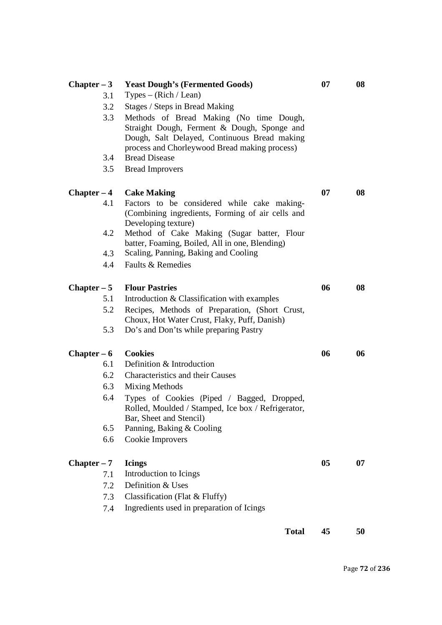| $Chapter - 3$ | <b>Yeast Dough's (Fermented Goods)</b>                                                         | 07 | 08 |
|---------------|------------------------------------------------------------------------------------------------|----|----|
| 3.1           | $Types - (Rich /Lean)$                                                                         |    |    |
| 3.2           | Stages / Steps in Bread Making                                                                 |    |    |
| 3.3           | Methods of Bread Making (No time Dough,                                                        |    |    |
|               | Straight Dough, Ferment & Dough, Sponge and                                                    |    |    |
|               | Dough, Salt Delayed, Continuous Bread making                                                   |    |    |
| 3.4           | process and Chorleywood Bread making process)<br><b>Bread Disease</b>                          |    |    |
| 3.5           | <b>Bread Improvers</b>                                                                         |    |    |
|               |                                                                                                |    |    |
| $Chapter - 4$ | <b>Cake Making</b>                                                                             | 07 | 08 |
| 4.1           | Factors to be considered while cake making-                                                    |    |    |
|               | (Combining ingredients, Forming of air cells and                                               |    |    |
| 4.2           | Developing texture)                                                                            |    |    |
|               | Method of Cake Making (Sugar batter, Flour<br>batter, Foaming, Boiled, All in one, Blending)   |    |    |
| 4.3           | Scaling, Panning, Baking and Cooling                                                           |    |    |
| 4.4           | Faults & Remedies                                                                              |    |    |
|               |                                                                                                |    |    |
| $Chapter - 5$ | <b>Flour Pastries</b>                                                                          | 06 | 08 |
| 5.1           | Introduction & Classification with examples                                                    |    |    |
| 5.2           | Recipes, Methods of Preparation, (Short Crust,<br>Choux, Hot Water Crust, Flaky, Puff, Danish) |    |    |
| 5.3           | Do's and Don'ts while preparing Pastry                                                         |    |    |
|               |                                                                                                |    |    |
| $Chapter - 6$ | <b>Cookies</b>                                                                                 | 06 | 06 |
| 6.1           | Definition & Introduction                                                                      |    |    |
| 6.2           | <b>Characteristics and their Causes</b>                                                        |    |    |
| 6.3           | Mixing Methods                                                                                 |    |    |
| 6.4           | Types of Cookies (Piped / Bagged, Dropped,                                                     |    |    |
|               | Rolled, Moulded / Stamped, Ice box / Refrigerator,                                             |    |    |
| 6.5           | Bar, Sheet and Stencil)                                                                        |    |    |
| 6.6           | Panning, Baking & Cooling<br>Cookie Improvers                                                  |    |    |
|               |                                                                                                |    |    |
| $Chapter - 7$ | <b>Icings</b>                                                                                  | 05 | 07 |
| 7.1           | Introduction to Icings                                                                         |    |    |
| 7.2           | Definition & Uses                                                                              |    |    |
| 7.3           | Classification (Flat & Fluffy)                                                                 |    |    |
| 7.4           | Ingredients used in preparation of Icings                                                      |    |    |
|               |                                                                                                |    |    |
|               | <b>Total</b>                                                                                   | 45 | 50 |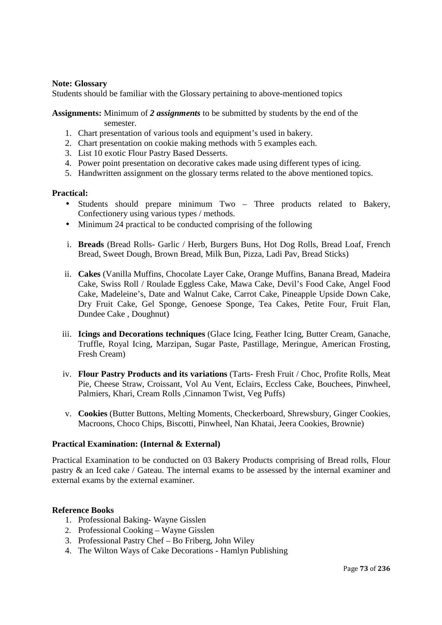#### **Note: Glossary**

Students should be familiar with the Glossary pertaining to above-mentioned topics

**Assignments:** Minimum of *2 assignments* to be submitted by students by the end of the semester.

- 1. Chart presentation of various tools and equipment's used in bakery.
- 2. Chart presentation on cookie making methods with 5 examples each.
- 3. List 10 exotic Flour Pastry Based Desserts.
- 4. Power point presentation on decorative cakes made using different types of icing.
- 5. Handwritten assignment on the glossary terms related to the above mentioned topics.

#### **Practical:**

- Students should prepare minimum Two Three products related to Bakery, Confectionery using various types / methods.
- Minimum 24 practical to be conducted comprising of the following
- i. **Breads** (Bread Rolls- Garlic / Herb, Burgers Buns, Hot Dog Rolls, Bread Loaf, French Bread, Sweet Dough, Brown Bread, Milk Bun, Pizza, Ladi Pav, Bread Sticks)
- ii. **Cakes** (Vanilla Muffins, Chocolate Layer Cake, Orange Muffins, Banana Bread, Madeira Cake, Swiss Roll / Roulade Eggless Cake, Mawa Cake, Devil's Food Cake, Angel Food Cake, Madeleine's, Date and Walnut Cake, Carrot Cake, Pineapple Upside Down Cake, Dry Fruit Cake, Gel Sponge, Genoese Sponge, Tea Cakes, Petite Four, Fruit Flan, Dundee Cake , Doughnut)
- iii. **Icings and Decorations techniques** (Glace Icing, Feather Icing, Butter Cream, Ganache, Truffle, Royal Icing, Marzipan, Sugar Paste, Pastillage, Meringue, American Frosting, Fresh Cream)
- iv. **Flour Pastry Products and its variations** (Tarts- Fresh Fruit / Choc, Profite Rolls, Meat Pie, Cheese Straw, Croissant, Vol Au Vent, Eclairs, Eccless Cake, Bouchees, Pinwheel, Palmiers, Khari, Cream Rolls ,Cinnamon Twist, Veg Puffs)
- v. **Cookies** (Butter Buttons, Melting Moments, Checkerboard, Shrewsbury, Ginger Cookies, Macroons, Choco Chips, Biscotti, Pinwheel, Nan Khatai, Jeera Cookies, Brownie)

#### **Practical Examination: (Internal & External)**

Practical Examination to be conducted on 03 Bakery Products comprising of Bread rolls, Flour pastry & an Iced cake / Gateau. The internal exams to be assessed by the internal examiner and external exams by the external examiner.

#### **Reference Books**

- 1. Professional Baking- Wayne Gisslen
- 2. Professional Cooking Wayne Gisslen
- 3. Professional Pastry Chef Bo Friberg, John Wiley
- 4. The Wilton Ways of Cake Decorations Hamlyn Publishing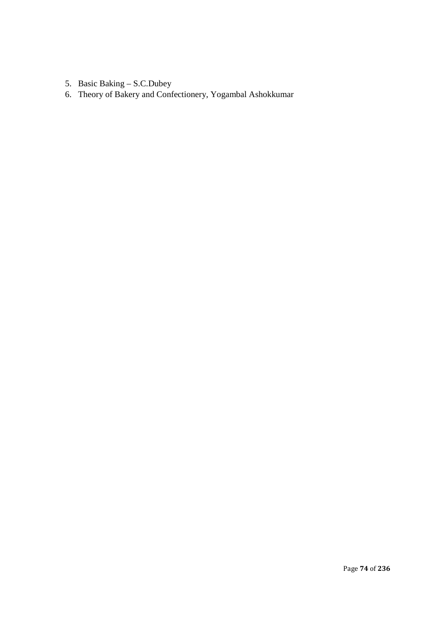- 5. Basic Baking S.C.Dubey
- 6. Theory of Bakery and Confectionery, Yogambal Ashokkumar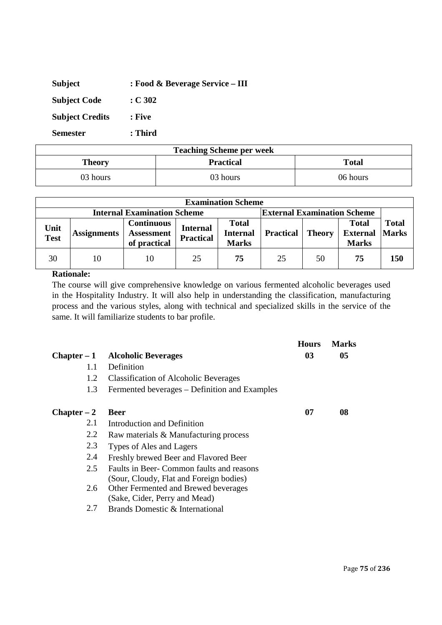| <b>Subject</b>         | : Food & Beverage Service – III |
|------------------------|---------------------------------|
| <b>Subject Code</b>    | : C 302                         |
| <b>Subject Credits</b> | : Five                          |
| <b>Semester</b>        | : Third                         |

| <b>Teaching Scheme per week</b> |                  |              |  |  |
|---------------------------------|------------------|--------------|--|--|
| Theory                          | <b>Practical</b> | <b>Total</b> |  |  |
| 03 hours                        | 03 hours         | 06 hours     |  |  |

| <b>Examination Scheme</b> |                    |                                                        |                                     |                                                 |                                    |               |                                                 |                              |
|---------------------------|--------------------|--------------------------------------------------------|-------------------------------------|-------------------------------------------------|------------------------------------|---------------|-------------------------------------------------|------------------------------|
|                           |                    | <b>Internal Examination Scheme</b>                     |                                     |                                                 | <b>External Examination Scheme</b> |               |                                                 |                              |
| Unit<br><b>Test</b>       | <b>Assignments</b> | <b>Continuous</b><br><b>Assessment</b><br>of practical | <b>Internal</b><br><b>Practical</b> | <b>Total</b><br><b>Internal</b><br><b>Marks</b> | <b>Practical</b>                   | <b>Theory</b> | <b>Total</b><br><b>External</b><br><b>Marks</b> | <b>Total</b><br><b>Marks</b> |
| 30                        | 10                 | 10                                                     | 25                                  | 75                                              | 25                                 | 50            | 75                                              | 150                          |

The course will give comprehensive knowledge on various fermented alcoholic beverages used in the Hospitality Industry. It will also help in understanding the classification, manufacturing process and the various styles, along with technical and specialized skills in the service of the same. It will familiarize students to bar profile.

|               |                                               | <b>Hours</b> | <b>Marks</b> |
|---------------|-----------------------------------------------|--------------|--------------|
| $Chapter - 1$ | <b>Alcoholic Beverages</b>                    | 03           | 05           |
| 1.1           | Definition                                    |              |              |
| 1.2           | <b>Classification of Alcoholic Beverages</b>  |              |              |
| 1.3           | Fermented beverages – Definition and Examples |              |              |
| $Chapter - 2$ | <b>Beer</b>                                   | 07           | 08           |
| 2.1           | Introduction and Definition                   |              |              |
| 2.2           | Raw materials & Manufacturing process         |              |              |
| 2.3           | Types of Ales and Lagers                      |              |              |
| 2.4           | Freshly brewed Beer and Flavored Beer         |              |              |
| 2.5           | Faults in Beer-Common faults and reasons      |              |              |
|               | (Sour, Cloudy, Flat and Foreign bodies)       |              |              |
| 2.6           | Other Fermented and Brewed beverages          |              |              |
|               | (Sake, Cider, Perry and Mead)                 |              |              |
| 2.7           | Brands Domestic & International               |              |              |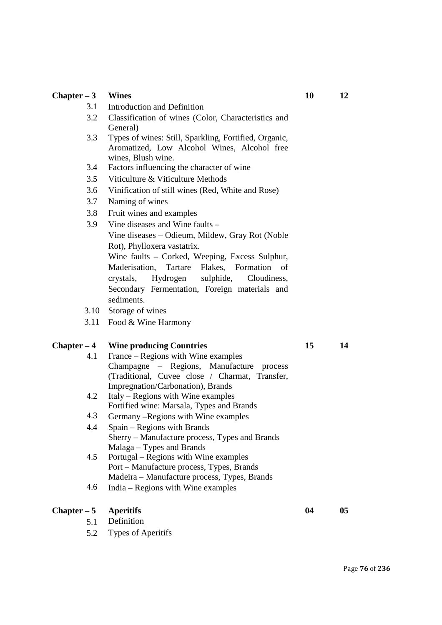### 3.1 Introduction and Definition 3.2 Classification of wines (Color, Characteristics and General) 3.3 Types of wines: Still, Sparkling, Fortified, Organic, Aromatized, Low Alcohol Wines, Alcohol free

- wines, Blush wine. 3.4 Factors influencing the character of wine
- 3.5 Viticulture & Viticulture Methods
- 3.6 Vinification of still wines (Red, White and Rose)
- 3.7 Naming of wines
- 3.8 Fruit wines and examples
- 3.9 Vine diseases and Wine faults Vine diseases – Odieum, Mildew, Gray Rot (Noble Rot), Phylloxera vastatrix. Wine faults – Corked, Weeping, Excess Sulphur, Maderisation, Tartare Flakes, Formation of crystals, Hydrogen sulphide, Cloudiness, Secondary Fermentation, Foreign materials and sediments.
- 3.10 Storage of wines
- 3.11 Food & Wine Harmony

#### **Chapter – 4 Wine producing Countries 15 14**

- 4.1 France Regions with Wine examples Champagne – Regions, Manufacture process (Traditional, Cuvee close / Charmat, Transfer, Impregnation/Carbonation), Brands 4.2 Italy – Regions with Wine examples
- Fortified wine: Marsala, Types and Brands
- 4.3 Germany –Regions with Wine examples
- 4.4 Spain Regions with Brands Sherry – Manufacture process, Types and Brands Malaga – Types and Brands
- 4.5 Portugal Regions with Wine examples Port – Manufacture process, Types, Brands Madeira – Manufacture process, Types, Brands
- 4.6 India Regions with Wine examples

## **Chapter – 5 Aperitifs 04 05**

- 5.1 Definition
- 5.2 Types of Aperitifs

**Chapter – 3 Wines 10 12**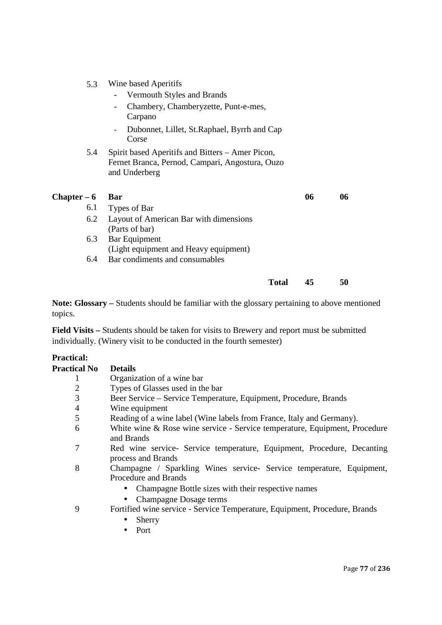- 5.3 Wine based Aperitifs
	- Vermouth Styles and Brands
	- Chambery, Chamberyzette, Punt-e-mes, Carpano
	- Dubonnet, Lillet, St.Raphael, Byrrh and Cap  $\frac{1}{2}$  Corse
- 5.4 Spirit based Aperitifs and Bitters Amer Picon, Fernet Branca, Pernod, Campari, Angostura, Ouzo and Underberg

| $Chapter - 6$ Bar |                                        |       | 06 | 06 |
|-------------------|----------------------------------------|-------|----|----|
| 6.1               | Types of Bar                           |       |    |    |
| 6.2               | Layout of American Bar with dimensions |       |    |    |
|                   | (Parts of bar)                         |       |    |    |
|                   | 6.3 Bar Equipment                      |       |    |    |
|                   | (Light equipment and Heavy equipment)  |       |    |    |
| 6.4               | Bar condiments and consumables         |       |    |    |
|                   |                                        |       |    |    |
|                   |                                        | Total | 45 |    |

**Note: Glossary –** Students should be familiar with the glossary pertaining to above mentioned topics.

**Field Visits –** Students should be taken for visits to Brewery and report must be submitted individually. (Winery visit to be conducted in the fourth semester)

#### **Practical:**

| <b>Practical No</b> | <b>Details</b>                                                                                                                                                                            |
|---------------------|-------------------------------------------------------------------------------------------------------------------------------------------------------------------------------------------|
| T                   | Organization of a wine bar                                                                                                                                                                |
| $\overline{2}$      | Types of Glasses used in the bar                                                                                                                                                          |
| 3                   | Beer Service - Service Temperature, Equipment, Procedure, Brands                                                                                                                          |
| $\overline{4}$      | Wine equipment                                                                                                                                                                            |
| 5                   | Reading of a wine label (Wine labels from France, Italy and Germany).                                                                                                                     |
| 6                   | White wine & Rose wine service - Service temperature, Equipment, Procedure<br>and Brands                                                                                                  |
| 7                   | Red wine service- Service temperature, Equipment, Procedure, Decanting<br>process and Brands                                                                                              |
| 8                   | Champagne / Sparkling Wines service- Service temperature, Equipment,<br>Procedure and Brands<br>Champagne Bottle sizes with their respective names<br>Champagne Dosage terms<br>$\bullet$ |
| 9                   | Fortified wine service - Service Temperature, Equipment, Procedure, Brands<br>Sherry                                                                                                      |

• Port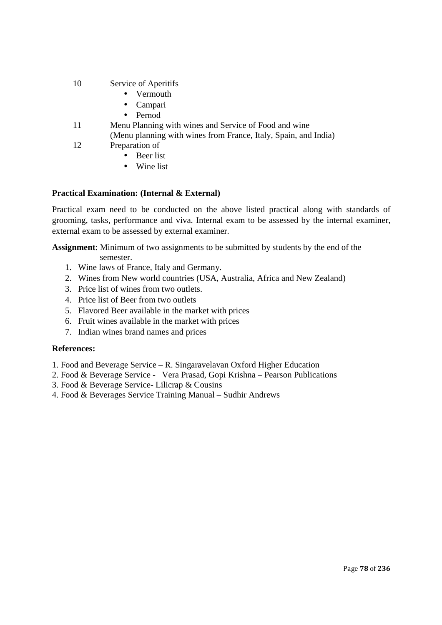- 10 Service of Aperitifs
	- Vermouth
	- Campari
	- Pernod
- 11 Menu Planning with wines and Service of Food and wine (Menu planning with wines from France, Italy, Spain, and India)
- 12 Preparation of
	- Beer list
	- Wine list

#### **Practical Examination: (Internal & External)**

Practical exam need to be conducted on the above listed practical along with standards of grooming, tasks, performance and viva. Internal exam to be assessed by the internal examiner, external exam to be assessed by external examiner.

**Assignment**: Minimum of two assignments to be submitted by students by the end of the semester.

- 1. Wine laws of France, Italy and Germany.
- 2. Wines from New world countries (USA, Australia, Africa and New Zealand)
- 3. Price list of wines from two outlets.
- 4. Price list of Beer from two outlets
- 5. Flavored Beer available in the market with prices
- 6. Fruit wines available in the market with prices
- 7. Indian wines brand names and prices

#### **References:**

1. Food and Beverage Service – R. Singaravelavan Oxford Higher Education

- 2. Food & Beverage Service Vera Prasad, Gopi Krishna Pearson Publications
- 3. Food & Beverage Service- Lilicrap & Cousins
- 4. Food & Beverages Service Training Manual Sudhir Andrews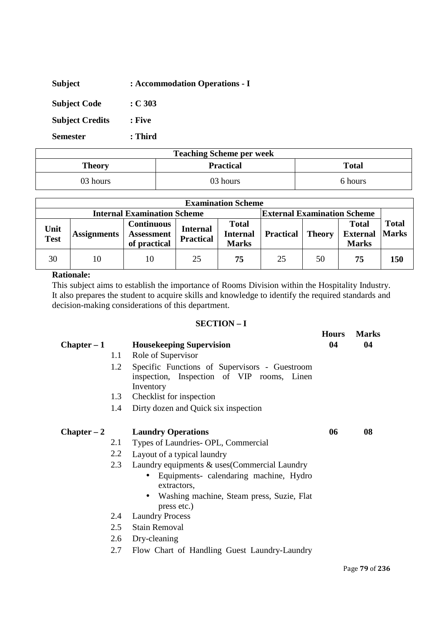| <b>Subject</b>         | : Accommodation Operations - I |
|------------------------|--------------------------------|
| <b>Subject Code</b>    | : C303                         |
| <b>Subject Credits</b> | : Five                         |
| <b>Semester</b>        | : Third                        |

| <b>Teaching Scheme per week</b>            |          |         |  |  |
|--------------------------------------------|----------|---------|--|--|
| Theory<br><b>Total</b><br><b>Practical</b> |          |         |  |  |
| 03 hours                                   | 03 hours | 6 hours |  |  |

| <b>Examination Scheme</b> |                    |                                                        |                                     |                                                 |                                    |               |                                                 |                              |
|---------------------------|--------------------|--------------------------------------------------------|-------------------------------------|-------------------------------------------------|------------------------------------|---------------|-------------------------------------------------|------------------------------|
|                           |                    | <b>Internal Examination Scheme</b>                     |                                     |                                                 | <b>External Examination Scheme</b> |               |                                                 |                              |
| Unit<br><b>Test</b>       | <b>Assignments</b> | <b>Continuous</b><br><b>Assessment</b><br>of practical | <b>Internal</b><br><b>Practical</b> | <b>Total</b><br><b>Internal</b><br><b>Marks</b> | <b>Practical</b>                   | <b>Theory</b> | <b>Total</b><br><b>External</b><br><b>Marks</b> | <b>Total</b><br><b>Marks</b> |
| 30                        | 10                 | 10                                                     | 25                                  | 75                                              | 25                                 | 50            | 75                                              | 150                          |

This subject aims to establish the importance of Rooms Division within the Hospitality Industry. It also prepares the student to acquire skills and knowledge to identify the required standards and decision-making considerations of this department.

#### **SECTION – I**

|               |     |                                                                                                          | <b>Hours</b> | <b>Marks</b> |
|---------------|-----|----------------------------------------------------------------------------------------------------------|--------------|--------------|
| $Chapter - 1$ |     | <b>Housekeeping Supervision</b>                                                                          | 04           | 04           |
|               |     | 1.1 Role of Supervisor                                                                                   |              |              |
|               | 1.2 | Specific Functions of Supervisors - Guestroom<br>inspection, Inspection of VIP rooms, Linen<br>Inventory |              |              |
|               | 1.3 | Checklist for inspection                                                                                 |              |              |
|               | 1.4 | Dirty dozen and Quick six inspection                                                                     |              |              |
| $Chapter - 2$ |     | <b>Laundry Operations</b>                                                                                | 06           | 08           |
|               | 2.1 | Types of Laundries-OPL, Commercial                                                                       |              |              |
|               | 2.2 | Layout of a typical laundry                                                                              |              |              |
|               | 2.3 | Laundry equipments & uses (Commercial Laundry                                                            |              |              |
|               |     | Equipments-calendaring machine, Hydro<br>$\bullet$<br>extractors,                                        |              |              |
|               |     | Washing machine, Steam press, Suzie, Flat<br>$\bullet$<br>press etc.)                                    |              |              |
|               | 2.4 | <b>Laundry Process</b>                                                                                   |              |              |
|               | 2.5 | <b>Stain Removal</b>                                                                                     |              |              |
|               | 2.6 | Dry-cleaning                                                                                             |              |              |
|               | 2.7 | Flow Chart of Handling Guest Laundry-Laundry                                                             |              |              |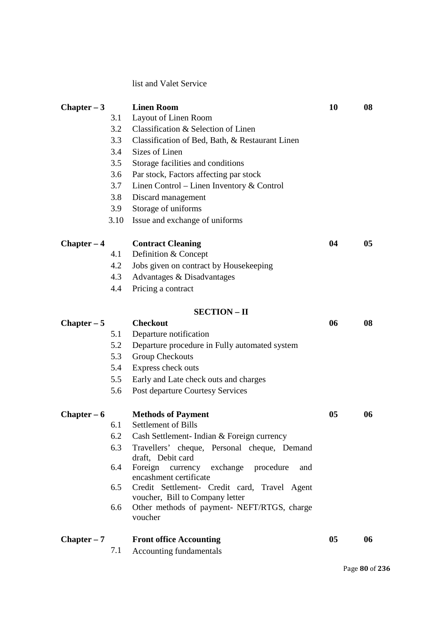list and Valet Service

| $Chapter - 3$ | 3.1<br>3.2<br>3.3 | <b>Linen Room</b><br>Layout of Linen Room<br>Classification & Selection of Linen<br>Classification of Bed, Bath, & Restaurant Linen | 10 | 08 |
|---------------|-------------------|-------------------------------------------------------------------------------------------------------------------------------------|----|----|
|               | 3.4               | Sizes of Linen                                                                                                                      |    |    |
|               | 3.5               | Storage facilities and conditions                                                                                                   |    |    |
|               | 3.6               | Par stock, Factors affecting par stock                                                                                              |    |    |
|               | 3.7               | Linen Control – Linen Inventory $&$ Control                                                                                         |    |    |
|               | 3.8               | Discard management                                                                                                                  |    |    |
|               | 3.9               | Storage of uniforms                                                                                                                 |    |    |
|               | 3.10              | Issue and exchange of uniforms                                                                                                      |    |    |
| $Chapter - 4$ |                   | <b>Contract Cleaning</b>                                                                                                            | 04 | 05 |
|               | 4.1               | Definition & Concept                                                                                                                |    |    |
|               | 4.2               | Jobs given on contract by Housekeeping                                                                                              |    |    |
|               | 4.3               | Advantages & Disadvantages                                                                                                          |    |    |
|               | 4.4               | Pricing a contract                                                                                                                  |    |    |
|               |                   | <b>SECTION - II</b>                                                                                                                 |    |    |
| $Chapter - 5$ |                   | <b>Checkout</b>                                                                                                                     | 06 | 08 |
|               | 5.1               | Departure notification                                                                                                              |    |    |
|               | 5.2               | Departure procedure in Fully automated system                                                                                       |    |    |
|               | 5.3               | <b>Group Checkouts</b>                                                                                                              |    |    |
|               | 5.4               | Express check outs                                                                                                                  |    |    |
|               | 5.5               | Early and Late check outs and charges                                                                                               |    |    |
|               | 5.6               | Post departure Courtesy Services                                                                                                    |    |    |
| $Chapter - 6$ |                   | <b>Methods of Payment</b>                                                                                                           | 05 | 06 |
|               | 6.1               | <b>Settlement of Bills</b>                                                                                                          |    |    |
|               | 6.2               | Cash Settlement- Indian & Foreign currency                                                                                          |    |    |
|               | 6.3               | Travellers' cheque, Personal cheque, Demand<br>draft, Debit card                                                                    |    |    |
|               | 6.4               | Foreign currency exchange procedure<br>and<br>encashment certificate                                                                |    |    |
|               | 6.5               | Credit Settlement- Credit card, Travel Agent<br>voucher, Bill to Company letter                                                     |    |    |
|               | 6.6               | Other methods of payment- NEFT/RTGS, charge<br>voucher                                                                              |    |    |
| $Chapter - 7$ |                   | <b>Front office Accounting</b>                                                                                                      | 05 | 06 |
|               | 7.1               | Accounting fundamentals                                                                                                             |    |    |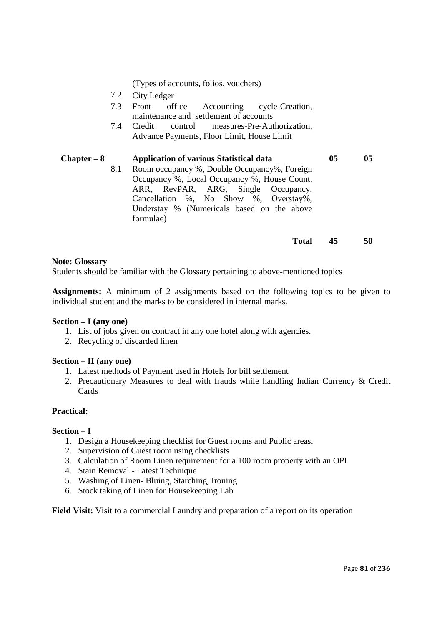(Types of accounts, folios, vouchers)

- 7.2 City Ledger
- 7.3 Front office Accounting cycle-Creation, maintenance and settlement of accounts
- 7.4 Credit control measures-Pre-Authorization, Advance Payments, Floor Limit, House Limit

| $Chapter - 8$ | <b>Application of various Statistical data</b> | 05 | 05 |
|---------------|------------------------------------------------|----|----|
| 8.1           | Room occupancy %, Double Occupancy%, Foreign   |    |    |
|               | Occupancy %, Local Occupancy %, House Count,   |    |    |
|               | ARR, RevPAR, ARG, Single Occupancy,            |    |    |
|               | Cancellation %, No Show %, Overstay%,          |    |    |
|               | Understay % (Numericals based on the above     |    |    |
|               | formulae)                                      |    |    |
|               |                                                |    |    |

#### **Total 45 50**

#### **Note: Glossary**

Students should be familiar with the Glossary pertaining to above-mentioned topics

**Assignments:** A minimum of 2 assignments based on the following topics to be given to individual student and the marks to be considered in internal marks.

#### **Section – I (any one)**

- 1. List of jobs given on contract in any one hotel along with agencies.
- 2. Recycling of discarded linen

#### **Section – II (any one)**

- 1. Latest methods of Payment used in Hotels for bill settlement
- 2. Precautionary Measures to deal with frauds while handling Indian Currency & Credit Cards

#### **Practical:**

#### **Section – I**

- 1. Design a Housekeeping checklist for Guest rooms and Public areas.
- 2. Supervision of Guest room using checklists
- 3. Calculation of Room Linen requirement for a 100 room property with an OPL
- 4. Stain Removal Latest Technique
- 5. Washing of Linen- Bluing, Starching, Ironing
- 6. Stock taking of Linen for Housekeeping Lab

**Field Visit:** Visit to a commercial Laundry and preparation of a report on its operation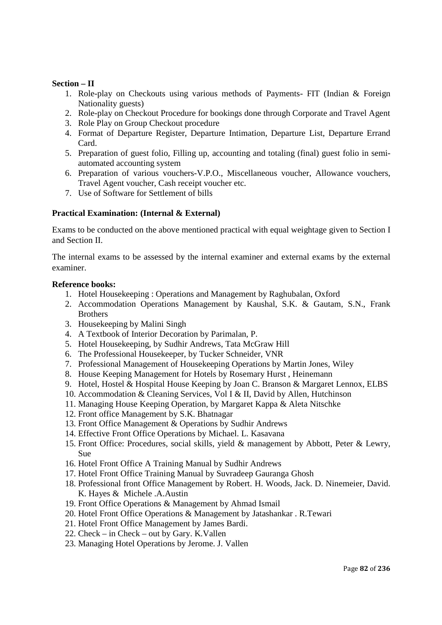#### **Section – II**

- 1. Role-play on Checkouts using various methods of Payments- FIT (Indian & Foreign Nationality guests)
- 2. Role-play on Checkout Procedure for bookings done through Corporate and Travel Agent
- 3. Role Play on Group Checkout procedure
- 4. Format of Departure Register, Departure Intimation, Departure List, Departure Errand Card.
- 5. Preparation of guest folio, Filling up, accounting and totaling (final) guest folio in semiautomated accounting system
- 6. Preparation of various vouchers-V.P.O., Miscellaneous voucher, Allowance vouchers, Travel Agent voucher, Cash receipt voucher etc.
- 7. Use of Software for Settlement of bills

#### **Practical Examination: (Internal & External)**

Exams to be conducted on the above mentioned practical with equal weightage given to Section I and Section II.

The internal exams to be assessed by the internal examiner and external exams by the external examiner.

#### **Reference books:**

- 1. Hotel Housekeeping : Operations and Management by Raghubalan, Oxford
- 2. Accommodation Operations Management by Kaushal, S.K. & Gautam, S.N., Frank **Brothers**
- 3. Housekeeping by Malini Singh
- 4. A Textbook of Interior Decoration by Parimalan, P.
- 5. Hotel Housekeeping, by Sudhir Andrews, Tata McGraw Hill
- 6. The Professional Housekeeper, by Tucker Schneider, VNR
- 7. Professional Management of Housekeeping Operations by Martin Jones, Wiley
- 8. House Keeping Management for Hotels by Rosemary Hurst , Heinemann
- 9. Hotel, Hostel & Hospital House Keeping by Joan C. Branson & Margaret Lennox, ELBS
- 10. Accommodation & Cleaning Services, Vol I & II, David by Allen, Hutchinson
- 11. Managing House Keeping Operation, by Margaret Kappa & Aleta Nitschke
- 12. Front office Management by S.K. Bhatnagar
- 13. Front Office Management & Operations by Sudhir Andrews
- 14. Effective Front Office Operations by Michael. L. Kasavana
- 15. Front Office: Procedures, social skills, yield & management by Abbott, Peter & Lewry, Sue
- 16. Hotel Front Office A Training Manual by Sudhir Andrews
- 17. Hotel Front Office Training Manual by Suvradeep Gauranga Ghosh
- 18. Professional front Office Management by Robert. H. Woods, Jack. D. Ninemeier, David. K. Hayes & Michele .A.Austin
- 19. Front Office Operations & Management by Ahmad Ismail
- 20. Hotel Front Office Operations & Management by Jatashankar . R.Tewari
- 21. Hotel Front Office Management by James Bardi.
- 22. Check in Check out by Gary. K.Vallen
- 23. Managing Hotel Operations by Jerome. J. Vallen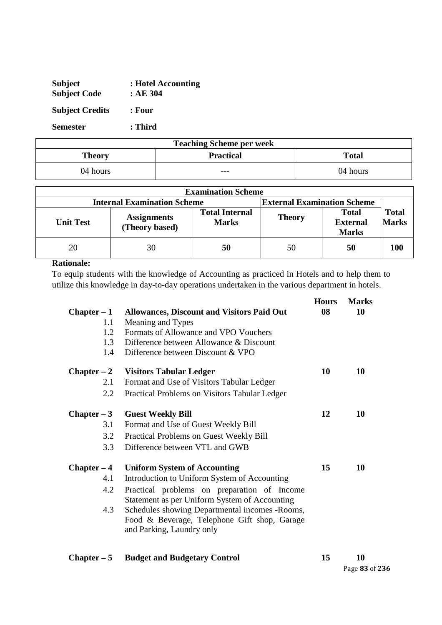| <b>Subject</b><br><b>Subject Code</b> | : Hotel Accounting<br>:AE304 |
|---------------------------------------|------------------------------|
| <b>Subject Credits</b>                | : Four                       |
| <b>Semester</b>                       | : Third                      |

| <b>Teaching Scheme per week</b>            |     |          |
|--------------------------------------------|-----|----------|
| <b>Total</b><br><b>Practical</b><br>Theory |     |          |
| 04 hours                                   | --- | 04 hours |

| <b>Examination Scheme</b>                                                |                                      |                                       |               |                                                 |                              |
|--------------------------------------------------------------------------|--------------------------------------|---------------------------------------|---------------|-------------------------------------------------|------------------------------|
| <b>External Examination Scheme</b><br><b>Internal Examination Scheme</b> |                                      |                                       |               |                                                 |                              |
| <b>Unit Test</b>                                                         | <b>Assignments</b><br>(Theory based) | <b>Total Internal</b><br><b>Marks</b> | <b>Theory</b> | <b>Total</b><br><b>External</b><br><b>Marks</b> | <b>Total</b><br><b>Marks</b> |
| 20                                                                       | 30                                   | 50                                    | 50            | 50                                              | 100                          |

To equip students with the knowledge of Accounting as practiced in Hotels and to help them to utilize this knowledge in day-to-day operations undertaken in the various department in hotels.

| $Chapter - 1$<br>1.1<br>1.2<br>1.3<br>1.4 | <b>Allowances, Discount and Visitors Paid Out</b><br>Meaning and Types<br>Formats of Allowance and VPO Vouchers<br>Difference between Allowance & Discount<br>Difference between Discount & VPO | <b>Hours</b><br>08 | <b>Marks</b><br>10 |
|-------------------------------------------|-------------------------------------------------------------------------------------------------------------------------------------------------------------------------------------------------|--------------------|--------------------|
| $Chapter - 2$                             | <b>Visitors Tabular Ledger</b>                                                                                                                                                                  | 10                 | 10                 |
| 2.1                                       | Format and Use of Visitors Tabular Ledger                                                                                                                                                       |                    |                    |
| 2.2                                       | Practical Problems on Visitors Tabular Ledger                                                                                                                                                   |                    |                    |
| $Chapter - 3$                             | <b>Guest Weekly Bill</b>                                                                                                                                                                        | 12                 | 10                 |
| 3.1                                       | Format and Use of Guest Weekly Bill                                                                                                                                                             |                    |                    |
| 3.2                                       | Practical Problems on Guest Weekly Bill                                                                                                                                                         |                    |                    |
| 3.3                                       | Difference between VTL and GWB                                                                                                                                                                  |                    |                    |
| $Chapter - 4$                             | <b>Uniform System of Accounting</b>                                                                                                                                                             | 15                 | 10                 |
| 4.1                                       | Introduction to Uniform System of Accounting                                                                                                                                                    |                    |                    |
| 4.2                                       | Practical problems on preparation of Income                                                                                                                                                     |                    |                    |
|                                           | Statement as per Uniform System of Accounting                                                                                                                                                   |                    |                    |
| 4.3                                       | Schedules showing Departmental incomes - Rooms,                                                                                                                                                 |                    |                    |
|                                           | Food & Beverage, Telephone Gift shop, Garage                                                                                                                                                    |                    |                    |
|                                           | and Parking, Laundry only                                                                                                                                                                       |                    |                    |

|  | Chapter – 5 Budget and Budgetary Control |  |  |  |
|--|------------------------------------------|--|--|--|
|--|------------------------------------------|--|--|--|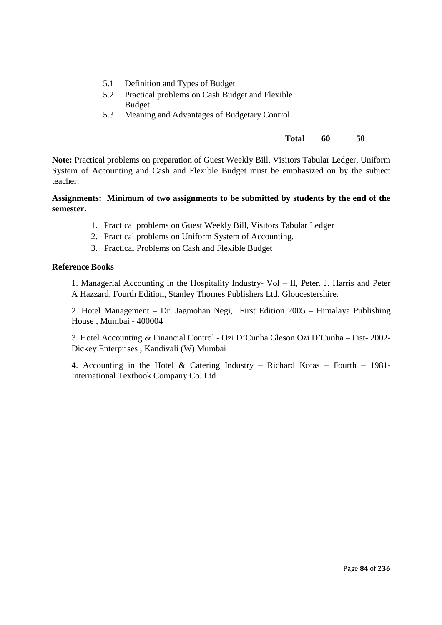- 5.1 Definition and Types of Budget
- 5.2 Practical problems on Cash Budget and Flexible Budget
- 5.3 Meaning and Advantages of Budgetary Control

#### **Total 60 50**

**Note:** Practical problems on preparation of Guest Weekly Bill, Visitors Tabular Ledger, Uniform System of Accounting and Cash and Flexible Budget must be emphasized on by the subject teacher.

#### **Assignments: Minimum of two assignments to be submitted by students by the end of the semester.**

- 1. Practical problems on Guest Weekly Bill, Visitors Tabular Ledger
- 2. Practical problems on Uniform System of Accounting.
- 3. Practical Problems on Cash and Flexible Budget

#### **Reference Books**

1. Managerial Accounting in the Hospitality Industry- Vol – II, Peter. J. Harris and Peter A Hazzard, Fourth Edition, Stanley Thornes Publishers Ltd. Gloucestershire.

2. Hotel Management – Dr. Jagmohan Negi, First Edition 2005 – Himalaya Publishing House , Mumbai - 400004

3. Hotel Accounting & Financial Control - Ozi D'Cunha Gleson Ozi D'Cunha – Fist- 2002- Dickey Enterprises , Kandivali (W) Mumbai

4. Accounting in the Hotel & Catering Industry – Richard Kotas – Fourth – 1981- International Textbook Company Co. Ltd.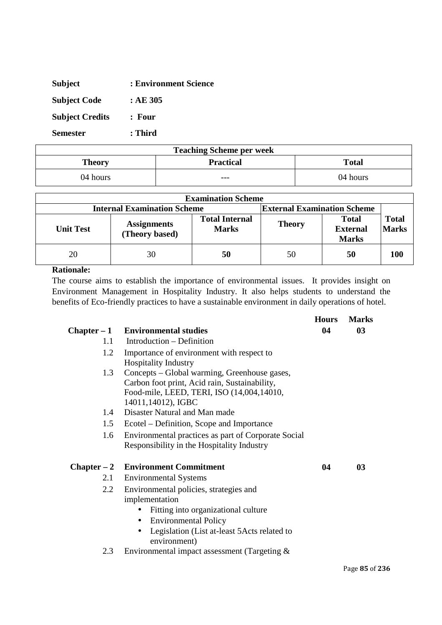| <b>Subject</b>         | : Environment Science |
|------------------------|-----------------------|
| <b>Subject Code</b>    | :AE305                |
| <b>Subject Credits</b> | : Four                |
| <b>Semester</b>        | : Third               |

| <b>Teaching Scheme per week</b> |                  |              |
|---------------------------------|------------------|--------------|
| Theory                          | <b>Practical</b> | <b>Total</b> |
| 04 hours                        | ---              | 04 hours     |

|                  | <b>Examination Scheme</b>            |                                       |                                    |                                                 |                              |
|------------------|--------------------------------------|---------------------------------------|------------------------------------|-------------------------------------------------|------------------------------|
|                  | <b>Internal Examination Scheme</b>   |                                       | <b>External Examination Scheme</b> |                                                 |                              |
| <b>Unit Test</b> | <b>Assignments</b><br>(Theory based) | <b>Total Internal</b><br><b>Marks</b> | <b>Theory</b>                      | <b>Total</b><br><b>External</b><br><b>Marks</b> | <b>Total</b><br><b>Marks</b> |
| 20               | 30                                   | 50                                    | 50                                 | 50                                              | 100                          |

The course aims to establish the importance of environmental issues. It provides insight on Environment Management in Hospitality Industry. It also helps students to understand the benefits of Eco-friendly practices to have a sustainable environment in daily operations of hotel.

|               |                                                          | <b>Hours</b> | <b>Marks</b>   |
|---------------|----------------------------------------------------------|--------------|----------------|
| $Chapter - 1$ | <b>Environmental studies</b>                             | 04           | 0 <sub>3</sub> |
| 1.1           | Introduction – Definition                                |              |                |
| 1.2           | Importance of environment with respect to                |              |                |
|               | <b>Hospitality Industry</b>                              |              |                |
| 1.3           | Concepts – Global warming, Greenhouse gases,             |              |                |
|               | Carbon foot print, Acid rain, Sustainability,            |              |                |
|               | Food-mile, LEED, TERI, ISO (14,004,14010,                |              |                |
|               | 14011,14012), IGBC                                       |              |                |
| 1.4           | Disaster Natural and Man made                            |              |                |
| 1.5           | Ecotel – Definition, Scope and Importance                |              |                |
| 1.6           | Environmental practices as part of Corporate Social      |              |                |
|               | Responsibility in the Hospitality Industry               |              |                |
| $Chapter - 2$ | <b>Environment Commitment</b>                            | 04           | 03             |
| 2.1           | <b>Environmental Systems</b>                             |              |                |
| $2.2^{\circ}$ | Environmental policies, strategies and                   |              |                |
|               | implementation                                           |              |                |
|               | Fitting into organizational culture<br>$\bullet$         |              |                |
|               | <b>Environmental Policy</b><br>$\bullet$                 |              |                |
|               | Legislation (List at-least 5Acts related to<br>$\bullet$ |              |                |
|               | environment)                                             |              |                |
| 2.3           | Environmental impact assessment (Targeting $\&$          |              |                |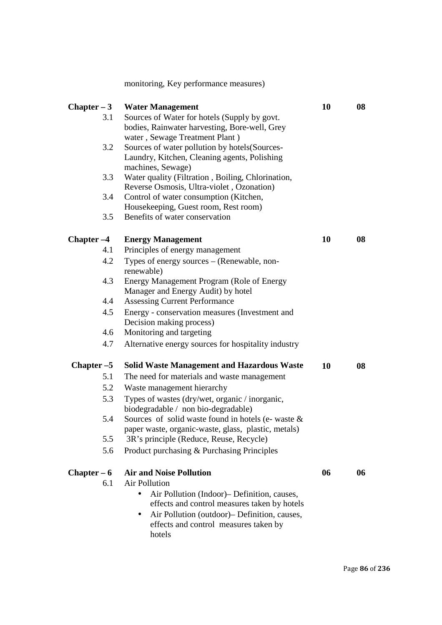|               | monitoring, Key performance measures)                                                                                                                                                            |    |    |
|---------------|--------------------------------------------------------------------------------------------------------------------------------------------------------------------------------------------------|----|----|
| $Chapter - 3$ | <b>Water Management</b>                                                                                                                                                                          | 10 | 08 |
| 3.1           | Sources of Water for hotels (Supply by govt.<br>bodies, Rainwater harvesting, Bore-well, Grey                                                                                                    |    |    |
|               | water, Sewage Treatment Plant)                                                                                                                                                                   |    |    |
| 3.2           | Sources of water pollution by hotels (Sources-<br>Laundry, Kitchen, Cleaning agents, Polishing<br>machines, Sewage)                                                                              |    |    |
| 3.3           | Water quality (Filtration, Boiling, Chlorination,<br>Reverse Osmosis, Ultra-violet, Ozonation)                                                                                                   |    |    |
| 3.4           | Control of water consumption (Kitchen,<br>Housekeeping, Guest room, Rest room)                                                                                                                   |    |    |
| 3.5           | Benefits of water conservation                                                                                                                                                                   |    |    |
| $Chapter -4$  | <b>Energy Management</b>                                                                                                                                                                         | 10 | 08 |
| 4.1           | Principles of energy management                                                                                                                                                                  |    |    |
| 4.2           | Types of energy sources – (Renewable, non-<br>renewable)                                                                                                                                         |    |    |
| 4.3           | Energy Management Program (Role of Energy<br>Manager and Energy Audit) by hotel                                                                                                                  |    |    |
| 4.4           | <b>Assessing Current Performance</b>                                                                                                                                                             |    |    |
| 4.5           | Energy - conservation measures (Investment and<br>Decision making process)                                                                                                                       |    |    |
| 4.6           | Monitoring and targeting                                                                                                                                                                         |    |    |
| 4.7           | Alternative energy sources for hospitality industry                                                                                                                                              |    |    |
| Chapter $-5$  | <b>Solid Waste Management and Hazardous Waste</b>                                                                                                                                                | 10 | 08 |
| 5.1           | The need for materials and waste management                                                                                                                                                      |    |    |
| 5.2           | Waste management hierarchy                                                                                                                                                                       |    |    |
| 5.3           | Types of wastes (dry/wet, organic / inorganic,<br>biodegradable / non bio-degradable)                                                                                                            |    |    |
| 5.4           | Sources of solid waste found in hotels (e- waste $\&$<br>paper waste, organic-waste, glass, plastic, metals)                                                                                     |    |    |
| 5.5           | 3R's principle (Reduce, Reuse, Recycle)                                                                                                                                                          |    |    |
| 5.6           | Product purchasing & Purchasing Principles                                                                                                                                                       |    |    |
| $Chapter - 6$ | <b>Air and Noise Pollution</b>                                                                                                                                                                   | 06 | 06 |
| 6.1           | <b>Air Pollution</b>                                                                                                                                                                             |    |    |
|               | Air Pollution (Indoor) – Definition, causes,<br>effects and control measures taken by hotels<br>Air Pollution (outdoor) – Definition, causes,<br>effects and control measures taken by<br>hotels |    |    |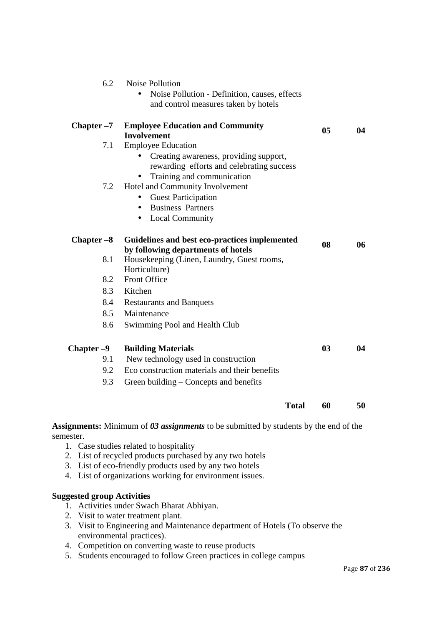| 6.2          | Noise Pollution<br>Noise Pollution - Definition, causes, effects<br>and control measures taken by hotels |    |    |
|--------------|----------------------------------------------------------------------------------------------------------|----|----|
| Chapter $-7$ | <b>Employee Education and Community</b><br><b>Involvement</b>                                            | 05 | 04 |
| 7.1          | <b>Employee Education</b><br>Creating awareness, providing support,                                      |    |    |
|              | rewarding efforts and celebrating success<br>Training and communication                                  |    |    |
| 7.2          | Hotel and Community Involvement                                                                          |    |    |
|              | <b>Guest Participation</b>                                                                               |    |    |
|              | <b>Business Partners</b><br>$\bullet$                                                                    |    |    |
|              | <b>Local Community</b><br>$\bullet$                                                                      |    |    |
| Chapter -8   | Guidelines and best eco-practices implemented<br>by following departments of hotels                      | 08 | 06 |
| 8.1          | Housekeeping (Linen, Laundry, Guest rooms,                                                               |    |    |
|              | Horticulture)                                                                                            |    |    |
| 8.2          | Front Office                                                                                             |    |    |
| 8.3          | Kitchen                                                                                                  |    |    |
| 8.4          | <b>Restaurants and Banquets</b>                                                                          |    |    |
| 8.5          | Maintenance                                                                                              |    |    |
| 8.6          | Swimming Pool and Health Club                                                                            |    |    |
| $Chapter -9$ | <b>Building Materials</b>                                                                                | 03 | 04 |
| 9.1          | New technology used in construction                                                                      |    |    |
| 9.2          | Eco construction materials and their benefits                                                            |    |    |
| 9.3          | Green building – Concepts and benefits                                                                   |    |    |
|              | <b>Total</b>                                                                                             | 60 | 50 |
|              | <b>guidenting property</b> in the matrice of the submitted by students by the end of the                 |    |    |

Assignments: Minimum of 03 assignments to be submitted by students by the e semester.

- 1. Case studies related to hospitality
- 2. List of recycled products purchased by any two hotels
- 3. List of eco-friendly products used by any two hotels
- 4. List of organizations working for environment issues.

#### **Suggested group Activities**

- 1. Activities under Swach Bharat Abhiyan.
- 2. Visit to water treatment plant.
- 3. Visit to Engineering and Maintenance department of Hotels (To observe the environmental practices).
- 4. Competition on converting waste to reuse products
- 5. Students encouraged to follow Green practices in college campus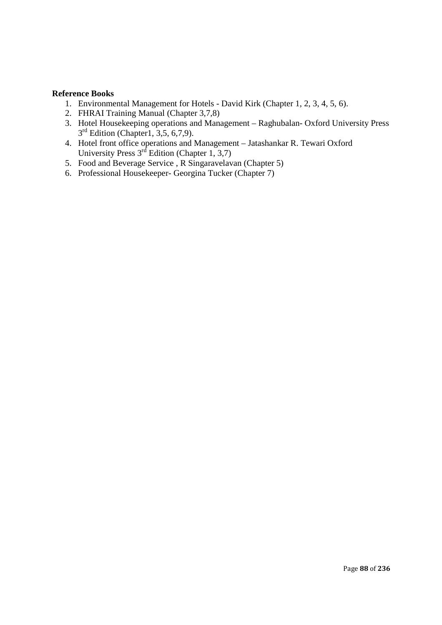#### **Reference Books**

- 1. Environmental Management for Hotels David Kirk (Chapter 1, 2, 3, 4, 5, 6).
- 2. FHRAI Training Manual (Chapter 3,7,8)
- 3. Hotel Housekeeping operations and Management Raghubalan- Oxford University Press 3<sup>rd</sup> Edition (Chapter1, 3,5, 6,7,9).
- 4. Hotel front office operations and Management Jatashankar R. Tewari Oxford University Press  $3<sup>rd</sup>$  Edition (Chapter 1, 3,7)
- 5. Food and Beverage Service , R Singaravelavan (Chapter 5)
- 6. Professional Housekeeper- Georgina Tucker (Chapter 7)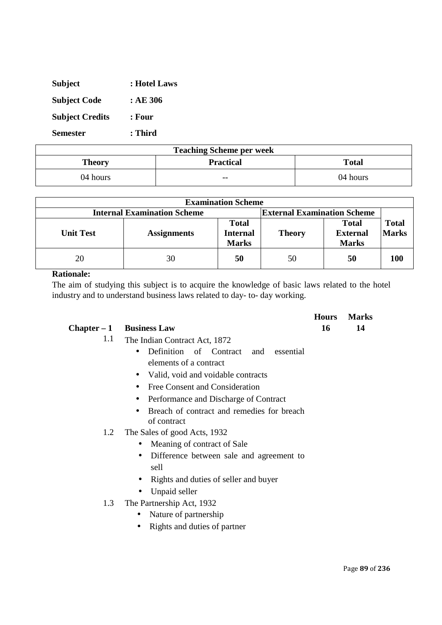| <b>Subject</b>         | : Hotel Laws |
|------------------------|--------------|
| <b>Subject Code</b>    | :AE306       |
| <b>Subject Credits</b> | : Four       |
| <b>Semester</b>        | : Third      |

| <b>Teaching Scheme per week</b>            |       |          |  |
|--------------------------------------------|-------|----------|--|
| <b>Total</b><br><b>Practical</b><br>Theory |       |          |  |
| 04 hours                                   | $- -$ | 04 hours |  |

| <b>Examination Scheme</b>                                                |                    |                                                 |               |                                                 |                              |
|--------------------------------------------------------------------------|--------------------|-------------------------------------------------|---------------|-------------------------------------------------|------------------------------|
| <b>External Examination Scheme</b><br><b>Internal Examination Scheme</b> |                    |                                                 |               |                                                 |                              |
| <b>Unit Test</b>                                                         | <b>Assignments</b> | <b>Total</b><br><b>Internal</b><br><b>Marks</b> | <b>Theory</b> | <b>Total</b><br><b>External</b><br><b>Marks</b> | <b>Total</b><br><b>Marks</b> |
| 20                                                                       | 30                 | 50                                              | 50            | 50                                              | 100                          |

The aim of studying this subject is to acquire the knowledge of basic laws related to the hotel industry and to understand business laws related to day- to- day working.

**Chapter – 1 Business Law 16 14** 

# **Hours Marks**

- 1.1 The Indian Contract Act, 1872
	- Definition of Contract and essential elements of a contract
	- Valid, void and voidable contracts
	- Free Consent and Consideration
	- Performance and Discharge of Contract
	- Breach of contract and remedies for breach of contract
- 1.2 The Sales of good Acts, 1932
	- Meaning of contract of Sale
	- Difference between sale and agreement to sell
	- Rights and duties of seller and buyer
	- Unpaid seller
- 1.3 The Partnership Act, 1932
	- Nature of partnership
	- Rights and duties of partner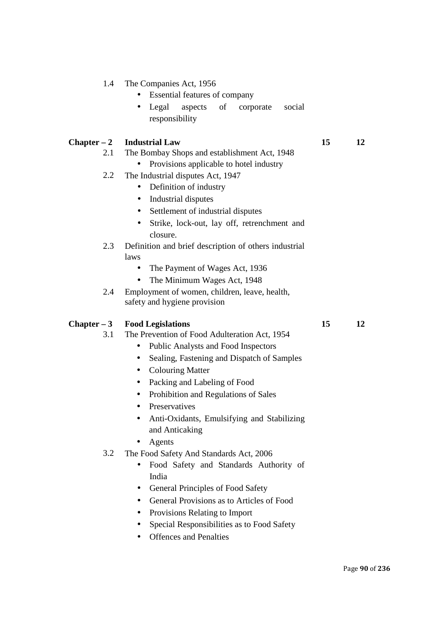- 1.4 The Companies Act, 1956
	- Essential features of company
	- Legal aspects of corporate social responsibility

#### **Chapter – 2 Industrial Law 15 12**

- 2.1 The Bombay Shops and establishment Act, 1948
	- Provisions applicable to hotel industry
- 2.2 The Industrial disputes Act, 1947
	- Definition of industry
	- Industrial disputes
	- Settlement of industrial disputes
	- Strike, lock-out, lay off, retrenchment and closure.
- 2.3 Definition and brief description of others industrial laws
	- The Payment of Wages Act, 1936
	- The Minimum Wages Act, 1948
- 2.4 Employment of women, children, leave, health, safety and hygiene provision

#### **Chapter – 3 Food Legislations 15 12**

3.1 The Prevention of Food Adulteration Act, 1954

- Public Analysts and Food Inspectors
- Sealing, Fastening and Dispatch of Samples
- Colouring Matter
- Packing and Labeling of Food
- Prohibition and Regulations of Sales
- Preservatives
- Anti-Oxidants, Emulsifying and Stabilizing and Anticaking
- Agents
- 3.2 The Food Safety And Standards Act, 2006
	- Food Safety and Standards Authority of India
	- General Principles of Food Safety
	- General Provisions as to Articles of Food
	- Provisions Relating to Import
	- Special Responsibilities as to Food Safety
	- Offences and Penalties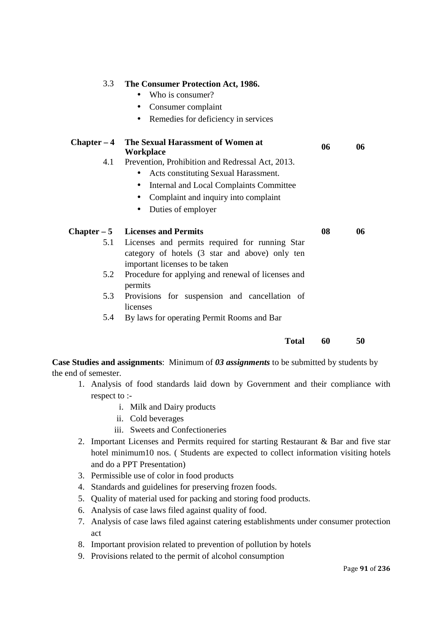| 3.3           | The Consumer Protection Act, 1986.                                                                                                 |    |    |
|---------------|------------------------------------------------------------------------------------------------------------------------------------|----|----|
|               | Who is consumer?<br>$\bullet$                                                                                                      |    |    |
|               | Consumer complaint<br>٠                                                                                                            |    |    |
|               | Remedies for deficiency in services                                                                                                |    |    |
| $Chapter - 4$ | The Sexual Harassment of Women at<br>Workplace                                                                                     | 06 | 06 |
| 4.1           | Prevention, Prohibition and Redressal Act, 2013.<br>Acts constituting Sexual Harassment.<br>$\bullet$                              |    |    |
|               | Internal and Local Complaints Committee                                                                                            |    |    |
|               | Complaint and inquiry into complaint                                                                                               |    |    |
|               | Duties of employer                                                                                                                 |    |    |
| $Chapter - 5$ | <b>Licenses and Permits</b>                                                                                                        | 08 | 06 |
| 5.1           | Licenses and permits required for running Star<br>category of hotels (3 star and above) only ten<br>important licenses to be taken |    |    |
| 5.2           | Procedure for applying and renewal of licenses and<br>permits                                                                      |    |    |
| 5.3           | Provisions for suspension and cancellation of<br>licenses                                                                          |    |    |
| 5.4           | By laws for operating Permit Rooms and Bar                                                                                         |    |    |

**Total 60 50** 

**Case Studies and assignments**: Minimum of *03 assignments* to be submitted by students by the end of semester.

- 1. Analysis of food standards laid down by Government and their compliance with respect to :
	- i. Milk and Dairy products
	- ii. Cold beverages
	- iii. Sweets and Confectioneries
- 2. Important Licenses and Permits required for starting Restaurant & Bar and five star hotel minimum10 nos. (Students are expected to collect information visiting hotels and do a PPT Presentation)
- 3. Permissible use of color in food products
- 4. Standards and guidelines for preserving frozen foods.
- 5. Quality of material used for packing and storing food products.
- 6. Analysis of case laws filed against quality of food.
- 7. Analysis of case laws filed against catering establishments under consumer protection act
- 8. Important provision related to prevention of pollution by hotels
- 9. Provisions related to the permit of alcohol consumption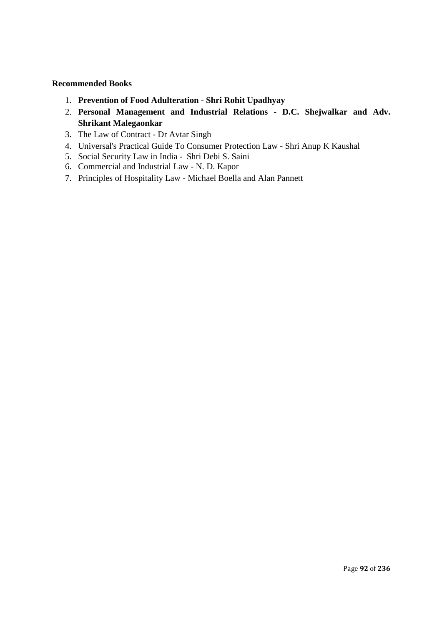#### **Recommended Books**

- 1. **Prevention of Food Adulteration Shri Rohit Upadhyay**
- 2. **Personal Management and Industrial Relations D.C. Shejwalkar and Adv. Shrikant Malegaonkar**
- 3. The Law of Contract Dr Avtar Singh
- 4. Universal's Practical Guide To Consumer Protection Law Shri Anup K Kaushal
- 5. Social Security Law in India Shri Debi S. Saini
- 6. Commercial and Industrial Law N. D. Kapor
- 7. Principles of Hospitality Law Michael Boella and Alan Pannett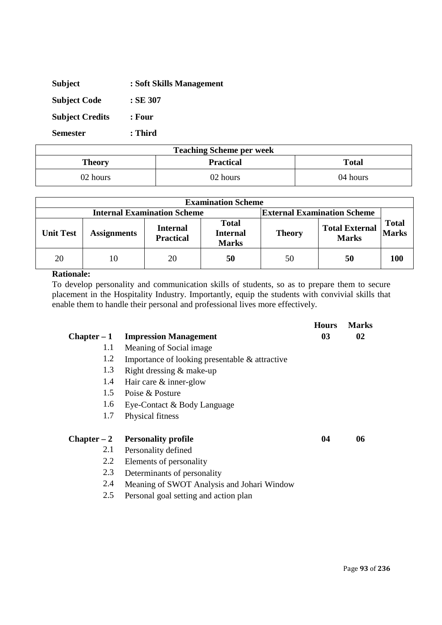| <b>Subject</b>         | : Soft Skills Management |
|------------------------|--------------------------|
| <b>Subject Code</b>    | $:$ SE 307               |
| <b>Subject Credits</b> | $:$ Four                 |
| <b>Semester</b>        | : Third                  |

| <b>Teaching Scheme per week</b>            |          |          |  |
|--------------------------------------------|----------|----------|--|
| <b>Practical</b><br><b>Total</b><br>Theory |          |          |  |
| 02 hours                                   | 02 hours | 04 hours |  |

|                                                                          | <b>Examination Scheme</b> |                                     |                                                 |               |                                       |                              |
|--------------------------------------------------------------------------|---------------------------|-------------------------------------|-------------------------------------------------|---------------|---------------------------------------|------------------------------|
| <b>External Examination Scheme</b><br><b>Internal Examination Scheme</b> |                           |                                     |                                                 |               |                                       |                              |
| <b>Unit Test</b>                                                         | <b>Assignments</b>        | <b>Internal</b><br><b>Practical</b> | <b>Total</b><br><b>Internal</b><br><b>Marks</b> | <b>Theory</b> | <b>Total External</b><br><b>Marks</b> | <b>Total</b><br><b>Marks</b> |
| 20                                                                       |                           | 20                                  | 50                                              | 50            | 50                                    | 100                          |

To develop personality and communication skills of students, so as to prepare them to secure placement in the Hospitality Industry. Importantly, equip the students with convivial skills that enable them to handle their personal and professional lives more effectively.

|               |                                                | <b>Hours</b> | <b>Marks</b> |
|---------------|------------------------------------------------|--------------|--------------|
| $Chapter - 1$ | <b>Impression Management</b>                   | 03           | 02           |
| 1.1           | Meaning of Social image.                       |              |              |
| 1.2           | Importance of looking presentable & attractive |              |              |
| 1.3           | Right dressing $&$ make-up                     |              |              |
| 1.4           | Hair care $\&$ inner-glow                      |              |              |
| 1.5           | Poise & Posture                                |              |              |
| 1.6           | Eye-Contact & Body Language                    |              |              |
| 1.7           | Physical fitness                               |              |              |
|               |                                                |              |              |
| $Chapter - 2$ | <b>Personality profile</b>                     | 04           | 06           |
| 2.1           | Personality defined                            |              |              |
| 2.2           | Elements of personality                        |              |              |
| 2.3           | Determinants of personality                    |              |              |
| 2.4           | Meaning of SWOT Analysis and Johari Window     |              |              |
| 2.5           | Personal goal setting and action plan          |              |              |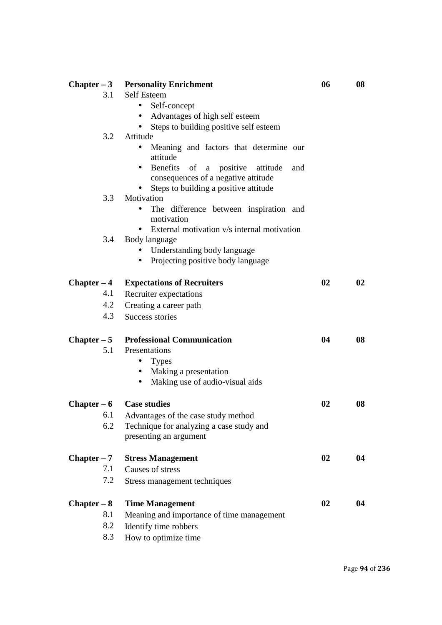|               | Chapter – 3 Personality Enrichment                                                       | 06 | 08 |
|---------------|------------------------------------------------------------------------------------------|----|----|
| 3.1           | Self Esteem                                                                              |    |    |
|               | Self-concept<br>٠                                                                        |    |    |
|               | Advantages of high self esteem<br>$\bullet$                                              |    |    |
|               | Steps to building positive self esteem                                                   |    |    |
| 3.2           | Attitude                                                                                 |    |    |
|               | Meaning and factors that determine our<br>$\bullet$<br>attitude                          |    |    |
|               | Benefits of<br>a positive<br>attitude<br>and<br>٠<br>consequences of a negative attitude |    |    |
|               | Steps to building a positive attitude                                                    |    |    |
| 3.3           | Motivation                                                                               |    |    |
|               | The difference between inspiration and<br>$\bullet$<br>motivation                        |    |    |
|               | External motivation v/s internal motivation                                              |    |    |
| 3.4           | Body language                                                                            |    |    |
|               | Understanding body language<br>Projecting positive body language<br>$\bullet$            |    |    |
|               |                                                                                          |    |    |
| $Chapter - 4$ | <b>Expectations of Recruiters</b>                                                        | 02 | 02 |
| 4.1           | Recruiter expectations                                                                   |    |    |
| 4.2           | Creating a career path                                                                   |    |    |
| 4.3           | Success stories                                                                          |    |    |
| $Chapter - 5$ | <b>Professional Communication</b>                                                        | 04 | 08 |
| 5.1           | Presentations                                                                            |    |    |
|               | <b>Types</b>                                                                             |    |    |
|               | Making a presentation<br>$\bullet$                                                       |    |    |
|               | Making use of audio-visual aids<br>$\bullet$                                             |    |    |
| $Chapter - 6$ | <b>Case studies</b>                                                                      | 02 | 08 |
| 6.1           | Advantages of the case study method                                                      |    |    |
| 6.2           | Technique for analyzing a case study and                                                 |    |    |
|               | presenting an argument                                                                   |    |    |
| $Chapter - 7$ | <b>Stress Management</b>                                                                 | 02 | 04 |
| 7.1           | Causes of stress                                                                         |    |    |
| 7.2           | Stress management techniques                                                             |    |    |
| $Chapter - 8$ | <b>Time Management</b>                                                                   | 02 | 04 |
| 8.1           | Meaning and importance of time management                                                |    |    |
| 8.2           | Identify time robbers                                                                    |    |    |
| 8.3           | How to optimize time                                                                     |    |    |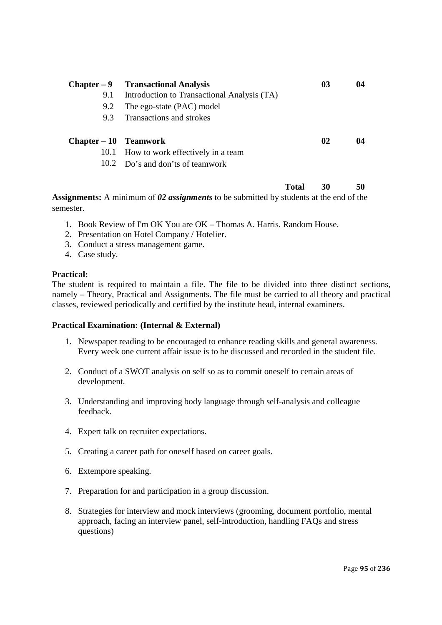|                                             | 03                                                                                                                                                                           | 04 |
|---------------------------------------------|------------------------------------------------------------------------------------------------------------------------------------------------------------------------------|----|
| Introduction to Transactional Analysis (TA) |                                                                                                                                                                              |    |
| The ego-state (PAC) model                   |                                                                                                                                                                              |    |
|                                             |                                                                                                                                                                              |    |
|                                             |                                                                                                                                                                              |    |
|                                             | 02                                                                                                                                                                           | 04 |
|                                             |                                                                                                                                                                              |    |
|                                             |                                                                                                                                                                              |    |
|                                             |                                                                                                                                                                              |    |
|                                             | Chapter – 9 Transactional Analysis<br><b>Transactions and strokes</b><br>Chapter – 10 Teamwork<br>10.1 How to work effectively in a team<br>10.2 Do's and don'ts of teamwork |    |

**Total 30 50** 

**Assignments:** A minimum of *02 assignments* to be submitted by students at the end of the semester.

- 1. Book Review of I'm OK You are OK Thomas A. Harris. Random House.
- 2. Presentation on Hotel Company / Hotelier.
- 3. Conduct a stress management game.
- 4. Case study.

#### **Practical:**

The student is required to maintain a file. The file to be divided into three distinct sections, namely – Theory, Practical and Assignments. The file must be carried to all theory and practical classes, reviewed periodically and certified by the institute head, internal examiners.

#### **Practical Examination: (Internal & External)**

- 1. Newspaper reading to be encouraged to enhance reading skills and general awareness. Every week one current affair issue is to be discussed and recorded in the student file.
- 2. Conduct of a SWOT analysis on self so as to commit oneself to certain areas of development.
- 3. Understanding and improving body language through self-analysis and colleague feedback.
- 4. Expert talk on recruiter expectations.
- 5. Creating a career path for oneself based on career goals.
- 6. Extempore speaking.
- 7. Preparation for and participation in a group discussion.
- 8. Strategies for interview and mock interviews (grooming, document portfolio, mental approach, facing an interview panel, self-introduction, handling FAQs and stress questions)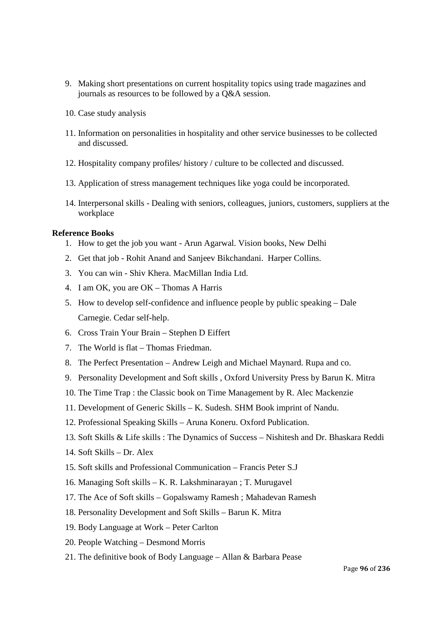- 9. Making short presentations on current hospitality topics using trade magazines and journals as resources to be followed by a Q&A session.
- 10. Case study analysis
- 11. Information on personalities in hospitality and other service businesses to be collected and discussed.
- 12. Hospitality company profiles/ history / culture to be collected and discussed.
- 13. Application of stress management techniques like yoga could be incorporated.
- 14. Interpersonal skills Dealing with seniors, colleagues, juniors, customers, suppliers at the workplace

#### **Reference Books**

- 1. How to get the job you want Arun Agarwal. Vision books, New Delhi
- 2. Get that job Rohit Anand and Sanjeev Bikchandani. Harper Collins.
- 3. You can win Shiv Khera. MacMillan India Ltd.
- 4. I am OK, you are OK Thomas A Harris
- 5. How to develop self-confidence and influence people by public speaking Dale Carnegie. Cedar self-help.
- 6. Cross Train Your Brain Stephen D Eiffert
- 7. The World is flat Thomas Friedman.
- 8. The Perfect Presentation Andrew Leigh and Michael Maynard. Rupa and co.
- 9. Personality Development and Soft skills , Oxford University Press by Barun K. Mitra
- 10. The Time Trap : the Classic book on Time Management by R. Alec Mackenzie
- 11. Development of Generic Skills K. Sudesh. SHM Book imprint of Nandu.
- 12. Professional Speaking Skills Aruna Koneru. Oxford Publication.
- 13. Soft Skills & Life skills : The Dynamics of Success Nishitesh and Dr. Bhaskara Reddi
- 14. Soft Skills Dr. Alex
- 15. Soft skills and Professional Communication Francis Peter S.J
- 16. Managing Soft skills K. R. Lakshminarayan ; T. Murugavel
- 17. The Ace of Soft skills Gopalswamy Ramesh ; Mahadevan Ramesh
- 18. Personality Development and Soft Skills Barun K. Mitra
- 19. Body Language at Work Peter Carlton
- 20. People Watching Desmond Morris
- 21. The definitive book of Body Language Allan & Barbara Pease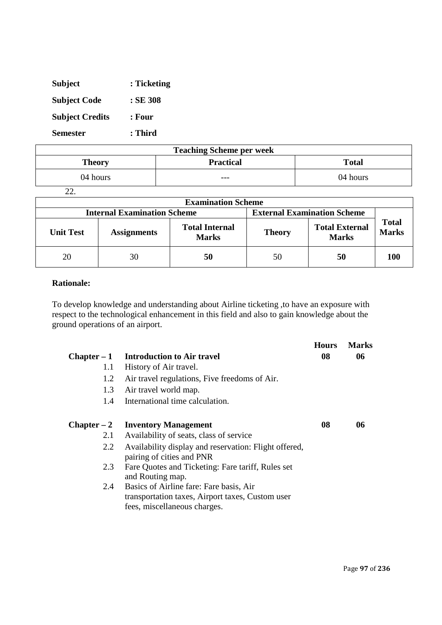| <b>Subject</b>         | : Ticketing |
|------------------------|-------------|
| <b>Subject Code</b>    | : SE 308    |
| <b>Subject Credits</b> | : Four      |
| <b>Semester</b>        | : Third     |

| <b>Teaching Scheme per week</b>            |     |          |  |  |
|--------------------------------------------|-----|----------|--|--|
| <b>Practical</b><br><b>Total</b><br>Theory |     |          |  |  |
| 04 hours                                   | --- | 04 hours |  |  |

22.

| <b>Examination Scheme</b>                                                |                    |                                       |               |                                       |                              |
|--------------------------------------------------------------------------|--------------------|---------------------------------------|---------------|---------------------------------------|------------------------------|
| <b>External Examination Scheme</b><br><b>Internal Examination Scheme</b> |                    |                                       |               |                                       |                              |
| <b>Unit Test</b>                                                         | <b>Assignments</b> | <b>Total Internal</b><br><b>Marks</b> | <b>Theory</b> | <b>Total External</b><br><b>Marks</b> | <b>Total</b><br><b>Marks</b> |
| 20                                                                       | 30                 | 50                                    | 50            | 50                                    | 100                          |

### **Rationale:**

To develop knowledge and understanding about Airline ticketing ,to have an exposure with respect to the technological enhancement in this field and also to gain knowledge about the ground operations of an airport.

|               |                                                                                                                             | <b>Hours</b> | <b>Marks</b> |
|---------------|-----------------------------------------------------------------------------------------------------------------------------|--------------|--------------|
|               | $Chapter - 1$ Introduction to Air travel                                                                                    | 08           | 06           |
| 1.1           | History of Air travel.                                                                                                      |              |              |
| 1.2           | Air travel regulations, Five freedoms of Air.                                                                               |              |              |
| 1.3           | Air travel world map.                                                                                                       |              |              |
| 1.4           | International time calculation.                                                                                             |              |              |
| $Chapter - 2$ | <b>Inventory Management</b>                                                                                                 | 08           | 06           |
| 2.1           | Availability of seats, class of service                                                                                     |              |              |
| 2.2           | Availability display and reservation: Flight offered,<br>pairing of cities and PNR                                          |              |              |
| 2.3           | Fare Quotes and Ticketing: Fare tariff, Rules set<br>and Routing map.                                                       |              |              |
| 2.4           | Basics of Airline fare: Fare basis, Air<br>transportation taxes, Airport taxes, Custom user<br>fees, miscellaneous charges. |              |              |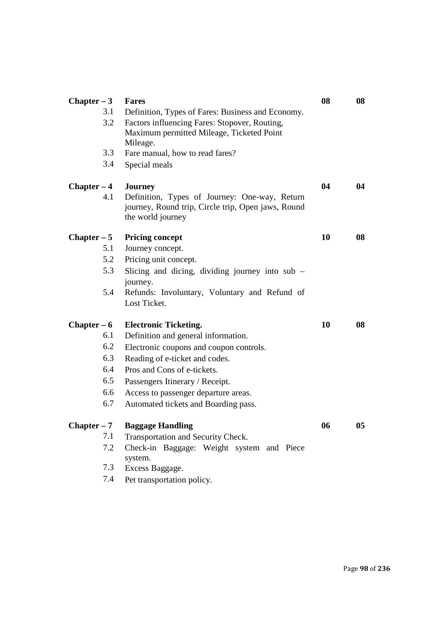| $Chapter - 3$ | <b>Fares</b>                                       | 08 | 08 |
|---------------|----------------------------------------------------|----|----|
| 3.1           | Definition, Types of Fares: Business and Economy.  |    |    |
| 3.2           | Factors influencing Fares: Stopover, Routing,      |    |    |
|               | Maximum permitted Mileage, Ticketed Point          |    |    |
|               | Mileage.                                           |    |    |
| 3.3           | Fare manual, how to read fares?                    |    |    |
| 3.4           | Special meals                                      |    |    |
| $Chapter - 4$ | <b>Journey</b>                                     | 04 | 04 |
| 4.1           | Definition, Types of Journey: One-way, Return      |    |    |
|               | journey, Round trip, Circle trip, Open jaws, Round |    |    |
|               | the world journey                                  |    |    |
| $Chapter - 5$ | <b>Pricing concept</b>                             | 10 | 08 |
| 5.1           | Journey concept.                                   |    |    |
| 5.2           | Pricing unit concept.                              |    |    |
| 5.3           | Slicing and dicing, dividing journey into sub -    |    |    |
|               | journey.                                           |    |    |
| 5.4           | Refunds: Involuntary, Voluntary and Refund of      |    |    |
|               | Lost Ticket.                                       |    |    |
| $Chapter - 6$ | <b>Electronic Ticketing.</b>                       | 10 | 08 |
| 6.1           | Definition and general information.                |    |    |
| 6.2           | Electronic coupons and coupon controls.            |    |    |
| 6.3           | Reading of e-ticket and codes.                     |    |    |
| 6.4           | Pros and Cons of e-tickets.                        |    |    |
| 6.5           | Passengers Itinerary / Receipt.                    |    |    |
| 6.6           | Access to passenger departure areas.               |    |    |
| 6.7           | Automated tickets and Boarding pass.               |    |    |
| $Chapter - 7$ | <b>Baggage Handling</b>                            | 06 | 05 |
| 7.1           | Transportation and Security Check.                 |    |    |
| 7.2           | Check-in Baggage: Weight system and Piece          |    |    |
|               | system.                                            |    |    |
| 7.3           | Excess Baggage.                                    |    |    |
| 7.4           | Pet transportation policy.                         |    |    |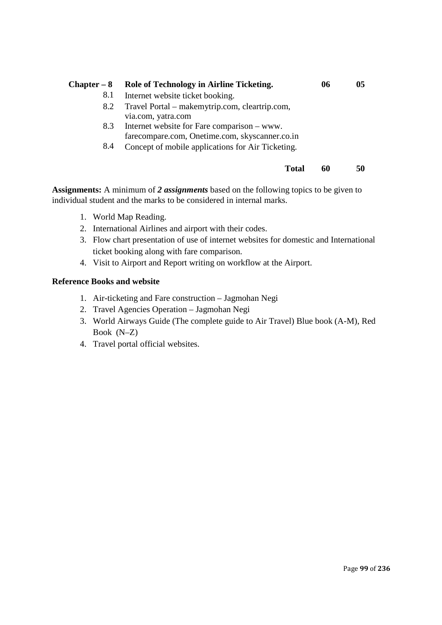| $Chapter - 8$ | Role of Technology in Airline Ticketing.          | 06 | 05 |
|---------------|---------------------------------------------------|----|----|
| 8.1           | Internet website ticket booking.                  |    |    |
| 8.2           | Travel Portal – makemytrip.com, cleartrip.com,    |    |    |
|               | via.com, yatra.com                                |    |    |
| 8.3           | Internet website for Fare comparison – www.       |    |    |
|               | farecompare.com, Onetime.com, skyscanner.co.in    |    |    |
| 8.4           | Concept of mobile applications for Air Ticketing. |    |    |
|               |                                                   |    |    |
|               | Total                                             | 60 | 50 |

**Assignments:** A minimum of *2 assignments* based on the following topics to be given to individual student and the marks to be considered in internal marks.

- 1. World Map Reading.
- 2. International Airlines and airport with their codes.
- 3. Flow chart presentation of use of internet websites for domestic and International ticket booking along with fare comparison.
- 4. Visit to Airport and Report writing on workflow at the Airport.

#### **Reference Books and website**

- 1. Air-ticketing and Fare construction Jagmohan Negi
- 2. Travel Agencies Operation Jagmohan Negi
- 3. World Airways Guide (The complete guide to Air Travel) Blue book (A-M), Red Book (N–Z)
- 4. Travel portal official websites.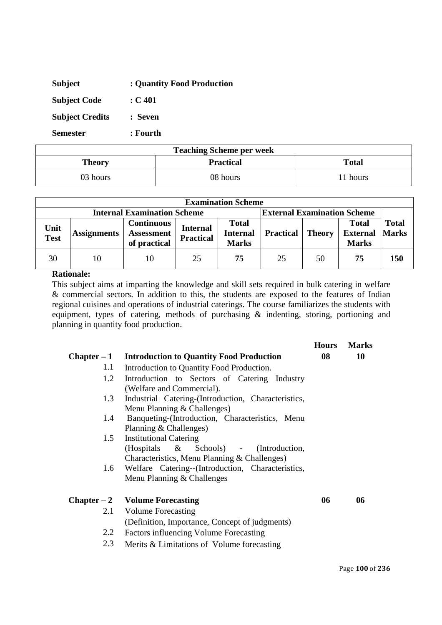| <b>Subject</b>         | : Quantity Food Production |
|------------------------|----------------------------|
| <b>Subject Code</b>    | $\div$ C 401               |
| <b>Subject Credits</b> | : Seven                    |
| <b>Semester</b>        | : Fourth                   |

| <b>Teaching Scheme per week</b> |                  |              |  |  |
|---------------------------------|------------------|--------------|--|--|
| Theory                          | <b>Practical</b> | <b>Total</b> |  |  |
| 03 hours                        | 08 hours         | 1 hours      |  |  |

| <b>Examination Scheme</b> |                    |                                                        |                                     |                                                 |                                    |               |                                                 |                              |
|---------------------------|--------------------|--------------------------------------------------------|-------------------------------------|-------------------------------------------------|------------------------------------|---------------|-------------------------------------------------|------------------------------|
|                           |                    | <b>Internal Examination Scheme</b>                     |                                     |                                                 | <b>External Examination Scheme</b> |               |                                                 |                              |
| Unit<br><b>Test</b>       | <b>Assignments</b> | <b>Continuous</b><br><b>Assessment</b><br>of practical | <b>Internal</b><br><b>Practical</b> | <b>Total</b><br><b>Internal</b><br><b>Marks</b> | <b>Practical</b>                   | <b>Theory</b> | <b>Total</b><br><b>External</b><br><b>Marks</b> | <b>Total</b><br><b>Marks</b> |
| 30                        | 10                 | 10                                                     | 25                                  | 75                                              | 25                                 | 50            | 75                                              | 150                          |

This subject aims at imparting the knowledge and skill sets required in bulk catering in welfare & commercial sectors. In addition to this, the students are exposed to the features of Indian regional cuisines and operations of industrial caterings. The course familiarizes the students with equipment, types of catering, methods of purchasing & indenting, storing, portioning and planning in quantity food production.

|               |                                                     | <b>Hours</b> | <b>Marks</b> |
|---------------|-----------------------------------------------------|--------------|--------------|
| $Chapter - 1$ | <b>Introduction to Quantity Food Production</b>     | 08           | 10           |
| 1.1           | Introduction to Quantity Food Production.           |              |              |
| 1.2           | Introduction to Sectors of Catering Industry        |              |              |
|               | (Welfare and Commercial).                           |              |              |
| 1.3           | Industrial Catering-(Introduction, Characteristics, |              |              |
|               | Menu Planning & Challenges)                         |              |              |
| 1.4           | Banqueting-(Introduction, Characteristics, Menu     |              |              |
|               | Planning & Challenges)                              |              |              |
| 1.5           | <b>Institutional Catering</b>                       |              |              |
|               | (Hospitals & Schools) - (Introduction,              |              |              |
|               | Characteristics, Menu Planning & Challenges)        |              |              |
| 1.6           | Welfare Catering--(Introduction, Characteristics,   |              |              |
|               | Menu Planning & Challenges                          |              |              |
|               |                                                     |              |              |
|               | $Chapter - 2$ Volume Forecasting                    | 06           | 06           |
| 2.1           | <b>Volume Forecasting</b>                           |              |              |
|               | (Definition, Importance, Concept of judgments)      |              |              |
| 2.2           | Factors influencing Volume Forecasting              |              |              |
| 2.3           | Merits & Limitations of Volume forecasting          |              |              |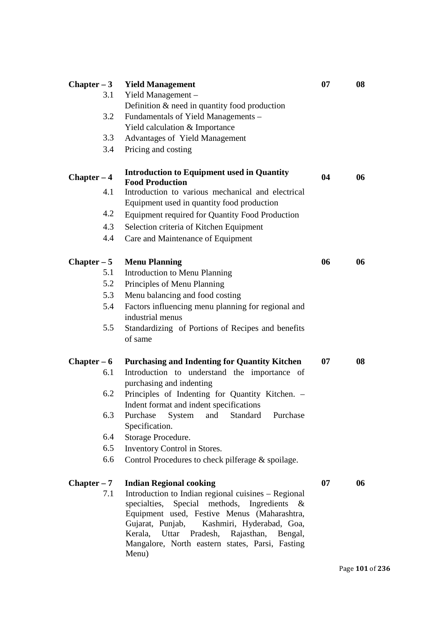| $Chapter - 3$ | <b>Yield Management</b>                                                                         | 07 | 08 |
|---------------|-------------------------------------------------------------------------------------------------|----|----|
| 3.1           | Yield Management -                                                                              |    |    |
|               | Definition $& need in quantity food production$                                                 |    |    |
| 3.2           | Fundamentals of Yield Managements -                                                             |    |    |
|               | Yield calculation & Importance                                                                  |    |    |
| 3.3           | Advantages of Yield Management                                                                  |    |    |
| 3.4           | Pricing and costing                                                                             |    |    |
| $Chapter - 4$ | <b>Introduction to Equipment used in Quantity</b><br><b>Food Production</b>                     | 04 | 06 |
| 4.1           | Introduction to various mechanical and electrical<br>Equipment used in quantity food production |    |    |
| 4.2           | Equipment required for Quantity Food Production                                                 |    |    |
| 4.3           | Selection criteria of Kitchen Equipment                                                         |    |    |
| 4.4           | Care and Maintenance of Equipment                                                               |    |    |
|               |                                                                                                 |    |    |
| $Chapter - 5$ | <b>Menu Planning</b>                                                                            | 06 | 06 |
| 5.1           | Introduction to Menu Planning                                                                   |    |    |
| 5.2           | Principles of Menu Planning                                                                     |    |    |
| 5.3           | Menu balancing and food costing                                                                 |    |    |
| 5.4           | Factors influencing menu planning for regional and                                              |    |    |
| 5.5           | industrial menus<br>Standardizing of Portions of Recipes and benefits                           |    |    |
|               | of same                                                                                         |    |    |
| $Chapter - 6$ | <b>Purchasing and Indenting for Quantity Kitchen</b>                                            | 07 | 08 |
| 6.1           | Introduction to understand the importance of                                                    |    |    |
|               | purchasing and indenting                                                                        |    |    |
| 6.2           | Principles of Indenting for Quantity Kitchen. -                                                 |    |    |
|               | Indent format and indent specifications                                                         |    |    |
| 6.3           | Purchase System and Standard Purchase<br>Specification.                                         |    |    |
| 6.4           | Storage Procedure.                                                                              |    |    |
| 6.5           | Inventory Control in Stores.                                                                    |    |    |
| 6.6           | Control Procedures to check pilferage & spoilage.                                               |    |    |
|               |                                                                                                 |    |    |
| $Chapter - 7$ | <b>Indian Regional cooking</b>                                                                  | 07 | 06 |
| 7.1           | Introduction to Indian regional cuisines - Regional                                             |    |    |
|               | specialties,<br>Special methods, Ingredients $\&$                                               |    |    |
|               | Equipment used, Festive Menus (Maharashtra,                                                     |    |    |
|               | Gujarat, Punjab,<br>Kashmiri, Hyderabad, Goa,<br>Kerala, Uttar Pradesh, Rajasthan,<br>Bengal,   |    |    |
|               | Mangalore, North eastern states, Parsi, Fasting                                                 |    |    |
|               | Menu)                                                                                           |    |    |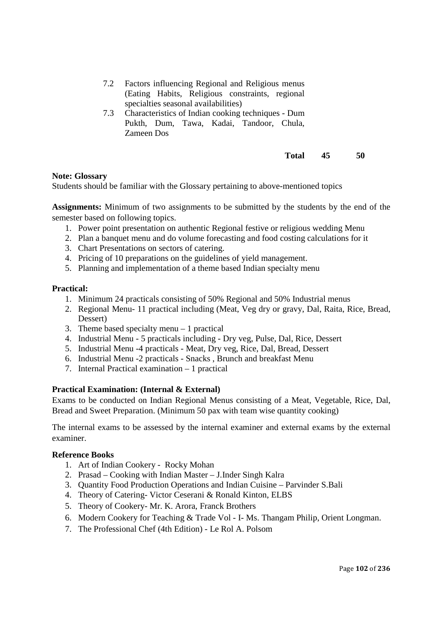- 7.2 Factors influencing Regional and Religious menus (Eating Habits, Religious constraints, regional specialties seasonal availabilities)
- 7.3 Characteristics of Indian cooking techniques Dum Pukth, Dum, Tawa, Kadai, Tandoor, Chula, Zameen Dos

#### **Total 45 50**

#### **Note: Glossary**

Students should be familiar with the Glossary pertaining to above-mentioned topics

**Assignments:** Minimum of two assignments to be submitted by the students by the end of the semester based on following topics.

- 1. Power point presentation on authentic Regional festive or religious wedding Menu
- 2. Plan a banquet menu and do volume forecasting and food costing calculations for it
- 3. Chart Presentations on sectors of catering.
- 4. Pricing of 10 preparations on the guidelines of yield management.
- 5. Planning and implementation of a theme based Indian specialty menu

#### **Practical:**

- 1. Minimum 24 practicals consisting of 50% Regional and 50% Industrial menus
- 2. Regional Menu- 11 practical including (Meat, Veg dry or gravy, Dal, Raita, Rice, Bread, Dessert)
- 3. Theme based specialty menu 1 practical
- 4. Industrial Menu 5 practicals including Dry veg, Pulse, Dal, Rice, Dessert
- 5. Industrial Menu -4 practicals Meat, Dry veg, Rice, Dal, Bread, Dessert
- 6. Industrial Menu -2 practicals Snacks , Brunch and breakfast Menu
- 7. Internal Practical examination 1 practical

#### **Practical Examination: (Internal & External)**

Exams to be conducted on Indian Regional Menus consisting of a Meat, Vegetable, Rice, Dal, Bread and Sweet Preparation. (Minimum 50 pax with team wise quantity cooking)

The internal exams to be assessed by the internal examiner and external exams by the external examiner.

#### **Reference Books**

- 1. Art of Indian Cookery Rocky Mohan
- 2. Prasad Cooking with Indian Master J.Inder Singh Kalra
- 3. Quantity Food Production Operations and Indian Cuisine Parvinder S.Bali
- 4. Theory of Catering- Victor Ceserani & Ronald Kinton, ELBS
- 5. Theory of Cookery- Mr. K. Arora, Franck Brothers
- 6. Modern Cookery for Teaching & Trade Vol I- Ms. Thangam Philip, Orient Longman.
- 7. The Professional Chef (4th Edition) Le Rol A. Polsom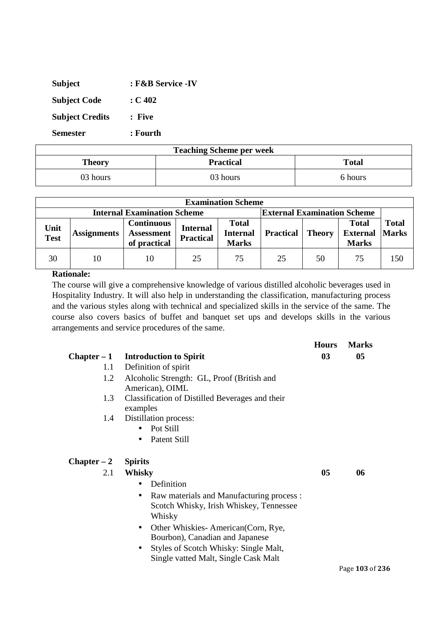| <b>Subject</b>         | : F&B Service -IV |
|------------------------|-------------------|
| <b>Subject Code</b>    | : C.402           |
| <b>Subject Credits</b> | : Five            |
| <b>Semester</b>        | : Fourth          |

| <b>Teaching Scheme per week</b> |                  |              |  |
|---------------------------------|------------------|--------------|--|
| Theory                          | <b>Practical</b> | <b>Total</b> |  |
| 03 hours                        | 03 hours         | 6 hours      |  |

| <b>Examination Scheme</b> |                    |                                                        |                                     |                                                 |                                    |               |                                                 |                              |
|---------------------------|--------------------|--------------------------------------------------------|-------------------------------------|-------------------------------------------------|------------------------------------|---------------|-------------------------------------------------|------------------------------|
|                           |                    | <b>Internal Examination Scheme</b>                     |                                     |                                                 | <b>External Examination Scheme</b> |               |                                                 |                              |
| Unit<br><b>Test</b>       | <b>Assignments</b> | <b>Continuous</b><br><b>Assessment</b><br>of practical | <b>Internal</b><br><b>Practical</b> | <b>Total</b><br><b>Internal</b><br><b>Marks</b> | <b>Practical</b>                   | <b>Theory</b> | <b>Total</b><br><b>External</b><br><b>Marks</b> | <b>Total</b><br><b>Marks</b> |
| 30                        | 10                 | 10                                                     | 25                                  | 75                                              | 25                                 | 50            | 75                                              | 150                          |

The course will give a comprehensive knowledge of various distilled alcoholic beverages used in Hospitality Industry. It will also help in understanding the classification, manufacturing process and the various styles along with technical and specialized skills in the service of the same. The course also covers basics of buffet and banquet set ups and develops skills in the various arrangements and service procedures of the same.

|               |                                                                                                                                                                                                                                                                                                  | <b>Hours</b> | <b>Marks</b>  |
|---------------|--------------------------------------------------------------------------------------------------------------------------------------------------------------------------------------------------------------------------------------------------------------------------------------------------|--------------|---------------|
|               | $Chapter - 1$ Introduction to Spirit                                                                                                                                                                                                                                                             | 03           | 05            |
| 1.1           | Definition of spirit                                                                                                                                                                                                                                                                             |              |               |
| 1.2           | Alcoholic Strength: GL, Proof (British and<br>American), OIML                                                                                                                                                                                                                                    |              |               |
| 1.3           | Classification of Distilled Beverages and their<br>examples                                                                                                                                                                                                                                      |              |               |
| 1.4           | Distillation process:                                                                                                                                                                                                                                                                            |              |               |
|               | Pot Still<br>$\bullet$                                                                                                                                                                                                                                                                           |              |               |
|               | Patent Still<br>$\bullet$                                                                                                                                                                                                                                                                        |              |               |
| $Chapter - 2$ | <b>Spirits</b>                                                                                                                                                                                                                                                                                   |              |               |
| 2.1           | Whisky                                                                                                                                                                                                                                                                                           | 05           | 06            |
|               | Definition<br>$\bullet$                                                                                                                                                                                                                                                                          |              |               |
|               | Raw materials and Manufacturing process :<br>$\bullet$<br>Scotch Whisky, Irish Whiskey, Tennessee<br>Whisky<br>Other Whiskies-American (Corn, Rye,<br>$\bullet$<br>Bourbon), Canadian and Japanese<br>Styles of Scotch Whisky: Single Malt,<br>$\bullet$<br>Single vatted Malt, Single Cask Malt |              |               |
|               |                                                                                                                                                                                                                                                                                                  |              | Page 103 of 2 |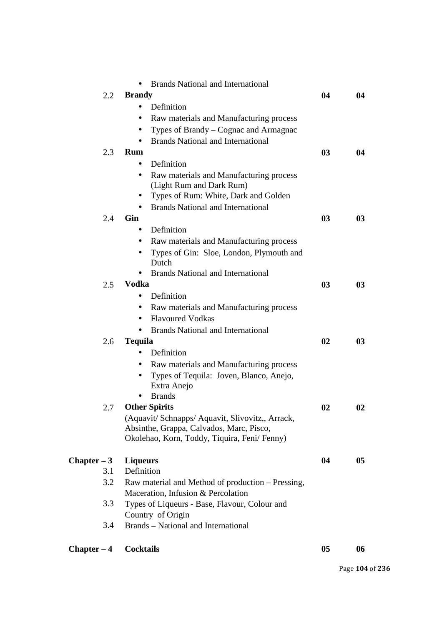|               | <b>Brands National and International</b>                                                     |                |                |
|---------------|----------------------------------------------------------------------------------------------|----------------|----------------|
| 2.2           | <b>Brandy</b>                                                                                | 04             | 04             |
|               | Definition<br>$\bullet$                                                                      |                |                |
|               | Raw materials and Manufacturing process<br>$\bullet$                                         |                |                |
|               | Types of Brandy – Cognac and Armagnac<br>$\bullet$                                           |                |                |
|               | <b>Brands National and International</b><br>$\bullet$                                        |                |                |
| 2.3           | Rum                                                                                          | 0 <sub>3</sub> | 04             |
|               | Definition<br>$\bullet$                                                                      |                |                |
|               | Raw materials and Manufacturing process<br>$\bullet$                                         |                |                |
|               | (Light Rum and Dark Rum)                                                                     |                |                |
|               | Types of Rum: White, Dark and Golden                                                         |                |                |
|               | <b>Brands National and International</b>                                                     |                |                |
| 2.4           | <b>Gin</b>                                                                                   | 03             | 03             |
|               | Definition<br>$\bullet$                                                                      |                |                |
|               | Raw materials and Manufacturing process<br>$\bullet$                                         |                |                |
|               | Types of Gin: Sloe, London, Plymouth and                                                     |                |                |
|               | Dutch                                                                                        |                |                |
|               | <b>Brands National and International</b><br>$\bullet$                                        |                |                |
| 2.5           | <b>Vodka</b>                                                                                 | 0 <sub>3</sub> | 03             |
|               | Definition<br>$\bullet$                                                                      |                |                |
|               | Raw materials and Manufacturing process<br>$\bullet$                                         |                |                |
|               | <b>Flavoured Vodkas</b><br>$\bullet$                                                         |                |                |
|               | <b>Brands National and International</b><br>$\bullet$                                        |                |                |
| 2.6           | <b>Tequila</b>                                                                               | 02             | 03             |
|               | Definition<br>$\bullet$                                                                      |                |                |
|               | Raw materials and Manufacturing process<br>$\bullet$                                         |                |                |
|               | Types of Tequila: Joven, Blanco, Anejo,                                                      |                |                |
|               | Extra Anejo                                                                                  |                |                |
|               | <b>Brands</b>                                                                                |                |                |
| 2.7           | <b>Other Spirits</b>                                                                         | 02             | 02             |
|               | (Aquavit/ Schnapps/ Aquavit, Slivovitz,, Arrack,<br>Absinthe, Grappa, Calvados, Marc, Pisco, |                |                |
|               | Okolehao, Korn, Toddy, Tiquira, Feni/ Fenny)                                                 |                |                |
|               |                                                                                              |                |                |
| $Chapter - 3$ | <b>Liqueurs</b>                                                                              | 04             | 0 <sub>5</sub> |
| 3.1           | Definition                                                                                   |                |                |
| 3.2           | Raw material and Method of production - Pressing,                                            |                |                |
|               | Maceration, Infusion & Percolation                                                           |                |                |
| 3.3           | Types of Liqueurs - Base, Flavour, Colour and                                                |                |                |
|               | Country of Origin                                                                            |                |                |
| 3.4           | Brands – National and International                                                          |                |                |
| $Chapter - 4$ | <b>Cocktails</b>                                                                             | 05             | 06             |
|               |                                                                                              |                |                |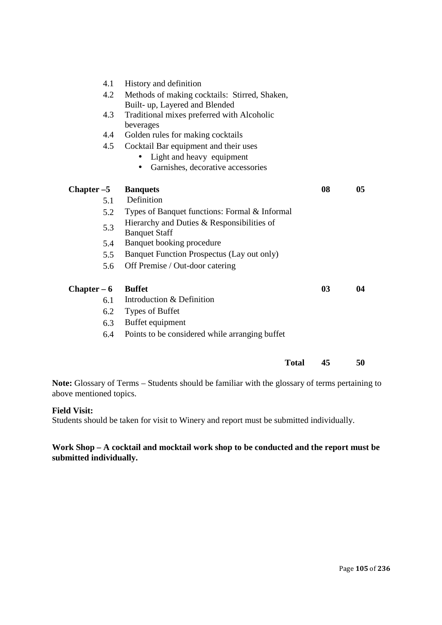| 4.1           | History and definition                         |    |    |
|---------------|------------------------------------------------|----|----|
| 4.2           | Methods of making cocktails: Stirred, Shaken,  |    |    |
|               | Built- up, Layered and Blended                 |    |    |
| 4.3           | Traditional mixes preferred with Alcoholic     |    |    |
|               | beverages                                      |    |    |
| 4.4           | Golden rules for making cocktails              |    |    |
| 4.5           | Cocktail Bar equipment and their uses          |    |    |
|               | Light and heavy equipment                      |    |    |
|               | Garnishes, decorative accessories              |    |    |
| Chapter –5    | <b>Banquets</b>                                | 08 | 05 |
| 5.1           | Definition                                     |    |    |
| 5.2           | Types of Banquet functions: Formal & Informal  |    |    |
| 5.3           | Hierarchy and Duties & Responsibilities of     |    |    |
|               | <b>Banquet Staff</b>                           |    |    |
| 5.4           | Banquet booking procedure                      |    |    |
| 5.5           | Banquet Function Prospectus (Lay out only)     |    |    |
| 5.6           | Off Premise / Out-door catering                |    |    |
| $Chapter - 6$ | <b>Buffet</b>                                  | 03 | 04 |
| 6.1           | Introduction & Definition                      |    |    |
| 6.2           | Types of Buffet                                |    |    |
| 6.3           | Buffet equipment                               |    |    |
| 6.4           | Points to be considered while arranging buffet |    |    |
|               |                                                |    |    |
|               | <b>Total</b>                                   | 45 | 50 |
|               |                                                |    |    |

**Note:** Glossary of Terms – Students should be familiar with the glossary of terms pertaining to above mentioned topics.

#### **Field Visit:**

Students should be taken for visit to Winery and report must be submitted individually.

### **Work Shop – A cocktail and mocktail work shop to be conducted and the report must be submitted individually.**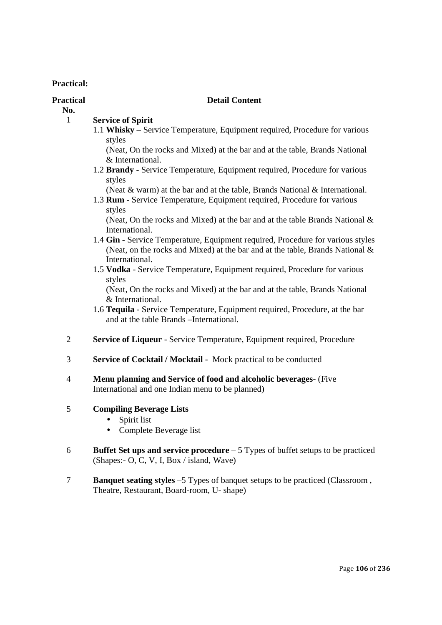**Practical:** 

#### **Practical**

#### **No.**

# **Detail Content**

### 1 **Service of Spirit**

 1.1 **Whisky** – Service Temperature, Equipment required, Procedure for various styles

(Neat, On the rocks and Mixed) at the bar and at the table, Brands National & International.

 1.2 **Brandy** - Service Temperature, Equipment required, Procedure for various styles

(Neat & warm) at the bar and at the table, Brands National & International.

 1.3 **Rum** - Service Temperature, Equipment required, Procedure for various styles

(Neat, On the rocks and Mixed) at the bar and at the table Brands National & International.

- 1.4 **Gin** Service Temperature, Equipment required, Procedure for various styles (Neat, on the rocks and Mixed) at the bar and at the table, Brands National & International.
- 1.5 **Vodka** Service Temperature, Equipment required, Procedure for various styles

(Neat, On the rocks and Mixed) at the bar and at the table, Brands National & International.

- 1.6 **Tequila** Service Temperature, Equipment required, Procedure, at the bar and at the table Brands –International.
- 2 **Service of Liqueur** Service Temperature, Equipment required, Procedure
- 3 **Service of Cocktail / Mocktail -** Mock practical to be conducted
- 4 **Menu planning and Service of food and alcoholic beverages** (Five International and one Indian menu to be planned)

#### 5 **Compiling Beverage Lists**

- Spirit list
- Complete Beverage list
- 6 **Buffet Set ups and service procedure**  5 Types of buffet setups to be practiced (Shapes:- O, C, V, I, Box / island, Wave)
- 7 **Banquet seating styles** –5 Types of banquet setups to be practiced (Classroom , Theatre, Restaurant, Board-room, U- shape)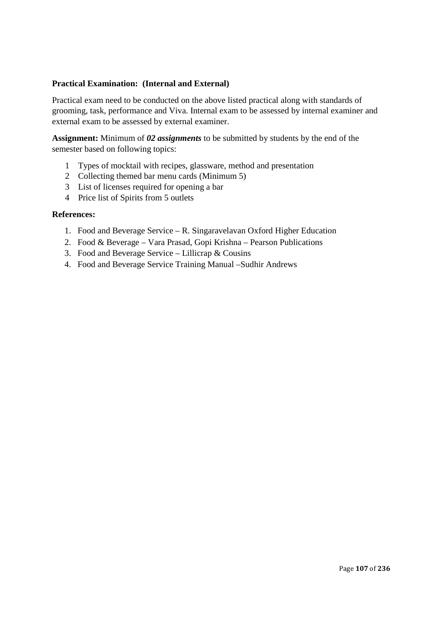#### **Practical Examination: (Internal and External)**

Practical exam need to be conducted on the above listed practical along with standards of grooming, task, performance and Viva. Internal exam to be assessed by internal examiner and external exam to be assessed by external examiner.

**Assignment:** Minimum of *02 assignments* to be submitted by students by the end of the semester based on following topics:

- 1 Types of mocktail with recipes, glassware, method and presentation
- 2 Collecting themed bar menu cards (Minimum 5)
- 3 List of licenses required for opening a bar
- 4 Price list of Spirits from 5 outlets

#### **References:**

- 1. Food and Beverage Service R. Singaravelavan Oxford Higher Education
- 2. Food & Beverage Vara Prasad, Gopi Krishna Pearson Publications
- 3. Food and Beverage Service Lillicrap & Cousins
- 4. Food and Beverage Service Training Manual –Sudhir Andrews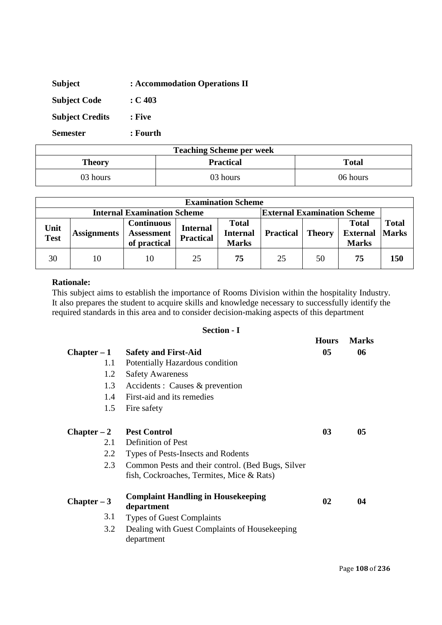| <b>Subject</b>         | : Accommodation Operations II |
|------------------------|-------------------------------|
| <b>Subject Code</b>    | $\div C$ 403                  |
| <b>Subject Credits</b> | : Five                        |
| <b>Semester</b>        | : Fourth                      |

| <b>Teaching Scheme per week</b> |                  |              |  |  |
|---------------------------------|------------------|--------------|--|--|
| Theory                          | <b>Practical</b> | <b>Total</b> |  |  |
| 03 hours                        | 03 hours         | 06 hours     |  |  |

| <b>Examination Scheme</b>          |                    |                                                        |                                     |                                                 |                  |               |                                                 |                              |
|------------------------------------|--------------------|--------------------------------------------------------|-------------------------------------|-------------------------------------------------|------------------|---------------|-------------------------------------------------|------------------------------|
| <b>Internal Examination Scheme</b> |                    |                                                        | <b>External Examination Scheme</b>  |                                                 |                  |               |                                                 |                              |
| Unit<br><b>Test</b>                | <b>Assignments</b> | <b>Continuous</b><br><b>Assessment</b><br>of practical | <b>Internal</b><br><b>Practical</b> | <b>Total</b><br><b>Internal</b><br><b>Marks</b> | <b>Practical</b> | <b>Theory</b> | <b>Total</b><br><b>External</b><br><b>Marks</b> | <b>Total</b><br><b>Marks</b> |
| 30                                 | 10                 | 10                                                     | 25                                  | 75                                              | 25               | 50            | 75                                              | 150                          |

This subject aims to establish the importance of Rooms Division within the hospitality Industry. It also prepares the student to acquire skills and knowledge necessary to successfully identify the required standards in this area and to consider decision-making aspects of this department

### **Section - I**

|               |                                                                                                | <b>Hours</b>   | <b>Marks</b> |
|---------------|------------------------------------------------------------------------------------------------|----------------|--------------|
| $Chapter - 1$ | <b>Safety and First-Aid</b>                                                                    | 0 <sub>5</sub> | 06           |
| 1.1           | Potentially Hazardous condition                                                                |                |              |
| 1.2           | <b>Safety Awareness</b>                                                                        |                |              |
| 1.3           | Accidents : Causes & prevention                                                                |                |              |
| 1.4           | First-aid and its remedies                                                                     |                |              |
| 1.5           | Fire safety                                                                                    |                |              |
| $Chapter - 2$ | <b>Pest Control</b>                                                                            | 03             | 05           |
| 2.1           | <b>Definition of Pest</b>                                                                      |                |              |
| 2.2           | Types of Pests-Insects and Rodents                                                             |                |              |
| 2.3           | Common Pests and their control. (Bed Bugs, Silver<br>fish, Cockroaches, Termites, Mice & Rats) |                |              |
| $Chapter - 3$ | <b>Complaint Handling in Housekeeping</b><br>department                                        | 02             | 04           |
| 3.1           | <b>Types of Guest Complaints</b>                                                               |                |              |
| 3.2           | Dealing with Guest Complaints of Housekeeping<br>department                                    |                |              |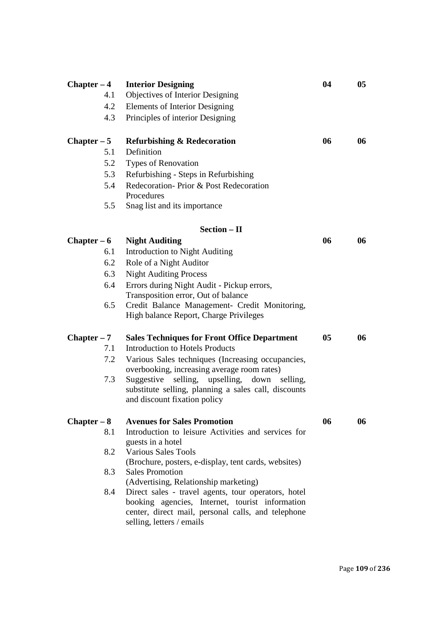| $Chapter - 4$        | <b>Interior Designing</b>                                                                        | 04 | 05 |
|----------------------|--------------------------------------------------------------------------------------------------|----|----|
| 4.1                  | Objectives of Interior Designing                                                                 |    |    |
| 4.2                  | <b>Elements of Interior Designing</b>                                                            |    |    |
| 4.3                  | Principles of interior Designing                                                                 |    |    |
| $Chapter - 5$        | <b>Refurbishing &amp; Redecoration</b>                                                           | 06 | 06 |
| 5.1                  | Definition                                                                                       |    |    |
| 5.2                  | <b>Types of Renovation</b>                                                                       |    |    |
| 5.3                  | Refurbishing - Steps in Refurbishing                                                             |    |    |
| 5.4                  | Redecoration-Prior & Post Redecoration                                                           |    |    |
|                      | Procedures                                                                                       |    |    |
| 5.5                  | Snag list and its importance                                                                     |    |    |
|                      | Section - II                                                                                     |    |    |
| $Chapter - 6$        | <b>Night Auditing</b>                                                                            | 06 | 06 |
| 6.1                  | <b>Introduction to Night Auditing</b>                                                            |    |    |
| 6.2                  | Role of a Night Auditor                                                                          |    |    |
| 6.3                  | <b>Night Auditing Process</b>                                                                    |    |    |
| 6.4                  | Errors during Night Audit - Pickup errors,                                                       |    |    |
|                      | Transposition error, Out of balance                                                              |    |    |
| 6.5                  | Credit Balance Management- Credit Monitoring,<br>High balance Report, Charge Privileges          |    |    |
|                      |                                                                                                  |    |    |
| $Chapter - 7$<br>7.1 | <b>Sales Techniques for Front Office Department</b><br><b>Introduction to Hotels Products</b>    | 05 | 06 |
| 7.2                  |                                                                                                  |    |    |
|                      | Various Sales techniques (Increasing occupancies,<br>overbooking, increasing average room rates) |    |    |
| 7.3                  | Suggestive<br>selling,<br>upselling,<br>down selling,                                            |    |    |
|                      | substitute selling, planning a sales call, discounts                                             |    |    |
|                      | and discount fixation policy                                                                     |    |    |
| $Chapter - 8$        | <b>Avenues for Sales Promotion</b>                                                               | 06 | 06 |
| 8.1                  | Introduction to leisure Activities and services for                                              |    |    |
|                      | guests in a hotel                                                                                |    |    |
| 8.2                  | <b>Various Sales Tools</b>                                                                       |    |    |
|                      | (Brochure, posters, e-display, tent cards, websites)                                             |    |    |
| 8.3                  | <b>Sales Promotion</b>                                                                           |    |    |
| 8.4                  | (Advertising, Relationship marketing)<br>Direct sales - travel agents, tour operators, hotel     |    |    |
|                      | booking agencies, Internet, tourist information                                                  |    |    |
|                      | center, direct mail, personal calls, and telephone                                               |    |    |
|                      | selling, letters / emails                                                                        |    |    |
|                      |                                                                                                  |    |    |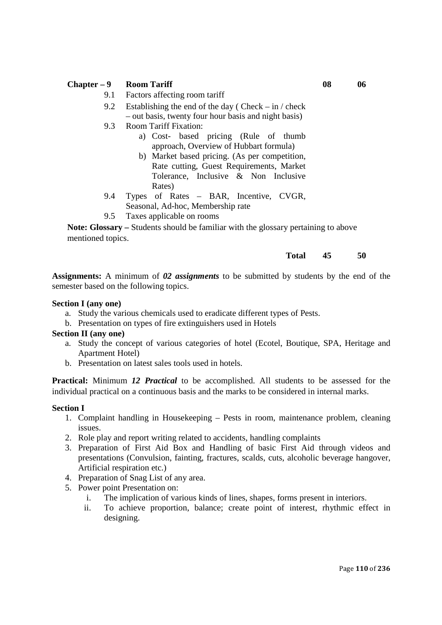## **Chapter – 9 Room Tariff 08 06**

- 9.1 Factors affecting room tariff
- 9.2 Establishing the end of the day ( $Check in / check$ ) – out basis, twenty four hour basis and night basis)
- 9.3 Room Tariff Fixation:
	- a) Cost- based pricing (Rule of thumb approach, Overview of Hubbart formula)
	- b) Market based pricing. (As per competition, Rate cutting, Guest Requirements, Market Tolerance, Inclusive & Non Inclusive Rates)
- 9.4 Types of Rates BAR, Incentive, CVGR, Seasonal, Ad-hoc, Membership rate
- 9.5 Taxes applicable on rooms

**Note: Glossary –** Students should be familiar with the glossary pertaining to above mentioned topics.

#### **Total 45 50**

**Assignments:** A minimum of *02 assignments* to be submitted by students by the end of the semester based on the following topics.

#### **Section I (any one)**

- a. Study the various chemicals used to eradicate different types of Pests.
- b. Presentation on types of fire extinguishers used in Hotels

## **Section II (any one)**

- a. Study the concept of various categories of hotel (Ecotel, Boutique, SPA, Heritage and Apartment Hotel)
- b. Presentation on latest sales tools used in hotels.

**Practical:** Minimum *12 Practical* to be accomplished. All students to be assessed for the individual practical on a continuous basis and the marks to be considered in internal marks.

#### **Section I**

- 1. Complaint handling in Housekeeping Pests in room, maintenance problem, cleaning issues.
- 2. Role play and report writing related to accidents, handling complaints
- 3. Preparation of First Aid Box and Handling of basic First Aid through videos and presentations (Convulsion, fainting, fractures, scalds, cuts, alcoholic beverage hangover, Artificial respiration etc.)
- 4. Preparation of Snag List of any area.
- 5. Power point Presentation on:
	- i. The implication of various kinds of lines, shapes, forms present in interiors.
	- ii. To achieve proportion, balance; create point of interest, rhythmic effect in designing.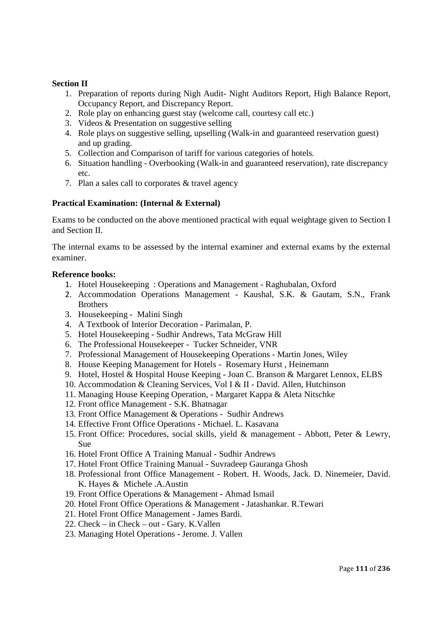## **Section II**

- 1. Preparation of reports during Nigh Audit- Night Auditors Report, High Balance Report, Occupancy Report, and Discrepancy Report.
- 2. Role play on enhancing guest stay (welcome call, courtesy call etc.)
- 3. Videos & Presentation on suggestive selling
- 4. Role plays on suggestive selling, upselling (Walk-in and guaranteed reservation guest) and up grading.
- 5. Collection and Comparison of tariff for various categories of hotels.
- 6. Situation handling Overbooking (Walk-in and guaranteed reservation), rate discrepancy etc.
- 7. Plan a sales call to corporates & travel agency

### **Practical Examination: (Internal & External)**

Exams to be conducted on the above mentioned practical with equal weightage given to Section I and Section II.

The internal exams to be assessed by the internal examiner and external exams by the external examiner.

# **Reference books:**

- 1. Hotel Housekeeping : Operations and Management Raghubalan, Oxford
- 2. Accommodation Operations Management Kaushal, S.K. & Gautam, S.N., Frank **Brothers**
- 3. Housekeeping Malini Singh
- 4. A Textbook of Interior Decoration Parimalan, P.
- 5. Hotel Housekeeping Sudhir Andrews, Tata McGraw Hill
- 6. The Professional Housekeeper Tucker Schneider, VNR
- 7. Professional Management of Housekeeping Operations Martin Jones, Wiley
- 8. House Keeping Management for Hotels Rosemary Hurst , Heinemann
- 9. Hotel, Hostel & Hospital House Keeping Joan C. Branson & Margaret Lennox, ELBS
- 10. Accommodation & Cleaning Services, Vol I & II David. Allen, Hutchinson
- 11. Managing House Keeping Operation, Margaret Kappa & Aleta Nitschke
- 12. Front office Management S.K. Bhatnagar
- 13. Front Office Management & Operations Sudhir Andrews
- 14. Effective Front Office Operations Michael. L. Kasavana
- 15. Front Office: Procedures, social skills, yield & management Abbott, Peter & Lewry, Sue
- 16. Hotel Front Office A Training Manual Sudhir Andrews
- 17. Hotel Front Office Training Manual Suvradeep Gauranga Ghosh
- 18. Professional front Office Management Robert. H. Woods, Jack. D. Ninemeier, David. K. Hayes & Michele .A.Austin
- 19. Front Office Operations & Management Ahmad Ismail
- 20. Hotel Front Office Operations & Management Jatashankar. R.Tewari
- 21. Hotel Front Office Management James Bardi.
- 22. Check in Check out Gary. K.Vallen
- 23. Managing Hotel Operations Jerome. J. Vallen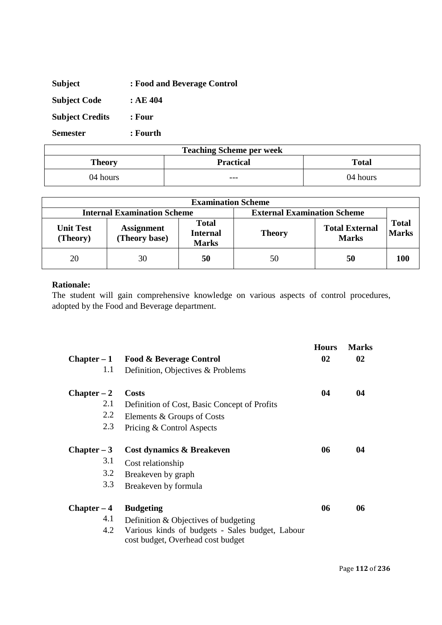| <b>Subject</b>         | : Food and Beverage Control |
|------------------------|-----------------------------|
| <b>Subject Code</b>    | : AE 404                    |
| <b>Subject Credits</b> | : Four                      |
| <b>Semester</b>        | : Fourth                    |

| <b>Teaching Scheme per week</b> |                  |              |  |
|---------------------------------|------------------|--------------|--|
| <b>Theory</b>                   | <b>Practical</b> | <b>Total</b> |  |
| 04 hours                        | ---              | 04 hours     |  |

| <b>Examination Scheme</b>          |                                    |                                                 |                                    |                                       |                              |
|------------------------------------|------------------------------------|-------------------------------------------------|------------------------------------|---------------------------------------|------------------------------|
| <b>Internal Examination Scheme</b> |                                    |                                                 | <b>External Examination Scheme</b> |                                       |                              |
| <b>Unit Test</b><br>(Theory)       | <b>Assignment</b><br>(Theory base) | <b>Total</b><br><b>Internal</b><br><b>Marks</b> | <b>Theory</b>                      | <b>Total External</b><br><b>Marks</b> | <b>Total</b><br><b>Marks</b> |
| 20                                 | 30                                 | 50                                              | 50                                 | 50                                    | 100                          |

The student will gain comprehensive knowledge on various aspects of control procedures, adopted by the Food and Beverage department.

|               |                                                                                      | <b>Hours</b> | <b>Marks</b> |
|---------------|--------------------------------------------------------------------------------------|--------------|--------------|
| $Chapter - 1$ | <b>Food &amp; Beverage Control</b>                                                   | 02           | 02           |
| 1.1           | Definition, Objectives & Problems                                                    |              |              |
| $Chapter - 2$ | Costs                                                                                | 04           | 04           |
| 2.1           | Definition of Cost, Basic Concept of Profits                                         |              |              |
| 2.2           | Elements & Groups of Costs                                                           |              |              |
| 2.3           | Pricing & Control Aspects                                                            |              |              |
| $Chapter - 3$ | Cost dynamics & Breakeven                                                            | 06           | 04           |
| 3.1           | Cost relationship                                                                    |              |              |
| 3.2           | Breakeven by graph                                                                   |              |              |
| 3.3           | Breakeven by formula                                                                 |              |              |
| $Chapter - 4$ | <b>Budgeting</b>                                                                     | 06           | 06           |
| 4.1           | Definition $&$ Objectives of budgeting                                               |              |              |
| 4.2           | Various kinds of budgets - Sales budget, Labour<br>cost budget, Overhead cost budget |              |              |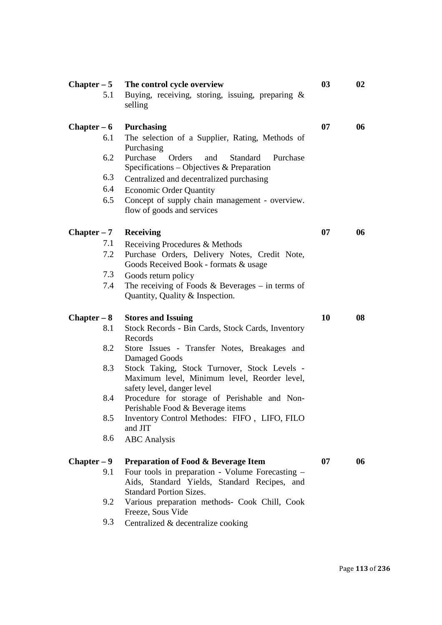| $Chapter - 5$        | The control cycle overview                                                                                                                         | 03 | 02 |
|----------------------|----------------------------------------------------------------------------------------------------------------------------------------------------|----|----|
| 5.1                  | Buying, receiving, storing, issuing, preparing &<br>selling                                                                                        |    |    |
| $Chapter - 6$        | <b>Purchasing</b>                                                                                                                                  | 07 | 06 |
| 6.1                  | The selection of a Supplier, Rating, Methods of<br>Purchasing                                                                                      |    |    |
| 6.2                  | Purchase<br>Orders<br>and<br><b>Standard</b><br>Purchase<br>Specifications – Objectives & Preparation                                              |    |    |
| 6.3                  | Centralized and decentralized purchasing                                                                                                           |    |    |
| 6.4                  | <b>Economic Order Quantity</b>                                                                                                                     |    |    |
| 6.5                  | Concept of supply chain management - overview.<br>flow of goods and services                                                                       |    |    |
| $Chapter - 7$        | <b>Receiving</b>                                                                                                                                   | 07 | 06 |
| 7.1                  | Receiving Procedures & Methods                                                                                                                     |    |    |
| 7.2                  | Purchase Orders, Delivery Notes, Credit Note,<br>Goods Received Book - formats & usage                                                             |    |    |
| 7.3                  | Goods return policy                                                                                                                                |    |    |
| 7.4                  | The receiving of Foods $&$ Beverages – in terms of<br>Quantity, Quality & Inspection.                                                              |    |    |
|                      |                                                                                                                                                    |    |    |
|                      | <b>Stores and Issuing</b>                                                                                                                          | 10 | 08 |
| $Chapter - 8$<br>8.1 | Stock Records - Bin Cards, Stock Cards, Inventory<br>Records                                                                                       |    |    |
| 8.2                  | Store Issues - Transfer Notes, Breakages and                                                                                                       |    |    |
| 8.3                  | Damaged Goods<br>Stock Taking, Stock Turnover, Stock Levels -<br>Maximum level, Minimum level, Reorder level,                                      |    |    |
| 8.4                  | safety level, danger level<br>Procedure for storage of Perishable and Non-                                                                         |    |    |
| 8.5                  | Perishable Food & Beverage items<br>Inventory Control Methodes: FIFO, LIFO, FILO<br>and JIT                                                        |    |    |
| 8.6                  | <b>ABC</b> Analysis                                                                                                                                |    |    |
|                      |                                                                                                                                                    |    |    |
| $Chapter - 9$<br>9.1 | <b>Preparation of Food &amp; Beverage Item</b><br>Four tools in preparation - Volume Forecasting -<br>Aids, Standard Yields, Standard Recipes, and | 07 | 06 |
| 9.2                  | <b>Standard Portion Sizes.</b><br>Various preparation methods- Cook Chill, Cook<br>Freeze, Sous Vide                                               |    |    |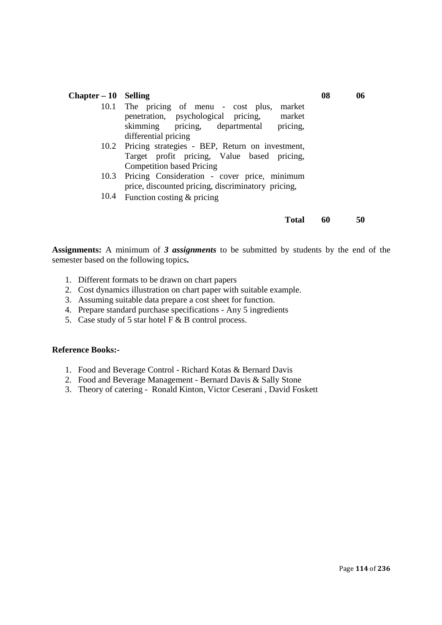#### Page **114** of **236**

#### **Chapter – 10 Selling 08 06**

- 10.1 The pricing of menu cost plus, market penetration, psychological pricing, market skimming pricing, departmental pricing, differential pricing
- 10.2 Pricing strategies BEP, Return on investment, Target profit pricing, Value based pricing, Competition based Pricing
- 10.3 Pricing Consideration cover price, minimum price, discounted pricing, discriminatory pricing,
- 10.4 Function costing & pricing

### **Total 60 50**

**Assignments:** A minimum of *3 assignments* to be submitted by students by the end of the semester based on the following topics**.** 

- 1. Different formats to be drawn on chart papers
- 2. Cost dynamics illustration on chart paper with suitable example.
- 3. Assuming suitable data prepare a cost sheet for function.
- 4. Prepare standard purchase specifications Any 5 ingredients
- 5. Case study of 5 star hotel F & B control process.

### **Reference Books:-**

- 1. Food and Beverage Control Richard Kotas & Bernard Davis
- 2. Food and Beverage Management Bernard Davis & Sally Stone
- 3. Theory of catering Ronald Kinton, Victor Ceserani , David Foskett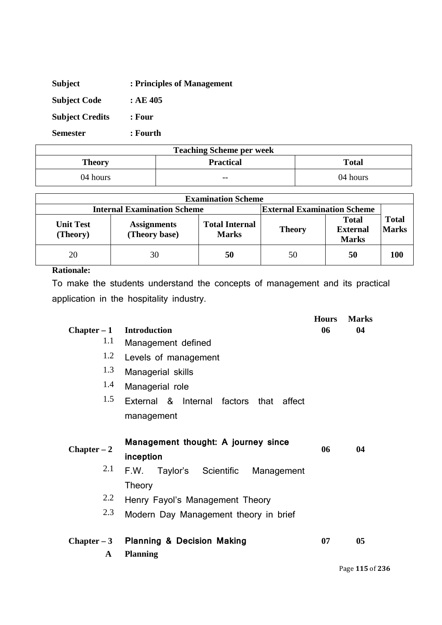| <b>Subject</b>         | : Principles of Management |
|------------------------|----------------------------|
| <b>Subject Code</b>    | : AE 405                   |
| <b>Subject Credits</b> | : Four                     |
| <b>Semester</b>        | : Fourth                   |

| <b>Teaching Scheme per week</b> |                  |              |  |
|---------------------------------|------------------|--------------|--|
| <b>Theory</b>                   | <b>Practical</b> | <b>Total</b> |  |
| 04 hours                        | $\sim$ $\sim$    | 04 hours     |  |

| <b>Examination Scheme</b>    |                                     |                                       |               |                                                 |                              |
|------------------------------|-------------------------------------|---------------------------------------|---------------|-------------------------------------------------|------------------------------|
|                              | <b>Internal Examination Scheme</b>  |                                       |               | <b>External Examination Scheme</b>              |                              |
| <b>Unit Test</b><br>(Theory) | <b>Assignments</b><br>(Theory base) | <b>Total Internal</b><br><b>Marks</b> | <b>Theory</b> | <b>Total</b><br><b>External</b><br><b>Marks</b> | <b>Total</b><br><b>Marks</b> |
| 20                           | 30                                  | 50                                    | 50            | 50                                              | 100                          |

To make the students understand the concepts of management and its practical application in the hospitality industry.

|               |                                            | <b>Hours</b> | <b>Marks</b> |
|---------------|--------------------------------------------|--------------|--------------|
| $Chapter - 1$ | <b>Introduction</b>                        | 06           | 04           |
| 1.1           | Management defined                         |              |              |
| 1.2           | Levels of management                       |              |              |
| 1.3           | Managerial skills                          |              |              |
| 1.4           | Managerial role                            |              |              |
| 1.5           | External & Internal factors that<br>affect |              |              |
|               | management                                 |              |              |
|               |                                            |              |              |
| $Chapter - 2$ | Management thought: A journey since        | 06           | 04           |
|               | inception                                  |              |              |
| 2.1           | F.W. Taylor's Scientific Management        |              |              |
|               | Theory                                     |              |              |
| 2.2           | Henry Fayol's Management Theory            |              |              |
| 2.3           | Modern Day Management theory in brief      |              |              |
|               |                                            |              |              |
| $Chapter - 3$ | <b>Planning &amp; Decision Making</b>      | 07           | 05           |
| A             | <b>Planning</b>                            |              |              |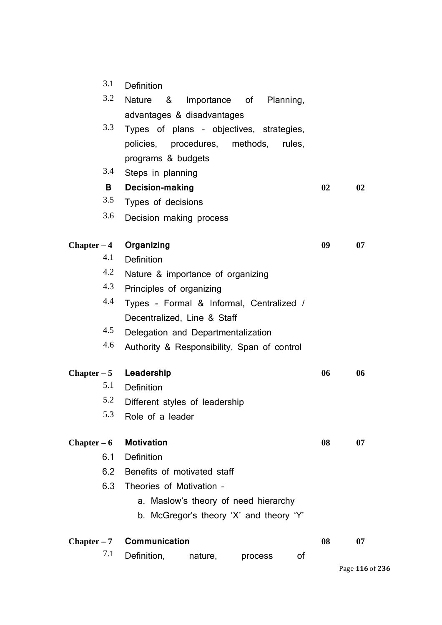| 3.1           | Definition                                                 |    |    |
|---------------|------------------------------------------------------------|----|----|
| 3.2           | <b>Nature</b><br>8 <sup>o</sup><br>Importance of Planning, |    |    |
|               | advantages & disadvantages                                 |    |    |
| 3.3           | Types of plans - objectives, strategies,                   |    |    |
|               | policies, procedures, methods,<br>rules,                   |    |    |
|               | programs & budgets                                         |    |    |
| 3.4           | Steps in planning                                          |    |    |
| B             | Decision-making                                            | 02 | 02 |
| 3.5           | Types of decisions                                         |    |    |
| 3.6           | Decision making process                                    |    |    |
| $Chapter - 4$ | Organizing                                                 | 09 | 07 |
| 4.1           | Definition                                                 |    |    |
| 4.2           | Nature & importance of organizing                          |    |    |
| 4.3           | Principles of organizing                                   |    |    |
| 4.4           | Types - Formal & Informal, Centralized /                   |    |    |
|               | Decentralized, Line & Staff                                |    |    |
| 4.5           | Delegation and Departmentalization                         |    |    |
| 4.6           | Authority & Responsibility, Span of control                |    |    |
| $Chapter - 5$ | Leadership                                                 | 06 | 06 |
| 5.1           | Definition                                                 |    |    |
| 5.2           | Different styles of leadership                             |    |    |
| 5.3           | Role of a leader                                           |    |    |
| $Chapter - 6$ | <b>Motivation</b>                                          | 08 | 07 |
| 6.1           | Definition                                                 |    |    |
| 6.2           | Benefits of motivated staff                                |    |    |
| 6.3           | Theories of Motivation -                                   |    |    |
|               | a. Maslow's theory of need hierarchy                       |    |    |
|               | b. McGregor's theory 'X' and theory 'Y'                    |    |    |
| $Chapter - 7$ | Communication                                              | 08 | 07 |
| 7.1           | Definition,<br>of<br>nature,<br>process                    |    |    |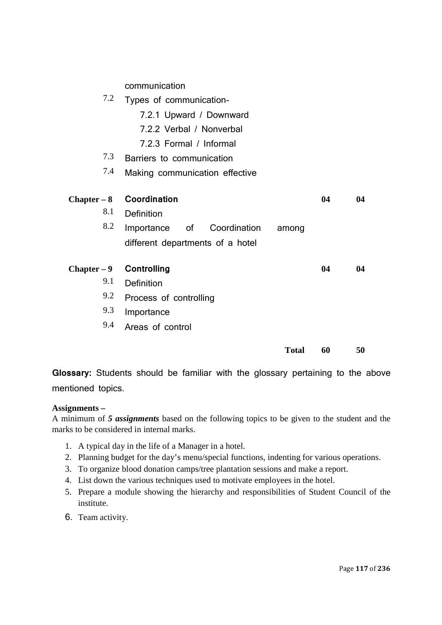communication

| 7.2           | Types of communication-          |              |    |    |
|---------------|----------------------------------|--------------|----|----|
|               | 7.2.1 Upward / Downward          |              |    |    |
|               | 7.2.2 Verbal / Nonverbal         |              |    |    |
|               | 7.2.3 Formal / Informal          |              |    |    |
| 7.3           | Barriers to communication        |              |    |    |
| 7.4           | Making communication effective   |              |    |    |
|               |                                  |              |    |    |
| $Chapter - 8$ | Coordination                     |              | 04 | 04 |
| 8.1           | Definition                       |              |    |    |
| 8.2           | Importance of Coordination       | among        |    |    |
|               | different departments of a hotel |              |    |    |
| $Chapter - 9$ | Controlling                      |              | 04 | 04 |
| 9.1           | Definition                       |              |    |    |
| 9.2           | Process of controlling           |              |    |    |
| 9.3           | Importance                       |              |    |    |
| 9.4           | Areas of control                 |              |    |    |
|               |                                  | <b>Total</b> | 60 | 50 |
|               |                                  |              |    |    |

**Glossary:** Students should be familiar with the glossary pertaining to the above mentioned topics.

# **Assignments –**

A minimum of *5 assignments* based on the following topics to be given to the student and the marks to be considered in internal marks.

- 1. A typical day in the life of a Manager in a hotel.
- 2. Planning budget for the day's menu/special functions, indenting for various operations.
- 3. To organize blood donation camps/tree plantation sessions and make a report.
- 4. List down the various techniques used to motivate employees in the hotel.
- 5. Prepare a module showing the hierarchy and responsibilities of Student Council of the institute.
- 6. Team activity.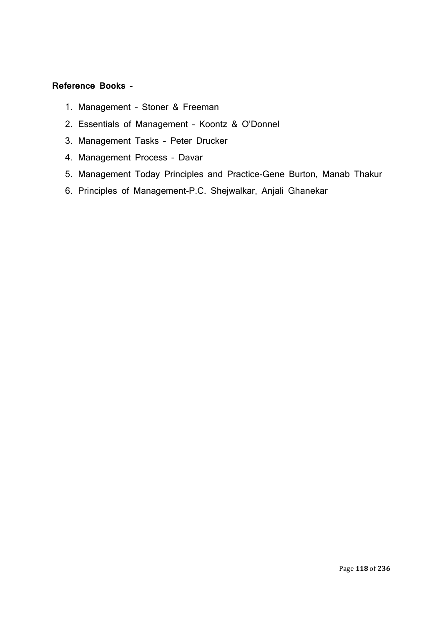# **Reference Books -**

- 1. Management Stoner & Freeman
- 2. Essentials of Management Koontz & O'Donnel
- 3. Management Tasks Peter Drucker
- 4. Management Process Davar
- 5. Management Today Principles and Practice-Gene Burton, Manab Thakur
- 6. Principles of Management-P.C. Shejwalkar, Anjali Ghanekar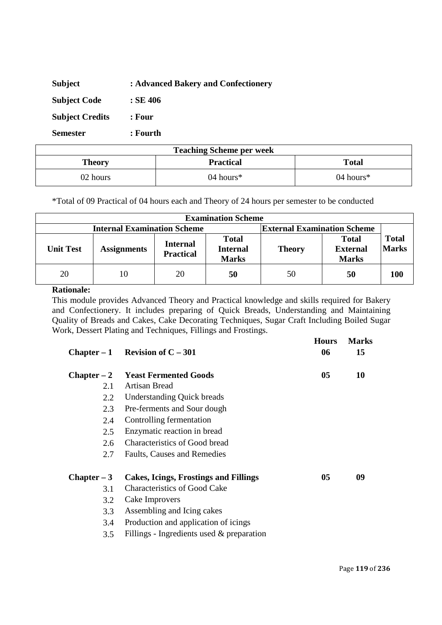| <b>Subject</b>         | : Advanced Bakery and Confectionery |
|------------------------|-------------------------------------|
| <b>Subject Code</b>    | $:$ SE 406                          |
| <b>Subject Credits</b> | : Four                              |
| <b>Semester</b>        | : Fourth                            |

| <b>Teaching Scheme per week</b>                   |              |              |  |
|---------------------------------------------------|--------------|--------------|--|
| <b>Practical</b><br><b>Total</b><br><b>Theory</b> |              |              |  |
| 02 hours                                          | 04 hours $*$ | 04 hours $*$ |  |

\*Total of 09 Practical of 04 hours each and Theory of 24 hours per semester to be conducted

| <b>Examination Scheme</b> |                                                                          |                                     |                                                 |               |                                                 |                              |
|---------------------------|--------------------------------------------------------------------------|-------------------------------------|-------------------------------------------------|---------------|-------------------------------------------------|------------------------------|
|                           | <b>External Examination Scheme</b><br><b>Internal Examination Scheme</b> |                                     |                                                 |               |                                                 |                              |
| <b>Unit Test</b>          | <b>Assignments</b>                                                       | <b>Internal</b><br><b>Practical</b> | <b>Total</b><br><b>Internal</b><br><b>Marks</b> | <b>Theory</b> | <b>Total</b><br><b>External</b><br><b>Marks</b> | <b>Total</b><br><b>Marks</b> |
| 20                        | 10                                                                       | 20                                  | 50                                              | 50            | 50                                              | 100                          |

### **Rationale:**

This module provides Advanced Theory and Practical knowledge and skills required for Bakery and Confectionery. It includes preparing of Quick Breads, Understanding and Maintaining Quality of Breads and Cakes, Cake Decorating Techniques, Sugar Craft Including Boiled Sugar Work, Dessert Plating and Techniques, Fillings and Frostings.

|               | Chapter – 1 Revision of $C - 301$            | <b>Hours</b><br>06 | <b>Marks</b><br>15 |
|---------------|----------------------------------------------|--------------------|--------------------|
| $Chapter - 2$ | <b>Yeast Fermented Goods</b>                 | 05                 | 10                 |
| 2.1           | Artisan Bread                                |                    |                    |
| 2.2           | <b>Understanding Quick breads</b>            |                    |                    |
| 2.3           | Pre-ferments and Sour dough                  |                    |                    |
| 2.4           | Controlling fermentation                     |                    |                    |
| 2.5           | Enzymatic reaction in bread                  |                    |                    |
| 2.6           | <b>Characteristics of Good bread</b>         |                    |                    |
| 2.7           | Faults, Causes and Remedies                  |                    |                    |
| $Chapter - 3$ | <b>Cakes, Icings, Frostings and Fillings</b> | 05                 | 09                 |
| 3.1           | <b>Characteristics of Good Cake</b>          |                    |                    |
| 3.2           | Cake Improvers                               |                    |                    |
| 3.3           | Assembling and Icing cakes                   |                    |                    |
| 3.4           | Production and application of icings         |                    |                    |

3.5 Fillings - Ingredients used & preparation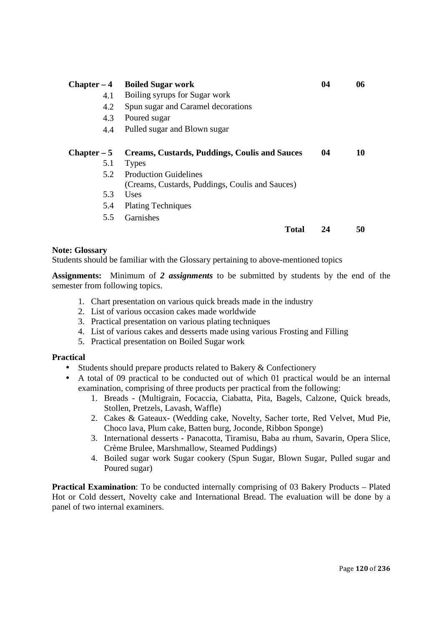| $Chapter - 4$ | <b>Boiled Sugar work</b>                             | 04 | 06 |
|---------------|------------------------------------------------------|----|----|
| 4.1           | Boiling syrups for Sugar work                        |    |    |
| 4.2           | Spun sugar and Caramel decorations                   |    |    |
| 4.3           | Poured sugar                                         |    |    |
| 4.4           | Pulled sugar and Blown sugar                         |    |    |
|               |                                                      |    |    |
| $Chapter - 5$ | <b>Creams, Custards, Puddings, Coulis and Sauces</b> | 04 | 10 |
| 5.1           | <b>Types</b>                                         |    |    |
| 5.2           | <b>Production Guidelines</b>                         |    |    |
|               | (Creams, Custards, Puddings, Coulis and Sauces)      |    |    |
| 5.3           | <b>Uses</b>                                          |    |    |
| 5.4           | <b>Plating Techniques</b>                            |    |    |
| 5.5           | Garnishes                                            |    |    |
|               | <b>Total</b>                                         | 24 | 50 |

# **Note: Glossary**

Students should be familiar with the Glossary pertaining to above-mentioned topics

**Assignments:** Minimum of *2 assignments* to be submitted by students by the end of the semester from following topics.

- 1. Chart presentation on various quick breads made in the industry
- 2. List of various occasion cakes made worldwide
- 3. Practical presentation on various plating techniques
- 4. List of various cakes and desserts made using various Frosting and Filling
- 5. Practical presentation on Boiled Sugar work

# **Practical**

- Students should prepare products related to Bakery & Confectionery
- A total of 09 practical to be conducted out of which 01 practical would be an internal examination, comprising of three products per practical from the following:
	- 1. Breads (Multigrain, Focaccia, Ciabatta, Pita, Bagels, Calzone, Quick breads, Stollen, Pretzels, Lavash, Waffle)
	- 2. Cakes & Gateaux- (Wedding cake, Novelty, Sacher torte, Red Velvet, Mud Pie, Choco lava, Plum cake, Batten burg, Joconde, Ribbon Sponge)
	- 3. International desserts Panacotta, Tiramisu, Baba au rhum, Savarin, Opera Slice, Crème Brulee, Marshmallow, Steamed Puddings)
	- 4. Boiled sugar work Sugar cookery (Spun Sugar, Blown Sugar, Pulled sugar and Poured sugar)

**Practical Examination**: To be conducted internally comprising of 03 Bakery Products – Plated Hot or Cold dessert, Novelty cake and International Bread. The evaluation will be done by a panel of two internal examiners.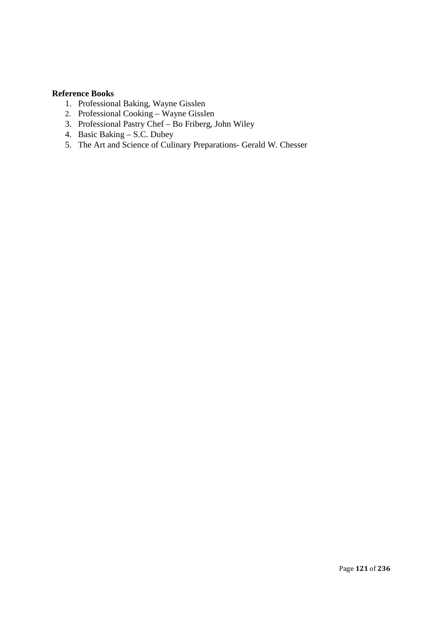### **Reference Books**

- 1. Professional Baking, Wayne Gisslen
- 2. Professional Cooking Wayne Gisslen
- 3. Professional Pastry Chef Bo Friberg, John Wiley
- 4. Basic Baking S.C. Dubey
- 5. The Art and Science of Culinary Preparations- Gerald W. Chesser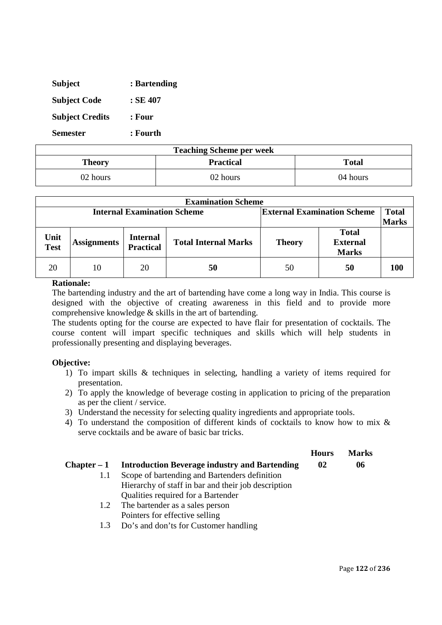| <b>Subject</b>         | : Bartending |
|------------------------|--------------|
| <b>Subject Code</b>    | $:$ SE 407   |
| <b>Subject Credits</b> | : Four       |
| <b>Semester</b>        | : Fourth     |

| <b>Teaching Scheme per week</b>            |          |          |  |
|--------------------------------------------|----------|----------|--|
| <b>Practical</b><br><b>Total</b><br>Theory |          |          |  |
| 02 hours                                   | 02 hours | 04 hours |  |

|                                    | <b>Examination Scheme</b> |                                     |                                    |               |                                                 |              |
|------------------------------------|---------------------------|-------------------------------------|------------------------------------|---------------|-------------------------------------------------|--------------|
| <b>Internal Examination Scheme</b> |                           |                                     | <b>External Examination Scheme</b> |               | <b>Total</b>                                    |              |
|                                    |                           |                                     |                                    |               |                                                 | <b>Marks</b> |
| Unit<br><b>Test</b>                | <b>Assignments</b>        | <b>Internal</b><br><b>Practical</b> | <b>Total Internal Marks</b>        | <b>Theory</b> | <b>Total</b><br><b>External</b><br><b>Marks</b> |              |
| 20                                 | 10                        | 20                                  | 50                                 | 50            | 50                                              | 100          |

The bartending industry and the art of bartending have come a long way in India. This course is designed with the objective of creating awareness in this field and to provide more comprehensive knowledge & skills in the art of bartending.

The students opting for the course are expected to have flair for presentation of cocktails. The course content will impart specific techniques and skills which will help students in professionally presenting and displaying beverages.

# **Objective:**

- 1) To impart skills & techniques in selecting, handling a variety of items required for presentation.
- 2) To apply the knowledge of beverage costing in application to pricing of the preparation as per the client / service.
- 3) Understand the necessity for selecting quality ingredients and appropriate tools.
- 4) To understand the composition of different kinds of cocktails to know how to mix & serve cocktails and be aware of basic bar tricks.

|               |                                                      | <b>Hours</b> | <b>Marks</b> |
|---------------|------------------------------------------------------|--------------|--------------|
| $Chapter - 1$ | <b>Introduction Beverage industry and Bartending</b> | 02           | 06           |
| 1.1           | Scope of bartending and Bartenders definition        |              |              |
|               | Hierarchy of staff in bar and their job description  |              |              |
|               | Qualities required for a Bartender                   |              |              |
|               | 1.2 The bartender as a sales person                  |              |              |
|               | Pointers for effective selling                       |              |              |
| 1.3           | Do's and don'ts for Customer handling                |              |              |
|               |                                                      |              |              |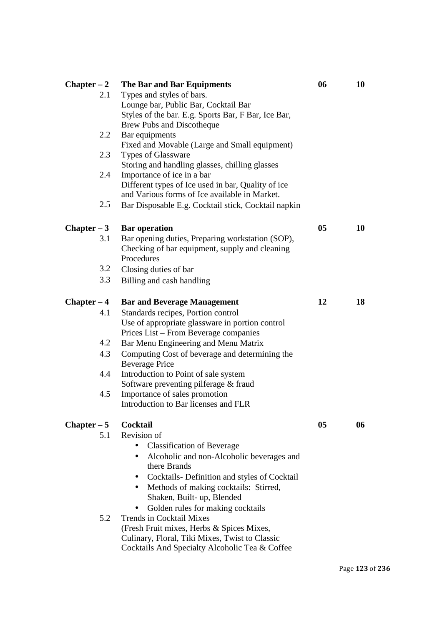| $Chapter - 2$ | <b>The Bar and Bar Equipments</b>                      | 06 | 10 |
|---------------|--------------------------------------------------------|----|----|
| 2.1           | Types and styles of bars.                              |    |    |
|               | Lounge bar, Public Bar, Cocktail Bar                   |    |    |
|               | Styles of the bar. E.g. Sports Bar, F Bar, Ice Bar,    |    |    |
|               | <b>Brew Pubs and Discotheque</b>                       |    |    |
| 2.2           | Bar equipments                                         |    |    |
|               | Fixed and Movable (Large and Small equipment)          |    |    |
| 2.3           | <b>Types of Glassware</b>                              |    |    |
|               | Storing and handling glasses, chilling glasses         |    |    |
| 2.4           | Importance of ice in a bar                             |    |    |
|               | Different types of Ice used in bar, Quality of ice     |    |    |
|               | and Various forms of Ice available in Market.          |    |    |
| 2.5           | Bar Disposable E.g. Cocktail stick, Cocktail napkin    |    |    |
| $Chapter - 3$ | <b>Bar operation</b>                                   | 05 | 10 |
| 3.1           | Bar opening duties, Preparing workstation (SOP),       |    |    |
|               | Checking of bar equipment, supply and cleaning         |    |    |
|               | Procedures                                             |    |    |
| 3.2           | Closing duties of bar                                  |    |    |
| 3.3           | Billing and cash handling                              |    |    |
|               |                                                        |    |    |
| $Chapter - 4$ | <b>Bar and Beverage Management</b>                     | 12 | 18 |
| 4.1           | Standards recipes, Portion control                     |    |    |
|               | Use of appropriate glassware in portion control        |    |    |
|               | Prices List – From Beverage companies                  |    |    |
| 4.2           | Bar Menu Engineering and Menu Matrix                   |    |    |
| 4.3           | Computing Cost of beverage and determining the         |    |    |
|               | <b>Beverage Price</b>                                  |    |    |
| 4.4           | Introduction to Point of sale system                   |    |    |
|               | Software preventing pilferage & fraud                  |    |    |
| 4.5           | Importance of sales promotion                          |    |    |
|               | Introduction to Bar licenses and FLR                   |    |    |
| $Chapter - 5$ | Cocktail                                               | 05 | 06 |
| 5.1           | Revision of                                            |    |    |
|               | <b>Classification of Beverage</b>                      |    |    |
|               | Alcoholic and non-Alcoholic beverages and<br>$\bullet$ |    |    |
|               | there Brands                                           |    |    |
|               | Cocktails-Definition and styles of Cocktail            |    |    |
|               | Methods of making cocktails: Stirred,<br>$\bullet$     |    |    |
|               | Shaken, Built- up, Blended                             |    |    |
|               | Golden rules for making cocktails                      |    |    |
| 5.2           | <b>Trends in Cocktail Mixes</b>                        |    |    |
|               | (Fresh Fruit mixes, Herbs & Spices Mixes,              |    |    |
|               | Culinary, Floral, Tiki Mixes, Twist to Classic         |    |    |
|               | Cocktails And Specialty Alcoholic Tea & Coffee         |    |    |
|               |                                                        |    |    |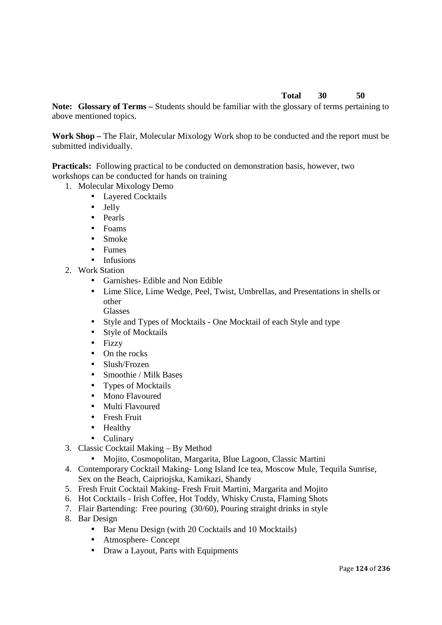# **Total 30 50**

**Note: Glossary of Terms –** Students should be familiar with the glossary of terms pertaining to above mentioned topics.

**Work Shop –** The Flair, Molecular Mixology Work shop to be conducted and the report must be submitted individually.

**Practicals:** Following practical to be conducted on demonstration basis, however, two workshops can be conducted for hands on training

- 1. Molecular Mixology Demo
	- Layered Cocktails
	- Jelly
	- Pearls
	- Foams
	- Smoke
	- Fumes
	- Infusions
- 2. Work Station
	- Garnishes- Edible and Non Edible
	- Lime Slice, Lime Wedge, Peel, Twist, Umbrellas, and Presentations in shells or other **Glasses**
	- Style and Types of Mocktails One Mocktail of each Style and type
	- Style of Mocktails
	- Fizzy
	- On the rocks
	- Slush/Frozen
	- Smoothie / Milk Bases
	- Types of Mocktails
	- Mono Flavoured
	- Multi Flavoured
	- Fresh Fruit
	- Healthy
	- Culinary
- 3. Classic Cocktail Making By Method
	- Mojito, Cosmopolitan, Margarita, Blue Lagoon, Classic Martini
- 4. Contemporary Cocktail Making- Long Island Ice tea, Moscow Mule, Tequila Sunrise, Sex on the Beach, Caipriojska, Kamikazi, Shandy
- 5. Fresh Fruit Cocktail Making- Fresh Fruit Martini, Margarita and Mojito
- 6. Hot Cocktails Irish Coffee, Hot Toddy, Whisky Crusta, Flaming Shots
- 7. Flair Bartending: Free pouring (30/60), Pouring straight drinks in style
- 8. Bar Design
	- Bar Menu Design (with 20 Cocktails and 10 Mocktails)
	- Atmosphere- Concept
	- Draw a Layout, Parts with Equipments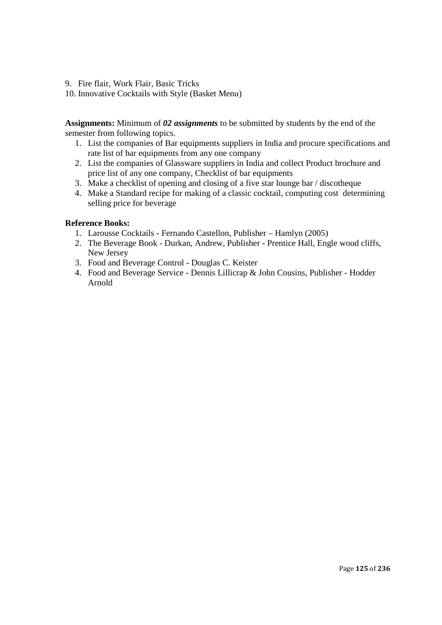- 9. Fire flair, Work Flair, Basic Tricks
- 10. Innovative Cocktails with Style (Basket Menu)

**Assignments:** Minimum of *02 assignments* to be submitted by students by the end of the semester from following topics.

- 1. List the companies of Bar equipments suppliers in India and procure specifications and rate list of bar equipments from any one company
- 2. List the companies of Glassware suppliers in India and collect Product brochure and price list of any one company, Checklist of bar equipments
- 3. Make a checklist of opening and closing of a five star lounge bar / discotheque
- 4. Make a Standard recipe for making of a classic cocktail, computing cost determining selling price for beverage

#### **Reference Books:**

- 1. Larousse Cocktails Fernando Castellon, Publisher Hamlyn (2005)
- 2. The Beverage Book Durkan, Andrew, Publisher Prentice Hall, Engle wood cliffs, New Jersey
- 3. Food and Beverage Control Douglas C. Keister
- 4. Food and Beverage Service Dennis Lillicrap & John Cousins, Publisher Hodder Arnold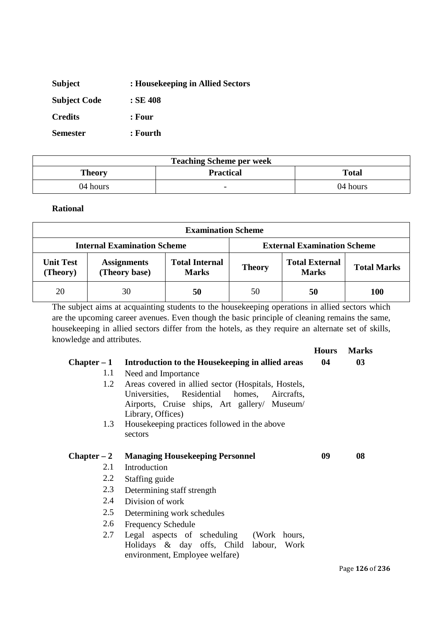| <b>Subject</b>      | : Housekeeping in Allied Sectors |
|---------------------|----------------------------------|
| <b>Subject Code</b> | : SE 408                         |
| <b>Credits</b>      | : Four                           |
| <b>Semester</b>     | : Fourth                         |

| <b>Teaching Scheme per week</b>            |   |          |
|--------------------------------------------|---|----------|
| <b>Practical</b><br><b>Total</b><br>Theory |   |          |
| 04 hours                                   | - | 04 hours |

### **Rational**

|                                                                          | <b>Examination Scheme</b> |                                       |                                                        |    |                    |  |  |
|--------------------------------------------------------------------------|---------------------------|---------------------------------------|--------------------------------------------------------|----|--------------------|--|--|
| <b>Internal Examination Scheme</b><br><b>External Examination Scheme</b> |                           |                                       |                                                        |    |                    |  |  |
| <b>Unit Test</b><br><b>Assignments</b><br>(Theory base)<br>(Theory)      |                           | <b>Total Internal</b><br><b>Marks</b> | <b>Total External</b><br><b>Theory</b><br><b>Marks</b> |    | <b>Total Marks</b> |  |  |
| 20                                                                       | 30                        | 50                                    | 50                                                     | 50 | <b>100</b>         |  |  |

The subject aims at acquainting students to the housekeeping operations in allied sectors which are the upcoming career avenues. Even though the basic principle of cleaning remains the same, housekeeping in allied sectors differ from the hotels, as they require an alternate set of skills, knowledge and attributes.

|               |                                                                                                                                                                            | <b>Hours</b> | <b>Marks</b> |
|---------------|----------------------------------------------------------------------------------------------------------------------------------------------------------------------------|--------------|--------------|
| $Chapter - 1$ | Introduction to the Housekeeping in allied areas                                                                                                                           | 04           | 03           |
| 1.1           | Need and Importance                                                                                                                                                        |              |              |
| 1.2           | Areas covered in allied sector (Hospitals, Hostels,<br>Universities, Residential homes,<br>Aircrafts,<br>Airports, Cruise ships, Art gallery/ Museum/<br>Library, Offices) |              |              |
| 1.3           | House keeping practices followed in the above<br>sectors                                                                                                                   |              |              |
| $Chapter - 2$ | <b>Managing Housekeeping Personnel</b>                                                                                                                                     | 09           | 08           |
| 2.1           | Introduction                                                                                                                                                               |              |              |
| 2.2           | Staffing guide                                                                                                                                                             |              |              |
| 2.3           | Determining staff strength                                                                                                                                                 |              |              |
| 2.4           | Division of work                                                                                                                                                           |              |              |
| 2.5           | Determining work schedules                                                                                                                                                 |              |              |
| 2.6           | <b>Frequency Schedule</b>                                                                                                                                                  |              |              |
| 2.7           | Legal aspects of scheduling (Work hours,<br>Holidays & day offs, Child labour, Work<br>environment, Employee welfare)                                                      |              |              |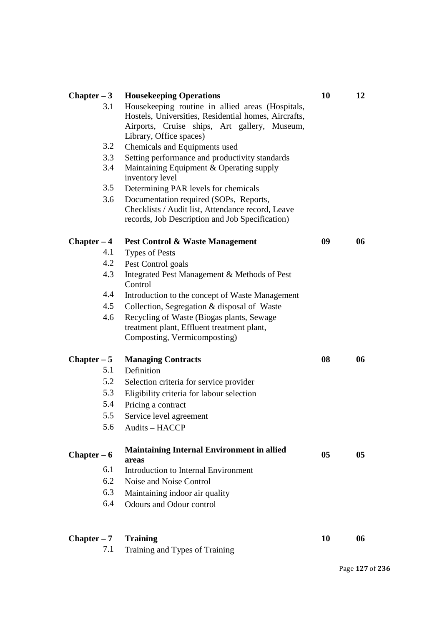| $Chapter - 3$ | <b>Housekeeping Operations</b>                             | 10 | 12 |
|---------------|------------------------------------------------------------|----|----|
| 3.1           | Housekeeping routine in allied areas (Hospitals,           |    |    |
|               | Hostels, Universities, Residential homes, Aircrafts,       |    |    |
|               | Airports, Cruise ships, Art gallery, Museum,               |    |    |
|               | Library, Office spaces)                                    |    |    |
| 3.2           | Chemicals and Equipments used                              |    |    |
| 3.3           | Setting performance and productivity standards             |    |    |
| 3.4           | Maintaining Equipment & Operating supply                   |    |    |
|               | inventory level                                            |    |    |
| 3.5           | Determining PAR levels for chemicals                       |    |    |
| 3.6           | Documentation required (SOPs, Reports,                     |    |    |
|               | Checklists / Audit list, Attendance record, Leave          |    |    |
|               | records, Job Description and Job Specification)            |    |    |
| $Chapter - 4$ | Pest Control & Waste Management                            | 09 | 06 |
| 4.1           | <b>Types of Pests</b>                                      |    |    |
| 4.2           | Pest Control goals                                         |    |    |
| 4.3           | Integrated Pest Management & Methods of Pest               |    |    |
|               | Control                                                    |    |    |
| 4.4           | Introduction to the concept of Waste Management            |    |    |
| 4.5           | Collection, Segregation & disposal of Waste                |    |    |
| 4.6           | Recycling of Waste (Biogas plants, Sewage                  |    |    |
|               | treatment plant, Effluent treatment plant,                 |    |    |
|               | Composting, Vermicomposting)                               |    |    |
| $Chapter - 5$ | <b>Managing Contracts</b>                                  | 08 | 06 |
| 5.1           | Definition                                                 |    |    |
| 5.2           | Selection criteria for service provider                    |    |    |
| 5.3           | Eligibility criteria for labour selection                  |    |    |
| 5.4           | Pricing a contract                                         |    |    |
| 5.5           | Service level agreement                                    |    |    |
| 5.6           | Audits - HACCP                                             |    |    |
|               |                                                            |    |    |
| $Chapter - 6$ | <b>Maintaining Internal Environment in allied</b><br>areas | 05 | 05 |
| 6.1           | Introduction to Internal Environment                       |    |    |
| 6.2           | Noise and Noise Control                                    |    |    |
| 6.3           | Maintaining indoor air quality                             |    |    |
| 6.4           | <b>Odours and Odour control</b>                            |    |    |
|               |                                                            |    |    |
|               |                                                            |    |    |
| $Chapter - 7$ | <b>Training</b>                                            | 10 | 06 |
| 7.1           | Training and Types of Training                             |    |    |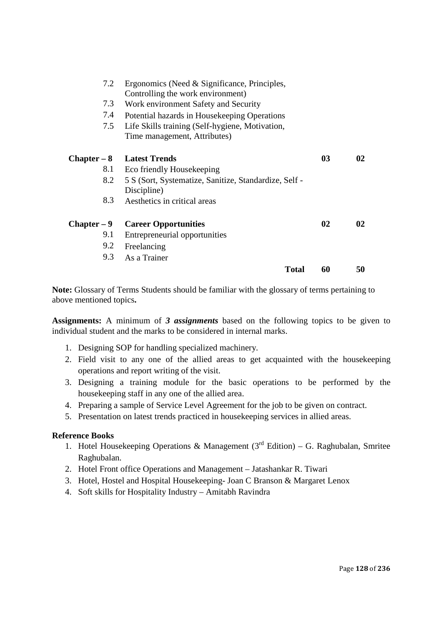| 7.2         | Ergonomics (Need & Significance, Principles,<br>Controlling the work environment) |                |    |
|-------------|-----------------------------------------------------------------------------------|----------------|----|
| 7.3         | Work environment Safety and Security                                              |                |    |
| 7.4         | Potential hazards in Housekeeping Operations                                      |                |    |
| 7.5         | Life Skills training (Self-hygiene, Motivation,<br>Time management, Attributes)   |                |    |
|             | Chapter – 8 Latest Trends                                                         | 0 <sub>3</sub> | 02 |
| 8.1         | Eco friendly Housekeeping                                                         |                |    |
| 8.2         | 5 S (Sort, Systematize, Sanitize, Standardize, Self -<br>Discipline)              |                |    |
| 8.3         | Aesthetics in critical areas                                                      |                |    |
| Chapter – 9 | <b>Career Opportunities</b>                                                       | 02             | 02 |
| 9.1         | Entrepreneurial opportunities                                                     |                |    |
| 9.2         | Freelancing                                                                       |                |    |
| 9.3         | As a Trainer                                                                      |                |    |
|             | <b>Total</b>                                                                      | 60             | 50 |

**Note:** Glossary of Terms Students should be familiar with the glossary of terms pertaining to above mentioned topics**.** 

**Assignments:** A minimum of *3 assignments* based on the following topics to be given to individual student and the marks to be considered in internal marks.

- 1. Designing SOP for handling specialized machinery.
- 2. Field visit to any one of the allied areas to get acquainted with the housekeeping operations and report writing of the visit.
- 3. Designing a training module for the basic operations to be performed by the housekeeping staff in any one of the allied area.
- 4. Preparing a sample of Service Level Agreement for the job to be given on contract.
- 5. Presentation on latest trends practiced in housekeeping services in allied areas.

#### **Reference Books**

- 1. Hotel Housekeeping Operations & Management ( $3<sup>rd</sup>$  Edition) G. Raghubalan, Smritee Raghubalan.
- 2. Hotel Front office Operations and Management Jatashankar R. Tiwari
- 3. Hotel, Hostel and Hospital Housekeeping- Joan C Branson & Margaret Lenox
- 4. Soft skills for Hospitality Industry Amitabh Ravindra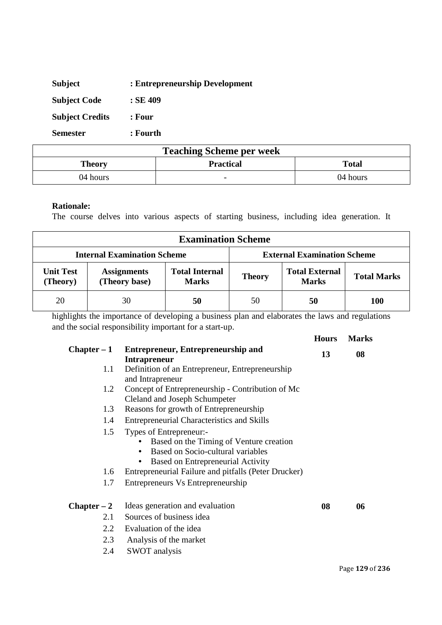| <b>Subject</b>         | : Entrepreneurship Development |
|------------------------|--------------------------------|
| <b>Subject Code</b>    | $:$ SE 409                     |
| <b>Subject Credits</b> | $:$ Four                       |
| <b>Semester</b>        | : Fourth                       |

| <b>Teaching Scheme per week</b> |                          |          |  |  |
|---------------------------------|--------------------------|----------|--|--|
| Theory                          | Total                    |          |  |  |
| 04 hours                        | $\overline{\phantom{0}}$ | 04 hours |  |  |

The course delves into various aspects of starting business, including idea generation. It

| <b>Examination Scheme</b>                                                |                                     |                                       |               |                                       |                    |
|--------------------------------------------------------------------------|-------------------------------------|---------------------------------------|---------------|---------------------------------------|--------------------|
| <b>Internal Examination Scheme</b><br><b>External Examination Scheme</b> |                                     |                                       |               |                                       |                    |
| <b>Unit Test</b><br>(Theory)                                             | <b>Assignments</b><br>(Theory base) | <b>Total Internal</b><br><b>Marks</b> | <b>Theory</b> | <b>Total External</b><br><b>Marks</b> | <b>Total Marks</b> |
| 20                                                                       | 30                                  | 50                                    | 50            | 50                                    | <b>100</b>         |

highlights the importance of developing a business plan and elaborates the laws and regulations and the social responsibility important for a start-up.

| $Chapter - 1$ | <b>Entrepreneur, Entrepreneurship and</b><br><b>Intrapreneur</b>     | 13 | 08 |
|---------------|----------------------------------------------------------------------|----|----|
| $1.1\,$       | Definition of an Entrepreneur, Entrepreneurship                      |    |    |
| 1.2           | and Intrapreneur<br>Concept of Entrepreneurship - Contribution of Mc |    |    |
|               | Cleland and Joseph Schumpeter                                        |    |    |
| 1.3           | Reasons for growth of Entrepreneurship                               |    |    |
| 1.4           | <b>Entrepreneurial Characteristics and Skills</b>                    |    |    |
| 1.5           | Types of Entrepreneur:-                                              |    |    |
|               | Based on the Timing of Venture creation                              |    |    |
|               | Based on Socio-cultural variables<br>$\bullet$                       |    |    |
|               | <b>Based on Entrepreneurial Activity</b>                             |    |    |
| 1.6           | Entrepreneurial Failure and pitfalls (Peter Drucker)                 |    |    |
| 1.7           | Entrepreneurs Vs Entrepreneurship                                    |    |    |
| $Chapter - 2$ | Ideas generation and evaluation                                      | 08 | 06 |
| 2.1           | Sources of business idea                                             |    |    |
| 2.2           | Evaluation of the idea                                               |    |    |
| 2.3           | Analysis of the market                                               |    |    |
| 2.4           | <b>SWOT</b> analysis                                                 |    |    |

**Hours Marks**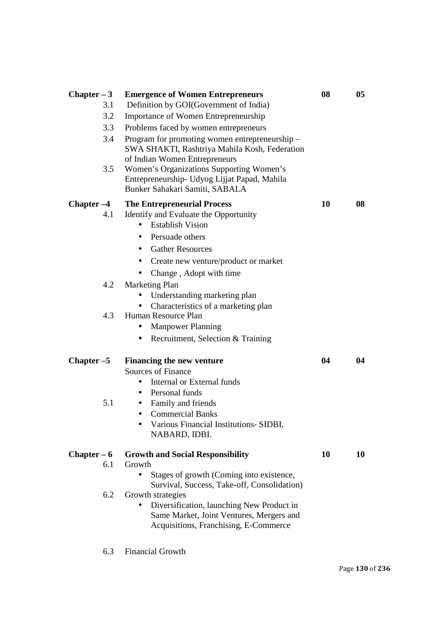| Chapter $-3$  | <b>Emergence of Women Entrepreneurs</b>                                                                                          | 08 | 05 |
|---------------|----------------------------------------------------------------------------------------------------------------------------------|----|----|
| 3.1           | Definition by GOI(Government of India)                                                                                           |    |    |
| 3.2           | <b>Importance of Women Entrepreneurship</b>                                                                                      |    |    |
| 3.3           | Problems faced by women entrepreneurs                                                                                            |    |    |
| 3.4           | Program for promoting women entrepreneurship -<br>SWA SHAKTI, Rashtriya Mahila Kosh, Federation<br>of Indian Women Entrepreneurs |    |    |
| 3.5           | Women's Organizations Supporting Women's<br>Entrepreneurship- Udyog Lijjat Papad, Mahila<br>Bunker Sahakari Samiti, SABALA       |    |    |
| Chapter $-4$  | <b>The Entrepreneurial Process</b>                                                                                               | 10 | 08 |
| 4.1           | Identify and Evaluate the Opportunity<br><b>Establish Vision</b>                                                                 |    |    |
|               | Persuade others<br>$\bullet$                                                                                                     |    |    |
|               | <b>Gather Resources</b><br>$\bullet$                                                                                             |    |    |
|               | Create new venture/product or market                                                                                             |    |    |
|               | Change, Adopt with time                                                                                                          |    |    |
| 4.2           | <b>Marketing Plan</b>                                                                                                            |    |    |
|               | Understanding marketing plan                                                                                                     |    |    |
|               | Characteristics of a marketing plan                                                                                              |    |    |
| 4.3           | Human Resource Plan                                                                                                              |    |    |
|               | <b>Manpower Planning</b>                                                                                                         |    |    |
|               | Recruitment, Selection & Training<br>$\bullet$                                                                                   |    |    |
| Chapter $-5$  | <b>Financing the new venture</b>                                                                                                 | 04 | 04 |
|               | <b>Sources of Finance</b>                                                                                                        |    |    |
|               | Internal or External funds<br>$\bullet$                                                                                          |    |    |
|               | Personal funds<br>$\bullet$                                                                                                      |    |    |
| 5.1           | Family and friends<br>$\bullet$                                                                                                  |    |    |
|               | <b>Commercial Banks</b><br>$\bullet$                                                                                             |    |    |
|               | Various Financial Institutions- SIDBI,<br>NABARD, IDBI.                                                                          |    |    |
| $Chapter - 6$ | <b>Growth and Social Responsibility</b>                                                                                          | 10 | 10 |
| 6.1           | Growth                                                                                                                           |    |    |
|               | Stages of growth (Coming into existence,                                                                                         |    |    |
|               | Survival, Success, Take-off, Consolidation)                                                                                      |    |    |
|               |                                                                                                                                  |    |    |
| 6.2           | Growth strategies                                                                                                                |    |    |
|               | Diversification, launching New Product in                                                                                        |    |    |
|               | Same Market, Joint Ventures, Mergers and<br>Acquisitions, Franchising, E-Commerce                                                |    |    |

6.3 Financial Growth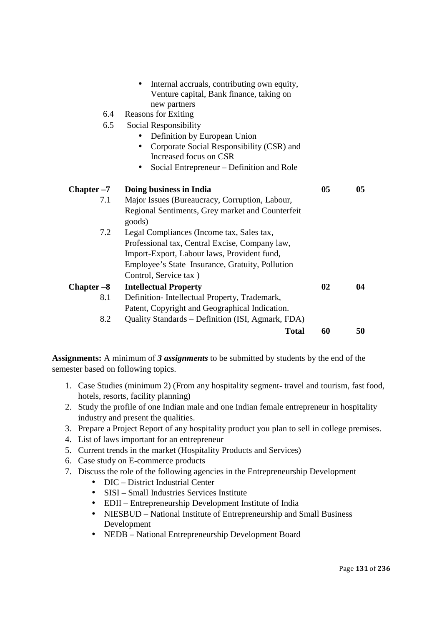|            | Internal accruals, contributing own equity,<br>Venture capital, Bank finance, taking on<br>new partners |    |    |
|------------|---------------------------------------------------------------------------------------------------------|----|----|
| 6.4        | <b>Reasons for Exiting</b>                                                                              |    |    |
| 6.5        | Social Responsibility                                                                                   |    |    |
|            | Definition by European Union                                                                            |    |    |
|            | Corporate Social Responsibility (CSR) and<br>Increased focus on CSR                                     |    |    |
|            | Social Entrepreneur – Definition and Role                                                               |    |    |
| Chapter –7 | Doing business in India                                                                                 | 05 | 05 |
| 7.1        | Major Issues (Bureaucracy, Corruption, Labour,                                                          |    |    |
|            | Regional Sentiments, Grey market and Counterfeit<br>goods)                                              |    |    |
| 7.2        | Legal Compliances (Income tax, Sales tax,                                                               |    |    |
|            | Professional tax, Central Excise, Company law,                                                          |    |    |
|            | Import-Export, Labour laws, Provident fund,                                                             |    |    |
|            | Employee's State Insurance, Gratuity, Pollution                                                         |    |    |
|            | Control, Service tax)                                                                                   |    |    |
| Chapter -8 | <b>Intellectual Property</b>                                                                            | 02 | 04 |
| 8.1        | Definition-Intellectual Property, Trademark,                                                            |    |    |
|            | Patent, Copyright and Geographical Indication.                                                          |    |    |
| 8.2        | Quality Standards – Definition (ISI, Agmark, FDA)                                                       |    |    |
|            | <b>Total</b>                                                                                            | 60 | 50 |

**Assignments:** A minimum of *3 assignments* to be submitted by students by the end of the semester based on following topics.

- 1. Case Studies (minimum 2) (From any hospitality segment- travel and tourism, fast food, hotels, resorts, facility planning)
- 2. Study the profile of one Indian male and one Indian female entrepreneur in hospitality industry and present the qualities.
- 3. Prepare a Project Report of any hospitality product you plan to sell in college premises.
- 4. List of laws important for an entrepreneur
- 5. Current trends in the market (Hospitality Products and Services)
- 6. Case study on E-commerce products
- 7. Discuss the role of the following agencies in the Entrepreneurship Development
	- DIC District Industrial Center
	- SISI Small Industries Services Institute
	- EDII Entrepreneurship Development Institute of India
	- NIESBUD National Institute of Entrepreneurship and Small Business Development
	- NEDB National Entrepreneurship Development Board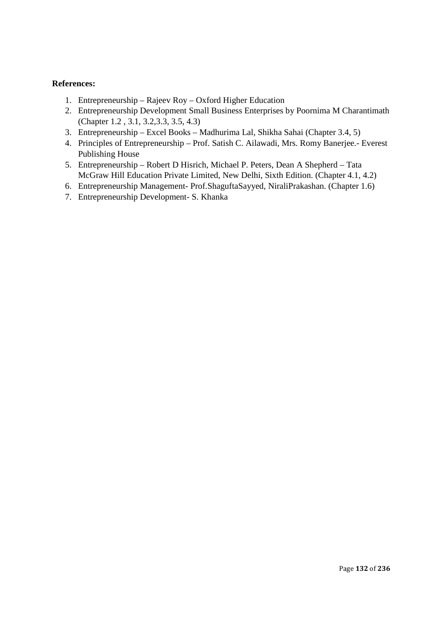# **References:**

- 1. Entrepreneurship Rajeev Roy Oxford Higher Education
- 2. Entrepreneurship Development Small Business Enterprises by Poornima M Charantimath (Chapter 1.2 , 3.1, 3.2,3.3, 3.5, 4.3)
- 3. Entrepreneurship Excel Books Madhurima Lal, Shikha Sahai (Chapter 3.4, 5)
- 4. Principles of Entrepreneurship Prof. Satish C. Ailawadi, Mrs. Romy Banerjee.- Everest Publishing House
- 5. Entrepreneurship Robert D Hisrich, Michael P. Peters, Dean A Shepherd Tata McGraw Hill Education Private Limited, New Delhi, Sixth Edition. (Chapter 4.1, 4.2)
- 6. Entrepreneurship Management- Prof.ShaguftaSayyed, NiraliPrakashan. (Chapter 1.6)
- 7. Entrepreneurship Development- S. Khanka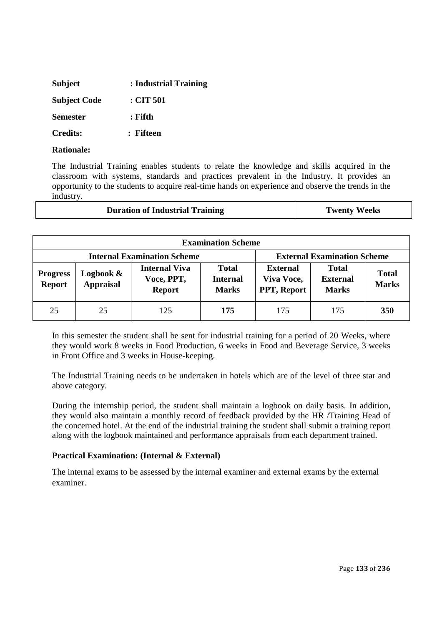| : Industrial Training |
|-----------------------|
| : CIT 501             |
| : Fifth               |
| : Fifteen             |
|                       |

The Industrial Training enables students to relate the knowledge and skills acquired in the classroom with systems, standards and practices prevalent in the Industry. It provides an opportunity to the students to acquire real-time hands on experience and observe the trends in the industry.

|                                                                          | <b>Duration of Industrial Training</b> |                                                     |                                                 |                                              | <b>Twenty Weeks</b>                             |                              |
|--------------------------------------------------------------------------|----------------------------------------|-----------------------------------------------------|-------------------------------------------------|----------------------------------------------|-------------------------------------------------|------------------------------|
|                                                                          |                                        |                                                     | <b>Examination Scheme</b>                       |                                              |                                                 |                              |
| <b>Internal Examination Scheme</b><br><b>External Examination Scheme</b> |                                        |                                                     |                                                 |                                              |                                                 |                              |
| <b>Progress</b><br><b>Report</b>                                         | Logbook &<br><b>Appraisal</b>          | <b>Internal Viva</b><br>Voce, PPT,<br><b>Report</b> | <b>Total</b><br><b>Internal</b><br><b>Marks</b> | <b>External</b><br>Viva Voce,<br>PPT, Report | <b>Total</b><br><b>External</b><br><b>Marks</b> | <b>Total</b><br><b>Marks</b> |

In this semester the student shall be sent for industrial training for a period of 20 Weeks, where they would work 8 weeks in Food Production, 6 weeks in Food and Beverage Service, 3 weeks in Front Office and 3 weeks in House-keeping.

25 25 125 **175** 175 175 **350** 

The Industrial Training needs to be undertaken in hotels which are of the level of three star and above category.

During the internship period, the student shall maintain a logbook on daily basis. In addition, they would also maintain a monthly record of feedback provided by the HR /Training Head of the concerned hotel. At the end of the industrial training the student shall submit a training report along with the logbook maintained and performance appraisals from each department trained.

# **Practical Examination: (Internal & External)**

The internal exams to be assessed by the internal examiner and external exams by the external examiner.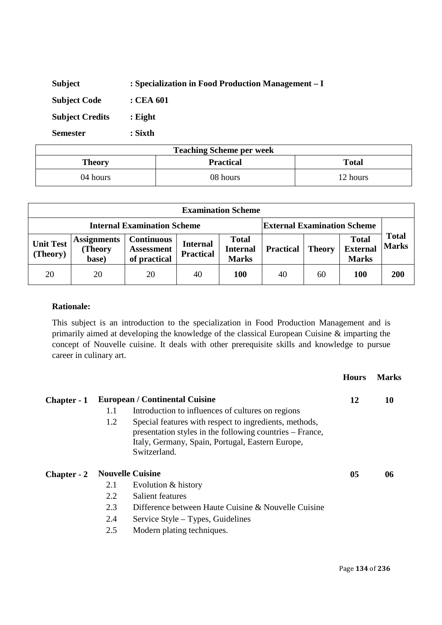| <b>Subject</b>         | : Specialization in Food Production Management – I |
|------------------------|----------------------------------------------------|
| <b>Subject Code</b>    | : CEA 601                                          |
| <b>Subject Credits</b> | $:$ Eight                                          |
| <b>Semester</b>        | : Sixth                                            |

| <b>Teaching Scheme per week</b>            |          |          |  |  |
|--------------------------------------------|----------|----------|--|--|
| <b>Practical</b><br><b>Total</b><br>Theory |          |          |  |  |
| 04 hours                                   | 08 hours | 12 hours |  |  |

|                                                                          | <b>Examination Scheme</b>              |                                                        |                                     |                                                 |                  |               |                                                 |                              |
|--------------------------------------------------------------------------|----------------------------------------|--------------------------------------------------------|-------------------------------------|-------------------------------------------------|------------------|---------------|-------------------------------------------------|------------------------------|
| <b>Internal Examination Scheme</b><br><b>External Examination Scheme</b> |                                        |                                                        |                                     |                                                 |                  |               |                                                 |                              |
| <b>Unit Test</b><br>(Theory)                                             | <b>Assignments</b><br>(Theory<br>base) | <b>Continuous</b><br><b>Assessment</b><br>of practical | <b>Internal</b><br><b>Practical</b> | <b>Total</b><br><b>Internal</b><br><b>Marks</b> | <b>Practical</b> | <b>Theory</b> | <b>Total</b><br><b>External</b><br><b>Marks</b> | <b>Total</b><br><b>Marks</b> |
| 20                                                                       | 20                                     | 20                                                     | 40                                  | <b>100</b>                                      | 40               | 60            | <b>100</b>                                      | 200                          |

This subject is an introduction to the specialization in Food Production Management and is primarily aimed at developing the knowledge of the classical European Cuisine & imparting the concept of Nouvelle cuisine. It deals with other prerequisite skills and knowledge to pursue career in culinary art.

|             |                         |                                                                                                                                                                                        | <b>Hours</b>   | <b>Marks</b> |
|-------------|-------------------------|----------------------------------------------------------------------------------------------------------------------------------------------------------------------------------------|----------------|--------------|
| Chapter - 1 |                         | <b>European / Continental Cuisine</b>                                                                                                                                                  | 12             | 10           |
|             | 1.1                     | Introduction to influences of cultures on regions                                                                                                                                      |                |              |
|             | 1.2                     | Special features with respect to ingredients, methods,<br>presentation styles in the following countries – France,<br>Italy, Germany, Spain, Portugal, Eastern Europe,<br>Switzerland. |                |              |
| Chapter - 2 | <b>Nouvelle Cuisine</b> |                                                                                                                                                                                        | 0 <sub>5</sub> | 06           |
|             | 2.1                     | Evolution & history                                                                                                                                                                    |                |              |
|             | 2.2                     | Salient features                                                                                                                                                                       |                |              |
|             | 2.3                     | Difference between Haute Cuisine & Nouvelle Cuisine                                                                                                                                    |                |              |
|             | 2.4                     | Service Style – Types, Guidelines                                                                                                                                                      |                |              |
|             | 2.5                     | Modern plating techniques.                                                                                                                                                             |                |              |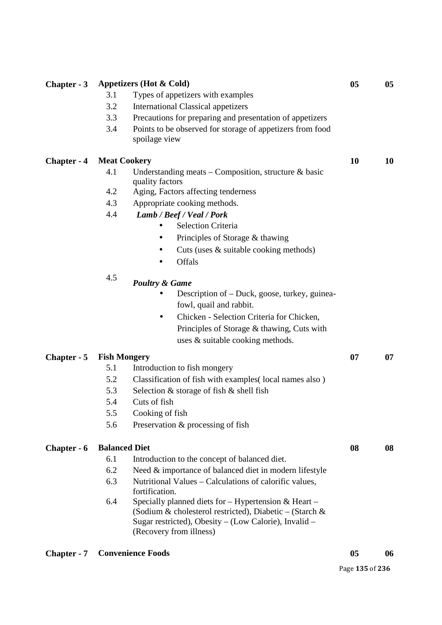| Chapter - 3 |                     | Appetizers (Hot & Cold)                                                    | 05 | 0 <sub>5</sub> |
|-------------|---------------------|----------------------------------------------------------------------------|----|----------------|
|             | 3.1                 | Types of appetizers with examples                                          |    |                |
|             | 3.2                 | <b>International Classical appetizers</b>                                  |    |                |
|             | 3.3                 | Precautions for preparing and presentation of appetizers                   |    |                |
|             | 3.4                 | Points to be observed for storage of appetizers from food                  |    |                |
|             |                     | spoilage view                                                              |    |                |
| Chapter - 4 |                     | <b>Meat Cookery</b>                                                        | 10 | 10             |
|             | 4.1                 | Understanding meats – Composition, structure $\&$ basic                    |    |                |
|             |                     | quality factors                                                            |    |                |
|             | 4.2                 | Aging, Factors affecting tenderness                                        |    |                |
|             | 4.3                 | Appropriate cooking methods.                                               |    |                |
|             | 4.4                 | Lamb / Beef / Veal / Pork                                                  |    |                |
|             |                     | <b>Selection Criteria</b>                                                  |    |                |
|             |                     | Principles of Storage & thawing<br>$\bullet$                               |    |                |
|             |                     | Cuts (uses & suitable cooking methods)<br>٠                                |    |                |
|             |                     | Offals                                                                     |    |                |
|             | 4.5                 | <b>Poultry &amp; Game</b>                                                  |    |                |
|             |                     | Description of – Duck, goose, turkey, guinea-                              |    |                |
|             |                     | fowl, quail and rabbit.                                                    |    |                |
|             |                     | Chicken - Selection Criteria for Chicken,<br>$\bullet$                     |    |                |
|             |                     | Principles of Storage & thawing, Cuts with                                 |    |                |
|             |                     | uses & suitable cooking methods.                                           |    |                |
| Chapter - 5 | <b>Fish Mongery</b> |                                                                            | 07 | 07             |
|             | 5.1                 | Introduction to fish mongery                                               |    |                |
|             | 5.2                 | Classification of fish with examples (local names also)                    |    |                |
|             | 5.3                 | Selection $&$ storage of fish $&$ shell fish                               |    |                |
|             | 5.4                 | Cuts of fish                                                               |    |                |
|             | 5.5                 | Cooking of fish                                                            |    |                |
|             | 5.6                 | Preservation & processing of fish                                          |    |                |
| Chapter - 6 |                     | <b>Balanced Diet</b>                                                       | 08 | 08             |
|             | 6.1                 | Introduction to the concept of balanced diet.                              |    |                |
|             | 6.2                 | Need & importance of balanced diet in modern lifestyle                     |    |                |
|             | 6.3                 | Nutritional Values – Calculations of calorific values,                     |    |                |
|             | 6.4                 | fortification.<br>Specially planned diets for $-$ Hypertension & Heart $-$ |    |                |
|             |                     | (Sodium & cholesterol restricted), Diabetic – (Starch &                    |    |                |
|             |                     | Sugar restricted), Obesity – (Low Calorie), Invalid –                      |    |                |
|             |                     | (Recovery from illness)                                                    |    |                |
|             |                     |                                                                            |    |                |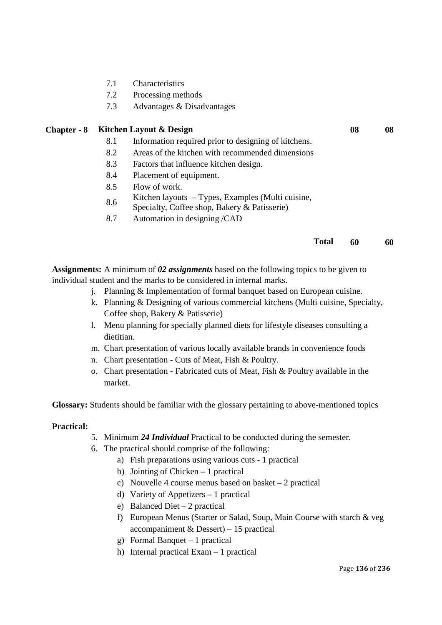- 7.1 Characteristics
- 7.2 Processing methods
- 7.3 Advantages & Disadvantages

# **Chapter - 8 Kitchen Layout & Design 08 08 08**

- 8.1 Information required prior to designing of kitchens.
- 8.2 Areas of the kitchen with recommended dimensions
- 8.3 Factors that influence kitchen design.
- 8.4 Placement of equipment.
- 8.5 Flow of work.
- $8.6$  Kitchen layouts Types, Examples (Multi cuisine,
	- Specialty, Coffee shop, Bakery & Patisserie)
- 8.7 Automation in designing /CAD

### **Total 60 60**

**Assignments:** A minimum of *02 assignments* based on the following topics to be given to individual student and the marks to be considered in internal marks.

- j. Planning & Implementation of formal banquet based on European cuisine.
- k. Planning & Designing of various commercial kitchens (Multi cuisine, Specialty, Coffee shop, Bakery & Patisserie)
- l. Menu planning for specially planned diets for lifestyle diseases consulting a dietitian.
- m. Chart presentation of various locally available brands in convenience foods
- n. Chart presentation Cuts of Meat, Fish & Poultry.
- o. Chart presentation Fabricated cuts of Meat, Fish & Poultry available in the market.

**Glossary:** Students should be familiar with the glossary pertaining to above-mentioned topics

# **Practical:**

- 5. Minimum *24 Individual* Practical to be conducted during the semester.
- 6. The practical should comprise of the following:
	- a) Fish preparations using various cuts 1 practical
	- b) Jointing of Chicken 1 practical
	- c) Nouvelle 4 course menus based on basket 2 practical
	- d) Variety of Appetizers 1 practical
	- e) Balanced Diet 2 practical
	- f) European Menus (Starter or Salad, Soup, Main Course with starch & veg accompaniment & Dessert) – 15 practical
	- g) Formal Banquet 1 practical
	- h) Internal practical Exam 1 practical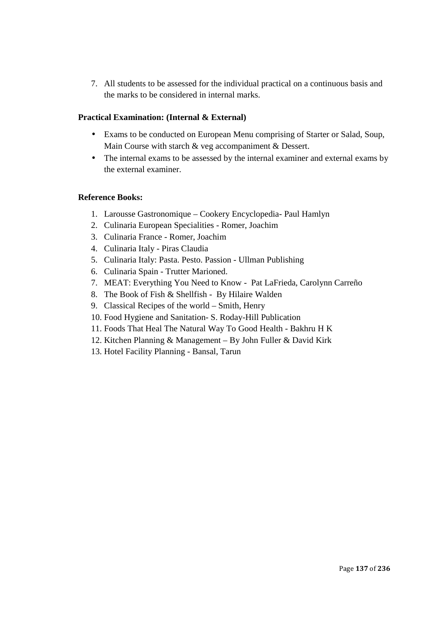7. All students to be assessed for the individual practical on a continuous basis and the marks to be considered in internal marks.

# **Practical Examination: (Internal & External)**

- Exams to be conducted on European Menu comprising of Starter or Salad, Soup, Main Course with starch & veg accompaniment & Dessert.
- The internal exams to be assessed by the internal examiner and external exams by the external examiner.

# **Reference Books:**

- 1. Larousse Gastronomique Cookery Encyclopedia- Paul Hamlyn
- 2. Culinaria European Specialities Romer, Joachim
- 3. Culinaria France Romer, Joachim
- 4. Culinaria Italy Piras Claudia
- 5. Culinaria Italy: Pasta. Pesto. Passion Ullman Publishing
- 6. Culinaria Spain Trutter Marioned.
- 7. MEAT: Everything You Need to Know Pat LaFrieda, Carolynn Carreño
- 8. The Book of Fish & Shellfish By Hilaire Walden
- 9. Classical Recipes of the world Smith, Henry
- 10. Food Hygiene and Sanitation- S. Roday-Hill Publication
- 11. Foods That Heal The Natural Way To Good Health Bakhru H K
- 12. Kitchen Planning & Management By John Fuller & David Kirk
- 13. Hotel Facility Planning Bansal, Tarun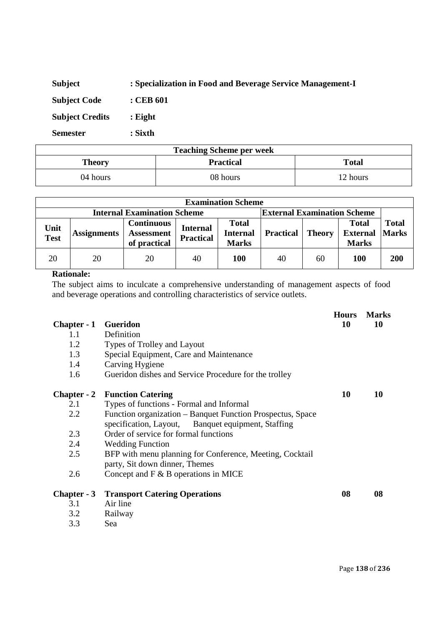| <b>Subject</b>         | : Specialization in Food and Beverage Service Management-I |
|------------------------|------------------------------------------------------------|
| <b>Subject Code</b>    | : CEB 601                                                  |
| <b>Subject Credits</b> | : $Eight$                                                  |
| <b>Semester</b>        | : Sixth                                                    |

| <b>Teaching Scheme per week</b>                   |          |          |  |  |
|---------------------------------------------------|----------|----------|--|--|
| <b>Practical</b><br><b>Total</b><br><b>Theory</b> |          |          |  |  |
| 04 hours                                          | 08 hours | 12 hours |  |  |

|                     | <b>Examination Scheme</b> |                                                        |                                     |                                                 |                                    |               |                                                 |                              |
|---------------------|---------------------------|--------------------------------------------------------|-------------------------------------|-------------------------------------------------|------------------------------------|---------------|-------------------------------------------------|------------------------------|
|                     |                           | <b>Internal Examination Scheme</b>                     |                                     |                                                 | <b>External Examination Scheme</b> |               |                                                 |                              |
| Unit<br><b>Test</b> | <b>Assignments</b>        | <b>Continuous</b><br><b>Assessment</b><br>of practical | <b>Internal</b><br><b>Practical</b> | <b>Total</b><br><b>Internal</b><br><b>Marks</b> | <b>Practical</b>                   | <b>Theory</b> | <b>Total</b><br><b>External</b><br><b>Marks</b> | <b>Total</b><br><b>Marks</b> |
| 20                  | 20                        | 20                                                     | 40                                  | <b>100</b>                                      | 40                                 | 60            | 100                                             | 200                          |

The subject aims to inculcate a comprehensive understanding of management aspects of food and beverage operations and controlling characteristics of service outlets.

| Chapter - 1        | Gueridon                                                   | <b>Hours</b><br>10 | <b>Marks</b><br>10 |
|--------------------|------------------------------------------------------------|--------------------|--------------------|
| 1.1                | Definition                                                 |                    |                    |
| 1.2                | Types of Trolley and Layout                                |                    |                    |
| 1.3                | Special Equipment, Care and Maintenance                    |                    |                    |
| 1.4                | Carving Hygiene                                            |                    |                    |
| 1.6                | Gueridon dishes and Service Procedure for the trolley      |                    |                    |
| <b>Chapter</b> - 2 | <b>Function Catering</b>                                   | 10                 | 10                 |
| 2.1                | Types of functions - Formal and Informal                   |                    |                    |
| 2.2                | Function organization – Banquet Function Prospectus, Space |                    |                    |
|                    | specification, Layout, Banquet equipment, Staffing         |                    |                    |
| 2.3                | Order of service for formal functions                      |                    |                    |
| 2.4                | <b>Wedding Function</b>                                    |                    |                    |
| 2.5                | BFP with menu planning for Conference, Meeting, Cocktail   |                    |                    |
|                    | party, Sit down dinner, Themes                             |                    |                    |
| 2.6                | Concept and $F \& B$ operations in MICE                    |                    |                    |
| Chapter - 3        | <b>Transport Catering Operations</b>                       | 08                 | 08                 |
| 3.1                | Air line                                                   |                    |                    |
| 3.2                | Railway                                                    |                    |                    |
| 3.3                | Sea                                                        |                    |                    |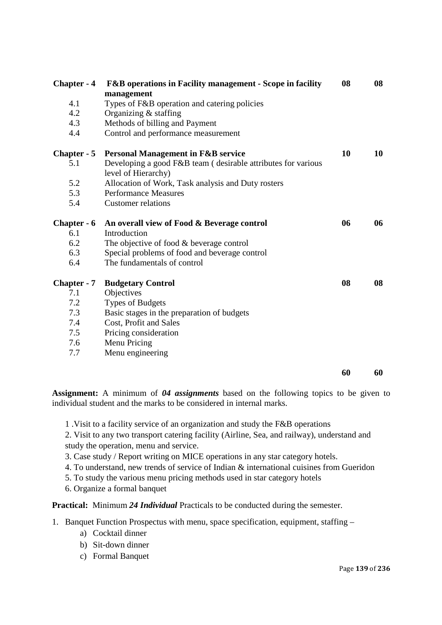| Chapter - 4        | <b>F&amp;B</b> operations in Facility management - Scope in facility | 08 | 08 |
|--------------------|----------------------------------------------------------------------|----|----|
|                    | management                                                           |    |    |
| 4.1                | Types of F&B operation and catering policies                         |    |    |
| 4.2                | Organizing & staffing                                                |    |    |
| 4.3                | Methods of billing and Payment                                       |    |    |
| 4.4                | Control and performance measurement                                  |    |    |
| Chapter - 5        | <b>Personal Management in F&amp;B service</b>                        | 10 | 10 |
| 5.1                | Developing a good F&B team (desirable attributes for various         |    |    |
|                    | level of Hierarchy)                                                  |    |    |
| 5.2                | Allocation of Work, Task analysis and Duty rosters                   |    |    |
| 5.3                | <b>Performance Measures</b>                                          |    |    |
| 5.4                | <b>Customer relations</b>                                            |    |    |
| Chapter - 6        | An overall view of Food & Beverage control                           | 06 | 06 |
| 6.1                | Introduction                                                         |    |    |
| 6.2                | The objective of food & beverage control                             |    |    |
| 6.3                | Special problems of food and beverage control                        |    |    |
| 6.4                | The fundamentals of control                                          |    |    |
| <b>Chapter</b> - 7 | <b>Budgetary Control</b>                                             | 08 | 08 |
| 7.1                | Objectives                                                           |    |    |
| 7.2                | <b>Types of Budgets</b>                                              |    |    |
| 7.3                | Basic stages in the preparation of budgets                           |    |    |
| 7.4                | Cost, Profit and Sales                                               |    |    |
| 7.5                | Pricing consideration                                                |    |    |
| 7.6                | Menu Pricing                                                         |    |    |
| 7.7                | Menu engineering                                                     |    |    |
|                    |                                                                      |    |    |
|                    |                                                                      | 60 | 60 |

**Assignment:** A minimum of *04 assignments* based on the following topics to be given to individual student and the marks to be considered in internal marks.

1 .Visit to a facility service of an organization and study the F&B operations

2. Visit to any two transport catering facility (Airline, Sea, and railway), understand and study the operation, menu and service.

- 3. Case study / Report writing on MICE operations in any star category hotels.
- 4. To understand, new trends of service of Indian & international cuisines from Gueridon
- 5. To study the various menu pricing methods used in star category hotels
- 6. Organize a formal banquet

**Practical:** Minimum *24 Individual* Practicals to be conducted during the semester.

- 1. Banquet Function Prospectus with menu, space specification, equipment, staffing
	- a) Cocktail dinner
	- b) Sit-down dinner
	- c) Formal Banquet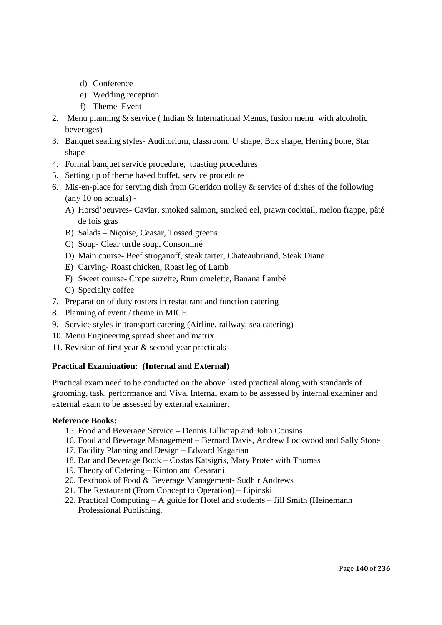- d) Conference
- e) Wedding reception
- f) Theme Event
- 2. Menu planning & service ( Indian & International Menus, fusion menu with alcoholic beverages)
- 3. Banquet seating styles- Auditorium, classroom, U shape, Box shape, Herring bone, Star shape
- 4. Formal banquet service procedure, toasting procedures
- 5. Setting up of theme based buffet, service procedure
- 6. Mis-en-place for serving dish from Gueridon trolley & service of dishes of the following (any 10 on actuals) -
	- A) Horsd'oeuvres- Caviar, smoked salmon, smoked eel, prawn cocktail, melon frappe, pâté de fois gras
	- B) Salads Niçoise, Ceasar, Tossed greens
	- C) Soup- Clear turtle soup, Consommé
	- D) Main course- Beef stroganoff, steak tarter, Chateaubriand, Steak Diane
	- E) Carving- Roast chicken, Roast leg of Lamb
	- F) Sweet course- Crepe suzette, Rum omelette, Banana flambé
	- G) Specialty coffee
- 7. Preparation of duty rosters in restaurant and function catering
- 8. Planning of event / theme in MICE
- 9. Service styles in transport catering (Airline, railway, sea catering)
- 10. Menu Engineering spread sheet and matrix
- 11. Revision of first year & second year practicals

# **Practical Examination: (Internal and External)**

Practical exam need to be conducted on the above listed practical along with standards of grooming, task, performance and Viva. Internal exam to be assessed by internal examiner and external exam to be assessed by external examiner.

# **Reference Books:**

- 15. Food and Beverage Service Dennis Lillicrap and John Cousins
- 16. Food and Beverage Management Bernard Davis, Andrew Lockwood and Sally Stone
- 17. Facility Planning and Design Edward Kagarian
- 18. Bar and Beverage Book Costas Katsigris, Mary Proter with Thomas
- 19. Theory of Catering Kinton and Cesarani
- 20. Textbook of Food & Beverage Management- Sudhir Andrews
- 21. The Restaurant (From Concept to Operation) Lipinski
- 22. Practical Computing A guide for Hotel and students Jill Smith (Heinemann Professional Publishing.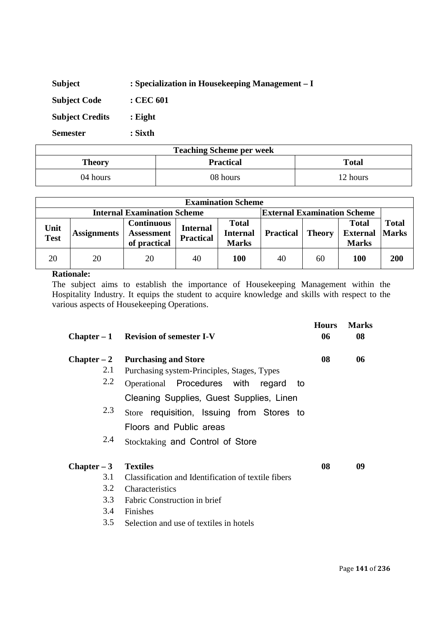| Subject                | : Specialization in Housekeeping Management – I |
|------------------------|-------------------------------------------------|
| <b>Subject Code</b>    | $\cdot$ CEC 601                                 |
| <b>Subject Credits</b> | $:$ Eight                                       |
| <b>Semester</b>        | : Sixth                                         |

| <b>Teaching Scheme per week</b>            |          |          |  |  |
|--------------------------------------------|----------|----------|--|--|
| <b>Practical</b><br><b>Total</b><br>Theory |          |          |  |  |
| 04 hours                                   | 08 hours | 12 hours |  |  |

| <b>Examination Scheme</b>          |                    |                                                        |                              |                                                 |                  |               |                                                 |                              |
|------------------------------------|--------------------|--------------------------------------------------------|------------------------------|-------------------------------------------------|------------------|---------------|-------------------------------------------------|------------------------------|
| <b>Internal Examination Scheme</b> |                    |                                                        |                              | <b>External Examination Scheme</b>              |                  |               |                                                 |                              |
| Unit<br><b>Test</b>                | <b>Assignments</b> | <b>Continuous</b><br><b>Assessment</b><br>of practical | Internal<br><b>Practical</b> | <b>Total</b><br><b>Internal</b><br><b>Marks</b> | <b>Practical</b> | <b>Theory</b> | <b>Total</b><br><b>External</b><br><b>Marks</b> | <b>Total</b><br><b>Marks</b> |
| 20                                 | 20                 | 20                                                     | 40                           | <b>100</b>                                      | 40               | 60            | 100                                             | 200                          |

The subject aims to establish the importance of Housekeeping Management within the Hospitality Industry. It equips the student to acquire knowledge and skills with respect to the various aspects of Housekeeping Operations.

|               | Chapter $-1$ Revision of semester I-V               | <b>Hours</b><br>06 | <b>Marks</b><br>08 |
|---------------|-----------------------------------------------------|--------------------|--------------------|
| $Chapter - 2$ | <b>Purchasing and Store</b>                         | 08                 | 06                 |
| 2.1           | Purchasing system-Principles, Stages, Types         |                    |                    |
| 2.2           | Operational Procedures with regard<br>to            |                    |                    |
|               | Cleaning Supplies, Guest Supplies, Linen            |                    |                    |
| 2.3           | Store requisition, Issuing from Stores to           |                    |                    |
|               | Floors and Public areas                             |                    |                    |
| 2.4           | Stocktaking and Control of Store                    |                    |                    |
| $Chapter - 3$ | <b>Textiles</b>                                     | 08                 | 09                 |
| 3.1           | Classification and Identification of textile fibers |                    |                    |
| 3.2           | Characteristics                                     |                    |                    |
| 3.3           | <b>Fabric Construction in brief</b>                 |                    |                    |
| 3.4           | Finishes                                            |                    |                    |
| 3.5           | Selection and use of textiles in hotels             |                    |                    |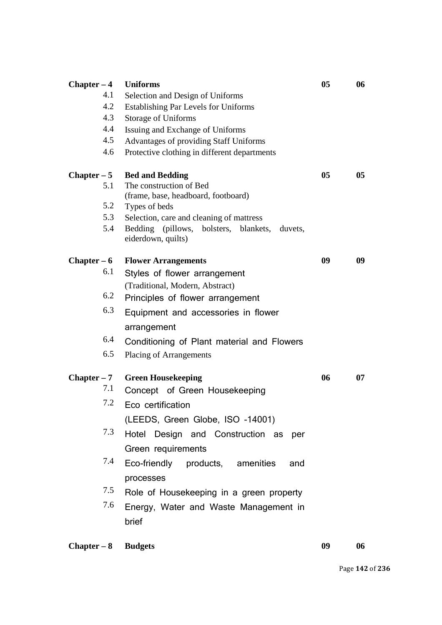| $Chapter - 4$ | <b>Uniforms</b>                                           | 05 | 06 |
|---------------|-----------------------------------------------------------|----|----|
| 4.1           | Selection and Design of Uniforms                          |    |    |
| 4.2           | <b>Establishing Par Levels for Uniforms</b>               |    |    |
| 4.3           | <b>Storage of Uniforms</b>                                |    |    |
| 4.4           | Issuing and Exchange of Uniforms                          |    |    |
| 4.5           | Advantages of providing Staff Uniforms                    |    |    |
| 4.6           | Protective clothing in different departments              |    |    |
| $Chapter - 5$ | <b>Bed and Bedding</b>                                    | 05 | 05 |
| 5.1           | The construction of Bed                                   |    |    |
| 5.2           | (frame, base, headboard, footboard)                       |    |    |
| 5.3           | Types of beds<br>Selection, care and cleaning of mattress |    |    |
| 5.4           | Bedding (pillows, bolsters, blankets,<br>duvets,          |    |    |
|               | eiderdown, quilts)                                        |    |    |
| $Chapter - 6$ | <b>Flower Arrangements</b>                                | 09 | 09 |
| 6.1           | Styles of flower arrangement                              |    |    |
|               | (Traditional, Modern, Abstract)                           |    |    |
| 6.2           | Principles of flower arrangement                          |    |    |
| 6.3           | Equipment and accessories in flower                       |    |    |
|               | arrangement                                               |    |    |
| 6.4           | Conditioning of Plant material and Flowers                |    |    |
| 6.5           | <b>Placing of Arrangements</b>                            |    |    |
| $Chapter - 7$ | <b>Green Housekeeping</b>                                 | 06 | 07 |
| 7.1           | Concept of Green Housekeeping                             |    |    |
| 7.2           | Eco certification                                         |    |    |
|               | (LEEDS, Green Globe, ISO -14001)                          |    |    |
| 7.3           | Hotel Design and Construction as<br>per                   |    |    |
|               | Green requirements                                        |    |    |
| 7.4           | Eco-friendly products, amenities<br>and                   |    |    |
|               | processes                                                 |    |    |
| 7.5           | Role of Housekeeping in a green property                  |    |    |
| 7.6           | Energy, Water and Waste Management in                     |    |    |
|               | brief                                                     |    |    |
| $Chapter - 8$ | <b>Budgets</b>                                            | 09 | 06 |

Page **142** of **236**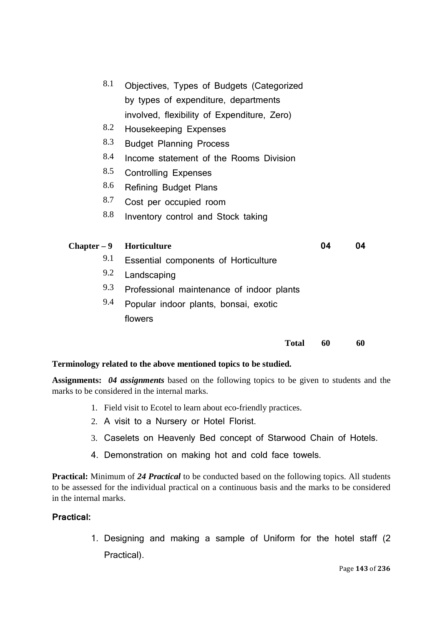| 8.1           | Objectives, Types of Budgets (Categorized   |    |    |
|---------------|---------------------------------------------|----|----|
|               | by types of expenditure, departments        |    |    |
|               | involved, flexibility of Expenditure, Zero) |    |    |
| 8.2           | <b>Housekeeping Expenses</b>                |    |    |
| 8.3           | <b>Budget Planning Process</b>              |    |    |
| 8.4           | Income statement of the Rooms Division      |    |    |
| 8.5           | <b>Controlling Expenses</b>                 |    |    |
| 8.6           | <b>Refining Budget Plans</b>                |    |    |
| 8.7           | Cost per occupied room                      |    |    |
| 8.8           | Inventory control and Stock taking          |    |    |
|               |                                             |    |    |
| $Chapter - 9$ | Horticulture                                | 04 | 04 |
| 9.1           | Essential components of Horticulture        |    |    |
| 9.2           | Landscaping                                 |    |    |
| 9.3           | Professional maintenance of indoor plants   |    |    |
| 9.4           | Popular indoor plants, bonsai, exotic       |    |    |
|               | flowers                                     |    |    |
|               | <b>Total</b>                                | 60 | 60 |

# **Terminology related to the above mentioned topics to be studied.**

**Assignments:** *04 assignments* based on the following topics to be given to students and the marks to be considered in the internal marks.

- 1. Field visit to Ecotel to learn about eco-friendly practices.
- 2. A visit to a Nursery or Hotel Florist.
- 3. Caselets on Heavenly Bed concept of Starwood Chain of Hotels.
- 4. Demonstration on making hot and cold face towels.

**Practical:** Minimum of *24 Practical* to be conducted based on the following topics. All students to be assessed for the individual practical on a continuous basis and the marks to be considered in the internal marks.

# **Practical:**

1. Designing and making a sample of Uniform for the hotel staff (2 Practical).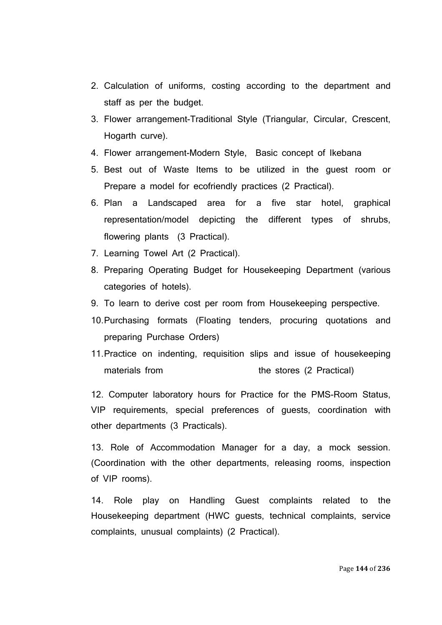- 2. Calculation of uniforms, costing according to the department and staff as per the budget.
- 3. Flower arrangement-Traditional Style (Triangular, Circular, Crescent, Hogarth curve).
- 4. Flower arrangement-Modern Style, Basic concept of Ikebana
- 5. Best out of Waste Items to be utilized in the guest room or Prepare a model for ecofriendly practices (2 Practical).
- 6. Plan a Landscaped area for a five star hotel, graphical representation/model depicting the different types of shrubs, flowering plants (3 Practical).
- 7. Learning Towel Art (2 Practical).
- 8. Preparing Operating Budget for Housekeeping Department (various categories of hotels).
- 9. To learn to derive cost per room from Housekeeping perspective.
- 10.Purchasing formats (Floating tenders, procuring quotations and preparing Purchase Orders)
- 11.Practice on indenting, requisition slips and issue of housekeeping materials from the stores (2 Practical)

12. Computer laboratory hours for Practice for the PMS-Room Status, VIP requirements, special preferences of guests, coordination with other departments (3 Practicals).

13. Role of Accommodation Manager for a day, a mock session. (Coordination with the other departments, releasing rooms, inspection of VIP rooms).

14. Role play on Handling Guest complaints related to the Housekeeping department (HWC guests, technical complaints, service complaints, unusual complaints) (2 Practical).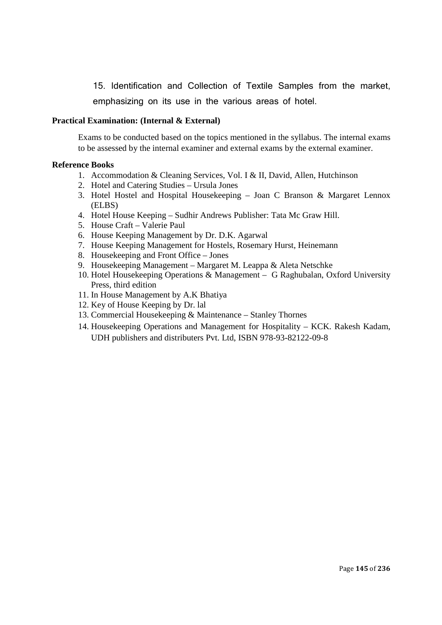15. Identification and Collection of Textile Samples from the market, emphasizing on its use in the various areas of hotel.

## **Practical Examination: (Internal & External)**

Exams to be conducted based on the topics mentioned in the syllabus. The internal exams to be assessed by the internal examiner and external exams by the external examiner.

#### **Reference Books**

- 1. Accommodation & Cleaning Services, Vol. I & II, David, Allen, Hutchinson
- 2. Hotel and Catering Studies Ursula Jones
- 3. Hotel Hostel and Hospital Housekeeping Joan C Branson & Margaret Lennox (ELBS)
- 4. Hotel House Keeping Sudhir Andrews Publisher: Tata Mc Graw Hill.
- 5. House Craft Valerie Paul
- 6. House Keeping Management by Dr. D.K. Agarwal
- 7. House Keeping Management for Hostels, Rosemary Hurst, Heinemann
- 8. Housekeeping and Front Office Jones
- 9. Housekeeping Management Margaret M. Leappa & Aleta Netschke
- 10. Hotel Housekeeping Operations & Management G Raghubalan, Oxford University Press, third edition
- 11. In House Management by A.K Bhatiya
- 12. Key of House Keeping by Dr. lal
- 13. Commercial Housekeeping & Maintenance Stanley Thornes
- 14. Housekeeping Operations and Management for Hospitality KCK. Rakesh Kadam, UDH publishers and distributers Pvt. Ltd, ISBN 978-93-82122-09-8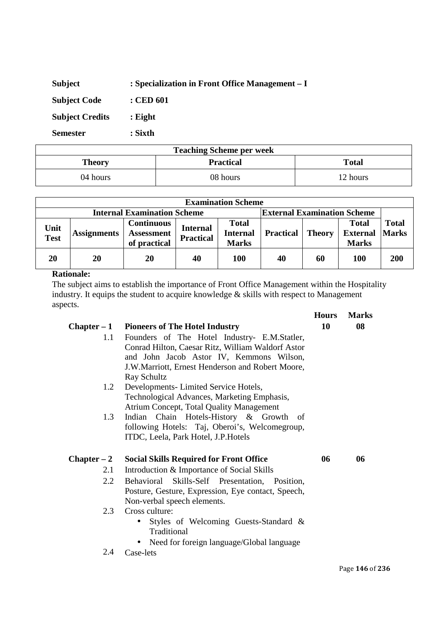| <b>Subject</b>         | : Specialization in Front Office Management – I |
|------------------------|-------------------------------------------------|
| <b>Subject Code</b>    | : CED 601                                       |
| <b>Subject Credits</b> | $:$ Eight                                       |
| <b>Semester</b>        | : Sixth                                         |

| <b>Teaching Scheme per week</b>                   |          |          |  |
|---------------------------------------------------|----------|----------|--|
| <b>Practical</b><br><b>Total</b><br><b>Theory</b> |          |          |  |
| 04 hours                                          | 08 hours | 12 hours |  |

| <b>Examination Scheme</b> |                                                                          |                                                        |                                     |                                                 |                  |               |                                                 |                              |
|---------------------------|--------------------------------------------------------------------------|--------------------------------------------------------|-------------------------------------|-------------------------------------------------|------------------|---------------|-------------------------------------------------|------------------------------|
|                           | <b>Internal Examination Scheme</b><br><b>External Examination Scheme</b> |                                                        |                                     |                                                 |                  |               |                                                 |                              |
| Unit<br><b>Test</b>       | <b>Assignments</b>                                                       | <b>Continuous</b><br><b>Assessment</b><br>of practical | <b>Internal</b><br><b>Practical</b> | <b>Total</b><br><b>Internal</b><br><b>Marks</b> | <b>Practical</b> | <b>Theory</b> | <b>Total</b><br><b>External</b><br><b>Marks</b> | <b>Total</b><br><b>Marks</b> |
| 20                        | 20                                                                       | 20                                                     | 40                                  | 100                                             | 40               | 60            | <b>100</b>                                      | 200                          |

The subject aims to establish the importance of Front Office Management within the Hospitality industry. It equips the student to acquire knowledge & skills with respect to Management aspects.

| 1.1<br>1.2<br>1.3 | $Chapter - 1$ Pioneers of The Hotel Industry<br>Founders of The Hotel Industry- E.M.Statler,<br>Conrad Hilton, Caesar Ritz, William Waldorf Astor<br>and John Jacob Astor IV, Kemmons Wilson,<br>J.W.Marriott, Ernest Henderson and Robert Moore,<br>Ray Schultz<br>Developments-Limited Service Hotels,<br>Technological Advances, Marketing Emphasis,<br><b>Atrium Concept, Total Quality Management</b><br>Indian Chain Hotels-History & Growth of<br>following Hotels: Taj, Oberoi's, Welcomegroup,<br>ITDC, Leela, Park Hotel, J.P. Hotels | 10 | 08 |
|-------------------|-------------------------------------------------------------------------------------------------------------------------------------------------------------------------------------------------------------------------------------------------------------------------------------------------------------------------------------------------------------------------------------------------------------------------------------------------------------------------------------------------------------------------------------------------|----|----|
| $Chapter - 2$     | <b>Social Skills Required for Front Office</b>                                                                                                                                                                                                                                                                                                                                                                                                                                                                                                  | 06 | 06 |
| 2.1               | Introduction & Importance of Social Skills                                                                                                                                                                                                                                                                                                                                                                                                                                                                                                      |    |    |
| 2.2               | Behavioral Skills-Self Presentation, Position,<br>Posture, Gesture, Expression, Eye contact, Speech,<br>Non-verbal speech elements.                                                                                                                                                                                                                                                                                                                                                                                                             |    |    |
| 2.3               | Cross culture:<br>Styles of Welcoming Guests-Standard &<br>٠<br>Traditional<br>Need for foreign language/Global language<br>$\bullet$                                                                                                                                                                                                                                                                                                                                                                                                           |    |    |
| 2.4               | Case-lets                                                                                                                                                                                                                                                                                                                                                                                                                                                                                                                                       |    |    |

**Hours Marks**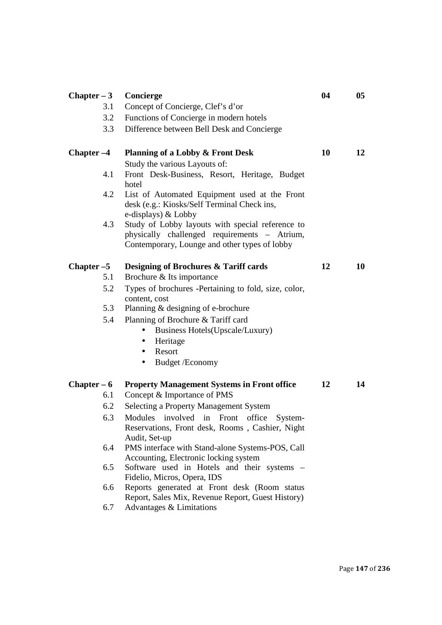| $Chapter - 3$ | Concierge                                                                                                                                         | 04 | 05 |
|---------------|---------------------------------------------------------------------------------------------------------------------------------------------------|----|----|
| 3.1           | Concept of Concierge, Clef's d'or                                                                                                                 |    |    |
| 3.2           | Functions of Concierge in modern hotels                                                                                                           |    |    |
| 3.3           | Difference between Bell Desk and Concierge                                                                                                        |    |    |
| $Chapter -4$  | Planning of a Lobby & Front Desk                                                                                                                  | 10 | 12 |
|               | Study the various Layouts of:                                                                                                                     |    |    |
| 4.1           | Front Desk-Business, Resort, Heritage, Budget<br>hotel                                                                                            |    |    |
| 4.2           | List of Automated Equipment used at the Front<br>desk (e.g.: Kiosks/Self Terminal Check ins,<br>e-displays) & Lobby                               |    |    |
| 4.3           | Study of Lobby layouts with special reference to<br>physically challenged requirements - Atrium,<br>Contemporary, Lounge and other types of lobby |    |    |
| Chapter -5    | <b>Designing of Brochures &amp; Tariff cards</b>                                                                                                  | 12 | 10 |
| 5.1           | Brochure & Its importance                                                                                                                         |    |    |
| 5.2           | Types of brochures -Pertaining to fold, size, color,<br>content, cost                                                                             |    |    |
| 5.3           | Planning & designing of e-brochure                                                                                                                |    |    |
| 5.4           | Planning of Brochure & Tariff card                                                                                                                |    |    |
|               | Business Hotels(Upscale/Luxury)                                                                                                                   |    |    |
|               | Heritage                                                                                                                                          |    |    |
|               | Resort<br>$\bullet$                                                                                                                               |    |    |
|               | <b>Budget</b> /Economy                                                                                                                            |    |    |
| $Chapter - 6$ | <b>Property Management Systems in Front office</b>                                                                                                | 12 | 14 |
| 6.1           | Concept & Importance of PMS                                                                                                                       |    |    |
| 6.2           | <b>Selecting a Property Management System</b>                                                                                                     |    |    |
| 6.3           | Modules involved in Front office<br>System-<br>Reservations, Front desk, Rooms, Cashier, Night                                                    |    |    |
|               | Audit, Set-up                                                                                                                                     |    |    |
| 6.4           | PMS interface with Stand-alone Systems-POS, Call                                                                                                  |    |    |
|               | Accounting, Electronic locking system                                                                                                             |    |    |
| 6.5           | Software used in Hotels and their systems -                                                                                                       |    |    |
| 6.6           | Fidelio, Micros, Opera, IDS<br>Reports generated at Front desk (Room status                                                                       |    |    |
|               | Report, Sales Mix, Revenue Report, Guest History)                                                                                                 |    |    |
| 6.7           | Advantages & Limitations                                                                                                                          |    |    |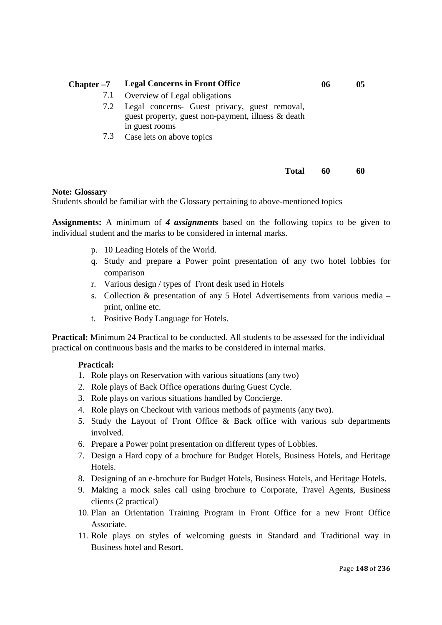| $Chapter -7$ | <b>Legal Concerns in Front Office</b>                                | 06 | 05 |
|--------------|----------------------------------------------------------------------|----|----|
|              | 7.1 Overview of Legal obligations                                    |    |    |
|              | 7.2 Legal concerns- Guest privacy, guest removal,                    |    |    |
|              | guest property, guest non-payment, illness & death<br>in guest rooms |    |    |

7.3 Case lets on above topics

#### **Total 60 60**

#### **Note: Glossary**

Students should be familiar with the Glossary pertaining to above-mentioned topics

**Assignments:** A minimum of *4 assignments* based on the following topics to be given to individual student and the marks to be considered in internal marks.

- p. 10 Leading Hotels of the World.
- q. Study and prepare a Power point presentation of any two hotel lobbies for comparison
- r. Various design / types of Front desk used in Hotels
- s. Collection & presentation of any 5 Hotel Advertisements from various media print, online etc.
- t. Positive Body Language for Hotels.

**Practical:** Minimum 24 Practical to be conducted. All students to be assessed for the individual practical on continuous basis and the marks to be considered in internal marks.

## **Practical:**

- 1. Role plays on Reservation with various situations (any two)
- 2. Role plays of Back Office operations during Guest Cycle.
- 3. Role plays on various situations handled by Concierge.
- 4. Role plays on Checkout with various methods of payments (any two).
- 5. Study the Layout of Front Office & Back office with various sub departments involved.
- 6. Prepare a Power point presentation on different types of Lobbies.
- 7. Design a Hard copy of a brochure for Budget Hotels, Business Hotels, and Heritage Hotels.
- 8. Designing of an e-brochure for Budget Hotels, Business Hotels, and Heritage Hotels.
- 9. Making a mock sales call using brochure to Corporate, Travel Agents, Business clients (2 practical)
- 10. Plan an Orientation Training Program in Front Office for a new Front Office Associate.
- 11. Role plays on styles of welcoming guests in Standard and Traditional way in Business hotel and Resort.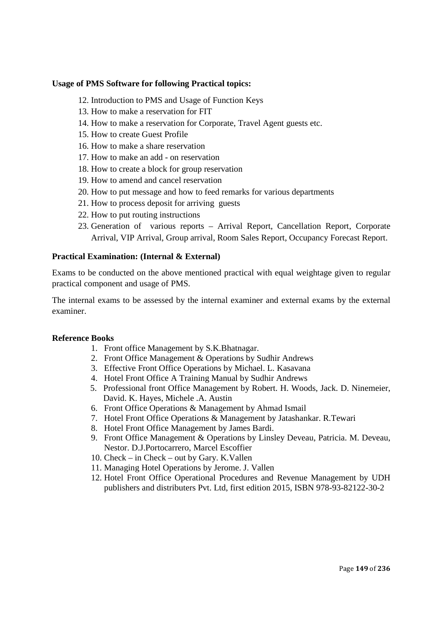#### **Usage of PMS Software for following Practical topics:**

- 12. Introduction to PMS and Usage of Function Keys
- 13. How to make a reservation for FIT
- 14. How to make a reservation for Corporate, Travel Agent guests etc.
- 15. How to create Guest Profile
- 16. How to make a share reservation
- 17. How to make an add on reservation
- 18. How to create a block for group reservation
- 19. How to amend and cancel reservation
- 20. How to put message and how to feed remarks for various departments
- 21. How to process deposit for arriving guests
- 22. How to put routing instructions
- 23. Generation of various reports Arrival Report, Cancellation Report, Corporate Arrival, VIP Arrival, Group arrival, Room Sales Report, Occupancy Forecast Report.

#### **Practical Examination: (Internal & External)**

Exams to be conducted on the above mentioned practical with equal weightage given to regular practical component and usage of PMS.

The internal exams to be assessed by the internal examiner and external exams by the external examiner.

#### **Reference Books**

- 1. Front office Management by S.K.Bhatnagar.
- 2. Front Office Management & Operations by Sudhir Andrews
- 3. Effective Front Office Operations by Michael. L. Kasavana
- 4. Hotel Front Office A Training Manual by Sudhir Andrews
- 5. Professional front Office Management by Robert. H. Woods, Jack. D. Ninemeier, David. K. Hayes, Michele .A. Austin
- 6. Front Office Operations & Management by Ahmad Ismail
- 7. Hotel Front Office Operations & Management by Jatashankar. R.Tewari
- 8. Hotel Front Office Management by James Bardi.
- 9. Front Office Management & Operations by Linsley Deveau, Patricia. M. Deveau, Nestor. D.J.Portocarrero, Marcel Escoffier
- 10. Check in Check out by Gary. K.Vallen
- 11. Managing Hotel Operations by Jerome. J. Vallen
- 12. Hotel Front Office Operational Procedures and Revenue Management by UDH publishers and distributers Pvt. Ltd, first edition 2015, ISBN 978-93-82122-30-2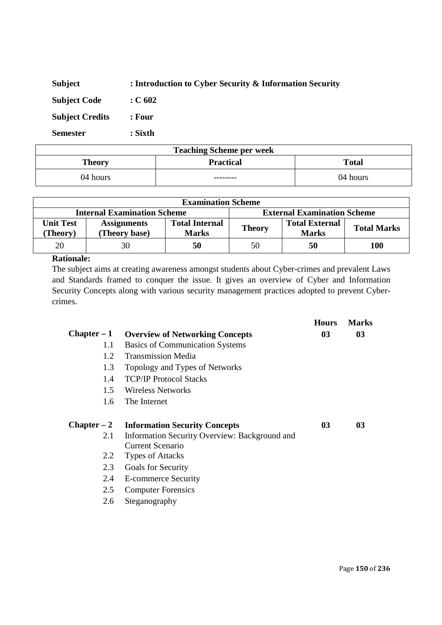| <b>Subject</b>         | : Introduction to Cyber Security & Information Security |
|------------------------|---------------------------------------------------------|
| <b>Subject Code</b>    | $\pm$ C 602                                             |
| <b>Subject Credits</b> | : Four                                                  |
| <b>Semester</b>        | : Sixth                                                 |

| <b>Teaching Scheme per week</b> |                                  |          |  |
|---------------------------------|----------------------------------|----------|--|
| Theory                          | <b>Practical</b><br><b>Total</b> |          |  |
| 04 hours                        | --------                         | 04 hours |  |

| <b>Examination Scheme</b>                                                |                                     |                                       |               |                                       |                    |
|--------------------------------------------------------------------------|-------------------------------------|---------------------------------------|---------------|---------------------------------------|--------------------|
| <b>Internal Examination Scheme</b><br><b>External Examination Scheme</b> |                                     |                                       |               |                                       |                    |
| <b>Unit Test</b><br><b>Theory</b> )                                      | <b>Assignments</b><br>(Theory base) | <b>Total Internal</b><br><b>Marks</b> | <b>Theory</b> | <b>Total External</b><br><b>Marks</b> | <b>Total Marks</b> |
| 20                                                                       | 30                                  | 50                                    | 50            | 50                                    | 100                |

The subject aims at creating awareness amongst students about Cyber-crimes and prevalent Laws and Standards framed to conquer the issue. It gives an overview of Cyber and Information Security Concepts along with various security management practices adopted to prevent Cybercrimes.

|               |                                               | <b>Hours</b> | <b>Marks</b> |
|---------------|-----------------------------------------------|--------------|--------------|
| $Chapter - 1$ | <b>Overview of Networking Concepts</b>        | 03           | 03           |
| 1.1           | <b>Basics of Communication Systems</b>        |              |              |
| 1.2           | <b>Transmission Media</b>                     |              |              |
| 1.3           | Topology and Types of Networks                |              |              |
| 1.4           | <b>TCP/IP Protocol Stacks</b>                 |              |              |
| 1.5           | <b>Wireless Networks</b>                      |              |              |
| 1.6           | The Internet                                  |              |              |
|               |                                               |              |              |
| $Chapter - 2$ | <b>Information Security Concepts</b>          | 03           | 03           |
| 2.1           | Information Security Overview: Background and |              |              |
|               | Current Scenario                              |              |              |
| 2.2           | Types of Attacks                              |              |              |
| 2.3           | <b>Goals for Security</b>                     |              |              |
| 2.4           | <b>E-commerce Security</b>                    |              |              |
| 2.5           | <b>Computer Forensics</b>                     |              |              |
| 2.6           | Steganography                                 |              |              |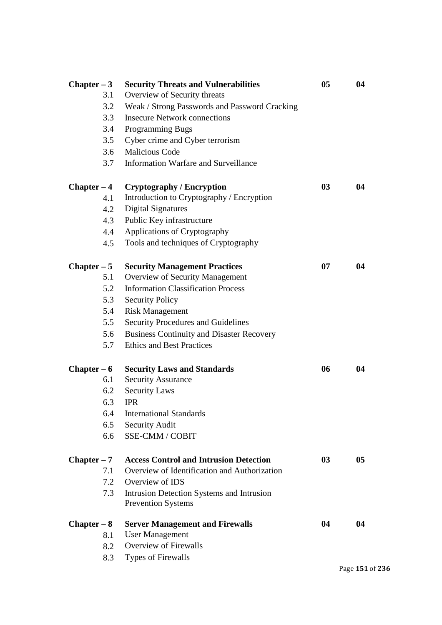| $Chapter - 3$ | <b>Security Threats and Vulnerabilities</b>                            | 05             | 04              |
|---------------|------------------------------------------------------------------------|----------------|-----------------|
| 3.1           | Overview of Security threats                                           |                |                 |
| 3.2           | Weak / Strong Passwords and Password Cracking                          |                |                 |
| 3.3           | <b>Insecure Network connections</b>                                    |                |                 |
| 3.4           | <b>Programming Bugs</b>                                                |                |                 |
| 3.5           | Cyber crime and Cyber terrorism                                        |                |                 |
| 3.6           | <b>Malicious Code</b>                                                  |                |                 |
| 3.7           | Information Warfare and Surveillance                                   |                |                 |
| $Chapter - 4$ | <b>Cryptography / Encryption</b>                                       | 03             | 04              |
| 4.1           | Introduction to Cryptography / Encryption                              |                |                 |
| 4.2           | Digital Signatures                                                     |                |                 |
| 4.3           | Public Key infrastructure                                              |                |                 |
| 4.4           | Applications of Cryptography                                           |                |                 |
| 4.5           | Tools and techniques of Cryptography                                   |                |                 |
| $Chapter - 5$ | <b>Security Management Practices</b>                                   | 07             | 04              |
| 5.1           | Overview of Security Management                                        |                |                 |
| 5.2           | <b>Information Classification Process</b>                              |                |                 |
| 5.3           | <b>Security Policy</b>                                                 |                |                 |
| 5.4           | <b>Risk Management</b>                                                 |                |                 |
| 5.5           | Security Procedures and Guidelines                                     |                |                 |
| 5.6           | <b>Business Continuity and Disaster Recovery</b>                       |                |                 |
| 5.7           | <b>Ethics and Best Practices</b>                                       |                |                 |
| $Chapter - 6$ | <b>Security Laws and Standards</b>                                     | 06             | 04              |
| 6.1           | <b>Security Assurance</b>                                              |                |                 |
| 6.2           | <b>Security Laws</b>                                                   |                |                 |
| 6.3           | <b>IPR</b>                                                             |                |                 |
| 6.4           | <b>International Standards</b>                                         |                |                 |
| 6.5           | <b>Security Audit</b>                                                  |                |                 |
| 6.6           | SSE-CMM / COBIT                                                        |                |                 |
| $Chapter - 7$ | <b>Access Control and Intrusion Detection</b>                          | 0 <sub>3</sub> | 05              |
| 7.1           | Overview of Identification and Authorization                           |                |                 |
| 7.2           | Overview of IDS                                                        |                |                 |
| 7.3           | Intrusion Detection Systems and Intrusion<br><b>Prevention Systems</b> |                |                 |
| $Chapter - 8$ | <b>Server Management and Firewalls</b>                                 | 04             | 04              |
| 8.1           | <b>User Management</b>                                                 |                |                 |
| 8.2           | <b>Overview of Firewalls</b>                                           |                |                 |
| 8.3           | <b>Types of Firewalls</b>                                              |                |                 |
|               |                                                                        |                | Page 151 of 236 |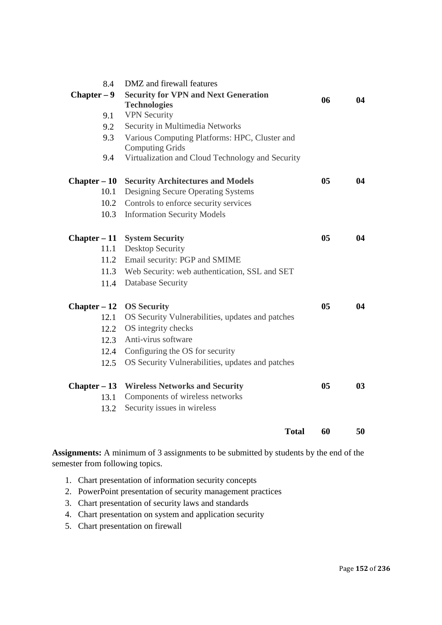| 8.4            | DMZ and firewall features                        |    |    |
|----------------|--------------------------------------------------|----|----|
| $Chapter - 9$  | <b>Security for VPN and Next Generation</b>      | 06 | 04 |
|                | <b>Technologies</b>                              |    |    |
| 9.1            | <b>VPN</b> Security                              |    |    |
| 9.2            | Security in Multimedia Networks                  |    |    |
| 9.3            | Various Computing Platforms: HPC, Cluster and    |    |    |
|                | <b>Computing Grids</b>                           |    |    |
| 9.4            | Virtualization and Cloud Technology and Security |    |    |
| $Chapter - 10$ | <b>Security Architectures and Models</b>         | 05 | 04 |
| 10.1           | Designing Secure Operating Systems               |    |    |
| 10.2           | Controls to enforce security services            |    |    |
| 10.3           | <b>Information Security Models</b>               |    |    |
| $Chapter - 11$ | <b>System Security</b>                           | 05 | 04 |
| 11.1           | <b>Desktop Security</b>                          |    |    |
| 11.2           | Email security: PGP and SMIME                    |    |    |
| 11.3           | Web Security: web authentication, SSL and SET    |    |    |
| 11.4           | Database Security                                |    |    |
| $Chapter - 12$ | <b>OS Security</b>                               | 05 | 04 |
| 12.1           | OS Security Vulnerabilities, updates and patches |    |    |
| 12.2           | OS integrity checks                              |    |    |
| 12.3           | Anti-virus software                              |    |    |
| 12.4           | Configuring the OS for security                  |    |    |
| 12.5           | OS Security Vulnerabilities, updates and patches |    |    |
| $Chapter - 13$ | <b>Wireless Networks and Security</b>            | 05 | 03 |
| 13.1           | Components of wireless networks                  |    |    |
| 13.2           | Security issues in wireless                      |    |    |
|                |                                                  |    |    |
|                | <b>Total</b>                                     | 60 | 50 |

**Assignments:** A minimum of 3 assignments to be submitted by students by the end of the semester from following topics.

- 1. Chart presentation of information security concepts
- 2. PowerPoint presentation of security management practices
- 3. Chart presentation of security laws and standards
- 4. Chart presentation on system and application security
- 5. Chart presentation on firewall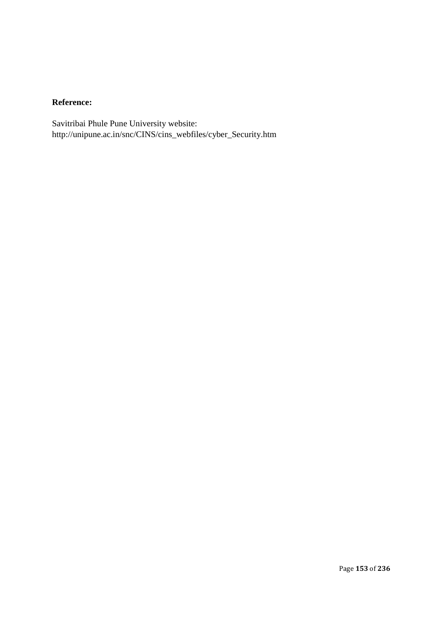# **Reference:**

Savitribai Phule Pune University website: http://unipune.ac.in/snc/CINS/cins\_webfiles/cyber\_Security.htm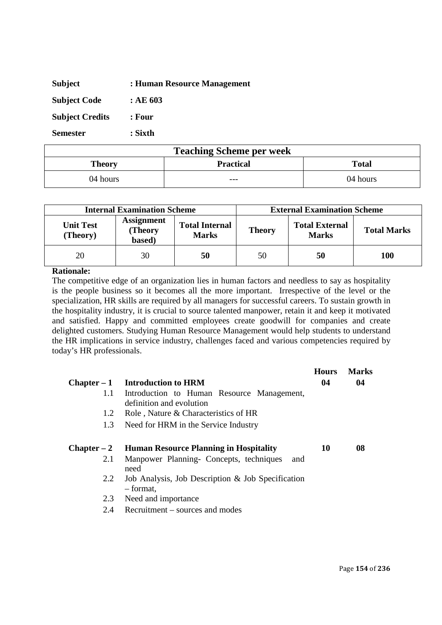| <b>Subject</b>         | : Human Resource Management |
|------------------------|-----------------------------|
| <b>Subject Code</b>    | :AE603                      |
| <b>Subject Credits</b> | $:$ Four                    |
| <b>Semester</b>        | $:$ Sixth                   |

| <b>Teaching Scheme per week</b> |                  |              |
|---------------------------------|------------------|--------------|
| <b>Theory</b>                   | <b>Practical</b> | <b>Total</b> |
| 04 hours                        | ---              | 04 hours     |

| <b>Internal Examination Scheme</b> |                                        | <b>External Examination Scheme</b>    |               |                                       |                    |
|------------------------------------|----------------------------------------|---------------------------------------|---------------|---------------------------------------|--------------------|
| <b>Unit Test</b><br>(Theory)       | <b>Assignment</b><br>(Theory<br>based) | <b>Total Internal</b><br><b>Marks</b> | <b>Theory</b> | <b>Total External</b><br><b>Marks</b> | <b>Total Marks</b> |
| 20                                 | 30                                     | 50                                    | 50            | 50                                    | <b>100</b>         |

 The competitive edge of an organization lies in human factors and needless to say as hospitality is the people business so it becomes all the more important. Irrespective of the level or the specialization, HR skills are required by all managers for successful careers. To sustain growth in the hospitality industry, it is crucial to source talented manpower, retain it and keep it motivated and satisfied. Happy and committed employees create goodwill for companies and create delighted customers. Studying Human Resource Management would help students to understand the HR implications in service industry, challenges faced and various competencies required by today's HR professionals.

|               |                                                                        | <b>Hours</b> | <b>Marks</b> |
|---------------|------------------------------------------------------------------------|--------------|--------------|
|               | $Chapter - 1$ Introduction to HRM                                      | 04           | 04           |
| 1.1           | Introduction to Human Resource Management,<br>definition and evolution |              |              |
| 1.2           | Role, Nature & Characteristics of HR                                   |              |              |
| 1.3           | Need for HRM in the Service Industry                                   |              |              |
|               |                                                                        |              |              |
| $Chapter - 2$ | <b>Human Resource Planning in Hospitality</b>                          | 10           | 08           |
| 2.1           | Manpower Planning- Concepts, techniques<br>and<br>need                 |              |              |
| 2.2           | Job Analysis, Job Description & Job Specification<br>– format,         |              |              |
| 2.3           | Need and importance                                                    |              |              |
| 2.4           | Recruitment – sources and modes                                        |              |              |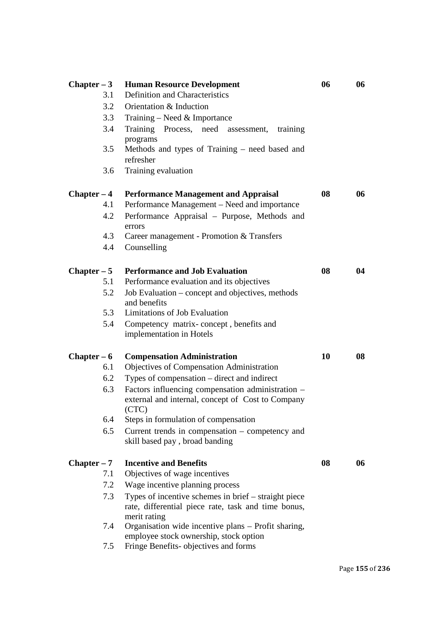| $Chapter - 3$ | <b>Human Resource Development</b>                                                                               | 06 | 06 |
|---------------|-----------------------------------------------------------------------------------------------------------------|----|----|
| 3.1           | Definition and Characteristics                                                                                  |    |    |
| 3.2           | Orientation & Induction                                                                                         |    |    |
| 3.3           | Training – Need & Importance                                                                                    |    |    |
| 3.4           | Training Process, need assessment,<br>training<br>programs                                                      |    |    |
| 3.5           | Methods and types of Training – need based and<br>refresher                                                     |    |    |
| 3.6           | Training evaluation                                                                                             |    |    |
| $Chapter - 4$ | <b>Performance Management and Appraisal</b>                                                                     | 08 | 06 |
| 4.1           | Performance Management - Need and importance                                                                    |    |    |
| 4.2           | Performance Appraisal - Purpose, Methods and<br>errors                                                          |    |    |
| 4.3           | Career management - Promotion & Transfers                                                                       |    |    |
| 4.4           | Counselling                                                                                                     |    |    |
| $Chapter - 5$ | <b>Performance and Job Evaluation</b>                                                                           | 08 | 04 |
| 5.1           | Performance evaluation and its objectives                                                                       |    |    |
| 5.2           | Job Evaluation – concept and objectives, methods<br>and benefits                                                |    |    |
| 5.3           | Limitations of Job Evaluation                                                                                   |    |    |
| 5.4           | Competency matrix-concept, benefits and<br>implementation in Hotels                                             |    |    |
| $Chapter - 6$ | <b>Compensation Administration</b>                                                                              | 10 | 08 |
| 6.1           | Objectives of Compensation Administration                                                                       |    |    |
| 6.2           | Types of compensation – direct and indirect                                                                     |    |    |
| 6.3           | Factors influencing compensation administration –<br>external and internal, concept of Cost to Company<br>(CTC) |    |    |
| 6.4           | Steps in formulation of compensation                                                                            |    |    |
| 6.5           | Current trends in compensation – competency and<br>skill based pay, broad banding                               |    |    |
| $Chapter - 7$ | <b>Incentive and Benefits</b>                                                                                   | 08 | 06 |
| 7.1           | Objectives of wage incentives                                                                                   |    |    |
| 7.2           | Wage incentive planning process                                                                                 |    |    |
| 7.3           | Types of incentive schemes in brief – straight piece<br>rate, differential piece rate, task and time bonus,     |    |    |
| 7.4           | merit rating<br>Organisation wide incentive plans - Profit sharing,<br>employee stock ownership, stock option   |    |    |
| 7.5           | Fringe Benefits-objectives and forms                                                                            |    |    |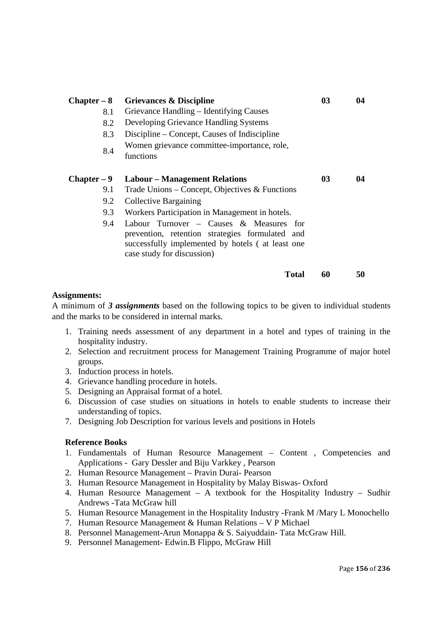| $Chapter - 8$ | <b>Grievances &amp; Discipline</b>                                                                                                                                              | 0 <sub>3</sub> | 04 |
|---------------|---------------------------------------------------------------------------------------------------------------------------------------------------------------------------------|----------------|----|
| 8.1           | Grievance Handling – Identifying Causes                                                                                                                                         |                |    |
| 8.2           | Developing Grievance Handling Systems                                                                                                                                           |                |    |
| 8.3           | Discipline – Concept, Causes of Indiscipline                                                                                                                                    |                |    |
| 8.4           | Women grievance committee-importance, role,<br>functions                                                                                                                        |                |    |
| $Chapter - 9$ | <b>Labour – Management Relations</b>                                                                                                                                            | 0 <sub>3</sub> | 04 |
| 9.1           | Trade Unions – Concept, Objectives & Functions                                                                                                                                  |                |    |
| 9.2           | <b>Collective Bargaining</b>                                                                                                                                                    |                |    |
| 9.3           | Workers Participation in Management in hotels.                                                                                                                                  |                |    |
| 9.4           | Labour Turnover – Causes $\&$ Measures for<br>prevention, retention strategies formulated and<br>successfully implemented by hotels (at least one<br>case study for discussion) |                |    |
|               | <b>Total</b>                                                                                                                                                                    | 60             | 50 |

## **Assignments:**

A minimum of *3 assignments* based on the following topics to be given to individual students and the marks to be considered in internal marks.

- 1. Training needs assessment of any department in a hotel and types of training in the hospitality industry.
- 2. Selection and recruitment process for Management Training Programme of major hotel groups.
- 3. Induction process in hotels.
- 4. Grievance handling procedure in hotels.
- 5. Designing an Appraisal format of a hotel.
- 6. Discussion of case studies on situations in hotels to enable students to increase their understanding of topics.
- 7. Designing Job Description for various levels and positions in Hotels

# **Reference Books**

- 1. Fundamentals of Human Resource Management Content , Competencies and Applications - Gary Dessler and Biju Varkkey , Pearson
- 2. Human Resource Management Pravin Durai- Pearson
- 3. Human Resource Management in Hospitality by Malay Biswas- Oxford
- 4. Human Resource Management A textbook for the Hospitality Industry Sudhir Andrews -Tata McGraw hill
- 5. Human Resource Management in the Hospitality Industry -Frank M /Mary L Monochello
- 7. Human Resource Management & Human Relations V P Michael
- 8. Personnel Management-Arun Monappa & S. Saiyuddain- Tata McGraw Hill.
- 9. Personnel Management- Edwin.B Flippo, McGraw Hill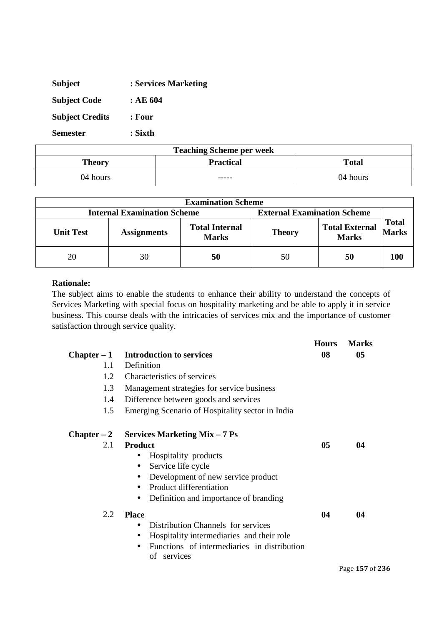| <b>Subject</b>         | : Services Marketing |
|------------------------|----------------------|
| <b>Subject Code</b>    | :AE604               |
| <b>Subject Credits</b> | : Four               |
| <b>Semester</b>        | : Sixth              |

| <b>Teaching Scheme per week</b> |                  |              |
|---------------------------------|------------------|--------------|
| <b>Theory</b>                   | <b>Practical</b> | <b>Total</b> |
| 04 hours                        | -----            | 04 hours     |

| <b>Examination Scheme</b>          |                    |                                       |               |                                       |                              |
|------------------------------------|--------------------|---------------------------------------|---------------|---------------------------------------|------------------------------|
| <b>Internal Examination Scheme</b> |                    | <b>External Examination Scheme</b>    |               |                                       |                              |
| <b>Unit Test</b>                   | <b>Assignments</b> | <b>Total Internal</b><br><b>Marks</b> | <b>Theory</b> | <b>Total External</b><br><b>Marks</b> | <b>Total</b><br><b>Marks</b> |
| 20                                 | 30                 | 50                                    | 50            | 50                                    | 100                          |

The subject aims to enable the students to enhance their ability to understand the concepts of Services Marketing with special focus on hospitality marketing and be able to apply it in service business. This course deals with the intricacies of services mix and the importance of customer satisfaction through service quality.

|               |                                                                 | <b>Hours</b> | <b>Marks</b> |
|---------------|-----------------------------------------------------------------|--------------|--------------|
|               | $Chapter - 1$ Introduction to services                          | 08           | 05           |
| 1.1           | Definition                                                      |              |              |
| 1.2           | Characteristics of services                                     |              |              |
| 1.3           | Management strategies for service business                      |              |              |
| 1.4           | Difference between goods and services                           |              |              |
| 1.5           | Emerging Scenario of Hospitality sector in India                |              |              |
| $Chapter - 2$ | Services Marketing Mix – 7 Ps                                   |              |              |
| 2.1           | <b>Product</b>                                                  | 05           | 04           |
|               | Hospitality products<br>٠                                       |              |              |
|               | Service life cycle<br>٠                                         |              |              |
|               | Development of new service product<br>$\bullet$                 |              |              |
|               | Product differentiation                                         |              |              |
|               | Definition and importance of branding<br>٠                      |              |              |
| 2.2           | <b>Place</b>                                                    | 04           | 04           |
|               | Distribution Channels for services<br>$\bullet$                 |              |              |
|               | Hospitality intermediaries and their role<br>$\bullet$          |              |              |
|               | Functions of intermediaries in distribution<br>٠<br>of services |              |              |
|               |                                                                 |              |              |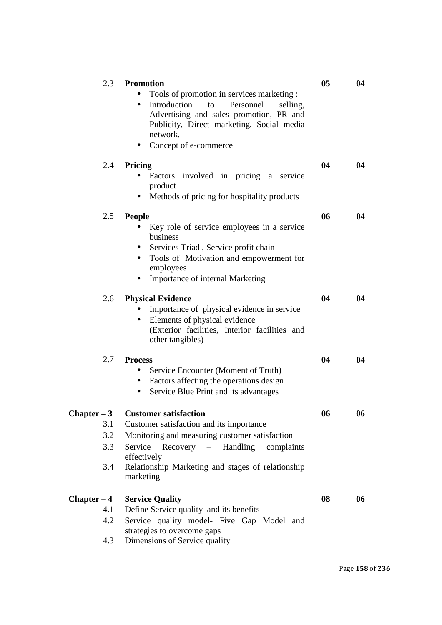| 2.3                                       | <b>Promotion</b><br>Tools of promotion in services marketing :<br>Introduction<br>to<br>Personnel<br>selling,<br>$\bullet$<br>Advertising and sales promotion, PR and<br>Publicity, Direct marketing, Social media<br>network.<br>Concept of e-commerce     | 0 <sub>5</sub> | 04 |
|-------------------------------------------|-------------------------------------------------------------------------------------------------------------------------------------------------------------------------------------------------------------------------------------------------------------|----------------|----|
| 2.4                                       | Pricing<br>involved in pricing a service<br>Factors<br>product<br>Methods of pricing for hospitality products<br>$\bullet$                                                                                                                                  | 04             | 04 |
| 2.5                                       | <b>People</b><br>Key role of service employees in a service<br>$\bullet$<br>business<br>Services Triad, Service profit chain<br>$\bullet$<br>Tools of Motivation and empowerment for<br>employees<br>Importance of internal Marketing                       | 06             | 04 |
| 2.6                                       | <b>Physical Evidence</b><br>Importance of physical evidence in service<br>Elements of physical evidence<br>$\bullet$<br>(Exterior facilities, Interior facilities and<br>other tangibles)                                                                   | 04             | 04 |
| 2.7                                       | <b>Process</b><br>Service Encounter (Moment of Truth)<br>Factors affecting the operations design<br>$\bullet$<br>Service Blue Print and its advantages<br>$\bullet$                                                                                         | 04             | 04 |
| $Chapter - 3$<br>3.1<br>3.2<br>3.3<br>3.4 | <b>Customer satisfaction</b><br>Customer satisfaction and its importance<br>Monitoring and measuring customer satisfaction<br>Service<br>Recovery – Handling<br>complaints<br>effectively<br>Relationship Marketing and stages of relationship<br>marketing | 06             | 06 |
| $Chapter - 4$<br>4.1<br>4.2<br>4.3        | <b>Service Quality</b><br>Define Service quality and its benefits<br>Service quality model- Five Gap Model and<br>strategies to overcome gaps<br>Dimensions of Service quality                                                                              | 08             | 06 |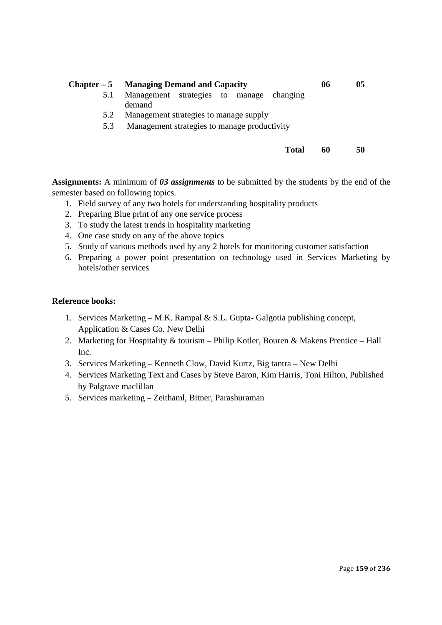# **Chapter – 5 Managing Demand and Capacity 06 05**

- 5.1 Management strategies to manage changing demand
- 5.2 Management strategies to manage supply
- 5.3 Management strategies to manage productivity

**Total 60 50** 

**Assignments:** A minimum of *03 assignments* to be submitted by the students by the end of the semester based on following topics.

- 1. Field survey of any two hotels for understanding hospitality products
- 2. Preparing Blue print of any one service process
- 3. To study the latest trends in hospitality marketing
- 4. One case study on any of the above topics
- 5. Study of various methods used by any 2 hotels for monitoring customer satisfaction
- 6. Preparing a power point presentation on technology used in Services Marketing by hotels/other services

## **Reference books:**

- 1. Services Marketing M.K. Rampal & S.L. Gupta- Galgotia publishing concept, Application & Cases Co. New Delhi
- 2. Marketing for Hospitality & tourism Philip Kotler, Bouren & Makens Prentice Hall Inc.
- 3. Services Marketing Kenneth Clow, David Kurtz, Big tantra New Delhi
- 4. Services Marketing Text and Cases by Steve Baron, Kim Harris, Toni Hilton, Published by Palgrave maclillan
- 5. Services marketing Zeithaml, Bitner, Parashuraman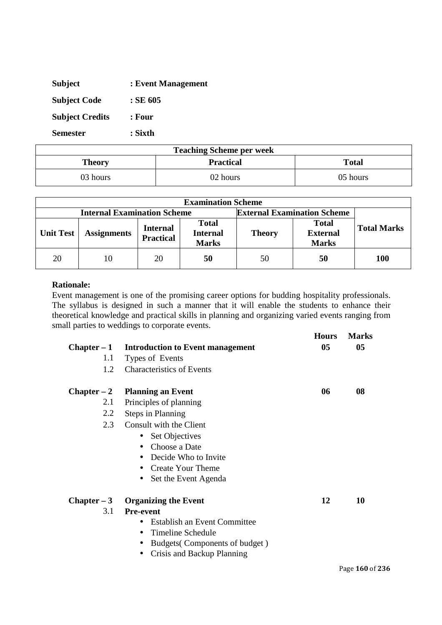| <b>Subject</b>         | : Event Management |
|------------------------|--------------------|
| <b>Subject Code</b>    | $:$ SE 605         |
| <b>Subject Credits</b> | : Four             |
| <b>Semester</b>        | : Sixth            |

| <b>Teaching Scheme per week</b>            |          |          |  |
|--------------------------------------------|----------|----------|--|
| <b>Practical</b><br><b>Total</b><br>Theory |          |          |  |
| 03 hours                                   | 02 hours | 05 hours |  |

| <b>Examination Scheme</b> |                                    |                                     |                                                 |                                                                  |                                    |                    |
|---------------------------|------------------------------------|-------------------------------------|-------------------------------------------------|------------------------------------------------------------------|------------------------------------|--------------------|
|                           | <b>Internal Examination Scheme</b> |                                     |                                                 |                                                                  | <b>External Examination Scheme</b> |                    |
| <b>Unit Test</b>          | <b>Assignments</b>                 | <b>Internal</b><br><b>Practical</b> | <b>Total</b><br><b>Internal</b><br><b>Marks</b> | <b>Total</b><br><b>External</b><br><b>Theory</b><br><b>Marks</b> |                                    | <b>Total Marks</b> |
| 20                        | 10                                 | 20                                  | 50                                              | 50                                                               | 50                                 | <b>100</b>         |

Event management is one of the promising career options for budding hospitality professionals. The syllabus is designed in such a manner that it will enable the students to enhance their theoretical knowledge and practical skills in planning and organizing varied events ranging from small parties to weddings to corporate events.

| $Chapter - 1$ | <b>Introduction to Event management</b>          | 0 <sub>5</sub> | 05 |
|---------------|--------------------------------------------------|----------------|----|
| 1.1           | Types of Events                                  |                |    |
| 1.2           | <b>Characteristics of Events</b>                 |                |    |
| $Chapter - 2$ | <b>Planning an Event</b>                         | 06             | 08 |
| 2.1           | Principles of planning                           |                |    |
| 2.2           | Steps in Planning                                |                |    |
| 2.3           | Consult with the Client                          |                |    |
|               | Set Objectives<br>$\bullet$                      |                |    |
|               | Choose a Date<br>$\bullet$                       |                |    |
|               | Decide Who to Invite<br>$\bullet$                |                |    |
|               | <b>Create Your Theme</b><br>$\bullet$            |                |    |
|               | Set the Event Agenda<br>$\bullet$                |                |    |
| $Chapter - 3$ | <b>Organizing the Event</b>                      | 12             | 10 |
| 3.1           | <b>Pre-event</b>                                 |                |    |
|               | <b>Establish an Event Committee</b><br>$\bullet$ |                |    |
|               | Timeline Schedule<br>$\bullet$                   |                |    |
|               | Budgets (Components of budget)                   |                |    |
|               | $\alpha \cdot \cdot$ in in                       |                |    |

• Crisis and Backup Planning

**Hours Marks**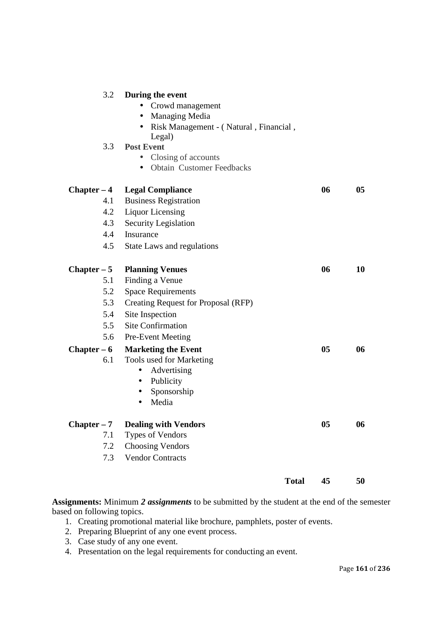# 3.2 **During the event**

- Crowd management
- Managing Media
- Risk Management ( Natural , Financial , Legal)
- 3.3 **Post Event** 
	- Closing of accounts
	- Obtain Customer Feedbacks

| $Chapter - 4$ | <b>Legal Compliance</b>             |              | 06 | 0 <sub>5</sub> |
|---------------|-------------------------------------|--------------|----|----------------|
| 4.1           | <b>Business Registration</b>        |              |    |                |
| 4.2           | <b>Liquor Licensing</b>             |              |    |                |
| 4.3           | Security Legislation                |              |    |                |
| 4.4           | Insurance                           |              |    |                |
| 4.5           | <b>State Laws and regulations</b>   |              |    |                |
| $Chapter - 5$ | <b>Planning Venues</b>              |              | 06 | 10             |
| 5.1           | Finding a Venue                     |              |    |                |
| 5.2           | <b>Space Requirements</b>           |              |    |                |
| 5.3           | Creating Request for Proposal (RFP) |              |    |                |
| 5.4           | Site Inspection                     |              |    |                |
| 5.5           | <b>Site Confirmation</b>            |              |    |                |
| 5.6           | Pre-Event Meeting                   |              |    |                |
| $Chapter - 6$ | <b>Marketing the Event</b>          |              | 05 | 06             |
| 6.1           | Tools used for Marketing            |              |    |                |
|               | Advertising<br>$\bullet$            |              |    |                |
|               | Publicity<br>$\bullet$              |              |    |                |
|               | Sponsorship                         |              |    |                |
|               | Media                               |              |    |                |
| $Chapter - 7$ | <b>Dealing with Vendors</b>         |              | 05 | 06             |
| 7.1           | Types of Vendors                    |              |    |                |
| 7.2           | <b>Choosing Vendors</b>             |              |    |                |
| 7.3           | <b>Vendor Contracts</b>             |              |    |                |
|               |                                     | <b>Total</b> | 45 | 50             |

**Assignments:** Minimum *2 assignments* to be submitted by the student at the end of the semester based on following topics.

- 1. Creating promotional material like brochure, pamphlets, poster of events.
- 2. Preparing Blueprint of any one event process.
- 3. Case study of any one event.
- 4. Presentation on the legal requirements for conducting an event.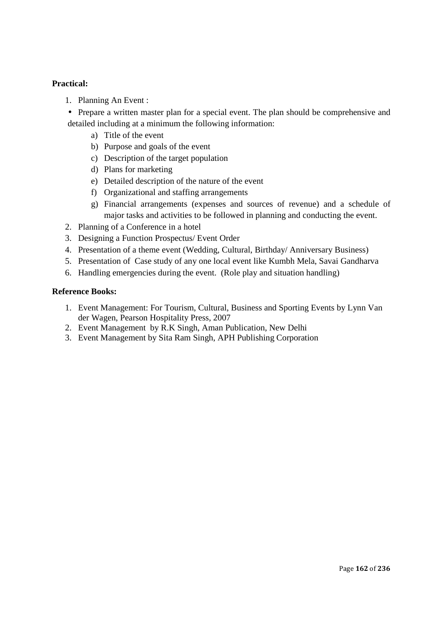# **Practical:**

- 1. Planning An Event :
- Prepare a written master plan for a special event. The plan should be comprehensive and detailed including at a minimum the following information:
	- a) Title of the event
	- b) Purpose and goals of the event
	- c) Description of the target population
	- d) Plans for marketing
	- e) Detailed description of the nature of the event
	- f) Organizational and staffing arrangements
	- g) Financial arrangements (expenses and sources of revenue) and a schedule of major tasks and activities to be followed in planning and conducting the event.
- 2. Planning of a Conference in a hotel
- 3. Designing a Function Prospectus/ Event Order
- 4. Presentation of a theme event (Wedding, Cultural, Birthday/ Anniversary Business)
- 5. Presentation of Case study of any one local event like Kumbh Mela, Savai Gandharva
- 6. Handling emergencies during the event. (Role play and situation handling)

#### **Reference Books:**

- 1. Event Management: For Tourism, Cultural, Business and Sporting Events by Lynn Van der Wagen, Pearson Hospitality Press, 2007
- 2. Event Management by R.K Singh, Aman Publication, New Delhi
- 3. Event Management by Sita Ram Singh, APH Publishing Corporation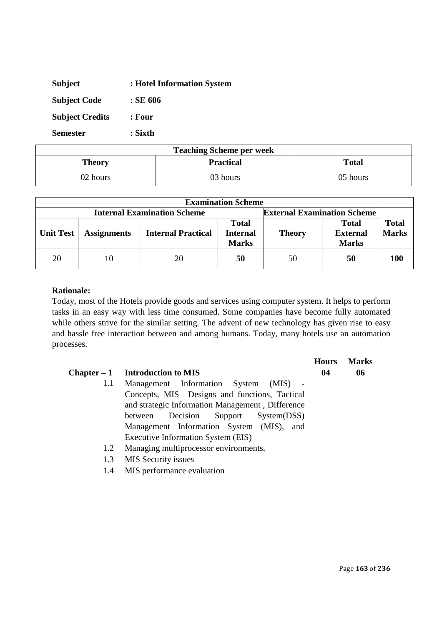| <b>Subject</b>         | : Hotel Information System |
|------------------------|----------------------------|
| <b>Subject Code</b>    | $:$ SE 606                 |
| <b>Subject Credits</b> | : Four                     |
| <b>Semester</b>        | : Sixth                    |

| <b>Teaching Scheme per week</b>            |          |          |  |
|--------------------------------------------|----------|----------|--|
| <b>Practical</b><br><b>Total</b><br>Theory |          |          |  |
| 02 hours                                   | 03 hours | 05 hours |  |

|                                                                          | <b>Examination Scheme</b> |                           |                                                 |               |                                                 |                              |
|--------------------------------------------------------------------------|---------------------------|---------------------------|-------------------------------------------------|---------------|-------------------------------------------------|------------------------------|
| <b>External Examination Scheme</b><br><b>Internal Examination Scheme</b> |                           |                           |                                                 |               |                                                 |                              |
| <b>Unit Test</b>                                                         | <b>Assignments</b>        | <b>Internal Practical</b> | <b>Total</b><br><b>Internal</b><br><b>Marks</b> | <b>Theory</b> | <b>Total</b><br><b>External</b><br><b>Marks</b> | <b>Total</b><br><b>Marks</b> |
| 20                                                                       | 10                        | 20                        | 50                                              | 50            | 50                                              | 100                          |

Today, most of the Hotels provide goods and services using computer system. It helps to perform tasks in an easy way with less time consumed. Some companies have become fully automated while others strive for the similar setting. The advent of new technology has given rise to easy and hassle free interaction between and among humans. Today, many hotels use an automation processes.

|     |                                                  | <b>Hours</b> | <b>Marks</b> |
|-----|--------------------------------------------------|--------------|--------------|
|     | $Chapter - 1$ Introduction to MIS                | 04           | 06           |
| 1.1 | Management Information System (MIS) -            |              |              |
|     | Concepts, MIS Designs and functions, Tactical    |              |              |
|     | and strategic Information Management, Difference |              |              |
|     | Decision Support System(DSS)<br>between          |              |              |
|     | Management Information System (MIS), and         |              |              |
|     | Executive Information System (EIS)               |              |              |
| 1.2 | Managing multiprocessor environments,            |              |              |
| 1.3 | <b>MIS Security issues</b>                       |              |              |

1.4 MIS performance evaluation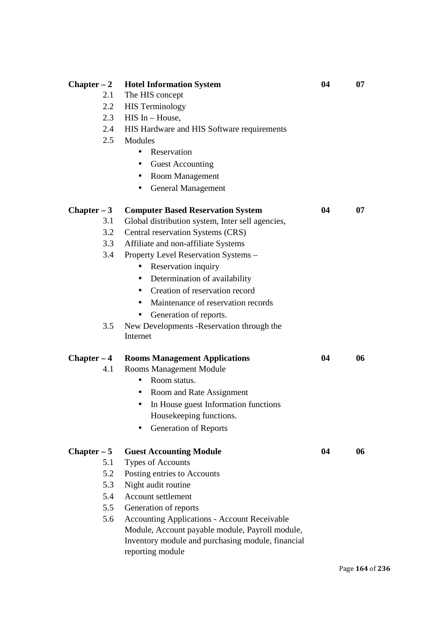| Chapter $-2$  | <b>Hotel Information System</b>                     | 04 | 07 |
|---------------|-----------------------------------------------------|----|----|
| 2.1           | The HIS concept                                     |    |    |
| 2.2           | <b>HIS</b> Terminology                              |    |    |
| 2.3           | $HIS$ In $-$ House,                                 |    |    |
| 2.4           | HIS Hardware and HIS Software requirements          |    |    |
| 2.5           | Modules                                             |    |    |
|               | Reservation<br>$\bullet$                            |    |    |
|               | <b>Guest Accounting</b><br>$\bullet$                |    |    |
|               | <b>Room Management</b><br>$\bullet$                 |    |    |
|               | <b>General Management</b><br>$\bullet$              |    |    |
|               |                                                     |    |    |
| Chapter $-3$  | <b>Computer Based Reservation System</b>            | 04 | 07 |
| 3.1           | Global distribution system, Inter sell agencies,    |    |    |
| 3.2           | Central reservation Systems (CRS)                   |    |    |
| 3.3           | Affiliate and non-affiliate Systems                 |    |    |
| 3.4           | Property Level Reservation Systems -                |    |    |
|               | Reservation inquiry<br>$\bullet$                    |    |    |
|               | Determination of availability<br>$\bullet$          |    |    |
|               | Creation of reservation record<br>$\bullet$         |    |    |
|               | Maintenance of reservation records<br>$\bullet$     |    |    |
|               | Generation of reports.<br>$\bullet$                 |    |    |
| 3.5           | New Developments - Reservation through the          |    |    |
|               | Internet                                            |    |    |
|               |                                                     |    |    |
| $Chapter - 4$ | <b>Rooms Management Applications</b>                | 04 | 06 |
| 4.1           | Rooms Management Module                             |    |    |
|               | Room status.<br>$\bullet$                           |    |    |
|               | Room and Rate Assignment<br>$\bullet$               |    |    |
|               | In House guest Information functions<br>$\bullet$   |    |    |
|               | Housekeeping functions.                             |    |    |
|               | <b>Generation of Reports</b>                        |    |    |
|               |                                                     |    |    |
| Chapter $-5$  | <b>Guest Accounting Module</b>                      | 04 | 06 |
| 5.1           | <b>Types of Accounts</b>                            |    |    |
| 5.2           | Posting entries to Accounts                         |    |    |
| 5.3           | Night audit routine                                 |    |    |
| 5.4           | Account settlement                                  |    |    |
| 5.5           | Generation of reports                               |    |    |
| 5.6           | <b>Accounting Applications - Account Receivable</b> |    |    |
|               | Module, Account payable module, Payroll module,     |    |    |
|               | Inventory module and purchasing module, financial   |    |    |
|               | reporting module                                    |    |    |
|               |                                                     |    |    |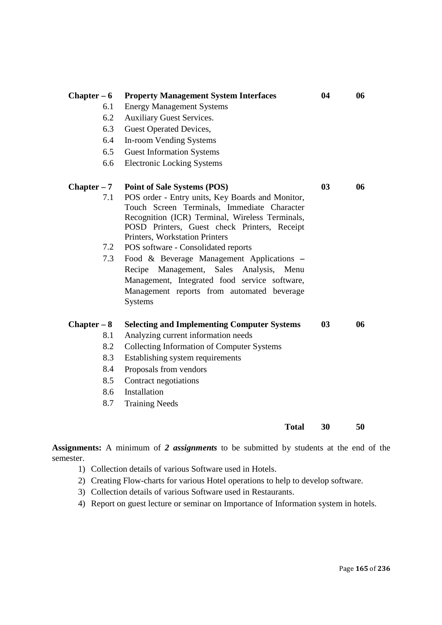| <b>Property Management System Interfaces</b>                                                                                                                                                                                         | 04                                                 | 06 |
|--------------------------------------------------------------------------------------------------------------------------------------------------------------------------------------------------------------------------------------|----------------------------------------------------|----|
| <b>Energy Management Systems</b>                                                                                                                                                                                                     |                                                    |    |
| <b>Auxiliary Guest Services.</b>                                                                                                                                                                                                     |                                                    |    |
| <b>Guest Operated Devices,</b>                                                                                                                                                                                                       |                                                    |    |
| In-room Vending Systems                                                                                                                                                                                                              |                                                    |    |
| <b>Guest Information Systems</b>                                                                                                                                                                                                     |                                                    |    |
| <b>Electronic Locking Systems</b>                                                                                                                                                                                                    |                                                    |    |
| <b>Point of Sale Systems (POS)</b>                                                                                                                                                                                                   | 03                                                 | 06 |
| POS order - Entry units, Key Boards and Monitor,<br>Touch Screen Terminals, Immediate Character<br>Recognition (ICR) Terminal, Wireless Terminals,<br>POSD Printers, Guest check Printers, Receipt<br>Printers, Workstation Printers |                                                    |    |
| POS software - Consolidated reports                                                                                                                                                                                                  |                                                    |    |
| Food & Beverage Management Applications -<br>Recipe Management, Sales<br>Analysis,<br>Menu<br>Management, Integrated food service software,<br>Management reports from automated beverage<br><b>Systems</b>                          |                                                    |    |
|                                                                                                                                                                                                                                      | 03                                                 | 06 |
| Analyzing current information needs                                                                                                                                                                                                  |                                                    |    |
| <b>Collecting Information of Computer Systems</b>                                                                                                                                                                                    |                                                    |    |
| Establishing system requirements                                                                                                                                                                                                     |                                                    |    |
| Proposals from vendors                                                                                                                                                                                                               |                                                    |    |
| Contract negotiations                                                                                                                                                                                                                |                                                    |    |
| Installation                                                                                                                                                                                                                         |                                                    |    |
| <b>Training Needs</b>                                                                                                                                                                                                                |                                                    |    |
| <b>Total</b>                                                                                                                                                                                                                         | 30                                                 | 50 |
|                                                                                                                                                                                                                                      | <b>Selecting and Implementing Computer Systems</b> |    |

**Assignments:** A minimum of *2 assignments* to be submitted by students at the end of the semester.

- 1) Collection details of various Software used in Hotels.
- 2) Creating Flow-charts for various Hotel operations to help to develop software.
- 3) Collection details of various Software used in Restaurants.
- 4) Report on guest lecture or seminar on Importance of Information system in hotels.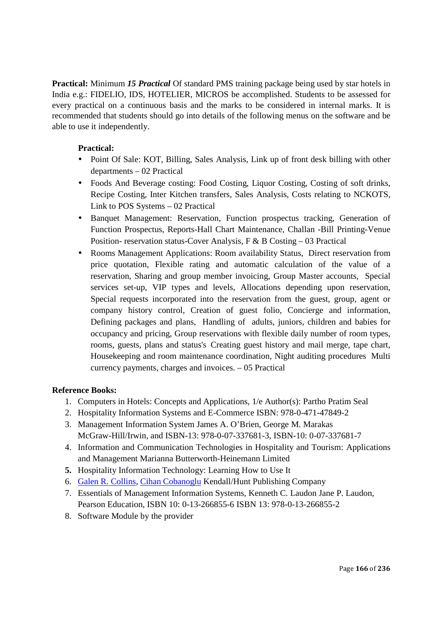**Practical:** Minimum *15 Practical* Of standard PMS training package being used by star hotels in India e.g.: FIDELIO, IDS, HOTELIER, MICROS be accomplished. Students to be assessed for every practical on a continuous basis and the marks to be considered in internal marks. It is recommended that students should go into details of the following menus on the software and be able to use it independently.

# **Practical:**

- Point Of Sale: KOT, Billing, Sales Analysis, Link up of front desk billing with other departments – 02 Practical
- Foods And Beverage costing: Food Costing, Liquor Costing, Costing of soft drinks, Recipe Costing, Inter Kitchen transfers, Sales Analysis, Costs relating to NCKOTS, Link to POS Systems – 02 Practical
- Banquet Management: Reservation, Function prospectus tracking, Generation of Function Prospectus, Reports-Hall Chart Maintenance, Challan -Bill Printing-Venue Position- reservation status-Cover Analysis, F & B Costing – 03 Practical
- Rooms Management Applications: Room availability Status, Direct reservation from price quotation, Flexible rating and automatic calculation of the value of a reservation, Sharing and group member invoicing, Group Master accounts, Special services set-up, VIP types and levels, Allocations depending upon reservation, Special requests incorporated into the reservation from the guest, group, agent or company history control, Creation of guest folio, Concierge and information, Defining packages and plans, Handling of adults, juniors, children and babies for occupancy and pricing, Group reservations with flexible daily number of room types, rooms, guests, plans and status's Creating guest history and mail merge, tape chart, Housekeeping and room maintenance coordination, Night auditing procedures Multi currency payments, charges and invoices. – 05 Practical

## **Reference Books:**

- 1. Computers in Hotels: Concepts and Applications, 1/e Author(s): Partho Pratim Seal
- 2. Hospitality Information Systems and E-Commerce ISBN: 978-0-471-47849-2
- 3. Management Information System James A. O'Brien, George M. Marakas McGraw-Hill/Irwin, and ISBN-13: 978-0-07-337681-3, ISBN-10: 0-07-337681-7
- 4. Information and Communication Technologies in Hospitality and Tourism: Applications and Management Marianna Butterworth-Heinemann Limited
- **5.** Hospitality Information Technology: Learning How to Use It
- 6. Galen R. Collins, Cihan Cobanoglu Kendall/Hunt Publishing Company
- 7. Essentials of Management Information Systems, Kenneth C. Laudon Jane P. Laudon, Pearson Education, ISBN 10: 0-13-266855-6 ISBN 13: 978-0-13-266855-2
- 8. Software Module by the provider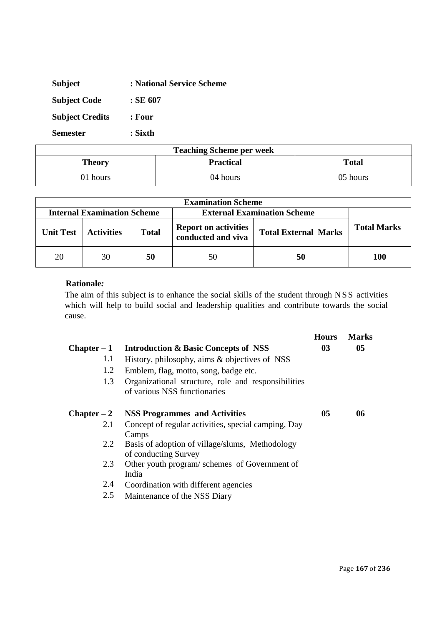| <b>Subject</b>         | : National Service Scheme |
|------------------------|---------------------------|
| <b>Subject Code</b>    | : SE 607                  |
| <b>Subject Credits</b> | : Four                    |
| <b>Semester</b>        | : Sixth                   |

| <b>Teaching Scheme per week</b>            |          |          |  |
|--------------------------------------------|----------|----------|--|
| <b>Practical</b><br><b>Total</b><br>Theory |          |          |  |
| 01 hours                                   | 04 hours | 05 hours |  |

| <b>Examination Scheme</b>                                                |                   |              |                                                   |                             |     |  |
|--------------------------------------------------------------------------|-------------------|--------------|---------------------------------------------------|-----------------------------|-----|--|
| <b>Internal Examination Scheme</b><br><b>External Examination Scheme</b> |                   |              |                                                   |                             |     |  |
| <b>Unit Test</b>                                                         | <b>Activities</b> | <b>Total</b> | <b>Report on activities</b><br>conducted and viva | <b>Total External Marks</b> |     |  |
| 20                                                                       | 30                | 50           | 50                                                | 50                          | 100 |  |

The aim of this subject is to enhance the social skills of the student through NSS activities which will help to build social and leadership qualities and contribute towards the social cause.

|               |                                                                                     | <b>Hours</b> | <b>Marks</b> |
|---------------|-------------------------------------------------------------------------------------|--------------|--------------|
| $Chapter - 1$ | <b>Introduction &amp; Basic Concepts of NSS</b>                                     | 03           | 05           |
| 1.1           | History, philosophy, aims & objectives of NSS                                       |              |              |
| 1.2           | Emblem, flag, motto, song, badge etc.                                               |              |              |
| 1.3           | Organizational structure, role and responsibilities<br>of various NSS functionaries |              |              |
| $Chapter - 2$ | <b>NSS Programmes and Activities</b>                                                | 05           | 06           |
| 2.1           | Concept of regular activities, special camping, Day<br>Camps                        |              |              |
| 2.2           | Basis of adoption of village/slums, Methodology<br>of conducting Survey             |              |              |
| 2.3           | Other youth program/schemes of Government of<br>India                               |              |              |
| 2.4           | Coordination with different agencies                                                |              |              |
| 2.5           | Maintenance of the NSS Diary                                                        |              |              |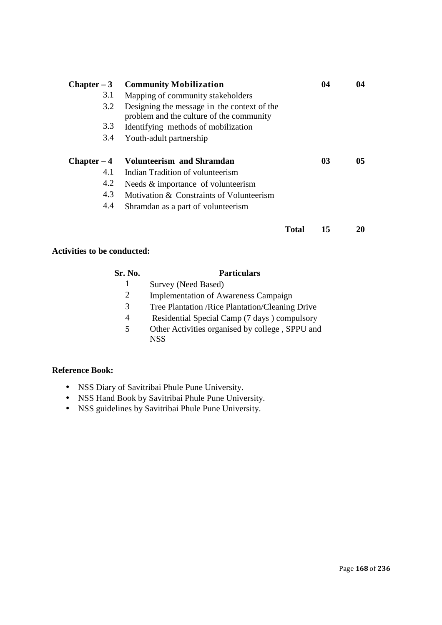| $Chapter - 3$ | <b>Community Mobilization</b>                                                           |       | 04 | 04 |
|---------------|-----------------------------------------------------------------------------------------|-------|----|----|
| 3.1           | Mapping of community stakeholders                                                       |       |    |    |
| 3.2           | Designing the message in the context of the<br>problem and the culture of the community |       |    |    |
| 3.3           | Identifying methods of mobilization                                                     |       |    |    |
| 3.4           | Youth-adult partnership                                                                 |       |    |    |
| $Chapter - 4$ | Volunteerism and Shramdan                                                               |       | 03 | 05 |
| 4.1           | Indian Tradition of volunteerism                                                        |       |    |    |
| 4.2           | Needs & importance of volunteerism                                                      |       |    |    |
| 4.3           | Motivation & Constraints of Volunteerism                                                |       |    |    |
| 4.4           | Shramdan as a part of volunteerism                                                      |       |    |    |
|               |                                                                                         | Total | 15 | 20 |

# **Activities to be conducted:**

| Sr. No. | <b>Particulars</b>                               |
|---------|--------------------------------------------------|
|         | Survey (Need Based)                              |
| 2       | <b>Implementation of Awareness Campaign</b>      |
| 3       | Tree Plantation / Rice Plantation/Cleaning Drive |
| 4       | Residential Special Camp (7 days) compulsory     |
| 5       | Other Activities organised by college, SPPU and  |
|         | <b>NSS</b>                                       |

# **Reference Book:**

- NSS Diary of Savitribai Phule Pune University.
- NSS Hand Book by Savitribai Phule Pune University.
- NSS guidelines by Savitribai Phule Pune University.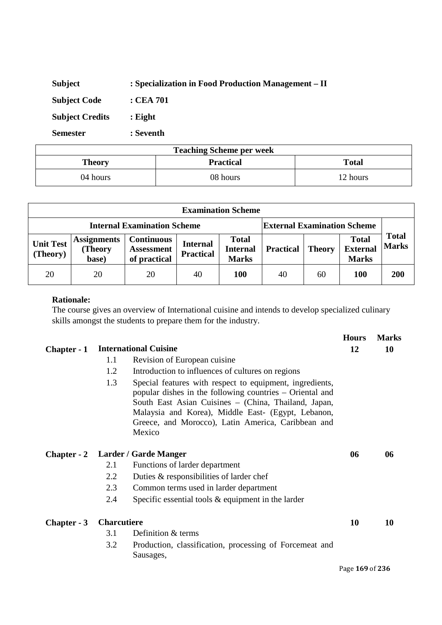| <b>Subject</b>         | : Specialization in Food Production Management – II |
|------------------------|-----------------------------------------------------|
| <b>Subject Code</b>    | : CEA 701                                           |
| <b>Subject Credits</b> | $:$ Eight                                           |
| <b>Semester</b>        | : Seventh                                           |

| <b>Teaching Scheme per week</b>            |          |          |  |  |  |
|--------------------------------------------|----------|----------|--|--|--|
| <b>Practical</b><br><b>Total</b><br>Theory |          |          |  |  |  |
| 04 hours                                   | 08 hours | 12 hours |  |  |  |

| <b>Examination Scheme</b>                                                |                                         |                                                        |                                     |                                                 |                  |               |                                                 |                              |
|--------------------------------------------------------------------------|-----------------------------------------|--------------------------------------------------------|-------------------------------------|-------------------------------------------------|------------------|---------------|-------------------------------------------------|------------------------------|
| <b>Internal Examination Scheme</b><br><b>External Examination Scheme</b> |                                         |                                                        |                                     |                                                 |                  |               |                                                 |                              |
| <b>Unit Test</b><br>(Theory)                                             | <b>Assignments</b><br>(Theory)<br>base) | <b>Continuous</b><br><b>Assessment</b><br>of practical | <b>Internal</b><br><b>Practical</b> | <b>Total</b><br><b>Internal</b><br><b>Marks</b> | <b>Practical</b> | <b>Theory</b> | <b>Total</b><br><b>External</b><br><b>Marks</b> | <b>Total</b><br><b>Marks</b> |
| 20                                                                       | 20                                      | 20                                                     | 40                                  | <b>100</b>                                      | 40               | 60            | <b>100</b>                                      | 200                          |

The course gives an overview of International cuisine and intends to develop specialized culinary skills amongst the students to prepare them for the industry.

|                    |                    |                                                                                                                                                                                                                                                                                                    | <b>Hours</b>    | <b>Marks</b> |
|--------------------|--------------------|----------------------------------------------------------------------------------------------------------------------------------------------------------------------------------------------------------------------------------------------------------------------------------------------------|-----------------|--------------|
| Chapter - 1        |                    | <b>International Cuisine</b>                                                                                                                                                                                                                                                                       | 12              | 10           |
|                    | 1.1                | Revision of European cuisine                                                                                                                                                                                                                                                                       |                 |              |
|                    | 1.2                | Introduction to influences of cultures on regions                                                                                                                                                                                                                                                  |                 |              |
|                    | 1.3                | Special features with respect to equipment, ingredients,<br>popular dishes in the following countries – Oriental and<br>South East Asian Cuisines - (China, Thailand, Japan,<br>Malaysia and Korea), Middle East- (Egypt, Lebanon,<br>Greece, and Morocco), Latin America, Caribbean and<br>Mexico |                 |              |
| <b>Chapter</b> - 2 |                    | <b>Larder / Garde Manger</b>                                                                                                                                                                                                                                                                       | 06              | 06           |
|                    | 2.1                | Functions of larder department                                                                                                                                                                                                                                                                     |                 |              |
|                    | 2.2                | Duties & responsibilities of larder chef                                                                                                                                                                                                                                                           |                 |              |
|                    | 2.3                | Common terms used in larder department                                                                                                                                                                                                                                                             |                 |              |
|                    | 2.4                | Specific essential tools $\&$ equipment in the larder                                                                                                                                                                                                                                              |                 |              |
| Chapter - 3        | <b>Charcutiere</b> |                                                                                                                                                                                                                                                                                                    | 10              | 10           |
|                    | 3.1                | Definition & terms                                                                                                                                                                                                                                                                                 |                 |              |
|                    | 3.2                | Production, classification, processing of Forcemeat and<br>Sausages,                                                                                                                                                                                                                               |                 |              |
|                    |                    |                                                                                                                                                                                                                                                                                                    | Page 169 of 236 |              |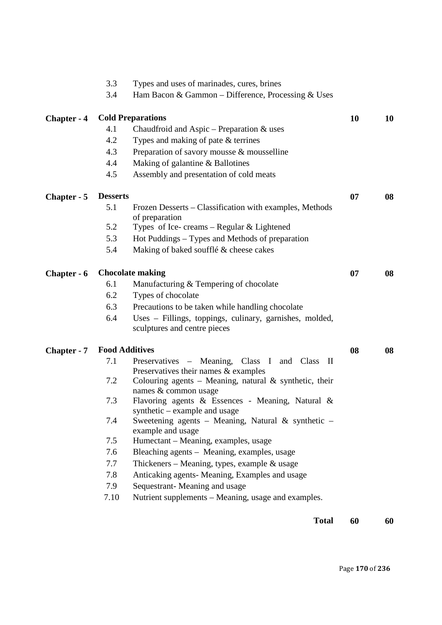|                    | 3.3                   | Types and uses of marinades, cures, brines                                              |    |    |
|--------------------|-----------------------|-----------------------------------------------------------------------------------------|----|----|
|                    | 3.4                   | Ham Bacon & Gammon – Difference, Processing & Uses                                      |    |    |
| <b>Chapter - 4</b> |                       | <b>Cold Preparations</b>                                                                | 10 | 10 |
|                    | 4.1                   | Chaudfroid and Aspic – Preparation $&$ uses                                             |    |    |
|                    | 4.2                   | Types and making of pate & terrines                                                     |    |    |
|                    | 4.3                   | Preparation of savory mousse & mousselline                                              |    |    |
|                    | 4.4                   | Making of galantine & Ballotines                                                        |    |    |
|                    | 4.5                   | Assembly and presentation of cold meats                                                 |    |    |
| Chapter - 5        | <b>Desserts</b>       |                                                                                         | 07 | 08 |
|                    | 5.1                   | Frozen Desserts – Classification with examples, Methods                                 |    |    |
|                    |                       | of preparation                                                                          |    |    |
|                    | 5.2                   | Types of Ice-creams - Regular & Lightened                                               |    |    |
|                    | 5.3                   | Hot Puddings – Types and Methods of preparation                                         |    |    |
|                    | 5.4                   | Making of baked soufflé & cheese cakes                                                  |    |    |
| Chapter - 6        |                       | <b>Chocolate making</b>                                                                 | 07 | 08 |
|                    | 6.1                   | Manufacturing & Tempering of chocolate                                                  |    |    |
|                    | 6.2                   | Types of chocolate                                                                      |    |    |
|                    | 6.3                   | Precautions to be taken while handling chocolate                                        |    |    |
|                    | 6.4                   | Uses - Fillings, toppings, culinary, garnishes, molded,<br>sculptures and centre pieces |    |    |
| <b>Chapter</b> - 7 | <b>Food Additives</b> |                                                                                         | 08 | 08 |
|                    | 7.1                   | Preservatives - Meaning, Class I and Class II<br>Preservatives their names $&$ examples |    |    |
|                    | 7.2                   | Colouring agents – Meaning, natural $\&$ synthetic, their<br>names & common usage       |    |    |
|                    | 7.3                   | Flavoring agents & Essences - Meaning, Natural &<br>synthetic – example and usage       |    |    |
|                    | 7.4                   | Sweetening agents - Meaning, Natural & synthetic -<br>example and usage                 |    |    |
|                    | 7.5                   | Humectant – Meaning, examples, usage                                                    |    |    |
|                    | 7.6                   | Bleaching agents - Meaning, examples, usage                                             |    |    |
|                    | 7.7                   | Thickeners - Meaning, types, example & usage                                            |    |    |
|                    | 7.8                   | Anticaking agents- Meaning, Examples and usage                                          |    |    |
|                    | 7.9                   | Sequestrant-Meaning and usage                                                           |    |    |
|                    | 7.10                  | Nutrient supplements – Meaning, usage and examples.                                     |    |    |
|                    |                       |                                                                                         |    |    |

**Total 60 60**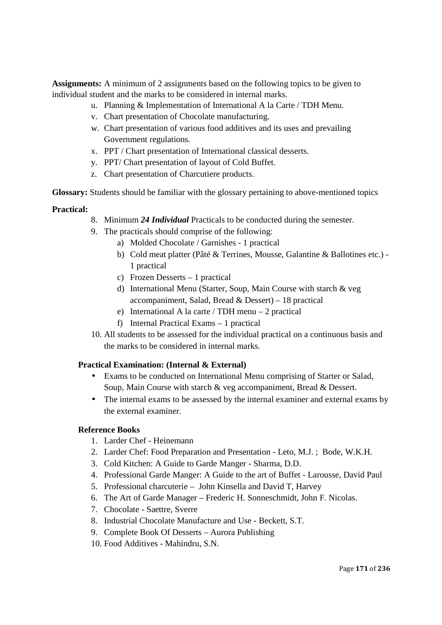**Assignments:** A minimum of 2 assignments based on the following topics to be given to individual student and the marks to be considered in internal marks.

- u. Planning & Implementation of International A la Carte / TDH Menu.
- v. Chart presentation of Chocolate manufacturing.
- w. Chart presentation of various food additives and its uses and prevailing Government regulations.
- x. PPT / Chart presentation of International classical desserts.
- y. PPT/ Chart presentation of layout of Cold Buffet.
- z. Chart presentation of Charcutiere products.

**Glossary:** Students should be familiar with the glossary pertaining to above-mentioned topics

# **Practical:**

- 8. Minimum *24 Individual* Practicals to be conducted during the semester.
- 9. The practicals should comprise of the following:
	- a) Molded Chocolate / Garnishes 1 practical
	- b) Cold meat platter (Pâté & Terrines, Mousse, Galantine & Ballotines etc.) 1 practical
	- c) Frozen Desserts 1 practical
	- d) International Menu (Starter, Soup, Main Course with starch & veg accompaniment, Salad, Bread & Dessert) – 18 practical
	- e) International A la carte / TDH menu 2 practical
	- f) Internal Practical Exams 1 practical
- 10. All students to be assessed for the individual practical on a continuous basis and the marks to be considered in internal marks.

# **Practical Examination: (Internal & External)**

- Exams to be conducted on International Menu comprising of Starter or Salad, Soup, Main Course with starch & veg accompaniment, Bread & Dessert.
- The internal exams to be assessed by the internal examiner and external exams by the external examiner.

## **Reference Books**

- 1. Larder Chef Heinemann
- 2. Larder Chef: Food Preparation and Presentation Leto, M.J. ; Bode, W.K.H.
- 3. Cold Kitchen: A Guide to Garde Manger Sharma, D.D.
- 4. Professional Garde Manger: A Guide to the art of Buffet Larousse, David Paul
- 5. Professional charcuterie John Kinsella and David T, Harvey
- 6. The Art of Garde Manager Frederic H. Sonneschmidt, John F. Nicolas.
- 7. Chocolate Saettre, Sverre
- 8. Industrial Chocolate Manufacture and Use Beckett, S.T.
- 9. Complete Book Of Desserts Aurora Publishing
- 10. Food Additives Mahindru, S.N.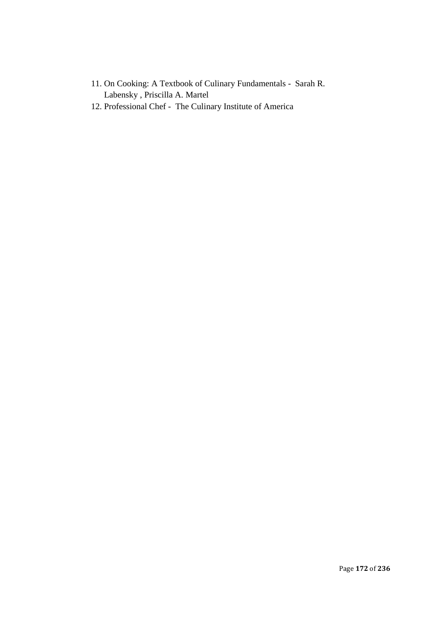- 11. On Cooking: A Textbook of Culinary Fundamentals Sarah R. Labensky , Priscilla A. Martel
- 12. Professional Chef The Culinary Institute of America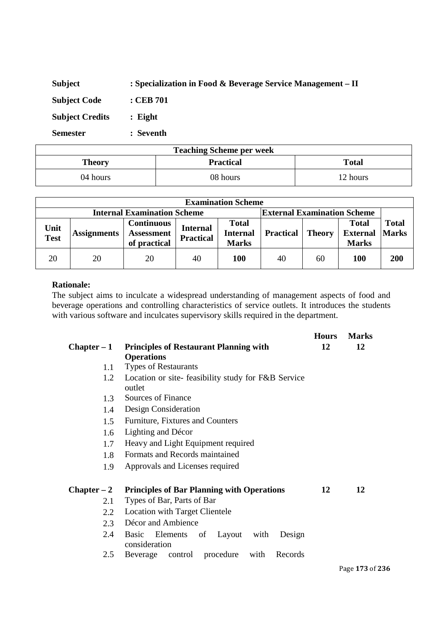| <b>Subject</b>         | : Specialization in Food & Beverage Service Management – II |
|------------------------|-------------------------------------------------------------|
| <b>Subject Code</b>    | : CEB 701                                                   |
| <b>Subject Credits</b> | $:$ Eight                                                   |
| <b>Semester</b>        | : Seventh                                                   |

| <b>Teaching Scheme per week</b>            |          |          |  |  |  |
|--------------------------------------------|----------|----------|--|--|--|
| <b>Practical</b><br><b>Total</b><br>Theory |          |          |  |  |  |
| 04 hours                                   | 08 hours | 12 hours |  |  |  |

| <b>Examination Scheme</b>                                                |                    |                                                        |                                     |                                                 |                  |               |                                                 |                              |
|--------------------------------------------------------------------------|--------------------|--------------------------------------------------------|-------------------------------------|-------------------------------------------------|------------------|---------------|-------------------------------------------------|------------------------------|
| <b>Internal Examination Scheme</b><br><b>External Examination Scheme</b> |                    |                                                        |                                     |                                                 |                  |               |                                                 |                              |
| Unit<br><b>Test</b>                                                      | <b>Assignments</b> | <b>Continuous</b><br><b>Assessment</b><br>of practical | <b>Internal</b><br><b>Practical</b> | <b>Total</b><br><b>Internal</b><br><b>Marks</b> | <b>Practical</b> | <b>Theory</b> | <b>Total</b><br><b>External</b><br><b>Marks</b> | <b>Total</b><br><b>Marks</b> |
| 20                                                                       | 20                 | 20                                                     | 40                                  | <b>100</b>                                      | 40               | 60            | 100                                             | 200                          |

The subject aims to inculcate a widespread understanding of management aspects of food and beverage operations and controlling characteristics of service outlets. It introduces the students with various software and inculcates supervisory skills required in the department.

|               |                                                              | <b>Hours</b> | <b>Marks</b> |
|---------------|--------------------------------------------------------------|--------------|--------------|
| $Chapter - 1$ | <b>Principles of Restaurant Planning with</b>                | 12           | 12           |
|               | <b>Operations</b>                                            |              |              |
| 1.1           | <b>Types of Restaurants</b>                                  |              |              |
| 1.2           | Location or site-feasibility study for F&B Service<br>outlet |              |              |
| $1.3 -$       | Sources of Finance                                           |              |              |
| 1.4           | Design Consideration                                         |              |              |
| 1.5           | Furniture, Fixtures and Counters                             |              |              |
| 1.6           | Lighting and Décor                                           |              |              |
| 1.7           | Heavy and Light Equipment required                           |              |              |
| 1.8           | Formats and Records maintained                               |              |              |
| 1.9           | Approvals and Licenses required                              |              |              |
| $Chapter - 2$ | <b>Principles of Bar Planning with Operations</b>            | 12           | 12           |
| 2.1           | Types of Bar, Parts of Bar                                   |              |              |
| 2.2           | <b>Location with Target Clientele</b>                        |              |              |
| 2.3           | Décor and Ambience                                           |              |              |
| 2.4           | Basic Elements of Layout with<br>Design<br>consideration     |              |              |
| 2.5           | procedure<br>with<br>Records<br>control<br>Beverage          |              |              |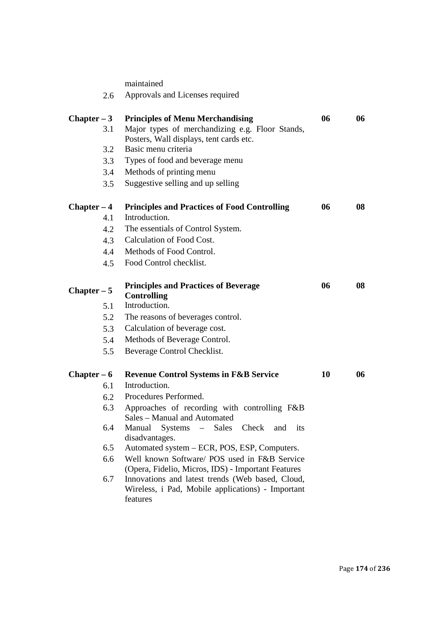maintained

2.6 Approvals and Licenses required

| $Chapter - 3$ | <b>Principles of Menu Merchandising</b>                                      | 06 | 06 |
|---------------|------------------------------------------------------------------------------|----|----|
| 3.1           | Major types of merchandizing e.g. Floor Stands,                              |    |    |
|               | Posters, Wall displays, tent cards etc.<br>Basic menu criteria               |    |    |
| 3.2<br>3.3    | Types of food and beverage menu                                              |    |    |
| 3.4           | Methods of printing menu                                                     |    |    |
| 3.5           | Suggestive selling and up selling                                            |    |    |
|               |                                                                              |    |    |
| $Chapter - 4$ | <b>Principles and Practices of Food Controlling</b>                          | 06 | 08 |
| 4.1           | Introduction.                                                                |    |    |
| 4.2           | The essentials of Control System.                                            |    |    |
| 4.3           | Calculation of Food Cost.                                                    |    |    |
| 4.4           | Methods of Food Control.                                                     |    |    |
| 4.5           | Food Control checklist.                                                      |    |    |
|               |                                                                              |    |    |
| Chapter $-5$  | <b>Principles and Practices of Beverage</b><br><b>Controlling</b>            | 06 | 08 |
| 5.1           | Introduction.                                                                |    |    |
| 5.2           | The reasons of beverages control.                                            |    |    |
| 5.3           | Calculation of beverage cost.                                                |    |    |
| 5.4           | Methods of Beverage Control.                                                 |    |    |
| 5.5           | Beverage Control Checklist.                                                  |    |    |
|               |                                                                              |    |    |
| $Chapter - 6$ | <b>Revenue Control Systems in F&amp;B Service</b>                            | 10 | 06 |
| 6.1           | Introduction.                                                                |    |    |
| 6.2           | Procedures Performed.                                                        |    |    |
| 6.3           | Approaches of recording with controlling F&B<br>Sales - Manual and Automated |    |    |
| 6.4           | Systems – Sales<br>Check<br>Manual<br>and<br><i>its</i><br>disadvantages.    |    |    |
| 6.5           | Automated system – ECR, POS, ESP, Computers.                                 |    |    |
| 6.6           | Well known Software/ POS used in F&B Service                                 |    |    |
|               | (Opera, Fidelio, Micros, IDS) - Important Features                           |    |    |
| 6.7           | Innovations and latest trends (Web based, Cloud,                             |    |    |
|               | Wireless, i Pad, Mobile applications) - Important                            |    |    |
|               | features                                                                     |    |    |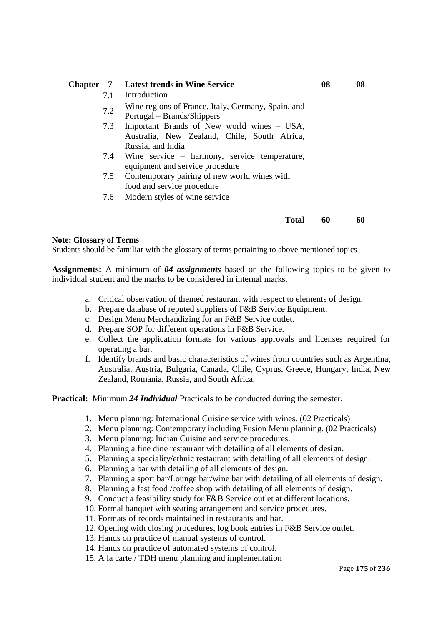#### Chapter – 7 Latest trends in Wine Service 08 08 08

- 7.1 Introduction
- 7.2 Wine regions of France, Italy, Germany, Spain, and
- Portugal Brands/Shippers
- 7.3 Important Brands of New world wines USA, Australia, New Zealand, Chile, South Africa, Russia, and India
- 7.4 Wine service harmony, service temperature, equipment and service procedure
- 7.5 Contemporary pairing of new world wines with food and service procedure
- 7.6 Modern styles of wine service

# **Total 60 60**

#### **Note: Glossary of Terms**

Students should be familiar with the glossary of terms pertaining to above mentioned topics

**Assignments:** A minimum of *04 assignments* based on the following topics to be given to individual student and the marks to be considered in internal marks.

- a. Critical observation of themed restaurant with respect to elements of design.
- b. Prepare database of reputed suppliers of F&B Service Equipment.
- c. Design Menu Merchandizing for an F&B Service outlet.
- d. Prepare SOP for different operations in F&B Service.
- e. Collect the application formats for various approvals and licenses required for operating a bar.
- f. Identify brands and basic characteristics of wines from countries such as Argentina, Australia, Austria, Bulgaria, Canada, Chile, Cyprus, Greece, Hungary, India, New Zealand, Romania, Russia, and South Africa.

**Practical:** Minimum *24 Individual* Practicals to be conducted during the semester.

- 1. Menu planning: International Cuisine service with wines. (02 Practicals)
- 2. Menu planning: Contemporary including Fusion Menu planning. (02 Practicals)
- 3. Menu planning: Indian Cuisine and service procedures.
- 4. Planning a fine dine restaurant with detailing of all elements of design.
- 5. Planning a speciality/ethnic restaurant with detailing of all elements of design.
- 6. Planning a bar with detailing of all elements of design.
- 7. Planning a sport bar/Lounge bar/wine bar with detailing of all elements of design.
- 8. Planning a fast food /coffee shop with detailing of all elements of design.
- 9. Conduct a feasibility study for F&B Service outlet at different locations.
- 10. Formal banquet with seating arrangement and service procedures.
- 11. Formats of records maintained in restaurants and bar.
- 12. Opening with closing procedures, log book entries in F&B Service outlet.
- 13. Hands on practice of manual systems of control.
- 14. Hands on practice of automated systems of control.
- 15. A la carte / TDH menu planning and implementation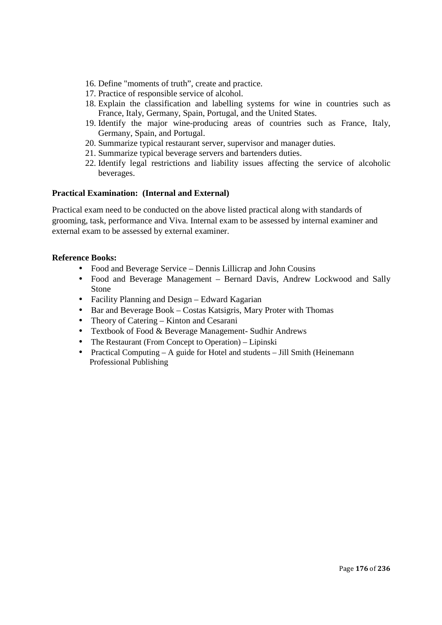- 16. Define "moments of truth", create and practice.
- 17. Practice of responsible service of alcohol.
- 18. Explain the classification and labelling systems for wine in countries such as France, Italy, Germany, Spain, Portugal, and the United States.
- 19. Identify the major wine-producing areas of countries such as France, Italy, Germany, Spain, and Portugal.
- 20. Summarize typical restaurant server, supervisor and manager duties.
- 21. Summarize typical beverage servers and bartenders duties.
- 22. Identify legal restrictions and liability issues affecting the service of alcoholic beverages.

#### **Practical Examination: (Internal and External)**

Practical exam need to be conducted on the above listed practical along with standards of grooming, task, performance and Viva. Internal exam to be assessed by internal examiner and external exam to be assessed by external examiner.

#### **Reference Books:**

- Food and Beverage Service Dennis Lillicrap and John Cousins
- Food and Beverage Management Bernard Davis, Andrew Lockwood and Sally Stone
- Facility Planning and Design Edward Kagarian
- Bar and Beverage Book Costas Katsigris, Mary Proter with Thomas
- Theory of Catering Kinton and Cesarani
- Textbook of Food & Beverage Management- Sudhir Andrews
- The Restaurant (From Concept to Operation) Lipinski
- Practical Computing A guide for Hotel and students Jill Smith (Heinemann Professional Publishing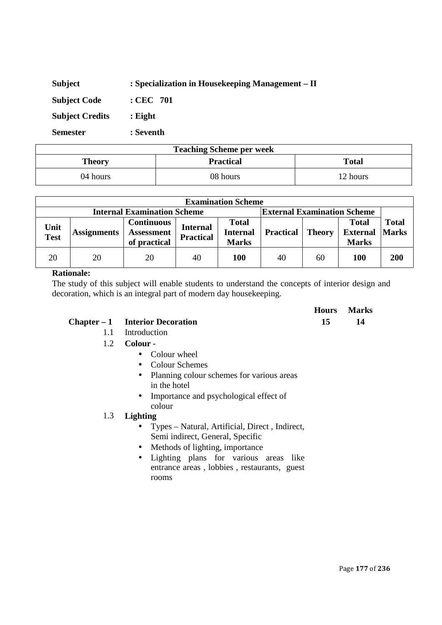| <b>Subject</b>         | : Specialization in Housekeeping Management – II |
|------------------------|--------------------------------------------------|
| <b>Subject Code</b>    | $\cdot$ CEC 701                                  |
| <b>Subject Credits</b> | $:$ Eight                                        |
| <b>Semester</b>        | : Seventh                                        |

| <b>Teaching Scheme per week</b>                   |          |          |  |
|---------------------------------------------------|----------|----------|--|
| <b>Total</b><br><b>Practical</b><br><b>Theory</b> |          |          |  |
| 04 hours                                          | 08 hours | 12 hours |  |

| <b>Examination Scheme</b>          |                    |                                                        |                                     |                                                 |                  |               |                                                 |                              |
|------------------------------------|--------------------|--------------------------------------------------------|-------------------------------------|-------------------------------------------------|------------------|---------------|-------------------------------------------------|------------------------------|
| <b>Internal Examination Scheme</b> |                    |                                                        | <b>External Examination Scheme</b>  |                                                 |                  |               |                                                 |                              |
| Unit<br><b>Test</b>                | <b>Assignments</b> | <b>Continuous</b><br><b>Assessment</b><br>of practical | <b>Internal</b><br><b>Practical</b> | <b>Total</b><br><b>Internal</b><br><b>Marks</b> | <b>Practical</b> | <b>Theory</b> | <b>Total</b><br><b>External</b><br><b>Marks</b> | <b>Total</b><br><b>Marks</b> |
| 20                                 | 20                 | 20                                                     | 40                                  | 100                                             | 40               | 60            | <b>100</b>                                      | <b>200</b>                   |

The study of this subject will enable students to understand the concepts of interior design and decoration, which is an integral part of modern day housekeeping.

|                                   | <b>Hours</b> Marks |
|-----------------------------------|--------------------|
| $Chapter - 1$ Interior Decoration |                    |

- 1.1 Introduction
- 1.2 **Colour**
	- Colour wheel
	- Colour Schemes
	- Planning colour schemes for various areas in the hotel
	- Importance and psychological effect of colour

# 1.3 **Lighting**

- Types Natural, Artificial, Direct , Indirect, Semi indirect, General, Specific
- Methods of lighting, importance
- Lighting plans for various areas like entrance areas , lobbies , restaurants, guest rooms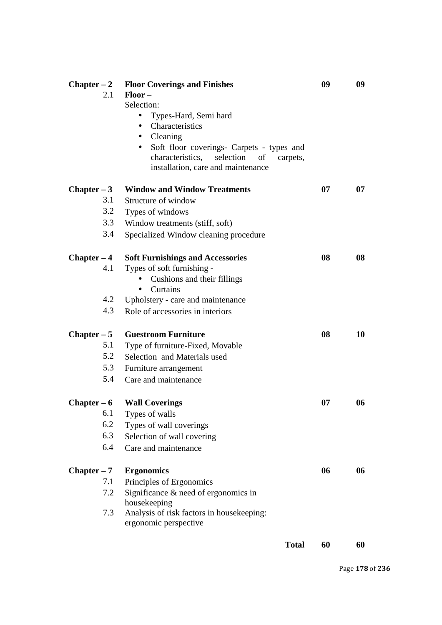| $Chapter - 2$<br>2.1 | <b>Floor Coverings and Finishes</b><br>$Floor -$       | 09 | 09 |
|----------------------|--------------------------------------------------------|----|----|
|                      | Selection:                                             |    |    |
|                      | Types-Hard, Semi hard<br>$\bullet$<br>Characteristics  |    |    |
|                      | $\bullet$<br>Cleaning<br>$\bullet$                     |    |    |
|                      | Soft floor coverings- Carpets - types and<br>$\bullet$ |    |    |
|                      | characteristics, selection<br>$\circ$ of<br>carpets,   |    |    |
|                      | installation, care and maintenance                     |    |    |
| Chapter $-3$         | <b>Window and Window Treatments</b>                    | 07 | 07 |
| 3.1                  | Structure of window                                    |    |    |
| 3.2                  | Types of windows                                       |    |    |
| 3.3                  | Window treatments (stiff, soft)                        |    |    |
| 3.4                  | Specialized Window cleaning procedure                  |    |    |
| $Chapter - 4$        | <b>Soft Furnishings and Accessories</b>                | 08 | 08 |
| 4.1                  | Types of soft furnishing -                             |    |    |
|                      | Cushions and their fillings                            |    |    |
|                      | Curtains<br>$\bullet$                                  |    |    |
| 4.2                  | Upholstery - care and maintenance                      |    |    |
| 4.3                  | Role of accessories in interiors                       |    |    |
| $Chapter - 5$        | <b>Guestroom Furniture</b>                             | 08 | 10 |
| 5.1                  | Type of furniture-Fixed, Movable                       |    |    |
| 5.2                  | Selection and Materials used                           |    |    |
| 5.3                  | Furniture arrangement                                  |    |    |
| 5.4                  | Care and maintenance                                   |    |    |
| Chapter $-6$         | <b>Wall Coverings</b>                                  | 07 | 06 |
| 6.1                  | Types of walls                                         |    |    |
| 6.2                  | Types of wall coverings                                |    |    |
| 6.3                  | Selection of wall covering                             |    |    |
| 6.4                  | Care and maintenance                                   |    |    |
| $Chapter - 7$        | <b>Ergonomics</b>                                      | 06 | 06 |
| 7.1                  | Principles of Ergonomics                               |    |    |
| 7.2                  | Significance $\&$ need of ergonomics in                |    |    |
|                      | housekeeping                                           |    |    |
| 7.3                  | Analysis of risk factors in housekeeping:              |    |    |
|                      | ergonomic perspective                                  |    |    |
|                      | <b>Total</b>                                           | 60 | 60 |

Page **178** of **236**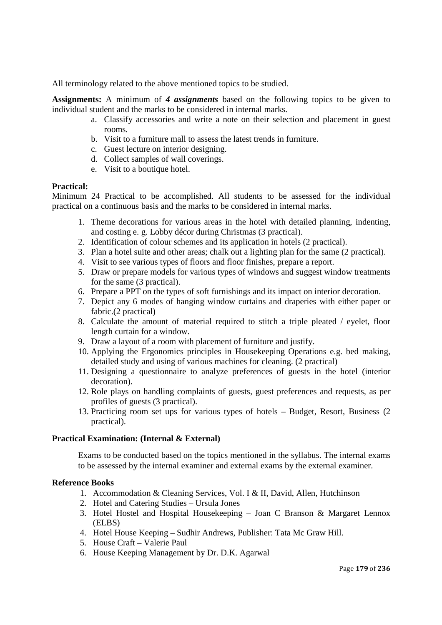All terminology related to the above mentioned topics to be studied.

**Assignments:** A minimum of *4 assignments* based on the following topics to be given to individual student and the marks to be considered in internal marks.

- a. Classify accessories and write a note on their selection and placement in guest rooms.
- b. Visit to a furniture mall to assess the latest trends in furniture.
- c. Guest lecture on interior designing.
- d. Collect samples of wall coverings.
- e. Visit to a boutique hotel.

## **Practical:**

Minimum 24 Practical to be accomplished. All students to be assessed for the individual practical on a continuous basis and the marks to be considered in internal marks.

- 1. Theme decorations for various areas in the hotel with detailed planning, indenting, and costing e. g. Lobby décor during Christmas (3 practical).
- 2. Identification of colour schemes and its application in hotels (2 practical).
- 3. Plan a hotel suite and other areas; chalk out a lighting plan for the same (2 practical).
- 4. Visit to see various types of floors and floor finishes, prepare a report.
- 5. Draw or prepare models for various types of windows and suggest window treatments for the same (3 practical).
- 6. Prepare a PPT on the types of soft furnishings and its impact on interior decoration.
- 7. Depict any 6 modes of hanging window curtains and draperies with either paper or fabric.(2 practical)
- 8. Calculate the amount of material required to stitch a triple pleated / eyelet, floor length curtain for a window.
- 9. Draw a layout of a room with placement of furniture and justify.
- 10. Applying the Ergonomics principles in Housekeeping Operations e.g. bed making, detailed study and using of various machines for cleaning. (2 practical)
- 11. Designing a questionnaire to analyze preferences of guests in the hotel (interior decoration).
- 12. Role plays on handling complaints of guests, guest preferences and requests, as per profiles of guests (3 practical).
- 13. Practicing room set ups for various types of hotels Budget, Resort, Business (2 practical).

## **Practical Examination: (Internal & External)**

Exams to be conducted based on the topics mentioned in the syllabus. The internal exams to be assessed by the internal examiner and external exams by the external examiner.

## **Reference Books**

- 1. Accommodation & Cleaning Services, Vol. I & II, David, Allen, Hutchinson
- 2. Hotel and Catering Studies Ursula Jones
- 3. Hotel Hostel and Hospital Housekeeping Joan C Branson & Margaret Lennox (ELBS)
- 4. Hotel House Keeping Sudhir Andrews, Publisher: Tata Mc Graw Hill.
- 5. House Craft Valerie Paul
- 6. House Keeping Management by Dr. D.K. Agarwal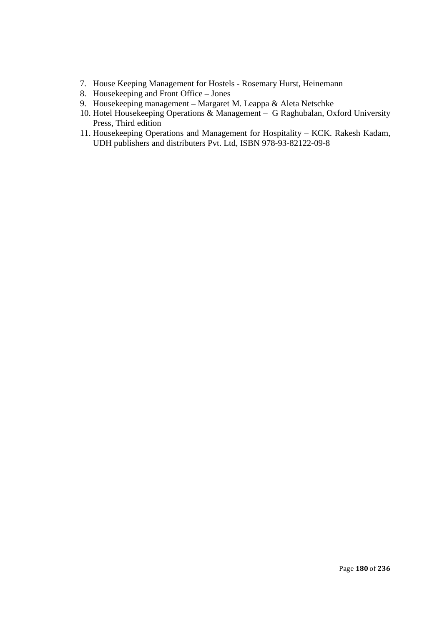- 7. House Keeping Management for Hostels Rosemary Hurst, Heinemann
- 8. Housekeeping and Front Office Jones
- 9. Housekeeping management Margaret M. Leappa & Aleta Netschke
- 10. Hotel Housekeeping Operations & Management G Raghubalan, Oxford University Press, Third edition
- 11. Housekeeping Operations and Management for Hospitality KCK. Rakesh Kadam, UDH publishers and distributers Pvt. Ltd, ISBN 978-93-82122-09-8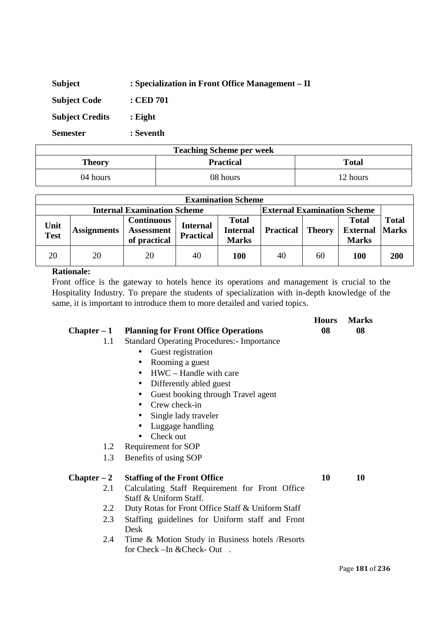| <b>Subject</b>         | : Specialization in Front Office Management – II |
|------------------------|--------------------------------------------------|
| <b>Subject Code</b>    | : CED 701                                        |
| <b>Subject Credits</b> | $:$ Eight                                        |
| <b>Semester</b>        | : Seventh                                        |

| <b>Teaching Scheme per week</b>            |          |          |  |
|--------------------------------------------|----------|----------|--|
| <b>Total</b><br><b>Practical</b><br>Theory |          |          |  |
| 04 hours                                   | 08 hours | 12 hours |  |

| <b>Examination Scheme</b> |                                                                          |                                                        |                                     |                                                 |                  |               |                                                 |                              |
|---------------------------|--------------------------------------------------------------------------|--------------------------------------------------------|-------------------------------------|-------------------------------------------------|------------------|---------------|-------------------------------------------------|------------------------------|
|                           | <b>Internal Examination Scheme</b><br><b>External Examination Scheme</b> |                                                        |                                     |                                                 |                  |               |                                                 |                              |
| Unit<br><b>Test</b>       | <b>Assignments</b>                                                       | <b>Continuous</b><br><b>Assessment</b><br>of practical | <b>Internal</b><br><b>Practical</b> | <b>Total</b><br><b>Internal</b><br><b>Marks</b> | <b>Practical</b> | <b>Theory</b> | <b>Total</b><br><b>External</b><br><b>Marks</b> | <b>Total</b><br><b>Marks</b> |
| 20                        | 20                                                                       | 20                                                     | 40                                  | <b>100</b>                                      | 40               | 60            | 100                                             | 200                          |

Front office is the gateway to hotels hence its operations and management is crucial to the Hospitality Industry. To prepare the students of specialization with in-depth knowledge of the same, it is important to introduce them to more detailed and varied topics.

|               |                                                   | <b>Hours</b> | <b>Marks</b> |
|---------------|---------------------------------------------------|--------------|--------------|
| $Chapter - 1$ | <b>Planning for Front Office Operations</b>       | 08           | 08           |
| $1.1\,$       | <b>Standard Operating Procedures:</b> Importance  |              |              |
|               | Guest registration<br>$\bullet$                   |              |              |
|               | Rooming a guest                                   |              |              |
|               | HWC – Handle with care<br>$\bullet$               |              |              |
|               | Differently abled guest<br>$\bullet$              |              |              |
|               | Guest booking through Travel agent<br>$\bullet$   |              |              |
|               | Crew check-in                                     |              |              |
|               | Single lady traveler                              |              |              |
|               | Luggage handling                                  |              |              |
|               | Check out                                         |              |              |
| 1.2           | Requirement for SOP                               |              |              |
| 1.3           | Benefits of using SOP                             |              |              |
| $Chapter - 2$ | <b>Staffing of the Front Office</b>               | 10           | 10           |
| 2.1           | Calculating Staff Requirement for Front Office    |              |              |
|               | Staff & Uniform Staff.                            |              |              |
| 2.2           | Duty Rotas for Front Office Staff & Uniform Staff |              |              |
| 2.3           | Staffing guidelines for Uniform staff and Front   |              |              |
|               | Desk                                              |              |              |
| 2.4           | Time & Motion Study in Business hotels / Resorts  |              |              |
|               | for Check – In & Check - Out.                     |              |              |
|               |                                                   |              |              |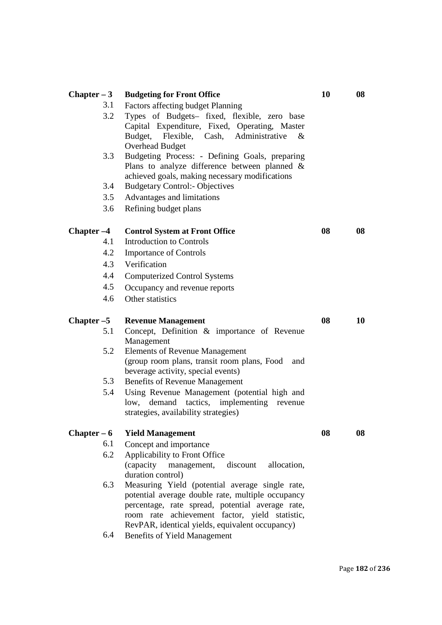| $Chapter - 3$     | <b>Budgeting for Front Office</b>                                                                  | 10 | 08 |
|-------------------|----------------------------------------------------------------------------------------------------|----|----|
| 3.1               | Factors affecting budget Planning                                                                  |    |    |
| 3.2               | Types of Budgets- fixed, flexible, zero base                                                       |    |    |
|                   | Capital Expenditure, Fixed, Operating, Master                                                      |    |    |
|                   | Flexible, Cash, Administrative<br>Budget,<br>&                                                     |    |    |
|                   | <b>Overhead Budget</b>                                                                             |    |    |
| 3.3               | Budgeting Process: - Defining Goals, preparing<br>Plans to analyze difference between planned $\&$ |    |    |
|                   | achieved goals, making necessary modifications                                                     |    |    |
| 3.4               | <b>Budgetary Control:- Objectives</b>                                                              |    |    |
| 3.5               | Advantages and limitations                                                                         |    |    |
| 3.6               | Refining budget plans                                                                              |    |    |
| Chapter –4        | <b>Control System at Front Office</b>                                                              | 08 | 08 |
| 4.1               | <b>Introduction to Controls</b>                                                                    |    |    |
| 4.2               | <b>Importance of Controls</b>                                                                      |    |    |
| 4.3               | Verification                                                                                       |    |    |
| 4.4               | <b>Computerized Control Systems</b>                                                                |    |    |
| 4.5               | Occupancy and revenue reports                                                                      |    |    |
| 4.6               | Other statistics                                                                                   |    |    |
|                   |                                                                                                    |    |    |
|                   |                                                                                                    | 08 | 10 |
|                   |                                                                                                    |    |    |
| Chapter –5<br>5.1 | <b>Revenue Management</b><br>Concept, Definition & importance of Revenue                           |    |    |
|                   | Management                                                                                         |    |    |
| 5.2               | <b>Elements of Revenue Management</b>                                                              |    |    |
|                   | (group room plans, transit room plans, Food<br>and                                                 |    |    |
|                   | beverage activity, special events)                                                                 |    |    |
| 5.3               | <b>Benefits of Revenue Management</b>                                                              |    |    |
| 5.4               | Using Revenue Management (potential high and                                                       |    |    |
|                   | tactics,<br>low,<br>demand<br>implementing<br>revenue<br>strategies, availability strategies)      |    |    |
|                   |                                                                                                    |    |    |
| $Chapter - 6$     | <b>Yield Management</b>                                                                            | 08 | 08 |
| 6.1               | Concept and importance                                                                             |    |    |
| 6.2               | Applicability to Front Office                                                                      |    |    |
|                   | (capacity management,<br>discount<br>allocation,<br>duration control)                              |    |    |
| 6.3               | Measuring Yield (potential average single rate,                                                    |    |    |
|                   | potential average double rate, multiple occupancy                                                  |    |    |
|                   | percentage, rate spread, potential average rate,                                                   |    |    |
|                   | achievement factor, yield statistic,<br>room rate                                                  |    |    |
| 6.4               | RevPAR, identical yields, equivalent occupancy)<br><b>Benefits of Yield Management</b>             |    |    |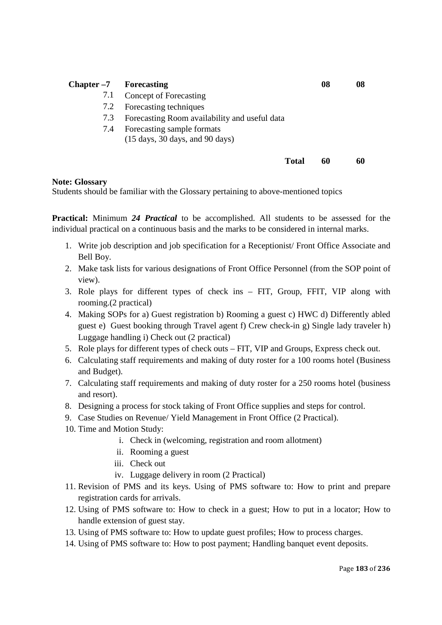| Chapter $-7$ Forecasting |                                                                                                 | 08 | 08 |
|--------------------------|-------------------------------------------------------------------------------------------------|----|----|
| 7.1                      | Concept of Forecasting                                                                          |    |    |
| 7.2                      | Forecasting techniques                                                                          |    |    |
| 7.3                      | Forecasting Room availability and useful data                                                   |    |    |
| 7.4                      | Forecasting sample formats<br>$(15 \text{ days}, 30 \text{ days}, \text{and } 90 \text{ days})$ |    |    |
|                          | <b>Total</b>                                                                                    | 60 | 60 |

# **Note: Glossary**

Students should be familiar with the Glossary pertaining to above-mentioned topics

**Practical:** Minimum *24 Practical* to be accomplished. All students to be assessed for the individual practical on a continuous basis and the marks to be considered in internal marks.

- 1. Write job description and job specification for a Receptionist/ Front Office Associate and Bell Boy.
- 2. Make task lists for various designations of Front Office Personnel (from the SOP point of view).
- 3. Role plays for different types of check ins FIT, Group, FFIT, VIP along with rooming.(2 practical)
- 4. Making SOPs for a) Guest registration b) Rooming a guest c) HWC d) Differently abled guest e) Guest booking through Travel agent f) Crew check-in g) Single lady traveler h) Luggage handling i) Check out (2 practical)
- 5. Role plays for different types of check outs FIT, VIP and Groups, Express check out.
- 6. Calculating staff requirements and making of duty roster for a 100 rooms hotel (Business and Budget).
- 7. Calculating staff requirements and making of duty roster for a 250 rooms hotel (business and resort).
- 8. Designing a process for stock taking of Front Office supplies and steps for control.
- 9. Case Studies on Revenue/ Yield Management in Front Office (2 Practical).
- 10. Time and Motion Study:
	- i. Check in (welcoming, registration and room allotment)
	- ii. Rooming a guest
	- iii. Check out
	- iv. Luggage delivery in room (2 Practical)
- 11. Revision of PMS and its keys. Using of PMS software to: How to print and prepare registration cards for arrivals.
- 12. Using of PMS software to: How to check in a guest; How to put in a locator; How to handle extension of guest stay.
- 13. Using of PMS software to: How to update guest profiles; How to process charges.
- 14. Using of PMS software to: How to post payment; Handling banquet event deposits.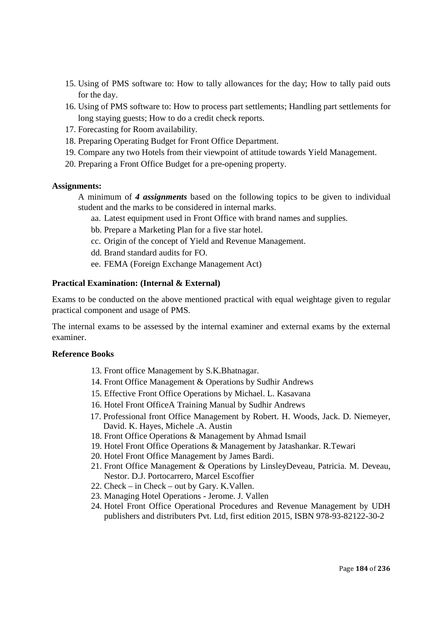- 15. Using of PMS software to: How to tally allowances for the day; How to tally paid outs for the day.
- 16. Using of PMS software to: How to process part settlements; Handling part settlements for long staying guests; How to do a credit check reports.
- 17. Forecasting for Room availability.
- 18. Preparing Operating Budget for Front Office Department.
- 19. Compare any two Hotels from their viewpoint of attitude towards Yield Management.
- 20. Preparing a Front Office Budget for a pre-opening property.

## **Assignments:**

A minimum of *4 assignments* based on the following topics to be given to individual student and the marks to be considered in internal marks.

- aa. Latest equipment used in Front Office with brand names and supplies.
- bb. Prepare a Marketing Plan for a five star hotel.
- cc. Origin of the concept of Yield and Revenue Management.
- dd. Brand standard audits for FO.
- ee. FEMA (Foreign Exchange Management Act)

# **Practical Examination: (Internal & External)**

Exams to be conducted on the above mentioned practical with equal weightage given to regular practical component and usage of PMS.

The internal exams to be assessed by the internal examiner and external exams by the external examiner.

## **Reference Books**

- 13. Front office Management by S.K.Bhatnagar.
- 14. Front Office Management & Operations by Sudhir Andrews
- 15. Effective Front Office Operations by Michael. L. Kasavana
- 16. Hotel Front OfficeA Training Manual by Sudhir Andrews
- 17. Professional front Office Management by Robert. H. Woods, Jack. D. Niemeyer, David. K. Hayes, Michele .A. Austin
- 18. Front Office Operations & Management by Ahmad Ismail
- 19. Hotel Front Office Operations & Management by Jatashankar. R.Tewari
- 20. Hotel Front Office Management by James Bardi.
- 21. Front Office Management & Operations by LinsleyDeveau, Patricia. M. Deveau, Nestor. D.J. Portocarrero, Marcel Escoffier
- 22. Check in Check out by Gary. K.Vallen.
- 23. Managing Hotel Operations Jerome. J. Vallen
- 24. Hotel Front Office Operational Procedures and Revenue Management by UDH publishers and distributers Pvt. Ltd, first edition 2015, ISBN 978-93-82122-30-2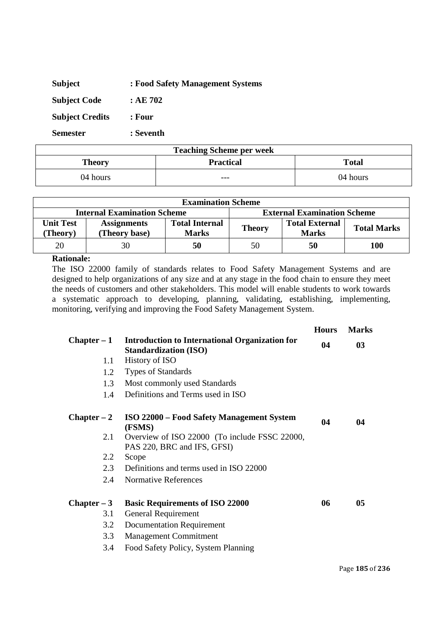| <b>Subject</b>         | : Food Safety Management Systems |
|------------------------|----------------------------------|
| <b>Subject Code</b>    | : AE 702                         |
| <b>Subject Credits</b> | $:$ Four                         |
| <b>Semester</b>        | : Seventh                        |

| <b>Teaching Scheme per week</b> |                  |              |  |
|---------------------------------|------------------|--------------|--|
| Theory                          | <b>Practical</b> | <b>Total</b> |  |
| 04 hours                        | $- - -$          | 04 hours     |  |

| <b>Examination Scheme</b>                                                |                                     |                                       |               |                                                             |     |  |
|--------------------------------------------------------------------------|-------------------------------------|---------------------------------------|---------------|-------------------------------------------------------------|-----|--|
| <b>Internal Examination Scheme</b><br><b>External Examination Scheme</b> |                                     |                                       |               |                                                             |     |  |
| Unit Test<br><b>Theory</b> )                                             | <b>Assignments</b><br>(Theory base) | <b>Total Internal</b><br><b>Marks</b> | <b>Theory</b> | <b>Total External</b><br><b>Total Marks</b><br><b>Marks</b> |     |  |
| 20                                                                       | 30                                  | 50                                    | 50            | 50                                                          | 100 |  |

The ISO 22000 family of standards relates to Food Safety Management Systems and are designed to help organizations of any size and at any stage in the food chain to ensure they meet the needs of customers and other stakeholders. This model will enable students to work towards a systematic approach to developing, planning, validating, establishing, implementing, monitoring, verifying and improving the Food Safety Management System.

|               |                                                                                       | <b>Hours</b> | <b>Marks</b> |
|---------------|---------------------------------------------------------------------------------------|--------------|--------------|
| $Chapter - 1$ | <b>Introduction to International Organization for</b><br><b>Standardization (ISO)</b> | 04           | 03           |
| 1.1           | <b>History of ISO</b>                                                                 |              |              |
| 1.2           | Types of Standards                                                                    |              |              |
| 1.3           | Most commonly used Standards                                                          |              |              |
| 1.4           | Definitions and Terms used in ISO                                                     |              |              |
| $Chapter - 2$ | ISO 22000 – Food Safety Management System<br>(FSMS)                                   | 04           | 04           |
| 2.1           | Overview of ISO 22000 (To include FSSC 22000,<br>PAS 220, BRC and IFS, GFSI)          |              |              |
| 2.2           | Scope                                                                                 |              |              |
| 2.3           | Definitions and terms used in ISO 22000                                               |              |              |
| 2.4           | <b>Normative References</b>                                                           |              |              |
| $Chapter - 3$ | <b>Basic Requirements of ISO 22000</b>                                                | 06           | 05           |
| 3.1           | <b>General Requirement</b>                                                            |              |              |
| 3.2           | <b>Documentation Requirement</b>                                                      |              |              |
| 3.3           | <b>Management Commitment</b>                                                          |              |              |
| 3.4           | Food Safety Policy, System Planning                                                   |              |              |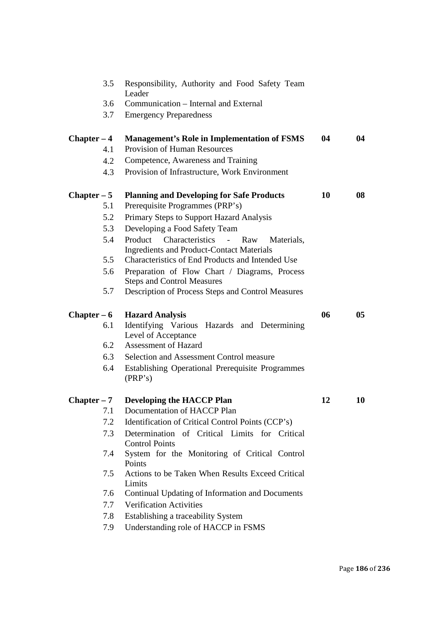| 3.5           | Responsibility, Authority and Food Safety Team<br>Leader                                        |    |    |
|---------------|-------------------------------------------------------------------------------------------------|----|----|
| 3.6           | Communication – Internal and External                                                           |    |    |
| 3.7           | <b>Emergency Preparedness</b>                                                                   |    |    |
| $Chapter - 4$ | <b>Management's Role in Implementation of FSMS</b>                                              | 04 | 04 |
| 4.1           | <b>Provision of Human Resources</b>                                                             |    |    |
| 4.2           | Competence, Awareness and Training                                                              |    |    |
| 4.3           | Provision of Infrastructure, Work Environment                                                   |    |    |
| $Chapter - 5$ | <b>Planning and Developing for Safe Products</b>                                                | 10 | 08 |
| 5.1           | Prerequisite Programmes (PRP's)                                                                 |    |    |
| 5.2           | Primary Steps to Support Hazard Analysis                                                        |    |    |
| 5.3           | Developing a Food Safety Team                                                                   |    |    |
| 5.4           | Product Characteristics - Raw<br>Materials,<br><b>Ingredients and Product-Contact Materials</b> |    |    |
| 5.5           | Characteristics of End Products and Intended Use                                                |    |    |
| 5.6           | Preparation of Flow Chart / Diagrams, Process<br><b>Steps and Control Measures</b>              |    |    |
| 5.7           | Description of Process Steps and Control Measures                                               |    |    |
|               |                                                                                                 | 06 | 05 |
| $Chapter - 6$ | <b>Hazard Analysis</b>                                                                          |    |    |
| 6.1           | Identifying Various Hazards and Determining<br>Level of Acceptance                              |    |    |
| 6.2           | <b>Assessment of Hazard</b>                                                                     |    |    |
| 6.3           | Selection and Assessment Control measure                                                        |    |    |
| 6.4           | <b>Establishing Operational Prerequisite Programmes</b><br>(PRP's)                              |    |    |
| $Chapter - 7$ | <b>Developing the HACCP Plan</b>                                                                | 12 | 10 |
| 7.1           | Documentation of HACCP Plan                                                                     |    |    |
| 7.2           | Identification of Critical Control Points (CCP's)                                               |    |    |
| 7.3           | Determination of Critical Limits for Critical<br><b>Control Points</b>                          |    |    |
| 7.4           | System for the Monitoring of Critical Control<br>Points                                         |    |    |
| 7.5           | Actions to be Taken When Results Exceed Critical<br>Limits                                      |    |    |
| 7.6           | Continual Updating of Information and Documents                                                 |    |    |
| 7.7           | <b>Verification Activities</b>                                                                  |    |    |
| 7.8           | Establishing a traceability System<br>Understanding role of HACCP in FSMS                       |    |    |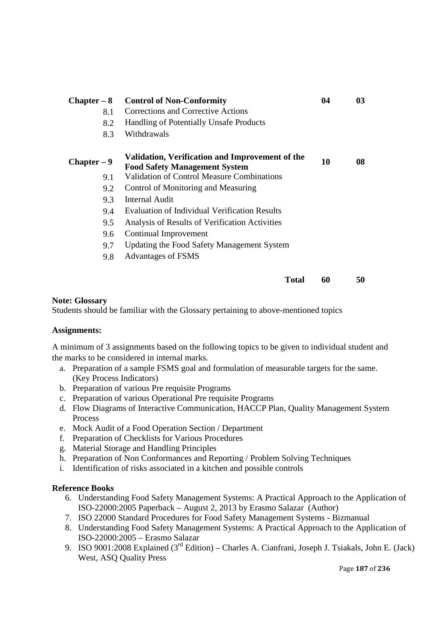| $Chapter - 8$ | <b>Control of Non-Conformity</b>                                                        | 04 | 03 |
|---------------|-----------------------------------------------------------------------------------------|----|----|
| 8.1           | Corrections and Corrective Actions                                                      |    |    |
| 8.2           | Handling of Potentially Unsafe Products                                                 |    |    |
| 8.3           | Withdrawals                                                                             |    |    |
| $Chapter - 9$ | Validation, Verification and Improvement of the<br><b>Food Safety Management System</b> | 10 | 08 |
| 9.1           | Validation of Control Measure Combinations                                              |    |    |
| 9.2           | Control of Monitoring and Measuring                                                     |    |    |
| 9.3           | Internal Audit                                                                          |    |    |
| 9.4           | Evaluation of Individual Verification Results                                           |    |    |
| 9.5           | Analysis of Results of Verification Activities                                          |    |    |
| 9.6           | Continual Improvement                                                                   |    |    |
| 9.7           | Updating the Food Safety Management System                                              |    |    |
| 9.8           | Advantages of FSMS                                                                      |    |    |
|               | <b>Total</b>                                                                            | 60 | 50 |

## **Note: Glossary**

Students should be familiar with the Glossary pertaining to above-mentioned topics

## **Assignments:**

A minimum of 3 assignments based on the following topics to be given to individual student and the marks to be considered in internal marks.

- a. Preparation of a sample FSMS goal and formulation of measurable targets for the same. (Key Process Indicators)
- b. Preparation of various Pre requisite Programs
- c. Preparation of various Operational Pre requisite Programs
- d. Flow Diagrams of Interactive Communication, HACCP Plan, Quality Management System Process
- e. Mock Audit of a Food Operation Section / Department
- f. Preparation of Checklists for Various Procedures
- g. Material Storage and Handling Principles
- h. Preparation of Non Conformances and Reporting / Problem Solving Techniques
- i. Identification of risks associated in a kitchen and possible controls

## **Reference Books**

- 6. Understanding Food Safety Management Systems: A Practical Approach to the Application of ISO-22000:2005 Paperback – August 2, 2013 by Erasmo Salazar (Author)
- 7. ISO 22000 Standard Procedures for Food Safety Management Systems Bizmanual
- 8. Understanding Food Safety Management Systems: A Practical Approach to the Application of ISO-22000:2005 – Erasmo Salazar
- 9. ISO 9001:2008 Explained  $(3<sup>rd</sup> Edition)$  Charles A. Cianfrani, Joseph J. Tsiakals, John E. (Jack) West, ASO Quality Press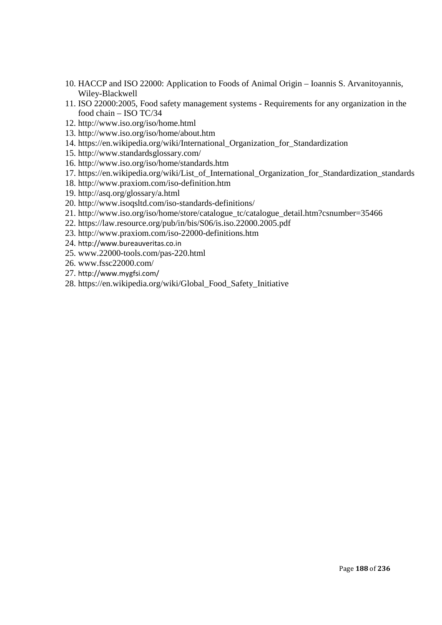- 10. HACCP and ISO 22000: Application to Foods of Animal Origin Ioannis S. Arvanitoyannis, Wiley-Blackwell
- 11. ISO 22000:2005, Food safety management systems Requirements for any organization in the food chain – ISO TC/34
- 12. http://www.iso.org/iso/home.html
- 13. http://www.iso.org/iso/home/about.htm
- 14. https://en.wikipedia.org/wiki/International\_Organization\_for\_Standardization
- 15. http://www.standardsglossary.com/
- 16. http://www.iso.org/iso/home/standards.htm
- 17. https://en.wikipedia.org/wiki/List\_of\_International\_Organization for\_Standardization\_standards
- 18. http://www.praxiom.com/iso-definition.htm
- 19. http://asq.org/glossary/a.html
- 20. http://www.isoqsltd.com/iso-standards-definitions/
- 21. http://www.iso.org/iso/home/store/catalogue\_tc/catalogue\_detail.htm?csnumber=35466
- 22. https://law.resource.org/pub/in/bis/S06/is.iso.22000.2005.pdf
- 23. http://www.praxiom.com/iso-22000-definitions.htm
- 24. http://www.bureauveritas.co.in
- 25. www.22000-tools.com/pas-220.html
- 26. www.fssc22000.com/
- 27. http://www.mygfsi.com/
- 28. https://en.wikipedia.org/wiki/Global\_Food\_Safety\_Initiative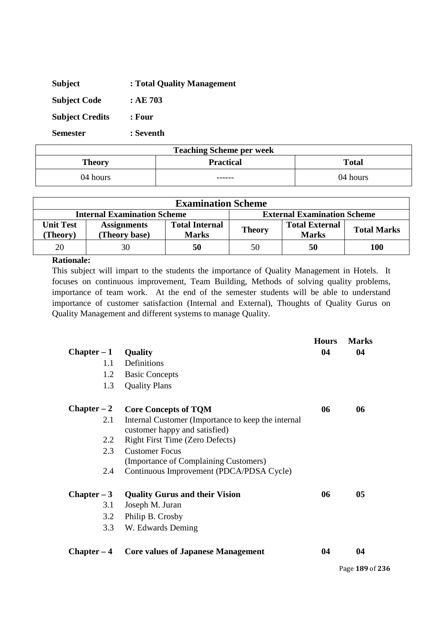| <b>Subject</b>         | : Total Quality Management |
|------------------------|----------------------------|
| <b>Subject Code</b>    | :AE703                     |
| <b>Subject Credits</b> | : Four                     |
| <b>Semester</b>        | : Seventh                  |

| <b>Teaching Scheme per week</b> |                                  |          |  |
|---------------------------------|----------------------------------|----------|--|
| Theory                          | <b>Practical</b><br><b>Total</b> |          |  |
| 04 hours                        |                                  | 04 hours |  |

| <b>Examination Scheme</b>                                                |                                     |                                       |               |                                       |                    |
|--------------------------------------------------------------------------|-------------------------------------|---------------------------------------|---------------|---------------------------------------|--------------------|
| <b>Internal Examination Scheme</b><br><b>External Examination Scheme</b> |                                     |                                       |               |                                       |                    |
| <b>Unit Test</b><br><b>Theory</b> )                                      | <b>Assignments</b><br>(Theory base) | <b>Total Internal</b><br><b>Marks</b> | <b>Theory</b> | <b>Total External</b><br><b>Marks</b> | <b>Total Marks</b> |
| 20                                                                       | 30                                  | 50                                    | 50            | 50                                    | 100                |

This subject will impart to the students the importance of Quality Management in Hotels. It focuses on continuous improvement, Team Building, Methods of solving quality problems, importance of team work. At the end of the semester students will be able to understand importance of customer satisfaction (Internal and External), Thoughts of Quality Gurus on Quality Management and different systems to manage Quality.

|               |                                                                                     | <b>Hours</b> | <b>Marks</b> |
|---------------|-------------------------------------------------------------------------------------|--------------|--------------|
| $Chapter - 1$ | <b>Quality</b>                                                                      | 04           | 04           |
| 1.1           | Definitions                                                                         |              |              |
| 1.2           | <b>Basic Concepts</b>                                                               |              |              |
| 1.3           | <b>Quality Plans</b>                                                                |              |              |
| $Chapter - 2$ | <b>Core Concepts of TQM</b>                                                         | 06           | 06           |
| 2.1           | Internal Customer (Importance to keep the internal<br>customer happy and satisfied) |              |              |
| 2.2           | <b>Right First Time (Zero Defects)</b>                                              |              |              |
| 2.3           | <b>Customer Focus</b>                                                               |              |              |
|               | (Importance of Complaining Customers)                                               |              |              |
| 2.4           | Continuous Improvement (PDCA/PDSA Cycle)                                            |              |              |
| $Chapter - 3$ | <b>Quality Gurus and their Vision</b>                                               | 06           | 05           |
| 3.1           | Joseph M. Juran                                                                     |              |              |
| 3.2           | Philip B. Crosby                                                                    |              |              |
| 3.3           | W. Edwards Deming                                                                   |              |              |
| $Chapter - 4$ | <b>Core values of Japanese Management</b>                                           | 04           | 04           |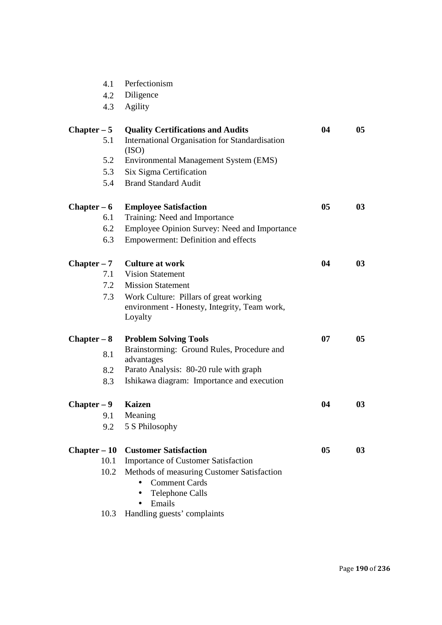| 4.1<br>4.2<br>4.3    | Perfectionism<br>Diligence<br>Agility                                                                      |    |                |
|----------------------|------------------------------------------------------------------------------------------------------------|----|----------------|
| $Chapter - 5$<br>5.1 | <b>Quality Certifications and Audits</b><br><b>International Organisation for Standardisation</b><br>(ISO) | 04 | 0 <sub>5</sub> |
| 5.2                  | Environmental Management System (EMS)                                                                      |    |                |
| 5.3                  | Six Sigma Certification                                                                                    |    |                |
| 5.4                  | <b>Brand Standard Audit</b>                                                                                |    |                |
| $Chapter - 6$        | <b>Employee Satisfaction</b>                                                                               | 05 | 03             |
| 6.1                  | Training: Need and Importance                                                                              |    |                |
| 6.2                  | <b>Employee Opinion Survey: Need and Importance</b>                                                        |    |                |
| 6.3                  | <b>Empowerment: Definition and effects</b>                                                                 |    |                |
| $Chapter - 7$        | <b>Culture at work</b>                                                                                     | 04 | 03             |
| 7.1                  | <b>Vision Statement</b>                                                                                    |    |                |
| 7.2                  | <b>Mission Statement</b>                                                                                   |    |                |
| 7.3                  | Work Culture: Pillars of great working                                                                     |    |                |
|                      | environment - Honesty, Integrity, Team work,<br>Loyalty                                                    |    |                |
| $Chapter - 8$        | <b>Problem Solving Tools</b>                                                                               | 07 | 0 <sub>5</sub> |
| 8.1                  | Brainstorming: Ground Rules, Procedure and<br>advantages                                                   |    |                |
| 8.2                  | Parato Analysis: 80-20 rule with graph                                                                     |    |                |
| 8.3                  | Ishikawa diagram: Importance and execution                                                                 |    |                |
| $Chapter - 9$        | <b>Kaizen</b>                                                                                              | 04 | 03             |
| 9.1                  | Meaning                                                                                                    |    |                |
| 9.2                  | 5 S Philosophy                                                                                             |    |                |
| $Chapter - 10$       | <b>Customer Satisfaction</b>                                                                               | 05 | 03             |
| 10.1                 | <b>Importance of Customer Satisfaction</b>                                                                 |    |                |
| 10.2                 | Methods of measuring Customer Satisfaction                                                                 |    |                |
|                      | <b>Comment Cards</b>                                                                                       |    |                |
|                      | <b>Telephone Calls</b>                                                                                     |    |                |
|                      | Emails                                                                                                     |    |                |
| 10.3                 | Handling guests' complaints                                                                                |    |                |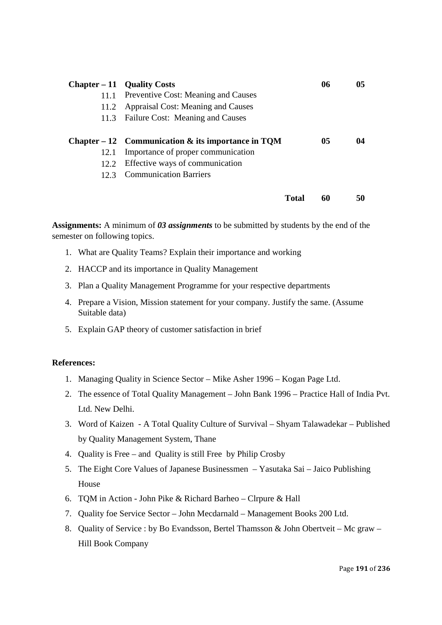|      | $Chapter -11$ Quality Costs                         |       | 06 | 05 |
|------|-----------------------------------------------------|-------|----|----|
|      | 11.1 Preventive Cost: Meaning and Causes            |       |    |    |
| 11.2 | Appraisal Cost: Meaning and Causes                  |       |    |    |
|      | 11.3 Failure Cost: Meaning and Causes               |       |    |    |
|      | Chapter $-12$ Communication & its importance in TQM |       | 05 | 04 |
| 12.1 | Importance of proper communication                  |       |    |    |
| 12.2 | Effective ways of communication                     |       |    |    |
| 12.3 | <b>Communication Barriers</b>                       |       |    |    |
|      |                                                     | Total | 60 | 50 |
|      |                                                     |       |    |    |

**Assignments:** A minimum of *03 assignments* to be submitted by students by the end of the semester on following topics.

- 1. What are Quality Teams? Explain their importance and working
- 2. HACCP and its importance in Quality Management
- 3. Plan a Quality Management Programme for your respective departments
- 4. Prepare a Vision, Mission statement for your company. Justify the same. (Assume Suitable data)
- 5. Explain GAP theory of customer satisfaction in brief

## **References:**

- 1. Managing Quality in Science Sector Mike Asher 1996 Kogan Page Ltd.
- 2. The essence of Total Quality Management John Bank 1996 Practice Hall of India Pvt. Ltd. New Delhi.
- 3. Word of Kaizen A Total Quality Culture of Survival Shyam Talawadekar Published by Quality Management System, Thane
- 4. Quality is Free and Quality is still Free by Philip Crosby
- 5. The Eight Core Values of Japanese Businessmen Yasutaka Sai Jaico Publishing House
- 6. TQM in Action John Pike & Richard Barheo Clrpure & Hall
- 7. Quality foe Service Sector John Mecdarnald Management Books 200 Ltd.
- 8. Quality of Service : by Bo Evandsson, Bertel Thamsson & John Obertveit Mc graw Hill Book Company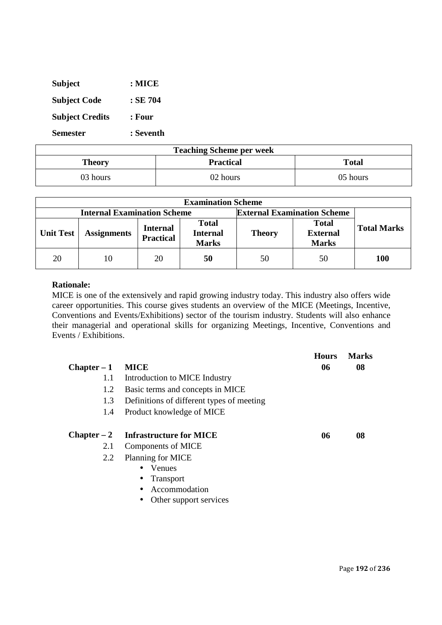| <b>Subject</b>         | : MICE    |
|------------------------|-----------|
| <b>Subject Code</b>    | : SE 704  |
| <b>Subject Credits</b> | : Four    |
| <b>Semester</b>        | : Seventh |

| <b>Teaching Scheme per week</b>            |          |          |  |
|--------------------------------------------|----------|----------|--|
| <b>Practical</b><br><b>Total</b><br>Theory |          |          |  |
| 03 hours                                   | 02 hours | 05 hours |  |

| <b>Examination Scheme</b>          |                    |                                     |                                                 |               |                                                 |                    |
|------------------------------------|--------------------|-------------------------------------|-------------------------------------------------|---------------|-------------------------------------------------|--------------------|
| <b>Internal Examination Scheme</b> |                    |                                     | <b>External Examination Scheme</b>              |               |                                                 |                    |
| <b>Unit Test</b>                   | <b>Assignments</b> | <b>Internal</b><br><b>Practical</b> | <b>Total</b><br><b>Internal</b><br><b>Marks</b> | <b>Theory</b> | <b>Total</b><br><b>External</b><br><b>Marks</b> | <b>Total Marks</b> |
| 20                                 | 10                 | 20                                  | 50                                              | 50            | 50                                              | <b>100</b>         |

MICE is one of the extensively and rapid growing industry today. This industry also offers wide career opportunities. This course gives students an overview of the MICE (Meetings, Incentive, Conventions and Events/Exhibitions) sector of the tourism industry. Students will also enhance their managerial and operational skills for organizing Meetings, Incentive, Conventions and Events / Exhibitions.

|               |                                           | <b>Hours</b> | <b>Marks</b> |
|---------------|-------------------------------------------|--------------|--------------|
| $Chapter - 1$ | <b>MICE</b>                               | 06           | 08           |
| 1.1           | Introduction to MICE Industry             |              |              |
| 1.2           | Basic terms and concepts in MICE          |              |              |
| 1.3           | Definitions of different types of meeting |              |              |
| 1.4           | Product knowledge of MICE                 |              |              |
| $Chapter - 2$ | <b>Infrastructure for MICE</b>            | 06           | 08           |
| 2.1           | Components of MICE                        |              |              |
| 2.2           | <b>Planning for MICE</b>                  |              |              |
|               | Venues                                    |              |              |
|               | <b>Transport</b>                          |              |              |
|               | Accommodation                             |              |              |
|               | Other support services                    |              |              |
|               |                                           |              |              |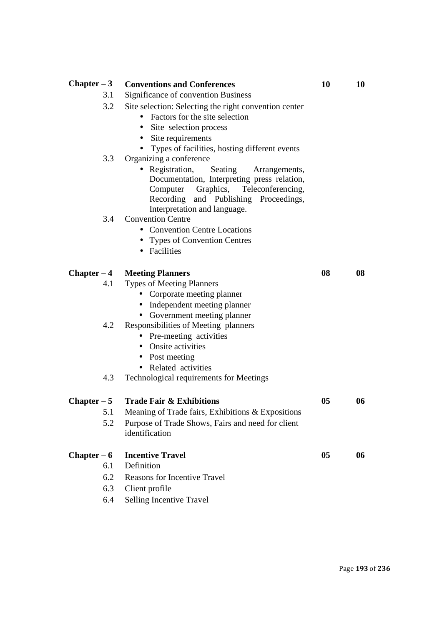| $Chapter - 3$ | <b>Conventions and Conferences</b>                    | 10 | 10 |
|---------------|-------------------------------------------------------|----|----|
| 3.1           | Significance of convention Business                   |    |    |
| 3.2           | Site selection: Selecting the right convention center |    |    |
|               | Factors for the site selection<br>$\bullet$           |    |    |
|               | Site selection process<br>$\bullet$                   |    |    |
|               | Site requirements<br>$\bullet$                        |    |    |
|               | Types of facilities, hosting different events         |    |    |
| 3.3           | Organizing a conference                               |    |    |
|               | Registration, Seating Arrangements,<br>$\bullet$      |    |    |
|               | Documentation, Interpreting press relation,           |    |    |
|               | Computer<br>Graphics,<br>Teleconferencing,            |    |    |
|               | Recording and Publishing Proceedings,                 |    |    |
|               | Interpretation and language.                          |    |    |
| 3.4           | <b>Convention Centre</b>                              |    |    |
|               | <b>Convention Centre Locations</b>                    |    |    |
|               | • Types of Convention Centres                         |    |    |
|               | • Facilities                                          |    |    |
| $Chapter - 4$ | <b>Meeting Planners</b>                               | 08 | 08 |
| 4.1           | <b>Types of Meeting Planners</b>                      |    |    |
|               | Corporate meeting planner<br>$\bullet$                |    |    |
|               | • Independent meeting planner                         |    |    |
|               | Government meeting planner<br>$\bullet$               |    |    |
| 4.2           | Responsibilities of Meeting planners                  |    |    |
|               | Pre-meeting activities                                |    |    |
|               | Onsite activities<br>$\bullet$                        |    |    |
|               | • Post meeting                                        |    |    |
|               | Related activities                                    |    |    |
| 4.3           | Technological requirements for Meetings               |    |    |
|               | Chapter $-5$ Trade Fair & Exhibitions                 | 05 | 06 |
|               | 5.1 Meaning of Trade fairs, Exhibitions & Expositions |    |    |
| 5.2           | Purpose of Trade Shows, Fairs and need for client     |    |    |
|               | identification                                        |    |    |
| $Chapter - 6$ | <b>Incentive Travel</b>                               | 05 | 06 |
| 6.1           | Definition                                            |    |    |
| 6.2           | <b>Reasons for Incentive Travel</b>                   |    |    |
| 6.3           | Client profile                                        |    |    |
| 6.4           | Selling Incentive Travel                              |    |    |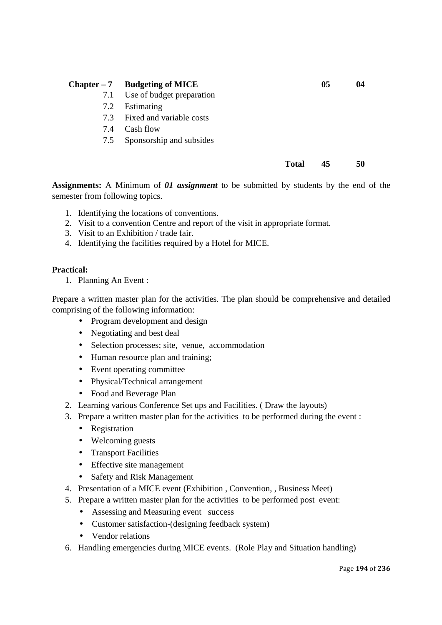|     | $Chapter - 7$ Budgeting of MICE              |       | 05 | 04 |
|-----|----------------------------------------------|-------|----|----|
|     | 7.1 Use of budget preparation                |       |    |    |
| 7.2 | Estimating                                   |       |    |    |
| 7.3 | <b>Example Fixt</b> Fixed and variable costs |       |    |    |
| 7.4 | Cash flow                                    |       |    |    |
| 7.5 | Sponsorship and subsides                     |       |    |    |
|     |                                              | Total | 45 | 50 |
|     |                                              |       |    |    |

**Assignments:** A Minimum of *01 assignment* to be submitted by students by the end of the semester from following topics.

- 1. Identifying the locations of conventions.
- 2. Visit to a convention Centre and report of the visit in appropriate format.
- 3. Visit to an Exhibition / trade fair.
- 4. Identifying the facilities required by a Hotel for MICE.

## **Practical:**

1. Planning An Event :

Prepare a written master plan for the activities. The plan should be comprehensive and detailed comprising of the following information:

- Program development and design
- Negotiating and best deal
- Selection processes; site, venue, accommodation
- Human resource plan and training;
- Event operating committee
- Physical/Technical arrangement
- Food and Beverage Plan
- 2. Learning various Conference Set ups and Facilities. ( Draw the layouts)
- 3. Prepare a written master plan for the activities to be performed during the event :
	- Registration
	- Welcoming guests
	- Transport Facilities
	- Effective site management
	- Safety and Risk Management
- 4. Presentation of a MICE event (Exhibition , Convention, , Business Meet)
- 5. Prepare a written master plan for the activities to be performed post event:
	- Assessing and Measuring event success
	- Customer satisfaction-(designing feedback system)
	- Vendor relations
- 6. Handling emergencies during MICE events. (Role Play and Situation handling)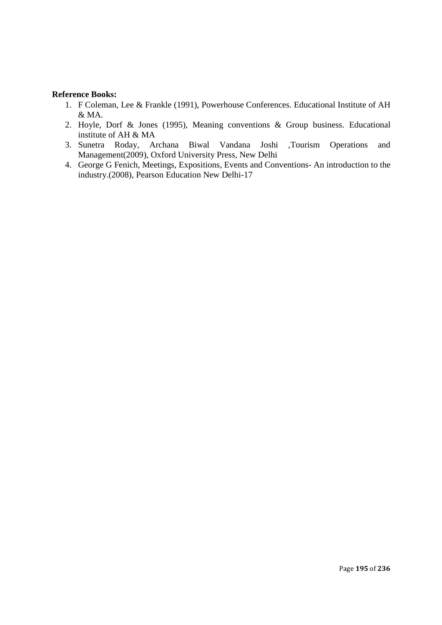## **Reference Books:**

- 1. F Coleman, Lee & Frankle (1991), Powerhouse Conferences. Educational Institute of AH & MA.
- 2. Hoyle, Dorf & Jones (1995), Meaning conventions & Group business. Educational institute of AH & MA
- 3. Sunetra Roday, Archana Biwal Vandana Joshi ,Tourism Operations and Management(2009), Oxford University Press, New Delhi
- 4. George G Fenich, Meetings, Expositions, Events and Conventions- An introduction to the industry.(2008), Pearson Education New Delhi-17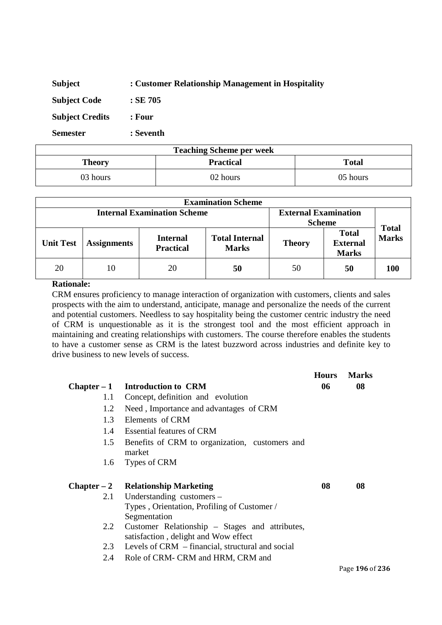| <b>Subject</b>         | : Customer Relationship Management in Hospitality |
|------------------------|---------------------------------------------------|
| <b>Subject Code</b>    | $:$ SE 705                                        |
| <b>Subject Credits</b> | : Four                                            |
| <b>Semester</b>        | : Seventh                                         |

| <b>Teaching Scheme per week</b>            |          |          |  |
|--------------------------------------------|----------|----------|--|
| <b>Practical</b><br><b>Total</b><br>Theory |          |          |  |
| 03 hours                                   | 02 hours | 05 hours |  |

| <b>Examination Scheme</b>                                         |                    |                                     |                                       |               |                                                 |              |
|-------------------------------------------------------------------|--------------------|-------------------------------------|---------------------------------------|---------------|-------------------------------------------------|--------------|
| <b>Internal Examination Scheme</b><br><b>External Examination</b> |                    |                                     |                                       |               |                                                 |              |
|                                                                   |                    |                                     |                                       | <b>Scheme</b> |                                                 | <b>Total</b> |
| <b>Unit Test</b>                                                  | <b>Assignments</b> | <b>Internal</b><br><b>Practical</b> | <b>Total Internal</b><br><b>Marks</b> | <b>Theory</b> | <b>Total</b><br><b>External</b><br><b>Marks</b> | <b>Marks</b> |
| 20                                                                | 10                 | 20                                  | 50                                    | 50            | 50                                              | <b>100</b>   |

CRM ensures proficiency to manage interaction of organization with customers, clients and sales prospects with the aim to understand, anticipate, manage and personalize the needs of the current and potential customers. Needless to say hospitality being the customer centric industry the need of CRM is unquestionable as it is the strongest tool and the most efficient approach in maintaining and creating relationships with customers. The course therefore enables the students to have a customer sense as CRM is the latest buzzword across industries and definite key to drive business to new levels of success.

|     |                                                                                        | <b>Hours</b> | <b>Marks</b> |
|-----|----------------------------------------------------------------------------------------|--------------|--------------|
|     | Chapter $-1$ Introduction to CRM                                                       | 06           | 08           |
| 1.1 | Concept, definition and evolution                                                      |              |              |
| 1.2 | Need, Importance and advantages of CRM                                                 |              |              |
| 1.3 | Elements of CRM                                                                        |              |              |
|     | 1.4 Essential features of CRM                                                          |              |              |
| 1.5 | Benefits of CRM to organization, customers and<br>market                               |              |              |
| 1.6 | Types of CRM                                                                           |              |              |
|     |                                                                                        |              |              |
|     | $Chapter - 2$ Relationship Marketing                                                   | 08           | 08           |
| 2.1 | Understanding customers –                                                              |              |              |
|     | Types, Orientation, Profiling of Customer /                                            |              |              |
|     | Segmentation                                                                           |              |              |
| 2.2 | Customer Relationship – Stages and attributes,<br>satisfaction, delight and Wow effect |              |              |
| 2.3 | Levels of CRM – financial, structural and social                                       |              |              |
| 2.4 | Role of CRM- CRM and HRM, CRM and                                                      |              |              |
|     |                                                                                        |              |              |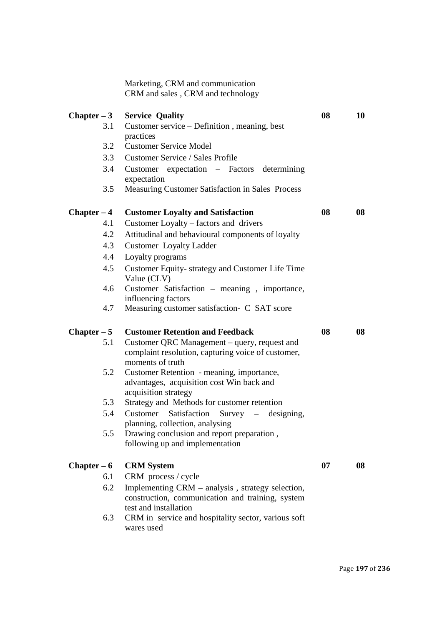|               | Marketing, CRM and communication<br>CRM and sales, CRM and technology                                                  |    |    |
|---------------|------------------------------------------------------------------------------------------------------------------------|----|----|
| $Chapter - 3$ | <b>Service Quality</b>                                                                                                 | 08 | 10 |
| 3.1           | Customer service – Definition, meaning, best<br>practices                                                              |    |    |
| 3.2           | <b>Customer Service Model</b>                                                                                          |    |    |
| 3.3           | <b>Customer Service / Sales Profile</b>                                                                                |    |    |
| 3.4           | Customer expectation - Factors determining<br>expectation                                                              |    |    |
| 3.5           | Measuring Customer Satisfaction in Sales Process                                                                       |    |    |
| $Chapter - 4$ | <b>Customer Loyalty and Satisfaction</b>                                                                               | 08 | 08 |
| 4.1           | Customer Loyalty – factors and drivers                                                                                 |    |    |
| 4.2           | Attitudinal and behavioural components of loyalty                                                                      |    |    |
| 4.3           | <b>Customer</b> Loyalty Ladder                                                                                         |    |    |
| 4.4           | Loyalty programs                                                                                                       |    |    |
| 4.5           | Customer Equity-strategy and Customer Life Time<br>Value (CLV)                                                         |    |    |
| 4.6           | Customer Satisfaction - meaning, importance,<br>influencing factors                                                    |    |    |
| 4.7           | Measuring customer satisfaction- C SAT score                                                                           |    |    |
| $Chapter - 5$ | <b>Customer Retention and Feedback</b>                                                                                 | 08 | 08 |
| 5.1           | Customer QRC Management - query, request and<br>complaint resolution, capturing voice of customer,<br>moments of truth |    |    |
| 5.2           | Customer Retention - meaning, importance,<br>advantages, acquisition cost Win back and<br>acquisition strategy         |    |    |
| 5.3           | Strategy and Methods for customer retention                                                                            |    |    |
| 5.4           | Customer Satisfaction Survey - designing,<br>planning, collection, analysing                                           |    |    |
| 5.5           | Drawing conclusion and report preparation,                                                                             |    |    |
|               | following up and implementation                                                                                        |    |    |
| $Chapter - 6$ | <b>CRM</b> System                                                                                                      | 07 | 08 |
| 6.1           | CRM process / cycle                                                                                                    |    |    |
| 6.2           | Implementing CRM - analysis, strategy selection,<br>construction, communication and training, system                   |    |    |
| 6.3           | test and installation<br>CRM in service and hospitality sector, various soft<br>wares used                             |    |    |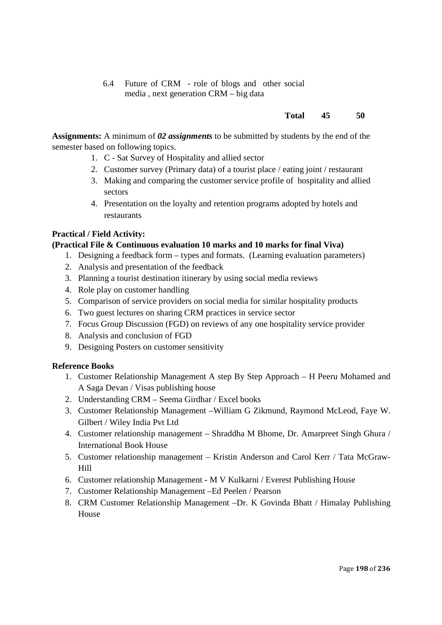6.4 Future of CRM - role of blogs and other social media , next generation CRM – big data

## **Total 45 50**

**Assignments:** A minimum of *02 assignments* to be submitted by students by the end of the semester based on following topics.

- 1. C Sat Survey of Hospitality and allied sector
- 2. Customer survey (Primary data) of a tourist place / eating joint / restaurant
- 3. Making and comparing the customer service profile of hospitality and allied sectors
- 4. Presentation on the loyalty and retention programs adopted by hotels and restaurants

# **Practical / Field Activity:**

## **(Practical File & Continuous evaluation 10 marks and 10 marks for final Viva)**

- 1. Designing a feedback form types and formats. (Learning evaluation parameters)
- 2. Analysis and presentation of the feedback
- 3. Planning a tourist destination itinerary by using social media reviews
- 4. Role play on customer handling
- 5. Comparison of service providers on social media for similar hospitality products
- 6. Two guest lectures on sharing CRM practices in service sector
- 7. Focus Group Discussion (FGD) on reviews of any one hospitality service provider
- 8. Analysis and conclusion of FGD
- 9. Designing Posters on customer sensitivity

## **Reference Books**

- 1. Customer Relationship Management A step By Step Approach H Peeru Mohamed and A Saga Devan / Visas publishing house
- 2. Understanding CRM Seema Girdhar / Excel books
- 3. Customer Relationship Management –William G Zikmund, Raymond McLeod, Faye W. Gilbert / Wiley India Pvt Ltd
- 4. Customer relationship management Shraddha M Bhome, Dr. Amarpreet Singh Ghura / International Book House
- 5. Customer relationship management Kristin Anderson and Carol Kerr / Tata McGraw-Hill
- 6. Customer relationship Management M V Kulkarni / Everest Publishing House
- 7. Customer Relationship Management –Ed Peelen / Pearson
- 8. CRM Customer Relationship Management –Dr. K Govinda Bhatt / Himalay Publishing House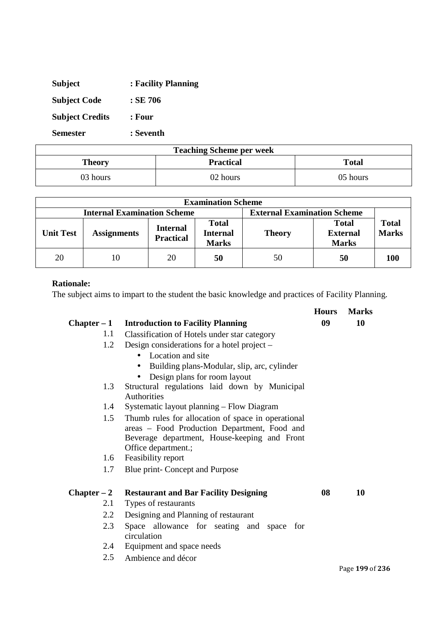| <b>Subject</b>         | : Facility Planning |
|------------------------|---------------------|
| <b>Subject Code</b>    | $:$ SE 706          |
| <b>Subject Credits</b> | : Four              |
| <b>Semester</b>        | : Seventh           |

| <b>Teaching Scheme per week</b>            |          |          |  |
|--------------------------------------------|----------|----------|--|
| <b>Practical</b><br><b>Total</b><br>Theory |          |          |  |
| 03 hours                                   | 02 hours | 05 hours |  |

|                                                                          | <b>Examination Scheme</b> |                                     |                                                 |               |                                                 |                              |
|--------------------------------------------------------------------------|---------------------------|-------------------------------------|-------------------------------------------------|---------------|-------------------------------------------------|------------------------------|
| <b>Internal Examination Scheme</b><br><b>External Examination Scheme</b> |                           |                                     |                                                 |               |                                                 |                              |
| <b>Unit Test</b>                                                         | <b>Assignments</b>        | <b>Internal</b><br><b>Practical</b> | <b>Total</b><br><b>Internal</b><br><b>Marks</b> | <b>Theory</b> | <b>Total</b><br><b>External</b><br><b>Marks</b> | <b>Total</b><br><b>Marks</b> |
| 20                                                                       | 10 <sup>2</sup>           | 20                                  | 50                                              | 50            | 50                                              | <b>100</b>                   |

The subject aims to impart to the student the basic knowledge and practices of Facility Planning.

|               |                                                          | <b>Hours</b> | <b>Marks</b>    |
|---------------|----------------------------------------------------------|--------------|-----------------|
| $Chapter - 1$ | <b>Introduction to Facility Planning</b>                 | 09           | 10              |
| 1.1           | Classification of Hotels under star category             |              |                 |
| 1.2           | Design considerations for a hotel project –              |              |                 |
|               | Location and site<br>$\bullet$                           |              |                 |
|               | Building plans-Modular, slip, arc, cylinder<br>$\bullet$ |              |                 |
|               | Design plans for room layout                             |              |                 |
| 1.3           | Structural regulations laid down by Municipal            |              |                 |
|               | <b>Authorities</b>                                       |              |                 |
| 1.4           | Systematic layout planning – Flow Diagram                |              |                 |
| 1.5           | Thumb rules for allocation of space in operational       |              |                 |
|               | areas - Food Production Department, Food and             |              |                 |
|               | Beverage department, House-keeping and Front             |              |                 |
|               | Office department.;                                      |              |                 |
| 1.6           | Feasibility report                                       |              |                 |
| 1.7           | Blue print- Concept and Purpose                          |              |                 |
| $Chapter - 2$ | <b>Restaurant and Bar Facility Designing</b>             | 08           | 10              |
| 2.1           | Types of restaurants                                     |              |                 |
| 2.2           | Designing and Planning of restaurant                     |              |                 |
|               |                                                          |              |                 |
| 2.3           | Space allowance for seating and space for<br>circulation |              |                 |
| 2.4           | Equipment and space needs                                |              |                 |
| 2.5           | Ambience and décor                                       |              |                 |
|               |                                                          |              | Page 199 of 236 |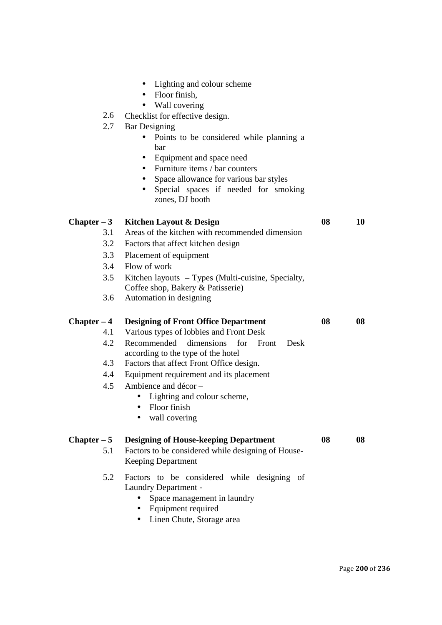| 2.6           | Lighting and colour scheme<br>$\bullet$<br>• Floor finish,<br>Wall covering<br>$\bullet$<br>Checklist for effective design.                                                                                                                                                       |    |    |
|---------------|-----------------------------------------------------------------------------------------------------------------------------------------------------------------------------------------------------------------------------------------------------------------------------------|----|----|
| 2.7           | <b>Bar Designing</b><br>Points to be considered while planning a<br>bar<br>Equipment and space need<br>Furniture items / bar counters<br>$\bullet$<br>Space allowance for various bar styles<br>$\bullet$<br>Special spaces if needed for smoking<br>$\bullet$<br>zones, DJ booth |    |    |
| Chapter – 3   | <b>Kitchen Layout &amp; Design</b>                                                                                                                                                                                                                                                | 08 | 10 |
| 3.1           | Areas of the kitchen with recommended dimension                                                                                                                                                                                                                                   |    |    |
| 3.2           | Factors that affect kitchen design                                                                                                                                                                                                                                                |    |    |
| 3.3           | Placement of equipment                                                                                                                                                                                                                                                            |    |    |
| 3.4           | Flow of work                                                                                                                                                                                                                                                                      |    |    |
| 3.5           | Kitchen layouts – Types (Multi-cuisine, Specialty,<br>Coffee shop, Bakery & Patisserie)                                                                                                                                                                                           |    |    |
| 3.6           | Automation in designing                                                                                                                                                                                                                                                           |    |    |
| $Chapter - 4$ | <b>Designing of Front Office Department</b>                                                                                                                                                                                                                                       | 08 | 08 |
| 4.1           | Various types of lobbies and Front Desk                                                                                                                                                                                                                                           |    |    |
| 4.2           | Recommended dimensions<br>for<br>Front Desk<br>according to the type of the hotel                                                                                                                                                                                                 |    |    |
| 4.3           | Factors that affect Front Office design.                                                                                                                                                                                                                                          |    |    |
| 4.4           | Equipment requirement and its placement                                                                                                                                                                                                                                           |    |    |
| 4.5           | Ambience and décor -<br>Lighting and colour scheme,<br>Floor finish<br>$\bullet$<br>wall covering                                                                                                                                                                                 |    |    |
| Chapter – 5   | <b>Designing of House-keeping Department</b>                                                                                                                                                                                                                                      | 08 | 08 |
| 5.1           | Factors to be considered while designing of House-<br><b>Keeping Department</b>                                                                                                                                                                                                   |    |    |
| 5.2           | Factors to be considered while designing of<br>Laundry Department -<br>Space management in laundry<br>Equipment required<br>Linen Chute, Storage area                                                                                                                             |    |    |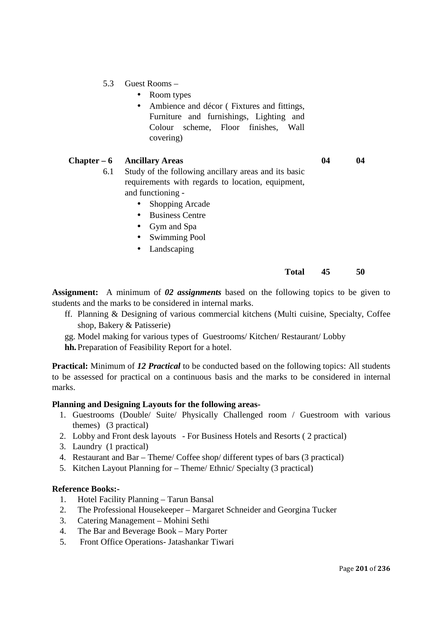- 5.3 Guest Rooms
	- Room types
	- Ambience and décor (Fixtures and fittings, Furniture and furnishings, Lighting and Colour scheme, Floor finishes, Wall covering)

# Chapter – 6 Ancillary Areas 04 04 04

- 6.1 Study of the following ancillary areas and its basic requirements with regards to location, equipment, and functioning -
	- Shopping Arcade
	- Business Centre
	- Gym and Spa
	- Swimming Pool
	- Landscaping

## **Total 45 50**

**Assignment:** A minimum of *02 assignments* based on the following topics to be given to students and the marks to be considered in internal marks.

- ff. Planning & Designing of various commercial kitchens (Multi cuisine, Specialty, Coffee shop, Bakery & Patisserie)
- gg. Model making for various types of Guestrooms/ Kitchen/ Restaurant/ Lobby
- **hh.** Preparation of Feasibility Report for a hotel.

**Practical:** Minimum of *12 Practical* to be conducted based on the following topics: All students to be assessed for practical on a continuous basis and the marks to be considered in internal marks.

## **Planning and Designing Layouts for the following areas-**

- 1. Guestrooms (Double/ Suite/ Physically Challenged room / Guestroom with various themes) (3 practical)
- 2. Lobby and Front desk layouts For Business Hotels and Resorts ( 2 practical)
- 3. Laundry (1 practical)
- 4. Restaurant and Bar Theme/ Coffee shop/ different types of bars (3 practical)
- 5. Kitchen Layout Planning for Theme/ Ethnic/ Specialty (3 practical)

## **Reference Books:-**

- 1. Hotel Facility Planning Tarun Bansal
- 2. The Professional Housekeeper Margaret Schneider and Georgina Tucker
- 3. Catering Management Mohini Sethi
- 4. The Bar and Beverage Book Mary Porter
- 5. Front Office Operations- Jatashankar Tiwari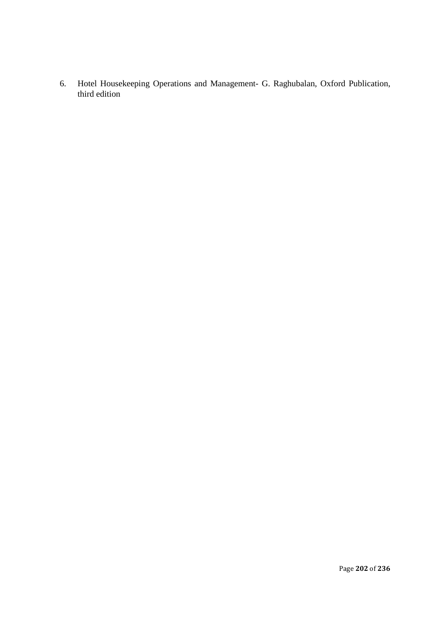6. Hotel Housekeeping Operations and Management- G. Raghubalan, Oxford Publication, third edition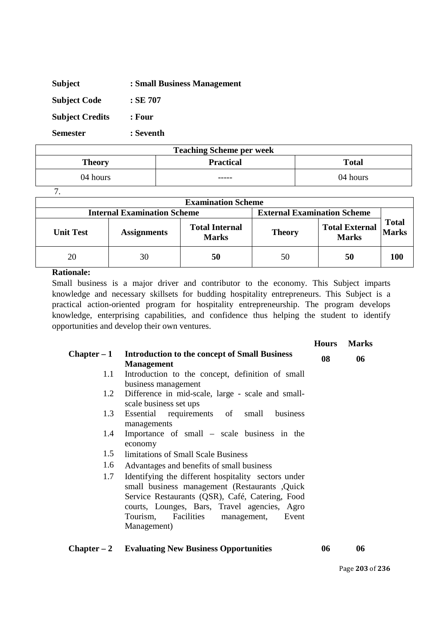| <b>Subject</b>         | : Small Business Management |
|------------------------|-----------------------------|
| <b>Subject Code</b>    | $:$ SE 707                  |
| <b>Subject Credits</b> | $:$ Four                    |
| <b>Semester</b>        | : Seventh                   |

| <b>Teaching Scheme per week</b>                   |       |          |  |
|---------------------------------------------------|-------|----------|--|
| <b>Practical</b><br><b>Total</b><br><b>Theory</b> |       |          |  |
| 04 hours                                          | ----- | 04 hours |  |

7.

| <b>Examination Scheme</b> |                                    |                                       |                                    |                                       |                              |  |
|---------------------------|------------------------------------|---------------------------------------|------------------------------------|---------------------------------------|------------------------------|--|
|                           | <b>Internal Examination Scheme</b> |                                       | <b>External Examination Scheme</b> |                                       |                              |  |
| <b>Unit Test</b>          | <b>Assignments</b>                 | <b>Total Internal</b><br><b>Marks</b> | <b>Theory</b>                      | <b>Total External</b><br><b>Marks</b> | <b>Total</b><br><b>Marks</b> |  |
| 20                        | 30                                 | 50                                    | 50                                 | 50                                    | 100                          |  |

# **Rationale:**

Small business is a major driver and contributor to the economy. This Subject imparts knowledge and necessary skillsets for budding hospitality entrepreneurs. This Subject is a practical action-oriented program for hospitality entrepreneurship. The program develops knowledge, enterprising capabilities, and confidence thus helping the student to identify opportunities and develop their own ventures.

|               |                                                                                                         | 11VUL)        | лени по |
|---------------|---------------------------------------------------------------------------------------------------------|---------------|---------|
| $Chapter - 1$ | <b>Introduction to the concept of Small Business</b><br><b>Management</b>                               | 08            | 06      |
| 1.1           | Introduction to the concept, definition of small                                                        |               |         |
|               | business management                                                                                     |               |         |
| 1.2           | Difference in mid-scale, large - scale and small-                                                       |               |         |
|               | scale business set ups                                                                                  |               |         |
| 1.3           | Essential requirements of small<br>business                                                             |               |         |
|               | managements                                                                                             |               |         |
| 1.4           | Importance of small – scale business in the                                                             |               |         |
|               | economy                                                                                                 |               |         |
| 1.5           | limitations of Small Scale Business                                                                     |               |         |
|               |                                                                                                         |               |         |
| 1.6           | Advantages and benefits of small business                                                               |               |         |
| 1.7           | Identifying the different hospitality sectors under                                                     |               |         |
|               | small business management (Restaurants , Quick                                                          |               |         |
|               | Service Restaurants (QSR), Café, Catering, Food                                                         |               |         |
|               | courts, Lounges, Bars, Travel agencies, Agro                                                            |               |         |
|               |                                                                                                         |               |         |
|               | Tourism, Facilities management,<br>Event                                                                |               |         |
|               | Management)                                                                                             |               |         |
|               |                                                                                                         |               |         |
|               | $\bullet$ $\bullet$ $\bullet$ $\bullet$ $\bullet$ $\bullet$ $\bullet$ $\bullet$<br>$\sim$ $\sim$ $\sim$ | $\sim$ $\sim$ | $\sim$  |

# **Chapter – 2 Evaluating New Business Opportunities 06 06**

**Hours Marks** 

Page **203** of **236**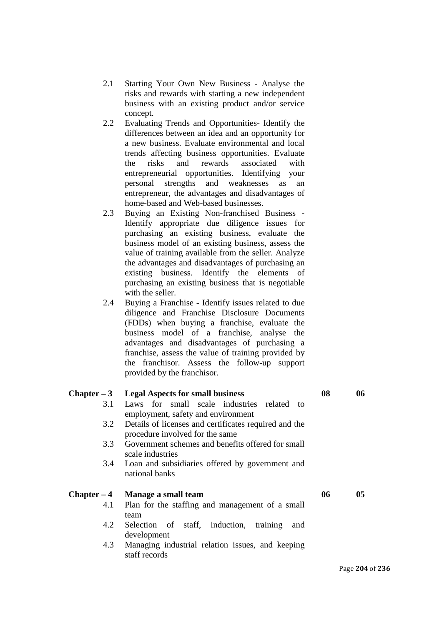- 2.1 Starting Your Own New Business Analyse the risks and rewards with starting a new independent business with an existing product and/or service concept.
- 2.2 Evaluating Trends and Opportunities- Identify the differences between an idea and an opportunity for a new business. Evaluate environmental and local trends affecting business opportunities. Evaluate the risks and rewards associated with entrepreneurial opportunities. Identifying your personal strengths and weaknesses as an entrepreneur, the advantages and disadvantages of home-based and Web-based businesses.
- 2.3 Buying an Existing Non-franchised Business Identify appropriate due diligence issues for purchasing an existing business, evaluate the business model of an existing business, assess the value of training available from the seller. Analyze the advantages and disadvantages of purchasing an existing business. Identify the elements of purchasing an existing business that is negotiable with the seller.
- 2.4 Buying a Franchise Identify issues related to due diligence and Franchise Disclosure Documents (FDDs) when buying a franchise, evaluate the business model of a franchise, analyse the advantages and disadvantages of purchasing a franchise, assess the value of training provided by the franchisor. Assess the follow-up support provided by the franchisor.

## **Chapter – 3 Legal Aspects for small business 08 06**

- 3.1 Laws for small scale industries related to employment, safety and environment
- 3.2 Details of licenses and certificates required and the procedure involved for the same
- 3.3 Government schemes and benefits offered for small scale industries
- 3.4 Loan and subsidiaries offered by government and national banks

#### **Chapter – 4 Manage a small team 06 05**

- 4.1 Plan for the staffing and management of a small team
- 4.2 Selection of staff, induction, training and development
- 4.3 Managing industrial relation issues, and keeping staff records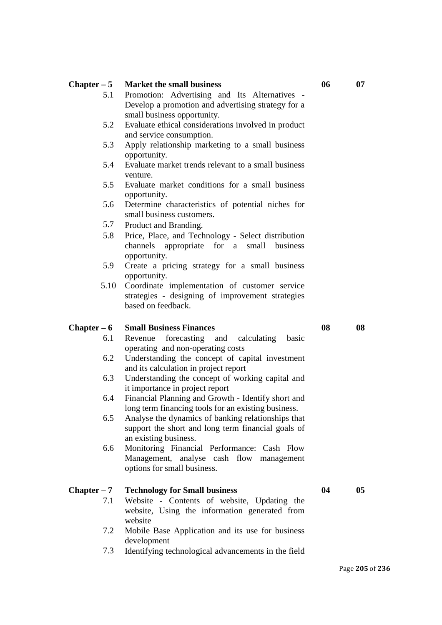#### **Chapter – 5 Market the small business 06 07**

- 5.1 Promotion: Advertising and Its Alternatives Develop a promotion and advertising strategy for a small business opportunity.
- 5.2 Evaluate ethical considerations involved in product and service consumption.
- 5.3 Apply relationship marketing to a small business opportunity.
- 5.4 Evaluate market trends relevant to a small business venture.
- 5.5 Evaluate market conditions for a small business opportunity.
- 5.6 Determine characteristics of potential niches for small business customers.
- 5.7 Product and Branding.
- 5.8 Price, Place, and Technology Select distribution channels appropriate for a small business opportunity.
- 5.9 Create a pricing strategy for a small business opportunity.
- 5.10 Coordinate implementation of customer service strategies - designing of improvement strategies based on feedback.

### **Chapter – 6 Small Business Finances 08 08**

- 6.1 Revenue forecasting and calculating basic operating and non-operating costs
- 6.2 Understanding the concept of capital investment and its calculation in project report
- 6.3 Understanding the concept of working capital and it importance in project report
- 6.4 Financial Planning and Growth Identify short and long term financing tools for an existing business.
- 6.5 Analyse the dynamics of banking relationships that support the short and long term financial goals of an existing business.
- 6.6 Monitoring Financial Performance: Cash Flow Management, analyse cash flow management options for small business.

#### **Chapter – 7 Technology for Small business 04 05**

- 7.1 Website Contents of website, Updating the website, Using the information generated from website
- 7.2 Mobile Base Application and its use for business development
- 7.3 Identifying technological advancements in the field

Page **205** of **236**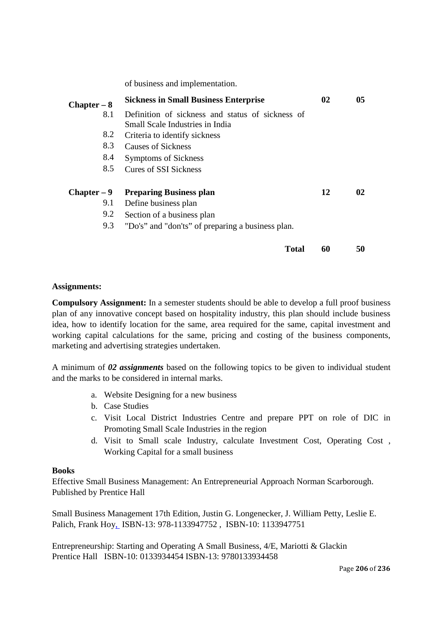of business and implementation.

| $Chapter - 8$ | <b>Sickness in Small Business Enterprise</b>      | 02 | 0 <sub>5</sub>  |
|---------------|---------------------------------------------------|----|-----------------|
| 8.1           | Definition of sickness and status of sickness of  |    |                 |
|               | Small Scale Industries in India                   |    |                 |
| 8.2           | Criteria to identify sickness                     |    |                 |
| 8.3           | <b>Causes of Sickness</b>                         |    |                 |
| 8.4           | <b>Symptoms of Sickness</b>                       |    |                 |
| 8.5           | <b>Cures of SSI Sickness</b>                      |    |                 |
| $Chapter - 9$ | <b>Preparing Business plan</b>                    | 12 | 02 <sub>2</sub> |
| 9.1           | Define business plan                              |    |                 |
| 9.2           | Section of a business plan                        |    |                 |
| 9.3           | "Do's" and "don'ts" of preparing a business plan. |    |                 |
|               | <b>Total</b>                                      | 60 | 50              |

## **Assignments:**

**Compulsory Assignment:** In a semester students should be able to develop a full proof business plan of any innovative concept based on hospitality industry, this plan should include business idea, how to identify location for the same, area required for the same, capital investment and working capital calculations for the same, pricing and costing of the business components, marketing and advertising strategies undertaken.

A minimum of *02 assignments* based on the following topics to be given to individual student and the marks to be considered in internal marks.

- a. Website Designing for a new business
- b. Case Studies
- c. Visit Local District Industries Centre and prepare PPT on role of DIC in Promoting Small Scale Industries in the region
- d. Visit to Small scale Industry, calculate Investment Cost, Operating Cost , Working Capital for a small business

#### **Books**

Effective Small Business Management: An Entrepreneurial Approach Norman Scarborough. Published by Prentice Hall

Small Business Management 17th Edition, Justin G. Longenecker, J. William Petty, Leslie E. Palich, Frank Hoy, ISBN-13: 978-1133947752 , ISBN-10: 1133947751

Entrepreneurship: Starting and Operating A Small Business, 4/E, Mariotti & Glackin Prentice Hall ISBN-10: 0133934454 ISBN-13: 9780133934458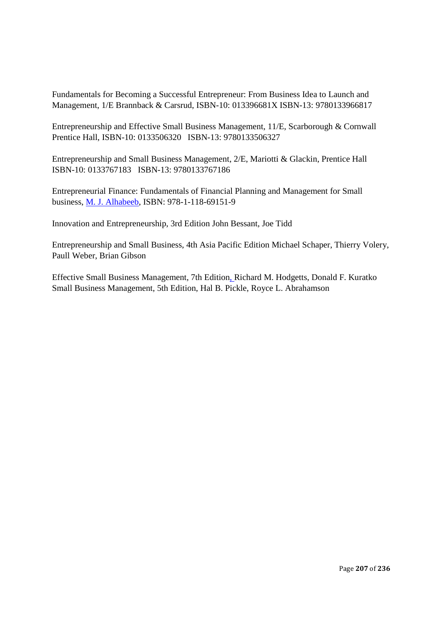Fundamentals for Becoming a Successful Entrepreneur: From Business Idea to Launch and Management, 1/E Brannback & Carsrud, ISBN-10: 013396681X ISBN-13: 9780133966817

Entrepreneurship and Effective Small Business Management, 11/E, Scarborough & Cornwall Prentice Hall, ISBN-10: 0133506320 ISBN-13: 9780133506327

Entrepreneurship and Small Business Management, 2/E, Mariotti & Glackin, Prentice Hall ISBN-10: 0133767183 ISBN-13: 9780133767186

Entrepreneurial Finance: Fundamentals of Financial Planning and Management for Small business, M. J. Alhabeeb, ISBN: 978-1-118-69151-9

Innovation and Entrepreneurship, 3rd Edition John Bessant, Joe Tidd

Entrepreneurship and Small Business, 4th Asia Pacific Edition Michael Schaper, Thierry Volery, Paull Weber, Brian Gibson

Effective Small Business Management, 7th Edition, Richard M. Hodgetts, Donald F. Kuratko Small Business Management, 5th Edition, Hal B. Pickle, Royce L. Abrahamson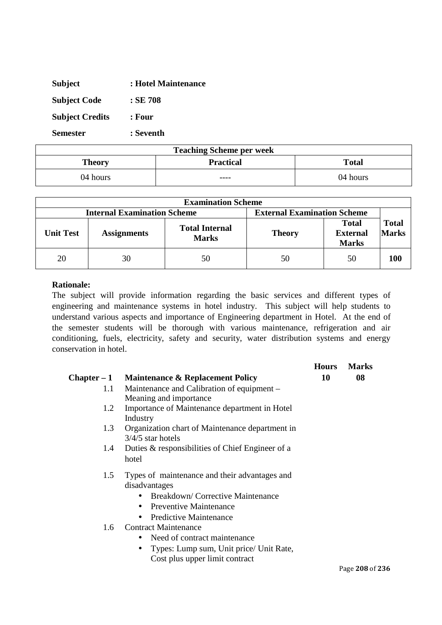| <b>Subject</b>         | : Hotel Maintenance |
|------------------------|---------------------|
| <b>Subject Code</b>    | $:$ SE 708          |
| <b>Subject Credits</b> | : Four              |
| <b>Semester</b>        | : Seventh           |

| <b>Teaching Scheme per week</b> |                  |              |  |  |
|---------------------------------|------------------|--------------|--|--|
| <b>Theory</b>                   | <b>Practical</b> | <b>Total</b> |  |  |
| 04 hours                        | ----             | 04 hours     |  |  |

|                  |                                                                          | <b>Examination Scheme</b>             |               |                                                 |                              |
|------------------|--------------------------------------------------------------------------|---------------------------------------|---------------|-------------------------------------------------|------------------------------|
|                  | <b>Internal Examination Scheme</b><br><b>External Examination Scheme</b> |                                       |               |                                                 |                              |
| <b>Unit Test</b> | <b>Assignments</b>                                                       | <b>Total Internal</b><br><b>Marks</b> | <b>Theory</b> | <b>Total</b><br><b>External</b><br><b>Marks</b> | <b>Total</b><br><b>Marks</b> |
| 20               | 30                                                                       | 50                                    | 50            | 50                                              | 100                          |

The subject will provide information regarding the basic services and different types of engineering and maintenance systems in hotel industry. This subject will help students to understand various aspects and importance of Engineering department in Hotel. At the end of the semester students will be thorough with various maintenance, refrigeration and air conditioning, fuels, electricity, safety and security, water distribution systems and energy conservation in hotel.

|               |                                                           | <b>Hours</b> | <b>Marks</b> |
|---------------|-----------------------------------------------------------|--------------|--------------|
|               | Chapter $-1$ Maintenance & Replacement Policy             | 10           | 08           |
| 1.1           | Maintenance and Calibration of equipment –                |              |              |
|               | Meaning and importance                                    |              |              |
| 1.2           | Importance of Maintenance department in Hotel<br>Industry |              |              |
| 1.3           | Organization chart of Maintenance department in           |              |              |
|               | $3/4/5$ star hotels                                       |              |              |
| 1.4           | Duties & responsibilities of Chief Engineer of a          |              |              |
|               | hotel                                                     |              |              |
| 1.5           | Types of maintenance and their advantages and             |              |              |
|               | disadvantages                                             |              |              |
|               | <b>Breakdown/Corrective Maintenance</b>                   |              |              |
|               | • Preventive Maintenance                                  |              |              |
|               | <b>Predictive Maintenance</b>                             |              |              |
| $1.6^{\circ}$ | <b>Contract Maintenance</b>                               |              |              |
|               | • Need of contract maintenance                            |              |              |
|               | Types: Lump sum, Unit price/ Unit Rate,                   |              |              |
|               | Cost plus upper limit contract                            |              |              |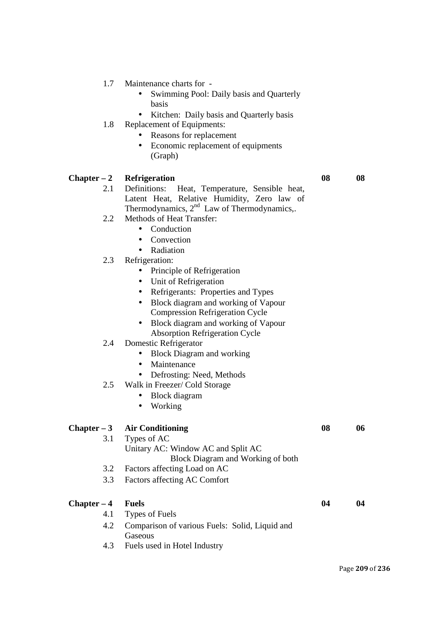- 1.7 Maintenance charts for
	- Swimming Pool: Daily basis and Quarterly basis
	- Kitchen: Daily basis and Quarterly basis
- 1.8 Replacement of Equipments:
	- Reasons for replacement
	- Economic replacement of equipments (Graph)

# Chapter – 2 Refrigeration 08 08

- 2.1 Definitions: Heat, Temperature, Sensible heat, Latent Heat, Relative Humidity, Zero law of Thermodynamics, 2<sup>nd</sup> Law of Thermodynamics,.
- 2.2 Methods of Heat Transfer:
	- Conduction
	- Convection
	- Radiation
- 2.3 Refrigeration:
	- Principle of Refrigeration
	- Unit of Refrigeration
	- Refrigerants: Properties and Types
	- Block diagram and working of Vapour Compression Refrigeration Cycle
	- Block diagram and working of Vapour Absorption Refrigeration Cycle
- 2.4 Domestic Refrigerator
	- Block Diagram and working
	- Maintenance
	- Defrosting: Need, Methods
- 2.5 Walk in Freezer/ Cold Storage
	- Block diagram
	- Working

# Chapter – 3 Air Conditioning 08 06

- 3.1 Types of AC
	- Unitary AC: Window AC and Split AC Block Diagram and Working of both
- 3.2 Factors affecting Load on AC
- 3.3 Factors affecting AC Comfort

# **Chapter – 4 Fuels 04 04 04**

- 4.1 Types of Fuels
- 4.2 Comparison of various Fuels: Solid, Liquid and Gaseous
- 4.3 Fuels used in Hotel Industry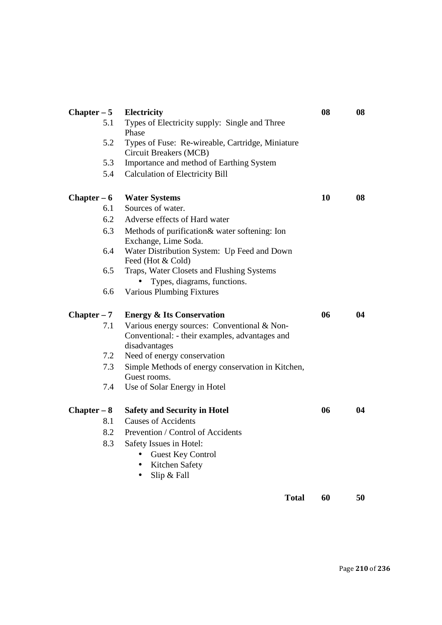| $Chapter - 5$ | <b>Electricity</b>                                | 08 | 08 |
|---------------|---------------------------------------------------|----|----|
| 5.1           | Types of Electricity supply: Single and Three     |    |    |
|               | Phase                                             |    |    |
| 5.2           | Types of Fuse: Re-wireable, Cartridge, Miniature  |    |    |
|               | Circuit Breakers (MCB)                            |    |    |
| 5.3           | Importance and method of Earthing System          |    |    |
| 5.4           | <b>Calculation of Electricity Bill</b>            |    |    |
| $Chapter - 6$ | <b>Water Systems</b>                              | 10 | 08 |
| 6.1           | Sources of water.                                 |    |    |
| 6.2           | Adverse effects of Hard water                     |    |    |
| 6.3           | Methods of purification & water softening: Ion    |    |    |
|               | Exchange, Lime Soda.                              |    |    |
| 6.4           | Water Distribution System: Up Feed and Down       |    |    |
|               | Feed (Hot & Cold)                                 |    |    |
| 6.5           | Traps, Water Closets and Flushing Systems         |    |    |
|               | Types, diagrams, functions.                       |    |    |
| 6.6           | Various Plumbing Fixtures                         |    |    |
| $Chapter - 7$ | <b>Energy &amp; Its Conservation</b>              | 06 | 04 |
| 7.1           | Various energy sources: Conventional & Non-       |    |    |
|               | Conventional: - their examples, advantages and    |    |    |
|               | disadvantages                                     |    |    |
| 7.2           | Need of energy conservation                       |    |    |
| 7.3           | Simple Methods of energy conservation in Kitchen, |    |    |
|               |                                                   |    |    |
|               | Guest rooms.                                      |    |    |
| 7.4           | Use of Solar Energy in Hotel                      |    |    |
| $Chapter - 8$ | <b>Safety and Security in Hotel</b>               | 06 | 04 |
| 8.1           | <b>Causes of Accidents</b>                        |    |    |
| 8.2           | Prevention / Control of Accidents                 |    |    |
|               |                                                   |    |    |
| 8.3           | Safety Issues in Hotel:                           |    |    |
|               | <b>Guest Key Control</b>                          |    |    |
|               | Kitchen Safety<br>Slip & Fall                     |    |    |
|               | <b>Total</b>                                      | 60 | 50 |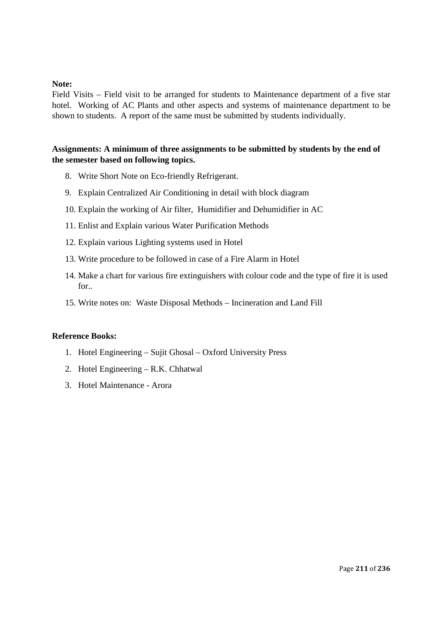## **Note:**

Field Visits – Field visit to be arranged for students to Maintenance department of a five star hotel. Working of AC Plants and other aspects and systems of maintenance department to be shown to students. A report of the same must be submitted by students individually.

## **Assignments: A minimum of three assignments to be submitted by students by the end of the semester based on following topics.**

- 8. Write Short Note on Eco-friendly Refrigerant.
- 9. Explain Centralized Air Conditioning in detail with block diagram
- 10. Explain the working of Air filter, Humidifier and Dehumidifier in AC
- 11. Enlist and Explain various Water Purification Methods
- 12. Explain various Lighting systems used in Hotel
- 13. Write procedure to be followed in case of a Fire Alarm in Hotel
- 14. Make a chart for various fire extinguishers with colour code and the type of fire it is used for..
- 15. Write notes on: Waste Disposal Methods Incineration and Land Fill

#### **Reference Books:**

- 1. Hotel Engineering Sujit Ghosal Oxford University Press
- 2. Hotel Engineering R.K. Chhatwal
- 3. Hotel Maintenance Arora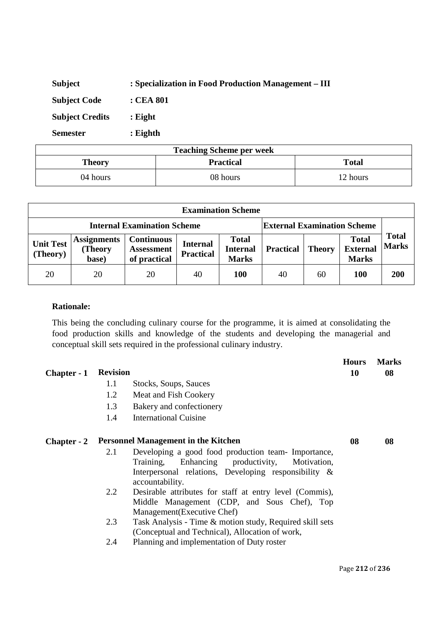| <b>Subject</b>         | : Specialization in Food Production Management – III |
|------------------------|------------------------------------------------------|
| <b>Subject Code</b>    | : CEA 801                                            |
| <b>Subject Credits</b> | $:$ Eight                                            |
| <b>Semester</b>        | $:$ Eighth                                           |

| <b>Teaching Scheme per week</b> |                  |              |  |  |
|---------------------------------|------------------|--------------|--|--|
| Theory                          | <b>Practical</b> | <b>Total</b> |  |  |
| 04 hours                        | 08 hours         | 12 hours     |  |  |

| <b>Examination Scheme</b>    |                                        |                                                                          |                                     |                                                 |                  |               |                                                 |                              |
|------------------------------|----------------------------------------|--------------------------------------------------------------------------|-------------------------------------|-------------------------------------------------|------------------|---------------|-------------------------------------------------|------------------------------|
|                              |                                        | <b>Internal Examination Scheme</b><br><b>External Examination Scheme</b> |                                     |                                                 |                  |               |                                                 |                              |
| <b>Unit Test</b><br>(Theory) | <b>Assignments</b><br>(Theory<br>base) | <b>Continuous</b><br><b>Assessment</b><br>of practical                   | <b>Internal</b><br><b>Practical</b> | <b>Total</b><br><b>Internal</b><br><b>Marks</b> | <b>Practical</b> | <b>Theory</b> | <b>Total</b><br><b>External</b><br><b>Marks</b> | <b>Total</b><br><b>Marks</b> |
| 20                           | 20                                     | 20                                                                       | 40                                  | <b>100</b>                                      | 40               | 60            | <b>100</b>                                      | 200                          |

This being the concluding culinary course for the programme, it is aimed at consolidating the food production skills and knowledge of the students and developing the managerial and conceptual skill sets required in the professional culinary industry.

| <b>Chapter - 1</b> | <b>Revision</b> |                                                                                                                                                                                   | <b>Hours</b><br>10 | <b>Marks</b><br>08 |
|--------------------|-----------------|-----------------------------------------------------------------------------------------------------------------------------------------------------------------------------------|--------------------|--------------------|
|                    | 1.1             | Stocks, Soups, Sauces                                                                                                                                                             |                    |                    |
|                    |                 |                                                                                                                                                                                   |                    |                    |
|                    | 1.2             | Meat and Fish Cookery                                                                                                                                                             |                    |                    |
|                    | 1.3             | Bakery and confectionery                                                                                                                                                          |                    |                    |
|                    | 1.4             | International Cuisine                                                                                                                                                             |                    |                    |
| <b>Chapter</b> - 2 |                 | <b>Personnel Management in the Kitchen</b>                                                                                                                                        | 08                 | 08                 |
|                    | 2.1             | Developing a good food production team-Importance,<br>Training, Enhancing productivity,<br>Motivation,<br>Interpersonal relations, Developing responsibility &<br>accountability. |                    |                    |
|                    | 2.2             | Desirable attributes for staff at entry level (Commis),<br>Middle Management (CDP, and Sous Chef), Top<br>Management (Executive Chef)                                             |                    |                    |
|                    | 2.3             | Task Analysis - Time & motion study, Required skill sets<br>(Conceptual and Technical), Allocation of work,                                                                       |                    |                    |
|                    | 2.4             | Planning and implementation of Duty roster                                                                                                                                        |                    |                    |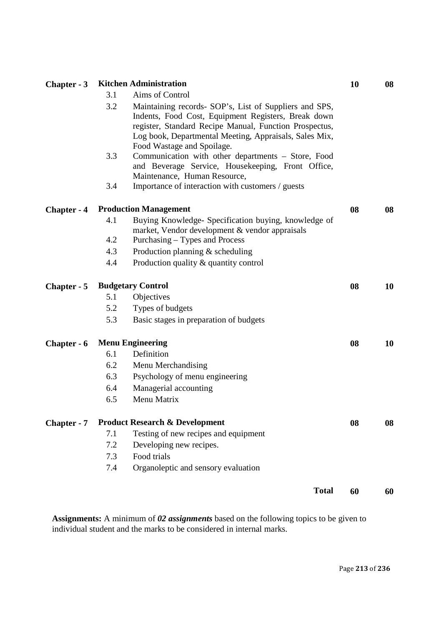| Chapter - 3        |                              | <b>Kitchen Administration</b>                                                                                                                                                                                                                                   | 10 | 08 |
|--------------------|------------------------------|-----------------------------------------------------------------------------------------------------------------------------------------------------------------------------------------------------------------------------------------------------------------|----|----|
|                    | 3.1                          | Aims of Control                                                                                                                                                                                                                                                 |    |    |
|                    | 3.2                          | Maintaining records- SOP's, List of Suppliers and SPS,<br>Indents, Food Cost, Equipment Registers, Break down<br>register, Standard Recipe Manual, Function Prospectus,<br>Log book, Departmental Meeting, Appraisals, Sales Mix,<br>Food Wastage and Spoilage. |    |    |
|                    | 3.3                          | Communication with other departments - Store, Food<br>and Beverage Service, Housekeeping, Front Office,<br>Maintenance, Human Resource,                                                                                                                         |    |    |
|                    | 3.4                          | Importance of interaction with customers / guests                                                                                                                                                                                                               |    |    |
| <b>Chapter - 4</b> | <b>Production Management</b> |                                                                                                                                                                                                                                                                 |    |    |
|                    | 4.1                          | Buying Knowledge- Specification buying, knowledge of<br>market, Vendor development & vendor appraisals                                                                                                                                                          | 08 | 08 |
|                    | 4.2                          | Purchasing – Types and Process                                                                                                                                                                                                                                  |    |    |
|                    | 4.3                          | Production planning $&$ scheduling                                                                                                                                                                                                                              |    |    |
|                    | 4.4                          | Production quality & quantity control                                                                                                                                                                                                                           |    |    |
| Chapter - 5        |                              | <b>Budgetary Control</b>                                                                                                                                                                                                                                        | 08 | 10 |
|                    | 5.1                          | Objectives                                                                                                                                                                                                                                                      |    |    |
|                    | 5.2                          | Types of budgets                                                                                                                                                                                                                                                |    |    |
|                    | 5.3                          | Basic stages in preparation of budgets                                                                                                                                                                                                                          |    |    |
| Chapter - 6        | <b>Menu Engineering</b>      |                                                                                                                                                                                                                                                                 |    | 10 |
|                    | 6.1                          | Definition                                                                                                                                                                                                                                                      |    |    |
|                    | 6.2                          | Menu Merchandising                                                                                                                                                                                                                                              |    |    |
|                    | 6.3                          | Psychology of menu engineering                                                                                                                                                                                                                                  |    |    |
|                    | 6.4                          | Managerial accounting                                                                                                                                                                                                                                           |    |    |
|                    | 6.5                          | Menu Matrix                                                                                                                                                                                                                                                     |    |    |
| Chapter - 7        |                              | <b>Product Research &amp; Development</b>                                                                                                                                                                                                                       | 08 | 08 |
|                    | 7.1                          | Testing of new recipes and equipment                                                                                                                                                                                                                            |    |    |
|                    | 7.2                          | Developing new recipes.                                                                                                                                                                                                                                         |    |    |
|                    | 7.3                          | Food trials                                                                                                                                                                                                                                                     |    |    |
|                    | 7.4                          | Organoleptic and sensory evaluation                                                                                                                                                                                                                             |    |    |
|                    |                              | <b>Total</b>                                                                                                                                                                                                                                                    | 60 | 60 |

**Assignments:** A minimum of *02 assignments* based on the following topics to be given to individual student and the marks to be considered in internal marks.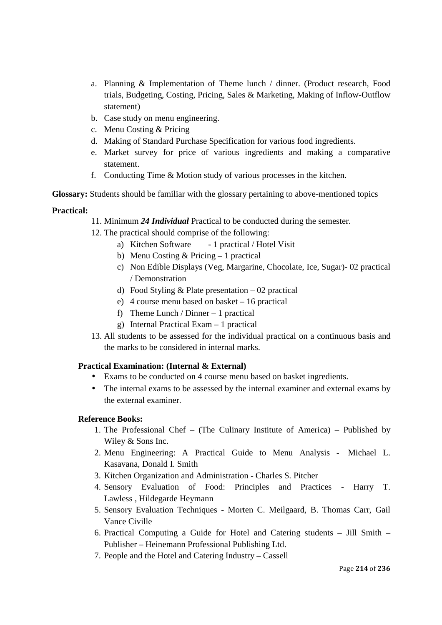- a. Planning & Implementation of Theme lunch / dinner. (Product research, Food trials, Budgeting, Costing, Pricing, Sales & Marketing, Making of Inflow-Outflow statement)
- b. Case study on menu engineering.
- c. Menu Costing & Pricing
- d. Making of Standard Purchase Specification for various food ingredients.
- e. Market survey for price of various ingredients and making a comparative statement.
- f. Conducting Time & Motion study of various processes in the kitchen.

**Glossary:** Students should be familiar with the glossary pertaining to above-mentioned topics

## **Practical:**

- 11. Minimum *24 Individual* Practical to be conducted during the semester.
- 12. The practical should comprise of the following:
	- a) Kitchen Software 1 practical / Hotel Visit
	- b) Menu Costing  $& \text{Pricing} 1 \text{ practical}$
	- c) Non Edible Displays (Veg, Margarine, Chocolate, Ice, Sugar)- 02 practical / Demonstration
	- d) Food Styling & Plate presentation  $-02$  practical
	- e) 4 course menu based on basket 16 practical
	- f) Theme Lunch / Dinner 1 practical
	- g) Internal Practical Exam 1 practical
- 13. All students to be assessed for the individual practical on a continuous basis and the marks to be considered in internal marks.

## **Practical Examination: (Internal & External)**

- Exams to be conducted on 4 course menu based on basket ingredients.
- The internal exams to be assessed by the internal examiner and external exams by the external examiner.

## **Reference Books:**

- 1. The Professional Chef (The Culinary Institute of America) Published by Wiley & Sons Inc.
- 2. Menu Engineering: A Practical Guide to Menu Analysis Michael L. Kasavana, Donald I. Smith
- 3. Kitchen Organization and Administration Charles S. Pitcher
- 4. Sensory Evaluation of Food: Principles and Practices Harry T. Lawless , Hildegarde Heymann
- 5. Sensory Evaluation Techniques Morten C. Meilgaard, B. Thomas Carr, Gail Vance Civille
- 6. Practical Computing a Guide for Hotel and Catering students Jill Smith Publisher – Heinemann Professional Publishing Ltd.
- 7. People and the Hotel and Catering Industry Cassell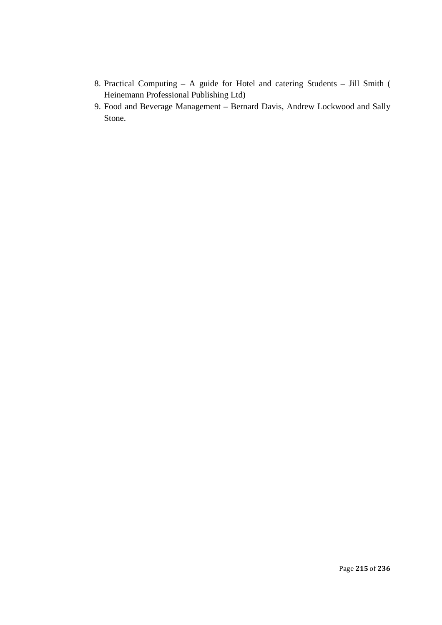- 8. Practical Computing A guide for Hotel and catering Students Jill Smith ( Heinemann Professional Publishing Ltd)
- 9. Food and Beverage Management Bernard Davis, Andrew Lockwood and Sally Stone.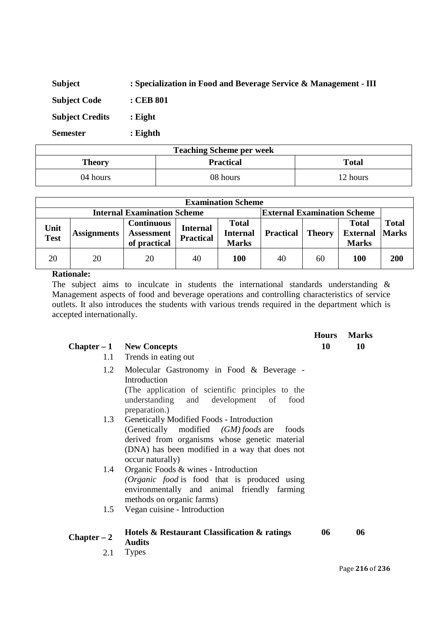| <b>Subject</b>         | : Specialization in Food and Beverage Service & Management - III |  |  |  |  |
|------------------------|------------------------------------------------------------------|--|--|--|--|
| <b>Subject Code</b>    | $:$ CEB 801                                                      |  |  |  |  |
| <b>Subject Credits</b> | $:$ Eight                                                        |  |  |  |  |
| <b>Semester</b>        | $:$ Eighth                                                       |  |  |  |  |

| <b>Teaching Scheme per week</b> |                  |              |  |  |  |
|---------------------------------|------------------|--------------|--|--|--|
| <b>Theory</b>                   | <b>Practical</b> | <b>Total</b> |  |  |  |
| 04 hours                        | 08 hours         | 12 hours     |  |  |  |

| <b>Examination Scheme</b>          |                    |                                                        |                                     |                                                 |                  |               |                                                 |                              |
|------------------------------------|--------------------|--------------------------------------------------------|-------------------------------------|-------------------------------------------------|------------------|---------------|-------------------------------------------------|------------------------------|
| <b>Internal Examination Scheme</b> |                    |                                                        |                                     | <b>External Examination Scheme</b>              |                  |               |                                                 |                              |
| Unit<br><b>Test</b>                | <b>Assignments</b> | <b>Continuous</b><br><b>Assessment</b><br>of practical | <b>Internal</b><br><b>Practical</b> | <b>Total</b><br><b>Internal</b><br><b>Marks</b> | <b>Practical</b> | <b>Theory</b> | <b>Total</b><br><b>External</b><br><b>Marks</b> | <b>Total</b><br><b>Marks</b> |
| 20                                 | 20                 | 20                                                     | 40                                  | <b>100</b>                                      | 40               | 60            | 100                                             | 200                          |

The subject aims to inculcate in students the international standards understanding  $\&$ Management aspects of food and beverage operations and controlling characteristics of service outlets. It also introduces the students with various trends required in the department which is accepted internationally.

|               |                                                                                                                                                                                                                   | <b>Hours</b> | <b>Marks</b> |  |
|---------------|-------------------------------------------------------------------------------------------------------------------------------------------------------------------------------------------------------------------|--------------|--------------|--|
|               | $Chapter -1$ New Concepts                                                                                                                                                                                         | 10           | 10           |  |
|               | 1.1 Trends in eating out                                                                                                                                                                                          |              |              |  |
| 1.2           | Molecular Gastronomy in Food & Beverage -<br>Introduction<br>(The application of scientific principles to the<br>understanding and development of<br>food<br>preparation.)                                        |              |              |  |
| 1.3           | Genetically Modified Foods - Introduction<br>(Genetically modified (GM) foods are<br>foods<br>derived from organisms whose genetic material<br>(DNA) has been modified in a way that does not<br>occur naturally) |              |              |  |
| 1.4           | Organic Foods & wines - Introduction<br>(Organic food is food that is produced using<br>environmentally and animal friendly farming<br>methods on organic farms)                                                  |              |              |  |
| 1.5           | Vegan cuisine - Introduction                                                                                                                                                                                      |              |              |  |
| $Chapter - 2$ | Hotels & Restaurant Classification & ratings<br><b>Audits</b>                                                                                                                                                     | 06           | 06           |  |
| $\sim$ 1      | $\mathbf{r}$                                                                                                                                                                                                      |              |              |  |

2.1 Types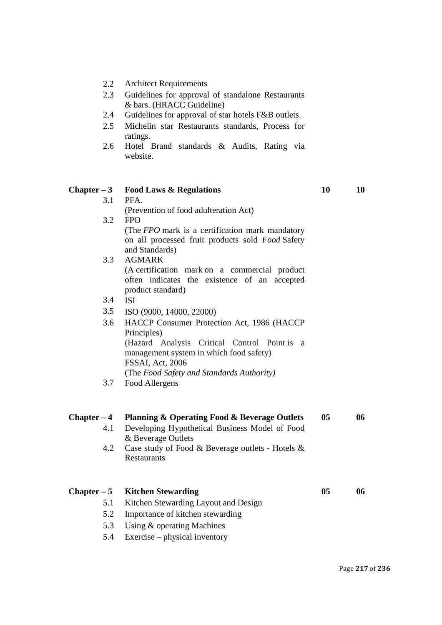- 2.2 Architect Requirements
- 2.3 Guidelines for approval of standalone Restaurants & bars. (HRACC Guideline)
- 2.4 Guidelines for approval of star hotels F&B outlets.
- 2.5 Michelin star Restaurants standards, Process for ratings.
- 2.6 Hotel Brand standards & Audits, Rating via website.

| $Chapter - 3$ | <b>Food Laws &amp; Regulations</b>                                     | 10             | 10 |
|---------------|------------------------------------------------------------------------|----------------|----|
| 3.1           | PFA.                                                                   |                |    |
|               | (Prevention of food adulteration Act)                                  |                |    |
| 3.2           | <b>FPO</b>                                                             |                |    |
|               | (The FPO mark is a certification mark mandatory                        |                |    |
|               | on all processed fruit products sold Food Safety<br>and Standards)     |                |    |
| 3.3           | <b>AGMARK</b>                                                          |                |    |
|               | (A certification mark on a commercial product)                         |                |    |
|               | often indicates the existence of an accepted                           |                |    |
|               | product standard)                                                      |                |    |
| 3.4           | <b>ISI</b>                                                             |                |    |
| 3.5           | ISO (9000, 14000, 22000)                                               |                |    |
| 3.6           | HACCP Consumer Protection Act, 1986 (HACCP                             |                |    |
|               | Principles)                                                            |                |    |
|               | (Hazard Analysis Critical Control Point is<br><sub>a</sub>             |                |    |
|               | management system in which food safety)                                |                |    |
|               | FSSAI, Act, 2006                                                       |                |    |
|               | (The Food Safety and Standards Authority)                              |                |    |
| 3.7           | Food Allergens                                                         |                |    |
|               |                                                                        |                |    |
| $Chapter - 4$ | Planning & Operating Food & Beverage Outlets                           | 0 <sub>5</sub> | 06 |
| 4.1           | Developing Hypothetical Business Model of Food                         |                |    |
|               | & Beverage Outlets                                                     |                |    |
| 4.2           | Case study of Food & Beverage outlets - Hotels &<br><b>Restaurants</b> |                |    |
|               |                                                                        |                |    |
| $Chapter - 5$ | <b>Kitchen Stewarding</b>                                              | 05             | 06 |
| 5.1           | Kitchen Stewarding Layout and Design                                   |                |    |
| 5.2           | Importance of kitchen stewarding                                       |                |    |
| 5.3           | Using & operating Machines                                             |                |    |
| 5.4           | Exercise – physical inventory                                          |                |    |
|               |                                                                        |                |    |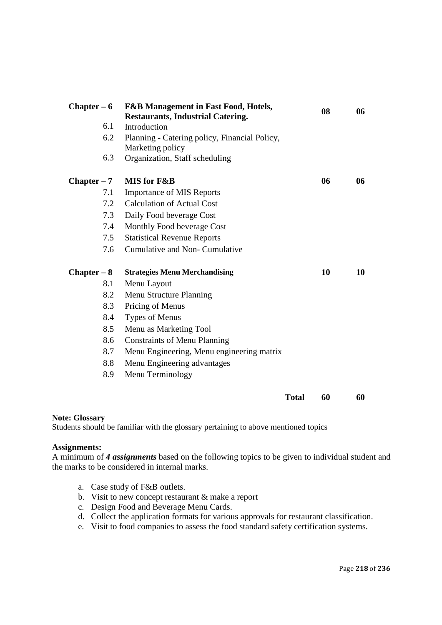| Chapter $-6$  | <b>F&amp;B Management in Fast Food, Hotels,</b>                   |              | 08 | 06 |
|---------------|-------------------------------------------------------------------|--------------|----|----|
| 6.1           | <b>Restaurants, Industrial Catering.</b><br>Introduction          |              |    |    |
| 6.2           |                                                                   |              |    |    |
|               | Planning - Catering policy, Financial Policy,<br>Marketing policy |              |    |    |
| 6.3           | Organization, Staff scheduling                                    |              |    |    |
| $Chapter - 7$ | <b>MIS for F&amp;B</b>                                            |              | 06 | 06 |
| 7.1           | <b>Importance of MIS Reports</b>                                  |              |    |    |
| 7.2           | <b>Calculation of Actual Cost</b>                                 |              |    |    |
| 7.3           | Daily Food beverage Cost                                          |              |    |    |
| 7.4           | Monthly Food beverage Cost                                        |              |    |    |
| 7.5           | <b>Statistical Revenue Reports</b>                                |              |    |    |
| 7.6           | Cumulative and Non-Cumulative                                     |              |    |    |
| $Chapter - 8$ | <b>Strategies Menu Merchandising</b>                              |              | 10 | 10 |
| 8.1           | Menu Layout                                                       |              |    |    |
| 8.2           | Menu Structure Planning                                           |              |    |    |
| 8.3           | Pricing of Menus                                                  |              |    |    |
| 8.4           | Types of Menus                                                    |              |    |    |
| 8.5           | Menu as Marketing Tool                                            |              |    |    |
| 8.6           | <b>Constraints of Menu Planning</b>                               |              |    |    |
| 8.7           | Menu Engineering, Menu engineering matrix                         |              |    |    |
| 8.8           | Menu Engineering advantages                                       |              |    |    |
| 8.9           | Menu Terminology                                                  |              |    |    |
|               |                                                                   | <b>Total</b> | 60 | 60 |

#### **Note: Glossary**

Students should be familiar with the glossary pertaining to above mentioned topics

#### **Assignments:**

A minimum of *4 assignments* based on the following topics to be given to individual student and the marks to be considered in internal marks.

- a. Case study of F&B outlets.
- b. Visit to new concept restaurant & make a report
- c. Design Food and Beverage Menu Cards.
- d. Collect the application formats for various approvals for restaurant classification.
- e. Visit to food companies to assess the food standard safety certification systems.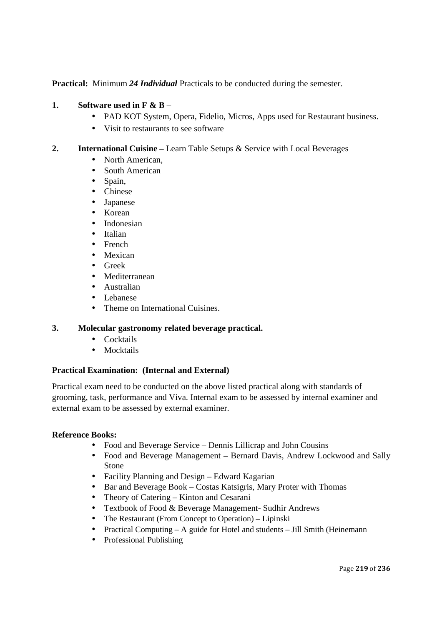**Practical:** Minimum *24 Individual* Practicals to be conducted during the semester.

## **1. Software used in F & B** –

- PAD KOT System, Opera, Fidelio, Micros, Apps used for Restaurant business.
- Visit to restaurants to see software

#### **2. International Cuisine –** Learn Table Setups & Service with Local Beverages

- North American,
- South American
- Spain,
- Chinese
- Japanese
- Korean
- Indonesian
- Italian
- French
- Mexican
- Greek
- Mediterranean
- Australian
- Lebanese
- Theme on International Cuisines.

#### **3. Molecular gastronomy related beverage practical.**

- Cocktails
- Mocktails

#### **Practical Examination: (Internal and External)**

Practical exam need to be conducted on the above listed practical along with standards of grooming, task, performance and Viva. Internal exam to be assessed by internal examiner and external exam to be assessed by external examiner.

#### **Reference Books:**

- Food and Beverage Service Dennis Lillicrap and John Cousins
- Food and Beverage Management Bernard Davis, Andrew Lockwood and Sally Stone
- Facility Planning and Design Edward Kagarian
- Bar and Beverage Book Costas Katsigris, Mary Proter with Thomas
- Theory of Catering Kinton and Cesarani
- Textbook of Food & Beverage Management- Sudhir Andrews
- The Restaurant (From Concept to Operation) Lipinski
- Practical Computing A guide for Hotel and students Jill Smith (Heinemann
- Professional Publishing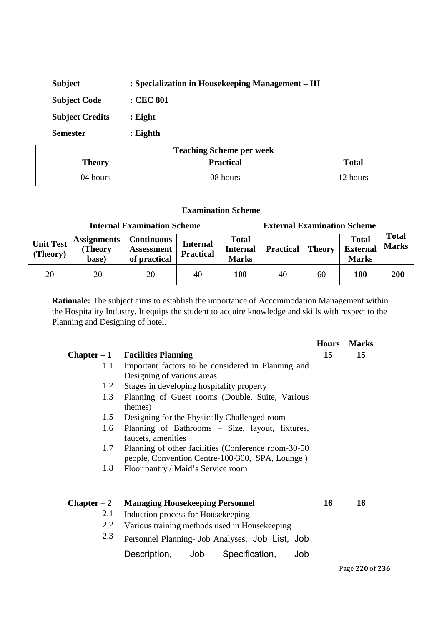| <b>Subject</b>         | : Specialization in Housekeeping Management – III |
|------------------------|---------------------------------------------------|
| <b>Subject Code</b>    | $\cdot$ CEC 801                                   |
| <b>Subject Credits</b> | $:$ Eight                                         |
| <b>Semester</b>        | $:$ Eighth                                        |

| <b>Teaching Scheme per week</b> |                  |              |  |
|---------------------------------|------------------|--------------|--|
| <b>Theory</b>                   | <b>Practical</b> | <b>Total</b> |  |
| 04 hours                        | 08 hours         | 12 hours     |  |

| <b>Examination Scheme</b>                                                |                                        |                                                        |                                     |                                                 |           |               |                                                 |                              |
|--------------------------------------------------------------------------|----------------------------------------|--------------------------------------------------------|-------------------------------------|-------------------------------------------------|-----------|---------------|-------------------------------------------------|------------------------------|
| <b>Internal Examination Scheme</b><br><b>External Examination Scheme</b> |                                        |                                                        |                                     |                                                 |           |               |                                                 |                              |
| <b>Unit Test</b><br>(Theory)                                             | <b>Assignments</b><br>(Theory<br>base) | <b>Continuous</b><br><b>Assessment</b><br>of practical | <b>Internal</b><br><b>Practical</b> | <b>Total</b><br><b>Internal</b><br><b>Marks</b> | Practical | <b>Theory</b> | <b>Total</b><br><b>External</b><br><b>Marks</b> | <b>Total</b><br><b>Marks</b> |
| 20                                                                       | 20                                     | 20                                                     | 40                                  | <b>100</b>                                      | 40        | 60            | 100                                             | 200                          |

**Rationale:** The subject aims to establish the importance of Accommodation Management within the Hospitality Industry. It equips the student to acquire knowledge and skills with respect to the Planning and Designing of hotel.

|               |                                                                                                         | <b>Hours</b> | <b>Marks</b> |
|---------------|---------------------------------------------------------------------------------------------------------|--------------|--------------|
|               | Chapter $-1$ Facilities Planning                                                                        | 15           | 15           |
| 1.1           | Important factors to be considered in Planning and                                                      |              |              |
|               | Designing of various areas                                                                              |              |              |
| 1.2           | Stages in developing hospitality property                                                               |              |              |
| 1.3           | Planning of Guest rooms (Double, Suite, Various<br>themes)                                              |              |              |
| 1.5           | Designing for the Physically Challenged room                                                            |              |              |
| 1.6           | Planning of Bathrooms - Size, layout, fixtures,<br>faucets, amenities                                   |              |              |
| 1.7           | Planning of other facilities (Conference room-30-50)<br>people, Convention Centre-100-300, SPA, Lounge) |              |              |
| 1.8           | Floor pantry / Maid's Service room                                                                      |              |              |
| $Chapter - 2$ | <b>Managing Housekeeping Personnel</b>                                                                  | 16           | 16           |
| 2.1           | Induction process for Housekeeping                                                                      |              |              |
| 2.2           | Various training methods used in Housekeeping                                                           |              |              |
| 2.3           | Personnel Planning- Job Analyses, Job List, Job                                                         |              |              |
|               | Description, Job<br>Specification,<br>Job                                                               |              |              |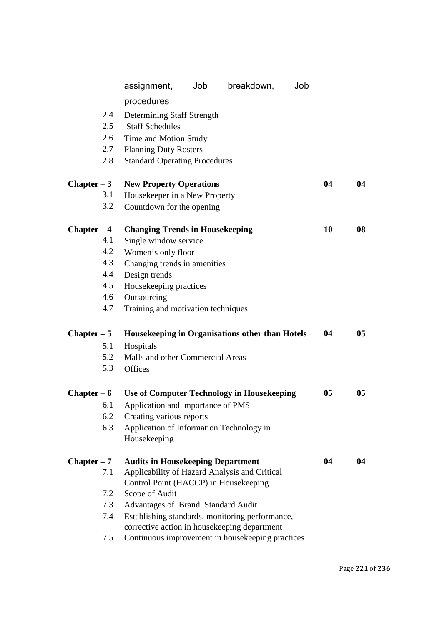|               | assignment,                              | Job | breakdown,                                        | Job |    |                 |
|---------------|------------------------------------------|-----|---------------------------------------------------|-----|----|-----------------|
|               | procedures                               |     |                                                   |     |    |                 |
| 2.4           | Determining Staff Strength               |     |                                                   |     |    |                 |
| 2.5           | <b>Staff Schedules</b>                   |     |                                                   |     |    |                 |
| 2.6           | Time and Motion Study                    |     |                                                   |     |    |                 |
| 2.7           | <b>Planning Duty Rosters</b>             |     |                                                   |     |    |                 |
| 2.8           | <b>Standard Operating Procedures</b>     |     |                                                   |     |    |                 |
| $Chapter - 3$ | <b>New Property Operations</b>           |     |                                                   |     | 04 | 04              |
| 3.1           | Housekeeper in a New Property            |     |                                                   |     |    |                 |
| 3.2           | Countdown for the opening                |     |                                                   |     |    |                 |
| $Chapter - 4$ | <b>Changing Trends in Housekeeping</b>   |     |                                                   |     | 10 | 08              |
| 4.1           | Single window service                    |     |                                                   |     |    |                 |
| 4.2           | Women's only floor                       |     |                                                   |     |    |                 |
| 4.3           | Changing trends in amenities             |     |                                                   |     |    |                 |
| 4.4           | Design trends                            |     |                                                   |     |    |                 |
| 4.5           | Housekeeping practices                   |     |                                                   |     |    |                 |
| 4.6           | Outsourcing                              |     |                                                   |     |    |                 |
| 4.7           | Training and motivation techniques       |     |                                                   |     |    |                 |
| $Chapter - 5$ |                                          |     | Housekeeping in Organisations other than Hotels   |     | 04 | 05 <sub>1</sub> |
| 5.1           | Hospitals                                |     |                                                   |     |    |                 |
| 5.2           | Malls and other Commercial Areas         |     |                                                   |     |    |                 |
| 5.3           | Offices                                  |     |                                                   |     |    |                 |
| $Chapter - 6$ |                                          |     | <b>Use of Computer Technology in Housekeeping</b> |     | 05 | 05              |
| 6.1           | Application and importance of PMS        |     |                                                   |     |    |                 |
| 6.2           | Creating various reports                 |     |                                                   |     |    |                 |
| 6.3           | Application of Information Technology in |     |                                                   |     |    |                 |
|               | Housekeeping                             |     |                                                   |     |    |                 |
| $Chapter - 7$ | <b>Audits in Housekeeping Department</b> |     |                                                   |     | 04 | 04              |
| 7.1           |                                          |     | Applicability of Hazard Analysis and Critical     |     |    |                 |
|               | Control Point (HACCP) in Housekeeping    |     |                                                   |     |    |                 |
| 7.2           | Scope of Audit                           |     |                                                   |     |    |                 |
| 7.3           | Advantages of Brand Standard Audit       |     |                                                   |     |    |                 |
| 7.4           |                                          |     | Establishing standards, monitoring performance,   |     |    |                 |
|               |                                          |     | corrective action in housekeeping department      |     |    |                 |
| 7.5           |                                          |     | Continuous improvement in housekeeping practices  |     |    |                 |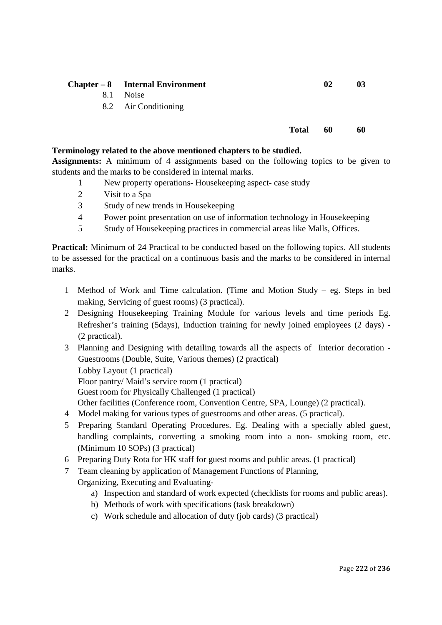#### **Chapter – 8 Internal Environment 02 03**

- 8.1 Noise
- 8.2 Air Conditioning

#### **Total 60 60**

#### **Terminology related to the above mentioned chapters to be studied.**

**Assignments:** A minimum of 4 assignments based on the following topics to be given to students and the marks to be considered in internal marks.

- 1 New property operations- Housekeeping aspect- case study
- 2 Visit to a Spa
- 3 Study of new trends in Housekeeping
- 4 Power point presentation on use of information technology in Housekeeping
- 5 Study of Housekeeping practices in commercial areas like Malls, Offices.

**Practical:** Minimum of 24 Practical to be conducted based on the following topics. All students to be assessed for the practical on a continuous basis and the marks to be considered in internal marks.

- 1 Method of Work and Time calculation. (Time and Motion Study eg. Steps in bed making, Servicing of guest rooms) (3 practical).
- 2 Designing Housekeeping Training Module for various levels and time periods Eg. Refresher's training (5days), Induction training for newly joined employees (2 days) - (2 practical).
- 3 Planning and Designing with detailing towards all the aspects of Interior decoration Guestrooms (Double, Suite, Various themes) (2 practical)

Lobby Layout (1 practical)

Floor pantry/ Maid's service room (1 practical)

Guest room for Physically Challenged (1 practical)

- Other facilities (Conference room, Convention Centre, SPA, Lounge) (2 practical).
- 4 Model making for various types of guestrooms and other areas. (5 practical).
- 5 Preparing Standard Operating Procedures. Eg. Dealing with a specially abled guest, handling complaints, converting a smoking room into a non- smoking room, etc. (Minimum 10 SOPs) (3 practical)
- 6 Preparing Duty Rota for HK staff for guest rooms and public areas. (1 practical)
- 7 Team cleaning by application of Management Functions of Planning, Organizing, Executing and Evaluating
	- a) Inspection and standard of work expected (checklists for rooms and public areas).
	- b) Methods of work with specifications (task breakdown)
	- c) Work schedule and allocation of duty (job cards) (3 practical)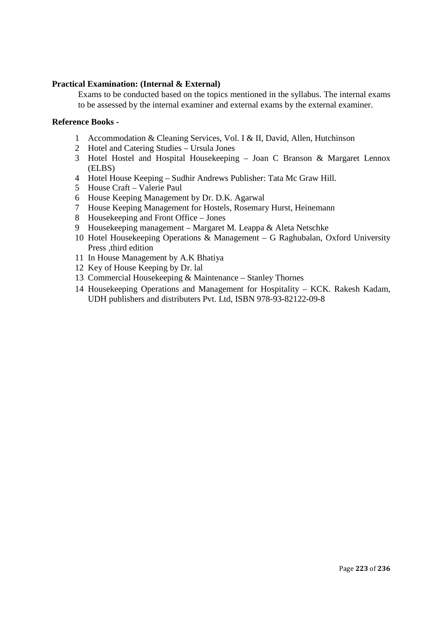#### **Practical Examination: (Internal & External)**

Exams to be conducted based on the topics mentioned in the syllabus. The internal exams to be assessed by the internal examiner and external exams by the external examiner.

#### **Reference Books -**

- Accommodation & Cleaning Services, Vol. I & II, David, Allen, Hutchinson
- Hotel and Catering Studies Ursula Jones
- Hotel Hostel and Hospital Housekeeping Joan C Branson & Margaret Lennox (ELBS)
- Hotel House Keeping Sudhir Andrews Publisher: Tata Mc Graw Hill.
- House Craft Valerie Paul
- House Keeping Management by Dr. D.K. Agarwal
- House Keeping Management for Hostels, Rosemary Hurst, Heinemann
- Housekeeping and Front Office Jones
- Housekeeping management Margaret M. Leappa & Aleta Netschke
- Hotel Housekeeping Operations & Management G Raghubalan, Oxford University Press ,third edition
- In House Management by A.K Bhatiya
- Key of House Keeping by Dr. lal
- Commercial Housekeeping & Maintenance Stanley Thornes
- Housekeeping Operations and Management for Hospitality KCK. Rakesh Kadam, UDH publishers and distributers Pvt. Ltd, ISBN 978-93-82122-09-8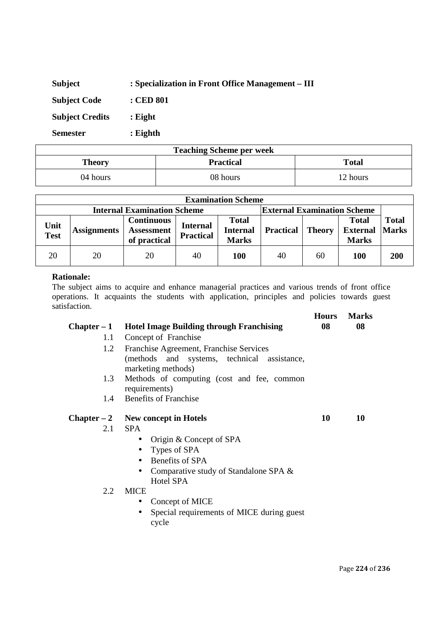| <b>Subject</b>         | : Specialization in Front Office Management – III |
|------------------------|---------------------------------------------------|
| <b>Subject Code</b>    | $:$ CED 801                                       |
| <b>Subject Credits</b> | $:$ Eight                                         |
| <b>Semester</b>        | $:$ Eighth                                        |

| <b>Teaching Scheme per week</b>            |          |          |  |  |
|--------------------------------------------|----------|----------|--|--|
| <b>Total</b><br><b>Practical</b><br>Theory |          |          |  |  |
| 04 hours                                   | 08 hours | 12 hours |  |  |

| <b>Examination Scheme</b> |                    |                                                        |                                     |                                                 |                                    |               |                                                 |                              |
|---------------------------|--------------------|--------------------------------------------------------|-------------------------------------|-------------------------------------------------|------------------------------------|---------------|-------------------------------------------------|------------------------------|
|                           |                    | <b>Internal Examination Scheme</b>                     |                                     |                                                 | <b>External Examination Scheme</b> |               |                                                 |                              |
| Unit<br><b>Test</b>       | <b>Assignments</b> | <b>Continuous</b><br><b>Assessment</b><br>of practical | <b>Internal</b><br><b>Practical</b> | <b>Total</b><br><b>Internal</b><br><b>Marks</b> | <b>Practical</b>                   | <b>Theory</b> | <b>Total</b><br><b>External</b><br><b>Marks</b> | <b>Total</b><br><b>Marks</b> |
| 20                        | 20                 | 20                                                     | 40                                  | <b>100</b>                                      | 40                                 | 60            | 100                                             | 200                          |

The subject aims to acquire and enhance managerial practices and various trends of front office operations. It acquaints the students with application, principles and policies towards guest satisfaction.

| $Chapter - 1$<br>1.1<br>1.2 | <b>Hotel Image Building through Franchising</b><br>Concept of Franchise<br>Franchise Agreement, Franchise Services | <b>Hours</b><br>08 | <b>Marks</b><br>08 |
|-----------------------------|--------------------------------------------------------------------------------------------------------------------|--------------------|--------------------|
|                             | (methods and systems, technical assistance,<br>marketing methods)                                                  |                    |                    |
| 1.3                         | Methods of computing (cost and fee, common<br>requirements)                                                        |                    |                    |
| 1.4                         | <b>Benefits of Franchise</b>                                                                                       |                    |                    |
|                             | Chapter $-2$ New concept in Hotels                                                                                 | 10                 | 10                 |
| 2.1                         | <b>SPA</b>                                                                                                         |                    |                    |
|                             | Origin & Concept of SPA<br>$\bullet$                                                                               |                    |                    |
|                             | Types of SPA                                                                                                       |                    |                    |
|                             | Benefits of SPA<br>$\bullet$                                                                                       |                    |                    |
|                             | Comparative study of Standalone SPA &                                                                              |                    |                    |
|                             | Hotel SPA                                                                                                          |                    |                    |
| 2.2                         | <b>MICE</b><br>Concept of MICE                                                                                     |                    |                    |
|                             |                                                                                                                    |                    |                    |
|                             | Special requirements of MICE during guest<br>cycle                                                                 |                    |                    |
|                             |                                                                                                                    |                    |                    |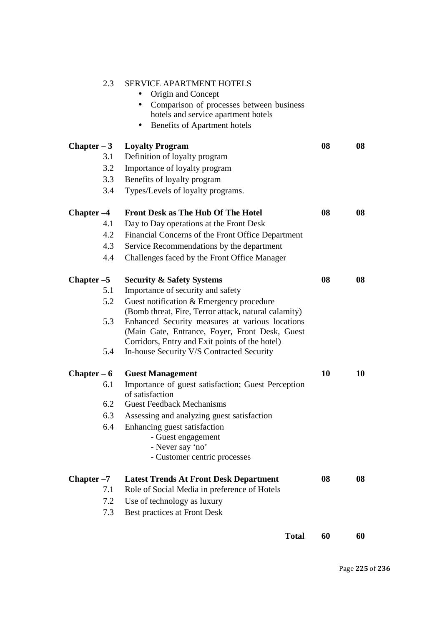| 2.3           | SERVICE APARTMENT HOTELS                                                                    |    |    |
|---------------|---------------------------------------------------------------------------------------------|----|----|
|               | Origin and Concept                                                                          |    |    |
|               | Comparison of processes between business<br>$\bullet$                                       |    |    |
|               | hotels and service apartment hotels                                                         |    |    |
|               | <b>Benefits of Apartment hotels</b>                                                         |    |    |
| $Chapter - 3$ | <b>Loyalty Program</b>                                                                      | 08 | 08 |
| 3.1           | Definition of loyalty program                                                               |    |    |
| 3.2           | Importance of loyalty program                                                               |    |    |
| 3.3           | Benefits of loyalty program                                                                 |    |    |
| 3.4           | Types/Levels of loyalty programs.                                                           |    |    |
| $Chapter -4$  | <b>Front Desk as The Hub Of The Hotel</b>                                                   | 08 | 08 |
| 4.1           | Day to Day operations at the Front Desk                                                     |    |    |
| 4.2           | Financial Concerns of the Front Office Department                                           |    |    |
| 4.3           | Service Recommendations by the department                                                   |    |    |
| 4.4           | Challenges faced by the Front Office Manager                                                |    |    |
| $Chapter -5$  | <b>Security &amp; Safety Systems</b>                                                        | 08 | 08 |
| 5.1           | Importance of security and safety                                                           |    |    |
| 5.2           | Guest notification & Emergency procedure                                                    |    |    |
|               | (Bomb threat, Fire, Terror attack, natural calamity)                                        |    |    |
| 5.3           | Enhanced Security measures at various locations                                             |    |    |
|               | (Main Gate, Entrance, Foyer, Front Desk, Guest                                              |    |    |
| 5.4           | Corridors, Entry and Exit points of the hotel)<br>In-house Security V/S Contracted Security |    |    |
|               |                                                                                             |    |    |
| $Chapter - 6$ | <b>Guest Management</b>                                                                     | 10 | 10 |
| 6.1           | Importance of guest satisfaction; Guest Perception                                          |    |    |
|               | of satisfaction                                                                             |    |    |
| 6.2           | <b>Guest Feedback Mechanisms</b>                                                            |    |    |
| 6.3           | Assessing and analyzing guest satisfaction                                                  |    |    |
| 6.4           | Enhancing guest satisfaction                                                                |    |    |
|               | - Guest engagement<br>- Never say 'no'                                                      |    |    |
|               | - Customer centric processes                                                                |    |    |
|               |                                                                                             |    |    |
| Chapter-7     | <b>Latest Trends At Front Desk Department</b>                                               | 08 | 08 |
| 7.1           | Role of Social Media in preference of Hotels                                                |    |    |
| 7.2           | Use of technology as luxury                                                                 |    |    |
| 7.3           | Best practices at Front Desk                                                                |    |    |
|               | <b>Total</b>                                                                                | 60 | 60 |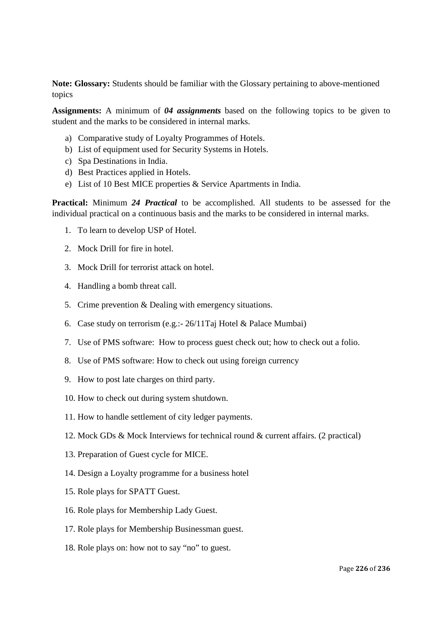**Note: Glossary:** Students should be familiar with the Glossary pertaining to above-mentioned topics

**Assignments:** A minimum of *04 assignments* based on the following topics to be given to student and the marks to be considered in internal marks.

- a) Comparative study of Loyalty Programmes of Hotels.
- b) List of equipment used for Security Systems in Hotels.
- c) Spa Destinations in India.
- d) Best Practices applied in Hotels.
- e) List of 10 Best MICE properties & Service Apartments in India.

**Practical:** Minimum *24 Practical* to be accomplished. All students to be assessed for the individual practical on a continuous basis and the marks to be considered in internal marks.

- 1. To learn to develop USP of Hotel.
- 2. Mock Drill for fire in hotel.
- 3. Mock Drill for terrorist attack on hotel.
- 4. Handling a bomb threat call.
- 5. Crime prevention & Dealing with emergency situations.
- 6. Case study on terrorism (e.g.:- 26/11Taj Hotel & Palace Mumbai)
- 7. Use of PMS software: How to process guest check out; how to check out a folio.
- 8. Use of PMS software: How to check out using foreign currency
- 9. How to post late charges on third party.
- 10. How to check out during system shutdown.
- 11. How to handle settlement of city ledger payments.
- 12. Mock GDs & Mock Interviews for technical round & current affairs. (2 practical)
- 13. Preparation of Guest cycle for MICE.
- 14. Design a Loyalty programme for a business hotel
- 15. Role plays for SPATT Guest.
- 16. Role plays for Membership Lady Guest.
- 17. Role plays for Membership Businessman guest.
- 18. Role plays on: how not to say "no" to guest.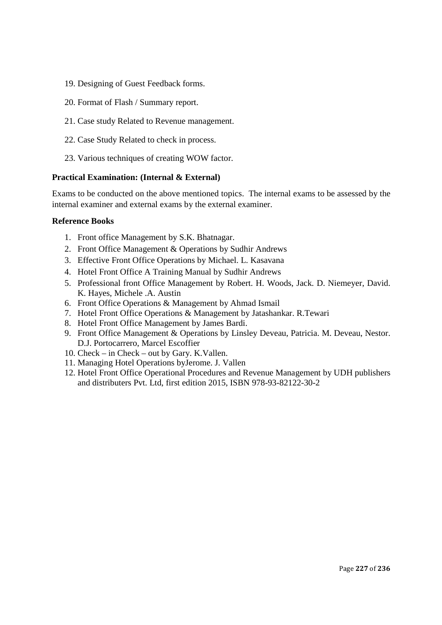- 19. Designing of Guest Feedback forms.
- 20. Format of Flash / Summary report.
- 21. Case study Related to Revenue management.
- 22. Case Study Related to check in process.
- 23. Various techniques of creating WOW factor.

#### **Practical Examination: (Internal & External)**

Exams to be conducted on the above mentioned topics. The internal exams to be assessed by the internal examiner and external exams by the external examiner.

#### **Reference Books**

- 1. Front office Management by S.K. Bhatnagar.
- 2. Front Office Management & Operations by Sudhir Andrews
- 3. Effective Front Office Operations by Michael. L. Kasavana
- 4. Hotel Front Office A Training Manual by Sudhir Andrews
- 5. Professional front Office Management by Robert. H. Woods, Jack. D. Niemeyer, David. K. Hayes, Michele .A. Austin
- 6. Front Office Operations & Management by Ahmad Ismail
- 7. Hotel Front Office Operations & Management by Jatashankar. R.Tewari
- 8. Hotel Front Office Management by James Bardi.
- 9. Front Office Management & Operations by Linsley Deveau, Patricia. M. Deveau, Nestor. D.J. Portocarrero, Marcel Escoffier
- 10. Check in Check out by Gary. K.Vallen.
- 11. Managing Hotel Operations byJerome. J. Vallen
- 12. Hotel Front Office Operational Procedures and Revenue Management by UDH publishers and distributers Pvt. Ltd, first edition 2015, ISBN 978-93-82122-30-2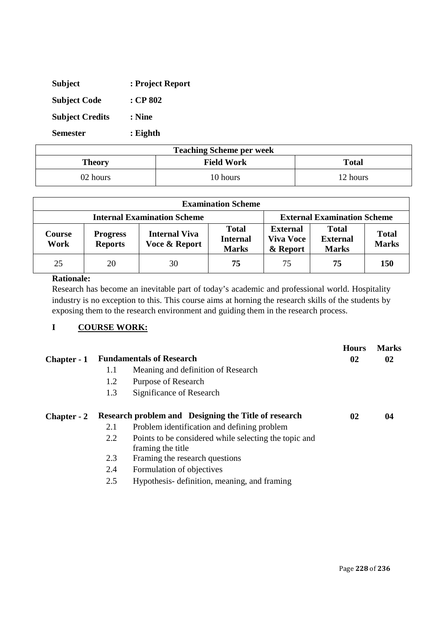| <b>Subject</b>         | : Project Report    |
|------------------------|---------------------|
| <b>Subject Code</b>    | $\therefore$ CP 802 |
| <b>Subject Credits</b> | : Nine              |
| <b>Semester</b>        | : Eighth            |

| <b>Teaching Scheme per week</b>             |          |          |  |
|---------------------------------------------|----------|----------|--|
| <b>Field Work</b><br><b>Total</b><br>Theory |          |          |  |
| 02 hours                                    | 10 hours | 12 hours |  |

|                       | <b>Examination Scheme</b>                                                                                                     |    |    |                                                 |                                                 |                              |
|-----------------------|-------------------------------------------------------------------------------------------------------------------------------|----|----|-------------------------------------------------|-------------------------------------------------|------------------------------|
|                       | <b>External Examination Scheme</b><br><b>Internal Examination Scheme</b>                                                      |    |    |                                                 |                                                 |                              |
| <b>Course</b><br>Work | <b>Total</b><br><b>Internal Viva</b><br><b>Progress</b><br><b>Internal</b><br><b>Reports</b><br>Voce & Report<br><b>Marks</b> |    |    | <b>External</b><br><b>Viva Voce</b><br>& Report | <b>Total</b><br><b>External</b><br><b>Marks</b> | <b>Total</b><br><b>Marks</b> |
| 25                    | 20                                                                                                                            | 30 | 75 | 75                                              | 75                                              | 150                          |

Research has become an inevitable part of today's academic and professional world. Hospitality industry is no exception to this. This course aims at horning the research skills of the students by exposing them to the research environment and guiding them in the research process.

# **I COURSE WORK:**

|                    |     |                                                                            | <b>Hours</b> | <b>Marks</b> |
|--------------------|-----|----------------------------------------------------------------------------|--------------|--------------|
| <b>Chapter</b> - 1 |     | <b>Fundamentals of Research</b>                                            | 02           | 02           |
|                    | 1.1 | Meaning and definition of Research                                         |              |              |
|                    | 1.2 | Purpose of Research                                                        |              |              |
|                    | 1.3 | Significance of Research                                                   |              |              |
| <b>Chapter</b> - 2 |     | Research problem and Designing the Title of research                       | 02           | 04           |
|                    | 2.1 | Problem identification and defining problem                                |              |              |
|                    | 2.2 | Points to be considered while selecting the topic and<br>framing the title |              |              |
|                    | 2.3 | Framing the research questions                                             |              |              |
|                    | 2.4 | Formulation of objectives                                                  |              |              |
|                    | 2.5 | Hypothesis- definition, meaning, and framing                               |              |              |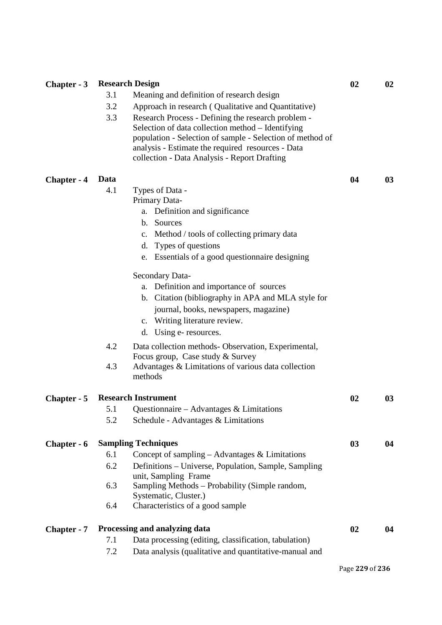| Chapter - 3        |      | <b>Research Design</b>                                      | 02              | 02 |
|--------------------|------|-------------------------------------------------------------|-----------------|----|
|                    | 3.1  | Meaning and definition of research design                   |                 |    |
|                    | 3.2  | Approach in research (Qualitative and Quantitative)         |                 |    |
|                    | 3.3  | Research Process - Defining the research problem -          |                 |    |
|                    |      | Selection of data collection method - Identifying           |                 |    |
|                    |      | population - Selection of sample - Selection of method of   |                 |    |
|                    |      | analysis - Estimate the required resources - Data           |                 |    |
|                    |      | collection - Data Analysis - Report Drafting                |                 |    |
| <b>Chapter</b> - 4 | Data |                                                             | 04              | 03 |
|                    | 4.1  | Types of Data -                                             |                 |    |
|                    |      | Primary Data-                                               |                 |    |
|                    |      | a. Definition and significance                              |                 |    |
|                    |      | Sources<br>$\mathbf{b}$ .                                   |                 |    |
|                    |      | Method / tools of collecting primary data<br>$\mathbf{c}$ . |                 |    |
|                    |      | Types of questions<br>d.                                    |                 |    |
|                    |      | Essentials of a good questionnaire designing<br>e.          |                 |    |
|                    |      | <b>Secondary Data-</b>                                      |                 |    |
|                    |      | Definition and importance of sources<br>a.                  |                 |    |
|                    |      | b. Citation (bibliography in APA and MLA style for          |                 |    |
|                    |      | journal, books, newspapers, magazine)                       |                 |    |
|                    |      | c. Writing literature review.                               |                 |    |
|                    |      | Using e- resources.<br>d.                                   |                 |    |
|                    | 4.2  | Data collection methods- Observation, Experimental,         |                 |    |
|                    |      | Focus group, Case study & Survey                            |                 |    |
|                    | 4.3  | Advantages & Limitations of various data collection         |                 |    |
|                    |      | methods                                                     |                 |    |
| Chapter - 5        |      | <b>Research Instrument</b>                                  | 02              | 03 |
|                    | 5.1  | Questionnaire – Advantages $\&$ Limitations                 |                 |    |
|                    | 5.2  | Schedule - Advantages & Limitations                         |                 |    |
| Chapter - 6        |      | <b>Sampling Techniques</b>                                  | 03              | 04 |
|                    | 6.1  | Concept of sampling - Advantages & Limitations              |                 |    |
|                    | 6.2  | Definitions - Universe, Population, Sample, Sampling        |                 |    |
|                    |      | unit, Sampling Frame                                        |                 |    |
|                    | 6.3  | Sampling Methods - Probability (Simple random,              |                 |    |
|                    |      | Systematic, Cluster.)                                       |                 |    |
|                    | 6.4  | Characteristics of a good sample                            |                 |    |
| <b>Chapter</b> - 7 |      | Processing and analyzing data                               | 02              | 04 |
|                    | 7.1  | Data processing (editing, classification, tabulation)       |                 |    |
|                    | 7.2  | Data analysis (qualitative and quantitative-manual and      |                 |    |
|                    |      |                                                             | Page 229 of 236 |    |
|                    |      |                                                             |                 |    |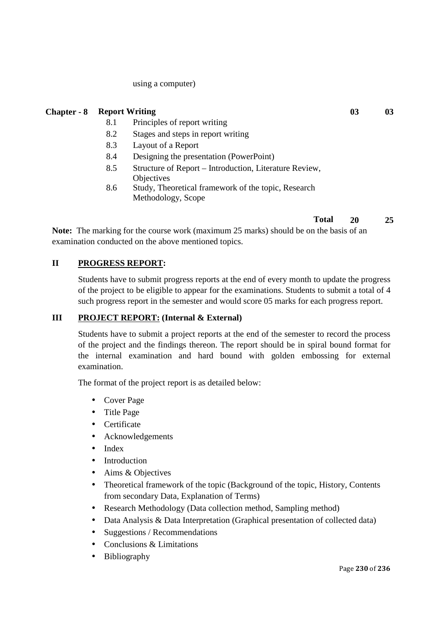using a computer)

# **Chapter - 8 Report Writing 03 03** 03

- 8.1 Principles of report writing
- 8.2 Stages and steps in report writing
- 8.3 Layout of a Report
- 8.4 Designing the presentation (PowerPoint)
- 8.5 Structure of Report Introduction, Literature Review, **Objectives**
- 8.6 Study, Theoretical framework of the topic, Research Methodology, Scope

## **Total 20 25**

**Note:** The marking for the course work (maximum 25 marks) should be on the basis of an examination conducted on the above mentioned topics.

## **II PROGRESS REPORT:**

Students have to submit progress reports at the end of every month to update the progress of the project to be eligible to appear for the examinations. Students to submit a total of 4 such progress report in the semester and would score 05 marks for each progress report.

#### **III PROJECT REPORT: (Internal & External)**

Students have to submit a project reports at the end of the semester to record the process of the project and the findings thereon. The report should be in spiral bound format for the internal examination and hard bound with golden embossing for external examination.

The format of the project report is as detailed below:

- Cover Page
- Title Page
- Certificate
- Acknowledgements
- Index
- Introduction
- Aims & Objectives
- Theoretical framework of the topic (Background of the topic, History, Contents from secondary Data, Explanation of Terms)
- Research Methodology (Data collection method, Sampling method)
- Data Analysis & Data Interpretation (Graphical presentation of collected data)
- Suggestions / Recommendations
- Conclusions & Limitations
- Bibliography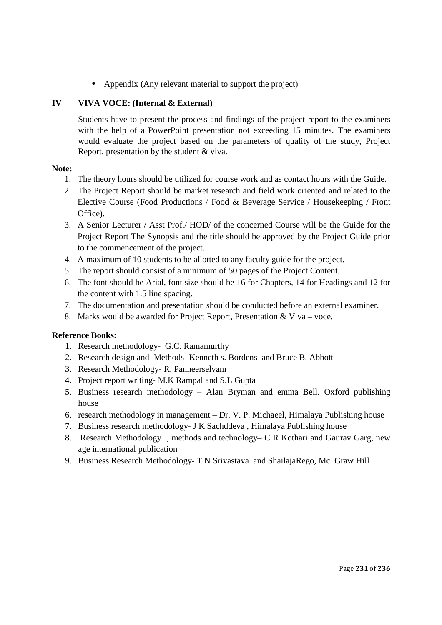• Appendix (Any relevant material to support the project)

# **IV VIVA VOCE: (Internal & External)**

Students have to present the process and findings of the project report to the examiners with the help of a PowerPoint presentation not exceeding 15 minutes. The examiners would evaluate the project based on the parameters of quality of the study, Project Report, presentation by the student & viva.

#### **Note:**

- 1. The theory hours should be utilized for course work and as contact hours with the Guide.
- 2. The Project Report should be market research and field work oriented and related to the Elective Course (Food Productions / Food & Beverage Service / Housekeeping / Front Office).
- 3. A Senior Lecturer / Asst Prof./ HOD/ of the concerned Course will be the Guide for the Project Report The Synopsis and the title should be approved by the Project Guide prior to the commencement of the project.
- 4. A maximum of 10 students to be allotted to any faculty guide for the project.
- 5. The report should consist of a minimum of 50 pages of the Project Content.
- 6. The font should be Arial, font size should be 16 for Chapters, 14 for Headings and 12 for the content with 1.5 line spacing.
- 7. The documentation and presentation should be conducted before an external examiner.
- 8. Marks would be awarded for Project Report, Presentation & Viva voce.

#### **Reference Books:**

- 1. Research methodology- G.C. Ramamurthy
- 2. Research design and Methods- Kenneth s. Bordens and Bruce B. Abbott
- 3. Research Methodology- R. Panneerselvam
- 4. Project report writing- M.K Rampal and S.L Gupta
- 5. Business research methodology Alan Bryman and emma Bell. Oxford publishing house
- 6. research methodology in management Dr. V. P. Michaeel, Himalaya Publishing house
- 7. Business research methodology- J K Sachddeva , Himalaya Publishing house
- 8. Research Methodology , methods and technology– C R Kothari and Gaurav Garg, new age international publication
- 9. Business Research Methodology- T N Srivastava and ShailajaRego, Mc. Graw Hill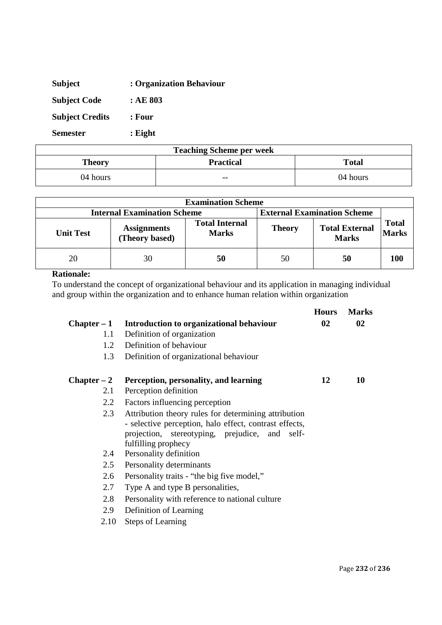| <b>Subject</b>         | : Organization Behaviour |
|------------------------|--------------------------|
| <b>Subject Code</b>    | : AE 803                 |
| <b>Subject Credits</b> | : Four                   |
| <b>Semester</b>        | $:$ Eight                |

| <b>Teaching Scheme per week</b>            |       |          |  |
|--------------------------------------------|-------|----------|--|
| <b>Practical</b><br><b>Total</b><br>Theory |       |          |  |
| 04 hours                                   | $- -$ | 04 hours |  |

|                  | <b>Examination Scheme</b>                                                |                                       |               |                                       |                              |
|------------------|--------------------------------------------------------------------------|---------------------------------------|---------------|---------------------------------------|------------------------------|
|                  | <b>Internal Examination Scheme</b><br><b>External Examination Scheme</b> |                                       |               |                                       |                              |
| <b>Unit Test</b> | <b>Assignments</b><br>(Theory based)                                     | <b>Total Internal</b><br><b>Marks</b> | <b>Theory</b> | <b>Total External</b><br><b>Marks</b> | <b>Total</b><br><b>Marks</b> |
| 20               | 30                                                                       | 50                                    | 50            | 50                                    | 100                          |

To understand the concept of organizational behaviour and its application in managing individual and group within the organization and to enhance human relation within organization

|               |                                                                                                                                                                                         | <b>Hours</b> | <b>Marks</b> |
|---------------|-----------------------------------------------------------------------------------------------------------------------------------------------------------------------------------------|--------------|--------------|
|               | Chapter $-1$ Introduction to organizational behaviour                                                                                                                                   | 02           | 02           |
| $1.1\,$       | Definition of organization                                                                                                                                                              |              |              |
| 1.2           | Definition of behaviour                                                                                                                                                                 |              |              |
| 1.3           | Definition of organizational behaviour                                                                                                                                                  |              |              |
| $Chapter - 2$ | Perception, personality, and learning                                                                                                                                                   | 12           | 10           |
| 2.1           | Perception definition                                                                                                                                                                   |              |              |
|               | 2.2 Factors influencing perception                                                                                                                                                      |              |              |
| 2.3           | Attribution theory rules for determining attribution<br>- selective perception, halo effect, contrast effects,<br>projection, stereotyping, prejudice, and self-<br>fulfilling prophecy |              |              |
| 2.4           | Personality definition                                                                                                                                                                  |              |              |
| 2.5           | Personality determinants                                                                                                                                                                |              |              |
| 2.6           | Personality traits - "the big five model,"                                                                                                                                              |              |              |
| 2.7           | Type A and type B personalities,                                                                                                                                                        |              |              |
| 2.8           | Personality with reference to national culture                                                                                                                                          |              |              |
| 2.9           | Definition of Learning                                                                                                                                                                  |              |              |
| 2.10          | Steps of Learning                                                                                                                                                                       |              |              |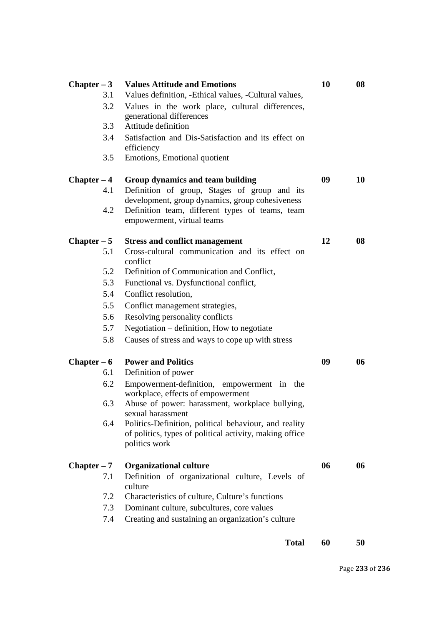| $Chapter - 3$        | <b>Values Attitude and Emotions</b>                                              | 10 | 08 |
|----------------------|----------------------------------------------------------------------------------|----|----|
| 3.1                  | Values definition, -Ethical values, -Cultural values,                            |    |    |
| 3.2                  | Values in the work place, cultural differences,<br>generational differences      |    |    |
| 3.3                  | Attitude definition                                                              |    |    |
| 3.4                  | Satisfaction and Dis-Satisfaction and its effect on                              |    |    |
|                      | efficiency                                                                       |    |    |
| 3.5                  | Emotions, Emotional quotient                                                     |    |    |
| $Chapter - 4$        | Group dynamics and team building                                                 | 09 | 10 |
| 4.1                  | Definition of group, Stages of group and its                                     |    |    |
|                      | development, group dynamics, group cohesiveness                                  |    |    |
| 4.2                  | Definition team, different types of teams, team                                  |    |    |
|                      | empowerment, virtual teams                                                       |    |    |
| $Chapter - 5$        | <b>Stress and conflict management</b>                                            | 12 | 08 |
| 5.1                  | Cross-cultural communication and its effect on<br>conflict                       |    |    |
| 5.2                  | Definition of Communication and Conflict,                                        |    |    |
| 5.3                  | Functional vs. Dysfunctional conflict,                                           |    |    |
| 5.4                  | Conflict resolution,                                                             |    |    |
| 5.5                  | Conflict management strategies,                                                  |    |    |
| 5.6                  | Resolving personality conflicts                                                  |    |    |
| 5.7                  | Negotiation – definition, How to negotiate                                       |    |    |
| 5.8                  | Causes of stress and ways to cope up with stress                                 |    |    |
| $Chapter - 6$        | <b>Power and Politics</b>                                                        | 09 | 06 |
| 6.1                  | Definition of power                                                              |    |    |
| 6.2                  | Empowerment-definition, empowerment in the                                       |    |    |
|                      | workplace, effects of empowerment                                                |    |    |
| 6.3                  | Abuse of power: harassment, workplace bullying,<br>sexual harassment             |    |    |
| 6.4                  | Politics-Definition, political behaviour, and reality                            |    |    |
|                      | of politics, types of political activity, making office                          |    |    |
|                      | politics work                                                                    |    |    |
|                      |                                                                                  | 06 | 06 |
| $Chapter - 7$<br>7.1 | <b>Organizational culture</b><br>Definition of organizational culture, Levels of |    |    |
|                      | culture                                                                          |    |    |
| 7.2                  | Characteristics of culture, Culture's functions                                  |    |    |
| 7.3                  | Dominant culture, subcultures, core values                                       |    |    |
| 7.4                  | Creating and sustaining an organization's culture                                |    |    |
|                      |                                                                                  |    |    |
|                      | <b>Total</b>                                                                     | 60 | 50 |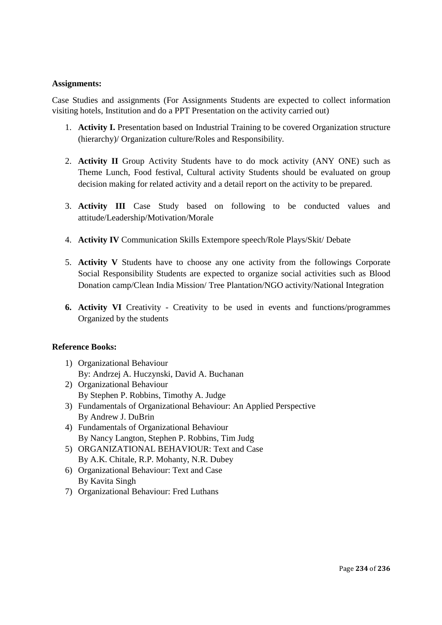#### **Assignments:**

Case Studies and assignments (For Assignments Students are expected to collect information visiting hotels, Institution and do a PPT Presentation on the activity carried out)

- 1. **Activity I.** Presentation based on Industrial Training to be covered Organization structure (hierarchy)/ Organization culture/Roles and Responsibility.
- 2. **Activity II** Group Activity Students have to do mock activity (ANY ONE) such as Theme Lunch, Food festival, Cultural activity Students should be evaluated on group decision making for related activity and a detail report on the activity to be prepared.
- 3. **Activity III** Case Study based on following to be conducted values and attitude/Leadership/Motivation/Morale
- 4. **Activity IV** Communication Skills Extempore speech/Role Plays/Skit/ Debate
- 5. **Activity V** Students have to choose any one activity from the followings Corporate Social Responsibility Students are expected to organize social activities such as Blood Donation camp/Clean India Mission/ Tree Plantation/NGO activity/National Integration
- **6. Activity VI** Creativity Creativity to be used in events and functions/programmes Organized by the students

#### **Reference Books:**

- 1) Organizational Behaviour By: Andrzej A. Huczynski, David A. Buchanan
- 2) Organizational Behaviour By Stephen P. Robbins, Timothy A. Judge
- 3) Fundamentals of Organizational Behaviour: An Applied Perspective By Andrew J. DuBrin
- 4) Fundamentals of Organizational Behaviour By Nancy Langton, Stephen P. Robbins, Tim Judg
- 5) ORGANIZATIONAL BEHAVIOUR: Text and Case By A.K. Chitale, R.P. Mohanty, N.R. Dubey
- 6) Organizational Behaviour: Text and Case By Kavita Singh
- 7) Organizational Behaviour: Fred Luthans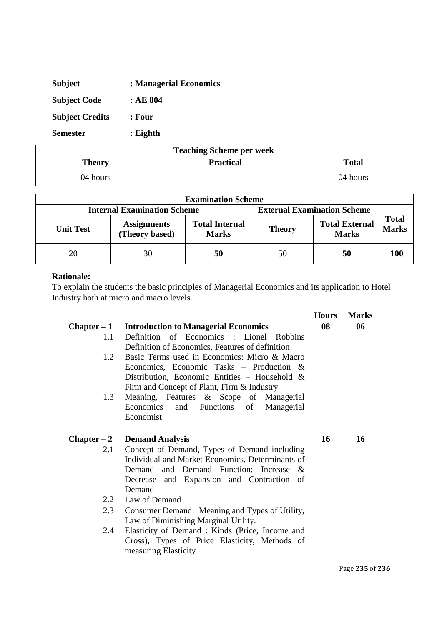| <b>Subject</b>         | : Managerial Economics |
|------------------------|------------------------|
| <b>Subject Code</b>    | :AE804                 |
| <b>Subject Credits</b> | : Four                 |
| <b>Semester</b>        | $:$ Eighth             |

| <b>Teaching Scheme per week</b>                   |     |          |  |
|---------------------------------------------------|-----|----------|--|
| <b>Total</b><br><b>Practical</b><br><b>Theory</b> |     |          |  |
| 04 hours                                          | --- | 04 hours |  |

| <b>Examination Scheme</b>          |                                      |                                       |                                    |                                       |                              |  |  |  |
|------------------------------------|--------------------------------------|---------------------------------------|------------------------------------|---------------------------------------|------------------------------|--|--|--|
| <b>Internal Examination Scheme</b> |                                      |                                       | <b>External Examination Scheme</b> |                                       |                              |  |  |  |
| <b>Unit Test</b>                   | <b>Assignments</b><br>(Theory based) | <b>Total Internal</b><br><b>Marks</b> | <b>Theory</b>                      | <b>Total External</b><br><b>Marks</b> | <b>Total</b><br><b>Marks</b> |  |  |  |
| 20                                 | 30                                   | 50                                    | 50                                 | 50                                    | 100                          |  |  |  |

To explain the students the basic principles of Managerial Economics and its application to Hotel Industry both at micro and macro levels.

|               |                                                  | <b>Hours</b> | <b>Marks</b>     |
|---------------|--------------------------------------------------|--------------|------------------|
| $Chapter - 1$ | <b>Introduction to Managerial Economics</b>      | 08           | 06               |
| 1.1           | Definition of Economics : Lionel Robbins         |              |                  |
|               | Definition of Economics, Features of definition  |              |                  |
| 1.2           | Basic Terms used in Economics: Micro & Macro     |              |                  |
|               | Economics, Economic Tasks - Production $\&$      |              |                  |
|               | Distribution, Economic Entities - Household &    |              |                  |
|               | Firm and Concept of Plant, Firm & Industry       |              |                  |
| 1.3           | Meaning, Features & Scope of Managerial          |              |                  |
|               | Economics<br>and Functions of<br>Managerial      |              |                  |
|               | Economist                                        |              |                  |
|               |                                                  |              |                  |
|               | $Chapter - 2$ Demand Analysis                    | 16           | 16               |
| 2.1           | Concept of Demand, Types of Demand including     |              |                  |
|               | Individual and Market Economics, Determinants of |              |                  |
|               | Demand and Demand Function; Increase &           |              |                  |
|               | Decrease and Expansion and Contraction of        |              |                  |
|               | Demand                                           |              |                  |
| 2.2           | Law of Demand                                    |              |                  |
| 2.3           | Consumer Demand: Meaning and Types of Utility,   |              |                  |
|               | Law of Diminishing Marginal Utility.             |              |                  |
| 2.4           | Elasticity of Demand: Kinds (Price, Income and   |              |                  |
|               | Cross), Types of Price Elasticity, Methods of    |              |                  |
|               | measuring Elasticity                             |              |                  |
|               |                                                  |              |                  |
|               |                                                  |              | $D_{200}$ 225 of |